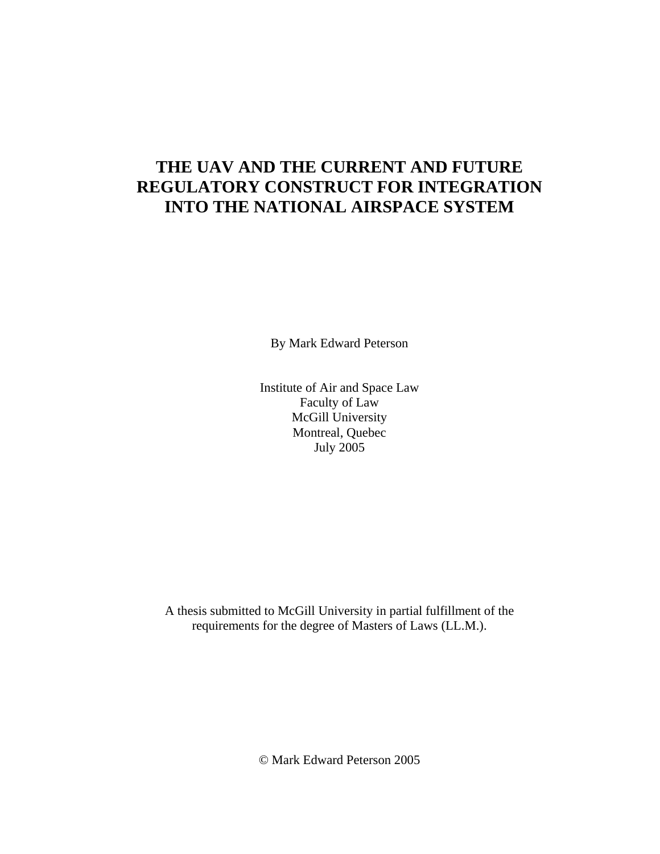## **THE UAV AND THE CURRENT AND FUTURE REGULATORY CONSTRUCT FOR INTEGRATION INTO THE NATIONAL AIRSPACE SYSTEM**

By Mark Edward Peterson

Institute of Air and Space Law Faculty of Law McGill University Montreal, Quebec July 2005

A thesis submitted to McGill University in partial fulfillment of the requirements for the degree of Masters of Laws (LL.M.).

© Mark Edward Peterson 2005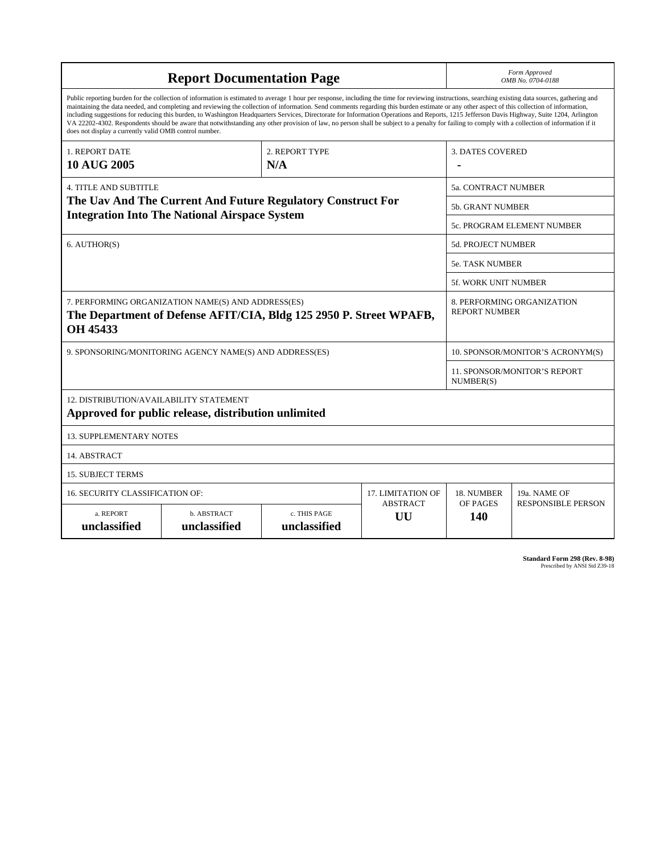| <b>Report Documentation Page</b>                                                                                                                                                                                                                                                                                                                                                                                                                                                                                                                                                                                                                                                                                                                                                                                                                                   |                             |                              |                       | Form Approved<br>OMB No. 0704-0188               |                                                    |  |  |
|--------------------------------------------------------------------------------------------------------------------------------------------------------------------------------------------------------------------------------------------------------------------------------------------------------------------------------------------------------------------------------------------------------------------------------------------------------------------------------------------------------------------------------------------------------------------------------------------------------------------------------------------------------------------------------------------------------------------------------------------------------------------------------------------------------------------------------------------------------------------|-----------------------------|------------------------------|-----------------------|--------------------------------------------------|----------------------------------------------------|--|--|
| Public reporting burden for the collection of information is estimated to average 1 hour per response, including the time for reviewing instructions, searching existing data sources, gathering and<br>maintaining the data needed, and completing and reviewing the collection of information. Send comments regarding this burden estimate or any other aspect of this collection of information,<br>including suggestions for reducing this burden, to Washington Headquarters Services, Directorate for Information Operations and Reports, 1215 Jefferson Davis Highway, Suite 1204, Arlington<br>VA 22202-4302. Respondents should be aware that notwithstanding any other provision of law, no person shall be subject to a penalty for failing to comply with a collection of information if it<br>does not display a currently valid OMB control number. |                             |                              |                       |                                                  |                                                    |  |  |
| 1. REPORT DATE                                                                                                                                                                                                                                                                                                                                                                                                                                                                                                                                                                                                                                                                                                                                                                                                                                                     | 2. REPORT TYPE              |                              |                       | <b>3. DATES COVERED</b>                          |                                                    |  |  |
| <b>10 AUG 2005</b>                                                                                                                                                                                                                                                                                                                                                                                                                                                                                                                                                                                                                                                                                                                                                                                                                                                 |                             | N/A                          |                       |                                                  |                                                    |  |  |
| <b>4. TITLE AND SUBTITLE</b>                                                                                                                                                                                                                                                                                                                                                                                                                                                                                                                                                                                                                                                                                                                                                                                                                                       |                             |                              |                       |                                                  | 5a. CONTRACT NUMBER                                |  |  |
| The Uav And The Current And Future Regulatory Construct For                                                                                                                                                                                                                                                                                                                                                                                                                                                                                                                                                                                                                                                                                                                                                                                                        |                             |                              |                       |                                                  | <b>5b. GRANT NUMBER</b>                            |  |  |
| <b>Integration Into The National Airspace System</b>                                                                                                                                                                                                                                                                                                                                                                                                                                                                                                                                                                                                                                                                                                                                                                                                               |                             |                              |                       | 5c. PROGRAM ELEMENT NUMBER                       |                                                    |  |  |
| 6. AUTHOR(S)                                                                                                                                                                                                                                                                                                                                                                                                                                                                                                                                                                                                                                                                                                                                                                                                                                                       |                             |                              |                       | <b>5d. PROJECT NUMBER</b>                        |                                                    |  |  |
|                                                                                                                                                                                                                                                                                                                                                                                                                                                                                                                                                                                                                                                                                                                                                                                                                                                                    |                             |                              |                       | <b>5e. TASK NUMBER</b>                           |                                                    |  |  |
|                                                                                                                                                                                                                                                                                                                                                                                                                                                                                                                                                                                                                                                                                                                                                                                                                                                                    |                             |                              |                       |                                                  | <b>5f. WORK UNIT NUMBER</b>                        |  |  |
| 7. PERFORMING ORGANIZATION NAME(S) AND ADDRESS(ES)<br>The Department of Defense AFIT/CIA, Bldg 125 2950 P. Street WPAFB,<br><b>OH 45433</b>                                                                                                                                                                                                                                                                                                                                                                                                                                                                                                                                                                                                                                                                                                                        |                             |                              |                       |                                                  | 8. PERFORMING ORGANIZATION<br><b>REPORT NUMBER</b> |  |  |
| 9. SPONSORING/MONITORING AGENCY NAME(S) AND ADDRESS(ES)                                                                                                                                                                                                                                                                                                                                                                                                                                                                                                                                                                                                                                                                                                                                                                                                            |                             |                              |                       | 10. SPONSOR/MONITOR'S ACRONYM(S)                 |                                                    |  |  |
|                                                                                                                                                                                                                                                                                                                                                                                                                                                                                                                                                                                                                                                                                                                                                                                                                                                                    |                             |                              |                       | <b>11. SPONSOR/MONITOR'S REPORT</b><br>NUMBER(S) |                                                    |  |  |
| <b>12. DISTRIBUTION/AVAILABILITY STATEMENT</b><br>Approved for public release, distribution unlimited                                                                                                                                                                                                                                                                                                                                                                                                                                                                                                                                                                                                                                                                                                                                                              |                             |                              |                       |                                                  |                                                    |  |  |
| <b>13. SUPPLEMENTARY NOTES</b>                                                                                                                                                                                                                                                                                                                                                                                                                                                                                                                                                                                                                                                                                                                                                                                                                                     |                             |                              |                       |                                                  |                                                    |  |  |
| 14. ABSTRACT                                                                                                                                                                                                                                                                                                                                                                                                                                                                                                                                                                                                                                                                                                                                                                                                                                                       |                             |                              |                       |                                                  |                                                    |  |  |
| <b>15. SUBJECT TERMS</b>                                                                                                                                                                                                                                                                                                                                                                                                                                                                                                                                                                                                                                                                                                                                                                                                                                           |                             |                              |                       |                                                  |                                                    |  |  |
| <b>16. SECURITY CLASSIFICATION OF:</b>                                                                                                                                                                                                                                                                                                                                                                                                                                                                                                                                                                                                                                                                                                                                                                                                                             | <b>17. LIMITATION OF</b>    | 18. NUMBER                   | 19a. NAME OF          |                                                  |                                                    |  |  |
| a. REPORT<br>unclassified                                                                                                                                                                                                                                                                                                                                                                                                                                                                                                                                                                                                                                                                                                                                                                                                                                          | b. ABSTRACT<br>unclassified | c. THIS PAGE<br>unclassified | <b>ABSTRACT</b><br>UU | OF PAGES<br>140                                  | <b>RESPONSIBLE PERSON</b>                          |  |  |

**Standard Form 298 (Rev. 8-98)**<br>Prescribed by ANSI Std Z39-18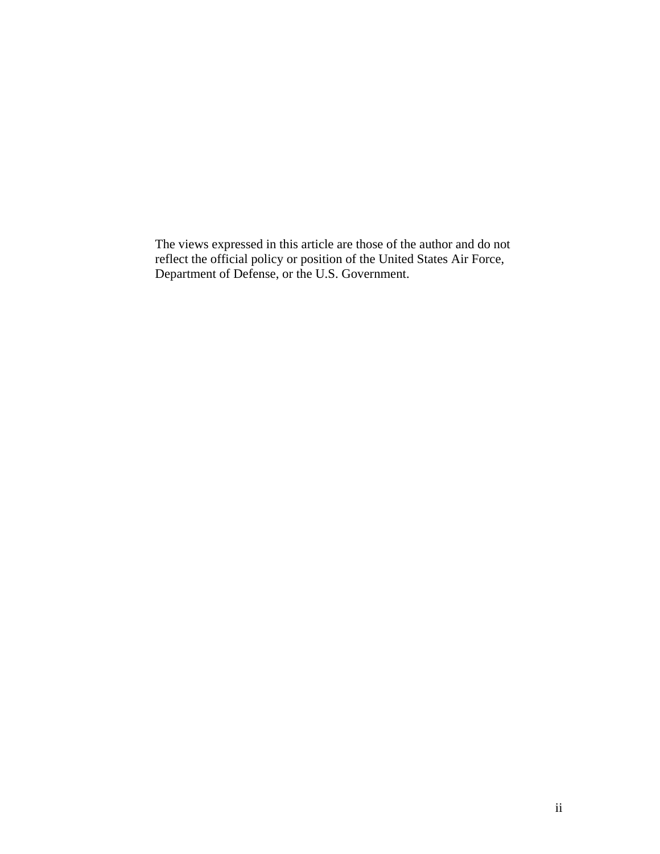The views expressed in this article are those of the author and do not reflect the official policy or position of the United States Air Force, Department of Defense, or the U.S. Government.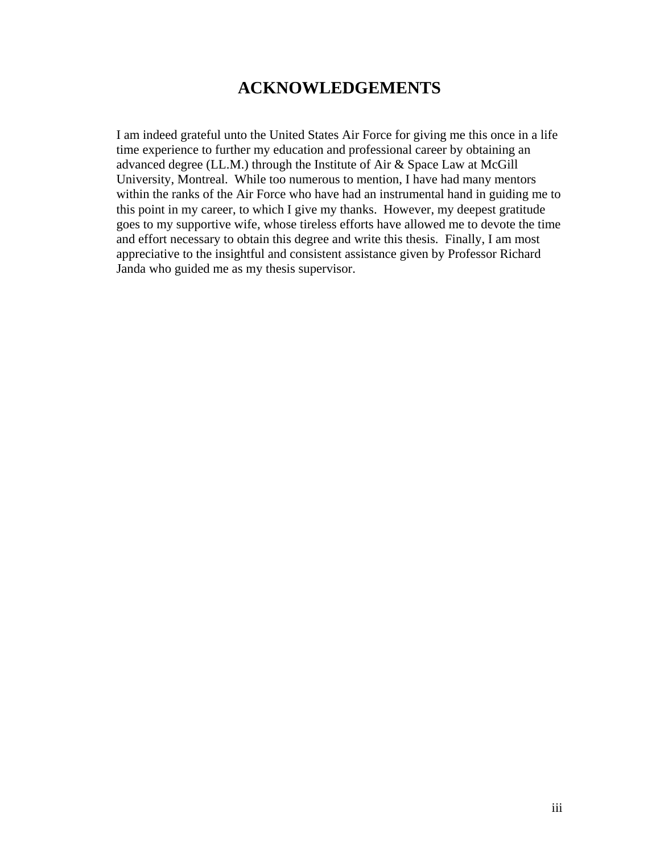## **ACKNOWLEDGEMENTS**

I am indeed grateful unto the United States Air Force for giving me this once in a life time experience to further my education and professional career by obtaining an advanced degree (LL.M.) through the Institute of Air & Space Law at McGill University, Montreal. While too numerous to mention, I have had many mentors within the ranks of the Air Force who have had an instrumental hand in guiding me to this point in my career, to which I give my thanks. However, my deepest gratitude goes to my supportive wife, whose tireless efforts have allowed me to devote the time and effort necessary to obtain this degree and write this thesis. Finally, I am most appreciative to the insightful and consistent assistance given by Professor Richard Janda who guided me as my thesis supervisor.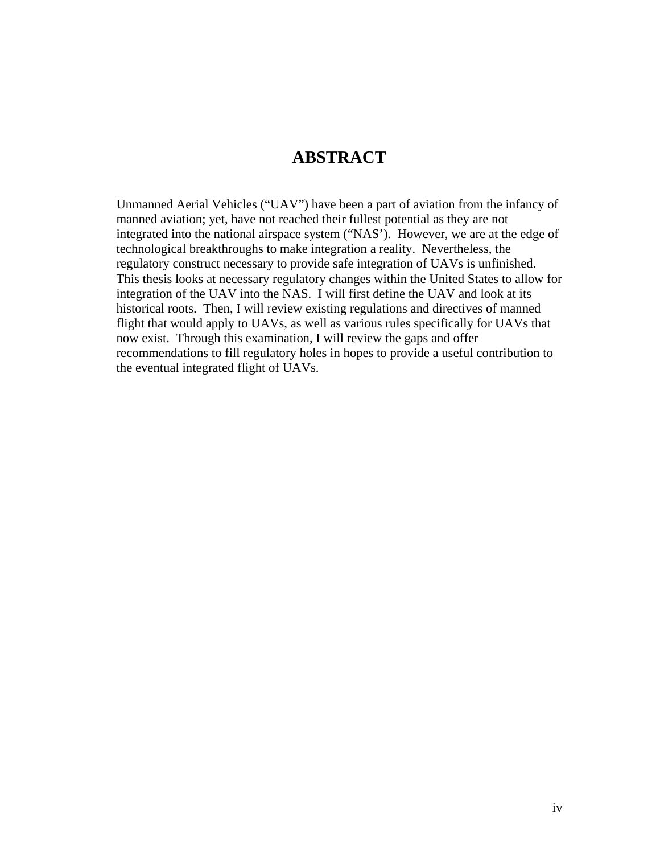## **ABSTRACT**

Unmanned Aerial Vehicles ("UAV") have been a part of aviation from the infancy of manned aviation; yet, have not reached their fullest potential as they are not integrated into the national airspace system ("NAS'). However, we are at the edge of technological breakthroughs to make integration a reality. Nevertheless, the regulatory construct necessary to provide safe integration of UAVs is unfinished. This thesis looks at necessary regulatory changes within the United States to allow for integration of the UAV into the NAS. I will first define the UAV and look at its historical roots. Then, I will review existing regulations and directives of manned flight that would apply to UAVs, as well as various rules specifically for UAVs that now exist. Through this examination, I will review the gaps and offer recommendations to fill regulatory holes in hopes to provide a useful contribution to the eventual integrated flight of UAVs.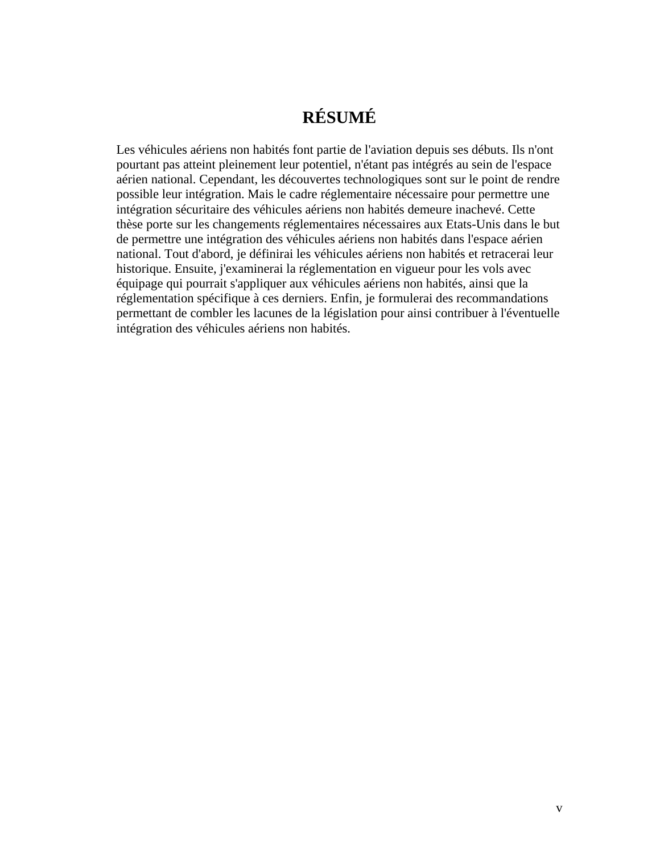# **RÉSUMÉ**

Les véhicules aériens non habités font partie de l'aviation depuis ses débuts. Ils n'ont pourtant pas atteint pleinement leur potentiel, n'étant pas intégrés au sein de l'espace aérien national. Cependant, les découvertes technologiques sont sur le point de rendre possible leur intégration. Mais le cadre réglementaire nécessaire pour permettre une intégration sécuritaire des véhicules aériens non habités demeure inachevé. Cette thèse porte sur les changements réglementaires nécessaires aux Etats-Unis dans le but de permettre une intégration des véhicules aériens non habités dans l'espace aérien national. Tout d'abord, je définirai les véhicules aériens non habités et retracerai leur historique. Ensuite, j'examinerai la réglementation en vigueur pour les vols avec équipage qui pourrait s'appliquer aux véhicules aériens non habités, ainsi que la réglementation spécifique à ces derniers. Enfin, je formulerai des recommandations permettant de combler les lacunes de la législation pour ainsi contribuer à l'éventuelle intégration des véhicules aériens non habités.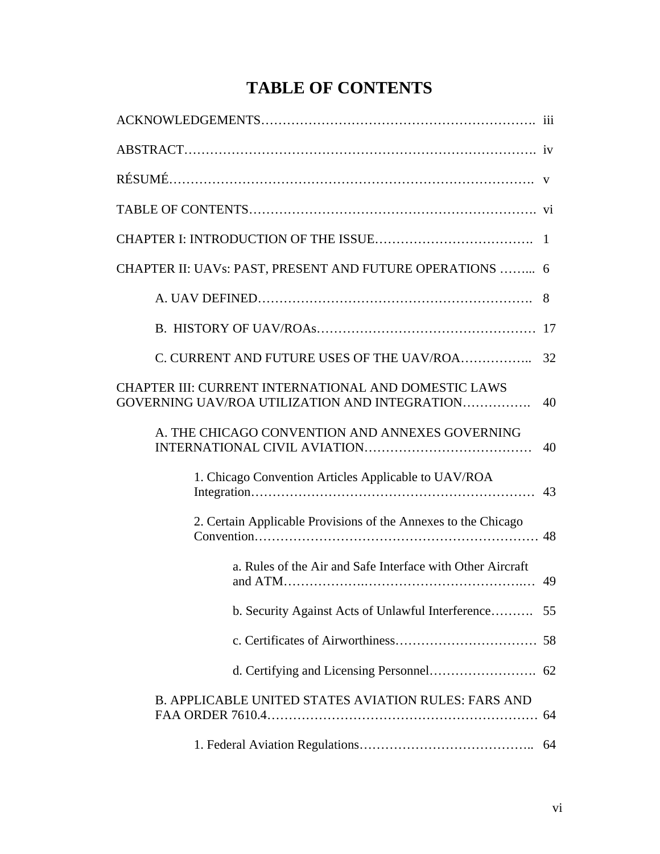# **TABLE OF CONTENTS**

| CHAPTER II: UAVs: PAST, PRESENT AND FUTURE OPERATIONS  6                                                     |    |
|--------------------------------------------------------------------------------------------------------------|----|
|                                                                                                              | 8  |
|                                                                                                              |    |
| C. CURRENT AND FUTURE USES OF THE UAV/ROA                                                                    | 32 |
| <b>CHAPTER III: CURRENT INTERNATIONAL AND DOMESTIC LAWS</b><br>GOVERNING UAV/ROA UTILIZATION AND INTEGRATION | 40 |
| A. THE CHICAGO CONVENTION AND ANNEXES GOVERNING                                                              | 40 |
| 1. Chicago Convention Articles Applicable to UAV/ROA                                                         | 43 |
| 2. Certain Applicable Provisions of the Annexes to the Chicago                                               |    |
| a. Rules of the Air and Safe Interface with Other Aircraft                                                   |    |
| b. Security Against Acts of Unlawful Interference 55                                                         |    |
|                                                                                                              |    |
|                                                                                                              |    |
| <b>B. APPLICABLE UNITED STATES AVIATION RULES: FARS AND</b>                                                  |    |
|                                                                                                              |    |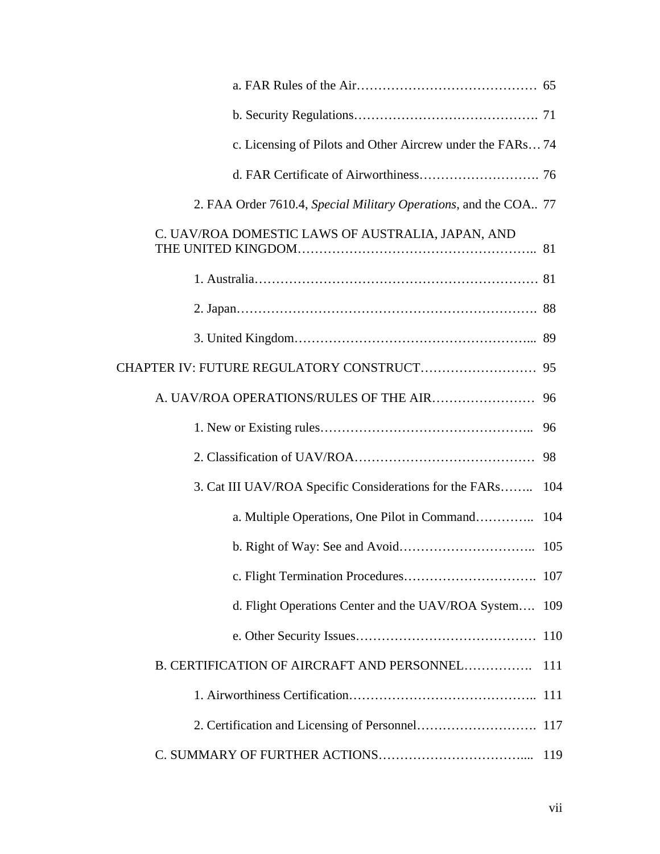| c. Licensing of Pilots and Other Aircrew under the FARs 74       |     |
|------------------------------------------------------------------|-----|
|                                                                  |     |
| 2. FAA Order 7610.4, Special Military Operations, and the COA 77 |     |
| C. UAV/ROA DOMESTIC LAWS OF AUSTRALIA, JAPAN, AND                |     |
|                                                                  |     |
|                                                                  |     |
|                                                                  |     |
|                                                                  |     |
|                                                                  |     |
|                                                                  |     |
|                                                                  |     |
| 3. Cat III UAV/ROA Specific Considerations for the FARs          | 104 |
| a. Multiple Operations, One Pilot in Command                     | 104 |
|                                                                  |     |
|                                                                  |     |
| d. Flight Operations Center and the UAV/ROA System 109           |     |
|                                                                  |     |
| B. CERTIFICATION OF AIRCRAFT AND PERSONNEL                       | 111 |
|                                                                  |     |
|                                                                  |     |
|                                                                  |     |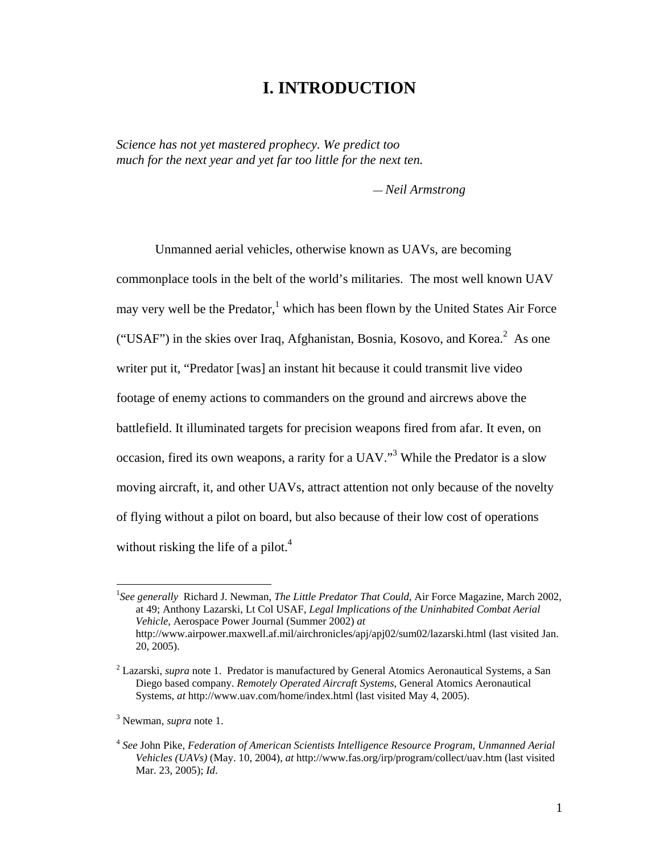### **I. INTRODUCTION**

*Science has not yet mastered prophecy. We predict too much for the next year and yet far too little for the next ten.* 

*— Neil Armstrong*

 Unmanned aerial vehicles, otherwise known as UAVs, are becoming commonplace tools in the belt of the world's militaries. The most well known UAV may very well be the Predator,<sup>1</sup> which has been flown by the United States Air Force ("USAF") in the skies over Iraq, Afghanistan, Bosnia, Kosovo, and Korea.<sup>2</sup> As one writer put it, "Predator [was] an instant hit because it could transmit live video footage of enemy actions to commanders on the ground and aircrews above the battlefield. It illuminated targets for precision weapons fired from afar. It even, on occasion, fired its own weapons, a rarity for a UAV."<sup>3</sup> While the Predator is a slow moving aircraft, it, and other UAVs, attract attention not only because of the novelty of flying without a pilot on board, but also because of their low cost of operations without risking the life of a pilot. $4$ 

<sup>&</sup>lt;sup>1</sup>See generally Richard J. Newman, *The Little Predator That Could*, Air Force Magazine, March 2002, at 49; Anthony Lazarski, Lt Col USAF, *Legal Implications of the Uninhabited Combat Aerial Vehicle*, Aerospace Power Journal (Summer 2002) *at* http://www.airpower.maxwell.af.mil/airchronicles/apj/apj02/sum02/lazarski.html (last visited Jan. 20, 2005).

<sup>&</sup>lt;sup>2</sup> Lazarski, *supra* note 1. Predator is manufactured by General Atomics Aeronautical Systems, a San Diego based company. *Remotely Operated Aircraft Systems*, General Atomics Aeronautical Systems, *at* http://www.uav.com/home/index.html (last visited May 4, 2005).

<sup>3</sup> Newman, *supra* note 1.

<sup>4</sup> *See* John Pike, *Federation of American Scientists Intelligence Resource Program, Unmanned Aerial Vehicles (UAVs)* (May. 10, 2004), *at* http://www.fas.org/irp/program/collect/uav.htm (last visited Mar. 23, 2005); *Id*.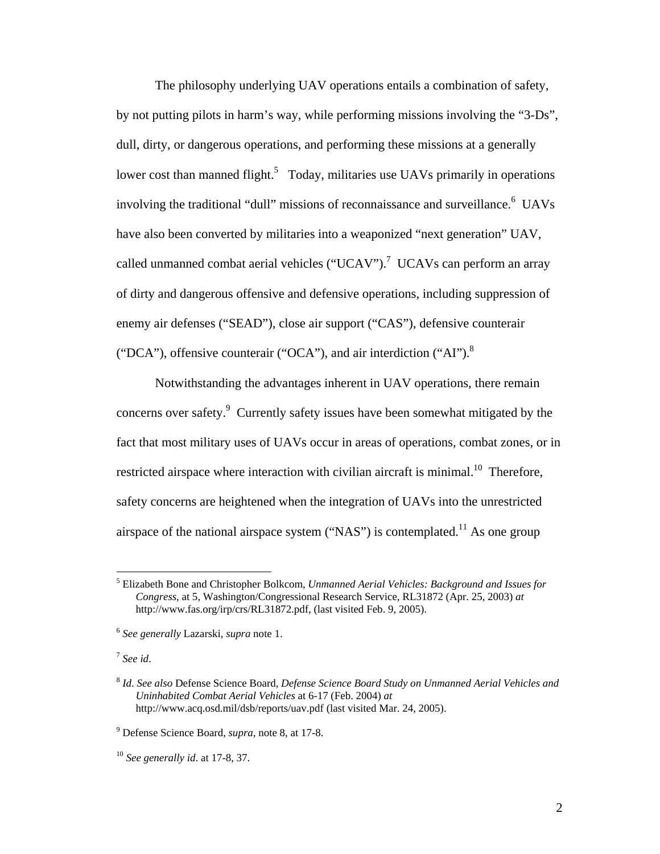The philosophy underlying UAV operations entails a combination of safety, by not putting pilots in harm's way, while performing missions involving the "3-Ds", dull, dirty, or dangerous operations, and performing these missions at a generally lower cost than manned flight.<sup>5</sup> Today, militaries use UAVs primarily in operations involving the traditional "dull" missions of reconnaissance and surveillance.<sup>6</sup> UAVs have also been converted by militaries into a weaponized "next generation" UAV, called unmanned combat aerial vehicles ("UCAV").<sup>7</sup> UCAVs can perform an array of dirty and dangerous offensive and defensive operations, including suppression of enemy air defenses ("SEAD"), close air support ("CAS"), defensive counterair ("DCA"), offensive counterair ("OCA"), and air interdiction ("AI").8

 Notwithstanding the advantages inherent in UAV operations, there remain concerns over safety.<sup>9</sup> Currently safety issues have been somewhat mitigated by the fact that most military uses of UAVs occur in areas of operations, combat zones, or in restricted airspace where interaction with civilian aircraft is minimal.<sup>10</sup> Therefore, safety concerns are heightened when the integration of UAVs into the unrestricted airspace of the national airspace system ("NAS") is contemplated.<sup>11</sup> As one group

<sup>7</sup> *See id*.

 5 Elizabeth Bone and Christopher Bolkcom, *Unmanned Aerial Vehicles: Background and Issues for Congress*, at 5, Washington/Congressional Research Service, RL31872 (Apr. 25, 2003) *at* http://www.fas.org/irp/crs/RL31872.pdf, (last visited Feb. 9, 2005).

<sup>6</sup> *See generally* Lazarski, *supra* note 1.

<sup>8</sup> *Id*. *See also* Defense Science Board, *Defense Science Board Study on Unmanned Aerial Vehicles and Uninhabited Combat Aerial Vehicles* at 6-17 (Feb. 2004) *at*  http://www.acq.osd.mil/dsb/reports/uav.pdf (last visited Mar. 24, 2005).

<sup>9</sup> Defense Science Board, *supra*, note 8, at 17-8.

<sup>10</sup> *See generally id*. at 17-8, 37.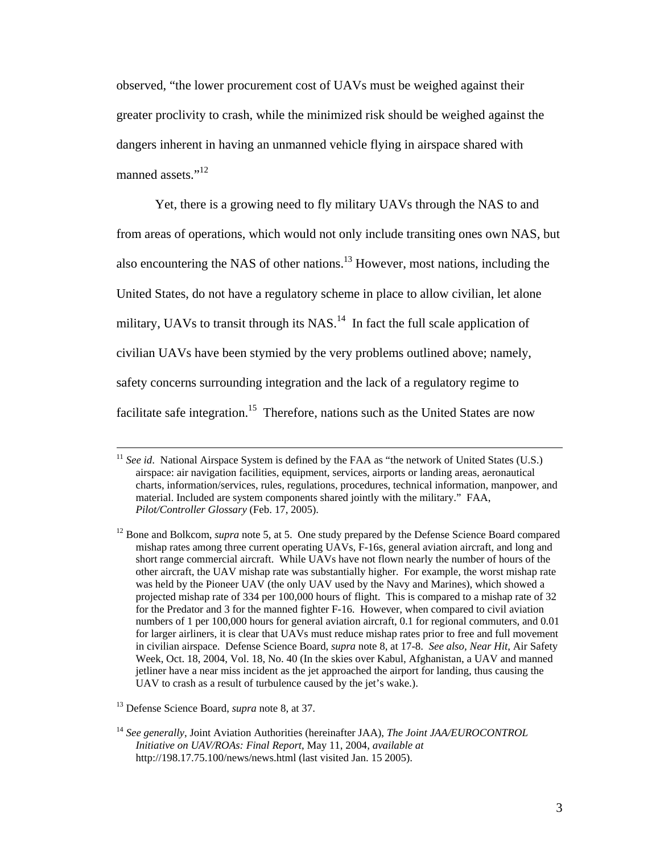observed, "the lower procurement cost of UAVs must be weighed against their greater proclivity to crash, while the minimized risk should be weighed against the dangers inherent in having an unmanned vehicle flying in airspace shared with manned assets."<sup>12</sup>

 Yet, there is a growing need to fly military UAVs through the NAS to and from areas of operations, which would not only include transiting ones own NAS, but also encountering the NAS of other nations.13 However, most nations, including the United States, do not have a regulatory scheme in place to allow civilian, let alone military, UAVs to transit through its  $NAS$ <sup>14</sup> In fact the full scale application of civilian UAVs have been stymied by the very problems outlined above; namely, safety concerns surrounding integration and the lack of a regulatory regime to facilitate safe integration.<sup>15</sup> Therefore, nations such as the United States are now

<sup>&</sup>lt;sup>11</sup> *See id.* National Airspace System is defined by the FAA as "the network of United States (U.S.) airspace: air navigation facilities, equipment, services, airports or landing areas, aeronautical charts, information/services, rules, regulations, procedures, technical information, manpower, and material. Included are system components shared jointly with the military." FAA, *Pilot/Controller Glossary* (Feb. 17, 2005).

<sup>&</sup>lt;sup>12</sup> Bone and Bolkcom, *supra* note 5, at 5. One study prepared by the Defense Science Board compared mishap rates among three current operating UAVs, F-16s, general aviation aircraft, and long and short range commercial aircraft. While UAVs have not flown nearly the number of hours of the other aircraft, the UAV mishap rate was substantially higher. For example, the worst mishap rate was held by the Pioneer UAV (the only UAV used by the Navy and Marines), which showed a projected mishap rate of 334 per 100,000 hours of flight. This is compared to a mishap rate of 32 for the Predator and 3 for the manned fighter F-16. However, when compared to civil aviation numbers of 1 per 100,000 hours for general aviation aircraft, 0.1 for regional commuters, and 0.01 for larger airliners, it is clear that UAVs must reduce mishap rates prior to free and full movement in civilian airspace. Defense Science Board, *supra* note 8, at 17-8. *See also, Near Hit*, Air Safety Week, Oct. 18, 2004, Vol. 18, No. 40 (In the skies over Kabul, Afghanistan, a UAV and manned jetliner have a near miss incident as the jet approached the airport for landing, thus causing the UAV to crash as a result of turbulence caused by the jet's wake.).

<sup>13</sup> Defense Science Board, *supra* note 8, at 37.

<sup>14</sup> *See generally*, Joint Aviation Authorities (hereinafter JAA), *The Joint JAA/EUROCONTROL Initiative on UAV/ROAs: Final Report*, May 11, 2004, *available at* http://198.17.75.100/news/news.html (last visited Jan. 15 2005).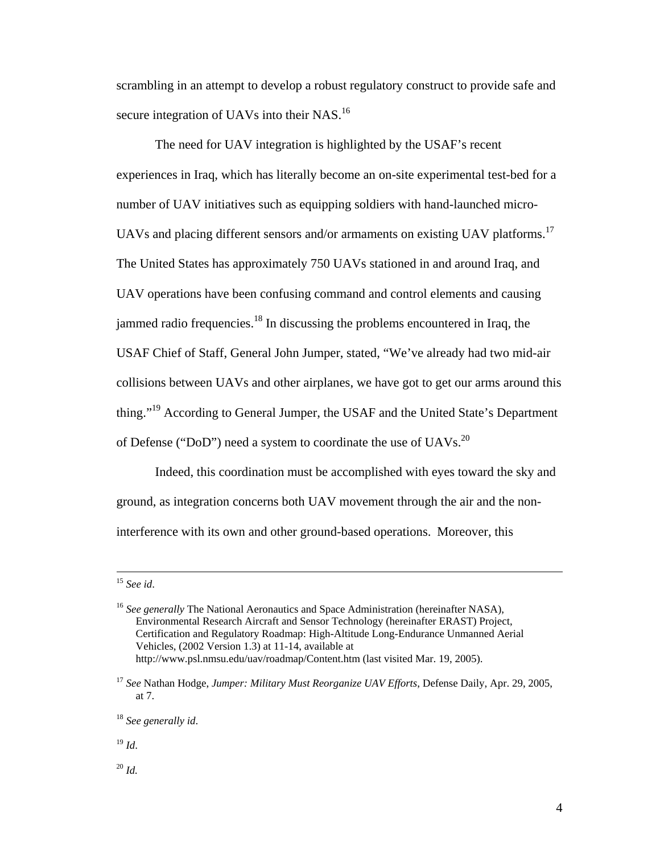scrambling in an attempt to develop a robust regulatory construct to provide safe and secure integration of UAVs into their NAS.<sup>16</sup>

 The need for UAV integration is highlighted by the USAF's recent experiences in Iraq, which has literally become an on-site experimental test-bed for a number of UAV initiatives such as equipping soldiers with hand-launched micro-UAVs and placing different sensors and/or armaments on existing UAV platforms.<sup>17</sup> The United States has approximately 750 UAVs stationed in and around Iraq, and UAV operations have been confusing command and control elements and causing jammed radio frequencies.<sup>18</sup> In discussing the problems encountered in Iraq, the USAF Chief of Staff, General John Jumper, stated, "We've already had two mid-air collisions between UAVs and other airplanes, we have got to get our arms around this thing."<sup>19</sup> According to General Jumper, the USAF and the United State's Department of Defense ("DoD") need a system to coordinate the use of UAVs.<sup>20</sup>

 Indeed, this coordination must be accomplished with eyes toward the sky and ground, as integration concerns both UAV movement through the air and the noninterference with its own and other ground-based operations. Moreover, this

<sup>19</sup> *Id*.

 $^{20}$  *Id.* 

 <sup>15</sup> *See id*.

<sup>&</sup>lt;sup>16</sup> See generally The National Aeronautics and Space Administration (hereinafter NASA), Environmental Research Aircraft and Sensor Technology (hereinafter ERAST) Project, Certification and Regulatory Roadmap: High-Altitude Long-Endurance Unmanned Aerial Vehicles, (2002 Version 1.3) at 11-14, available at http://www.psl.nmsu.edu/uav/roadmap/Content.htm (last visited Mar. 19, 2005).

<sup>17</sup> *See* Nathan Hodge, *Jumper: Military Must Reorganize UAV Efforts*, Defense Daily, Apr. 29, 2005, at 7.

<sup>18</sup> *See generally id*.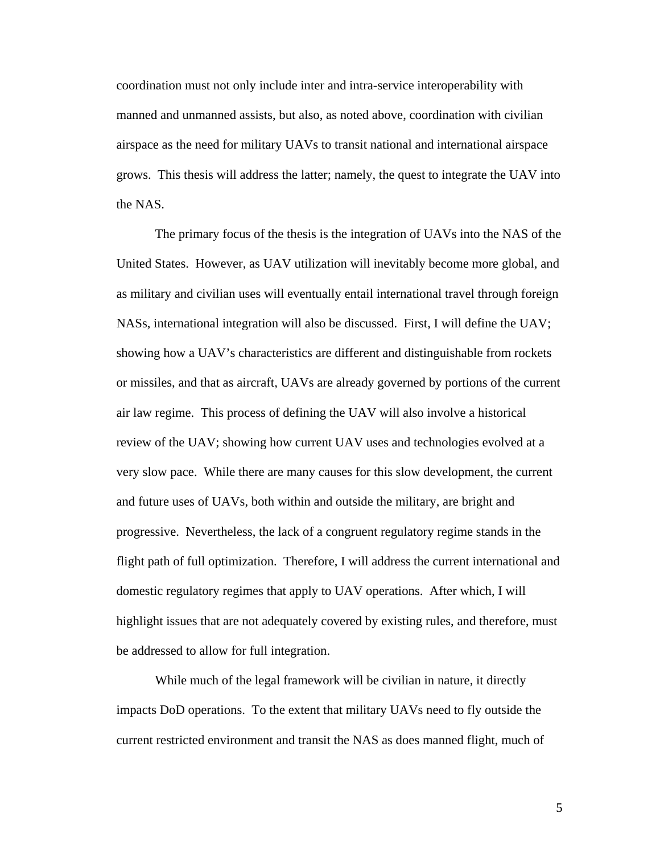coordination must not only include inter and intra-service interoperability with manned and unmanned assists, but also, as noted above, coordination with civilian airspace as the need for military UAVs to transit national and international airspace grows. This thesis will address the latter; namely, the quest to integrate the UAV into the NAS.

 The primary focus of the thesis is the integration of UAVs into the NAS of the United States. However, as UAV utilization will inevitably become more global, and as military and civilian uses will eventually entail international travel through foreign NASs, international integration will also be discussed. First, I will define the UAV; showing how a UAV's characteristics are different and distinguishable from rockets or missiles, and that as aircraft, UAVs are already governed by portions of the current air law regime. This process of defining the UAV will also involve a historical review of the UAV; showing how current UAV uses and technologies evolved at a very slow pace. While there are many causes for this slow development, the current and future uses of UAVs, both within and outside the military, are bright and progressive. Nevertheless, the lack of a congruent regulatory regime stands in the flight path of full optimization. Therefore, I will address the current international and domestic regulatory regimes that apply to UAV operations. After which, I will highlight issues that are not adequately covered by existing rules, and therefore, must be addressed to allow for full integration.

 While much of the legal framework will be civilian in nature, it directly impacts DoD operations. To the extent that military UAVs need to fly outside the current restricted environment and transit the NAS as does manned flight, much of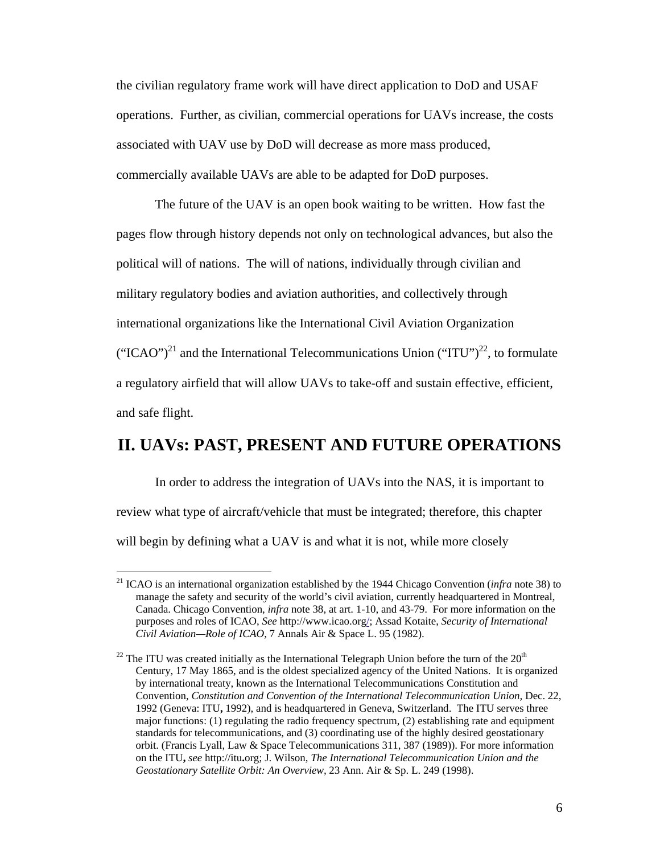the civilian regulatory frame work will have direct application to DoD and USAF operations. Further, as civilian, commercial operations for UAVs increase, the costs associated with UAV use by DoD will decrease as more mass produced, commercially available UAVs are able to be adapted for DoD purposes.

 The future of the UAV is an open book waiting to be written. How fast the pages flow through history depends not only on technological advances, but also the political will of nations. The will of nations, individually through civilian and military regulatory bodies and aviation authorities, and collectively through international organizations like the International Civil Aviation Organization ("ICAO")<sup>21</sup> and the International Telecommunications Union ("ITU")<sup>22</sup>, to formulate a regulatory airfield that will allow UAVs to take-off and sustain effective, efficient, and safe flight.

### **II. UAVs: PAST, PRESENT AND FUTURE OPERATIONS**

 In order to address the integration of UAVs into the NAS, it is important to review what type of aircraft/vehicle that must be integrated; therefore, this chapter will begin by defining what a UAV is and what it is not, while more closely

<sup>21</sup> ICAO is an international organization established by the 1944 Chicago Convention (*infra* note 38) to manage the safety and security of the world's civil aviation, currently headquartered in Montreal, Canada. Chicago Convention, *infra* note 38, at art. 1-10, and 43-79. For more information on the purposes and roles of ICAO, *See* http://www.icao.org/; Assad Kotaite, *Security of International Civil Aviation—Role of ICAO*, 7 Annals Air & Space L. 95 (1982).

 $22$  The ITU was created initially as the International Telegraph Union before the turn of the  $20<sup>th</sup>$ Century, 17 May 1865, and is the oldest specialized agency of the United Nations. It is organized by international treaty, known as the International Telecommunications Constitution and Convention, *Constitution and Convention of the International Telecommunication Union,* Dec. 22, 1992 (Geneva: ITU**,** 1992), and is headquartered in Geneva, Switzerland. The ITU serves three major functions: (1) regulating the radio frequency spectrum, (2) establishing rate and equipment standards for telecommunications, and (3) coordinating use of the highly desired geostationary orbit. (Francis Lyall, Law & Space Telecommunications 311, 387 (1989)). For more information on the ITU**,** *see* http://itu**.**org; J. Wilson, *The International Telecommunication Union and the Geostationary Satellite Orbit: An Overview,* 23 Ann. Air & Sp. L. 249 (1998).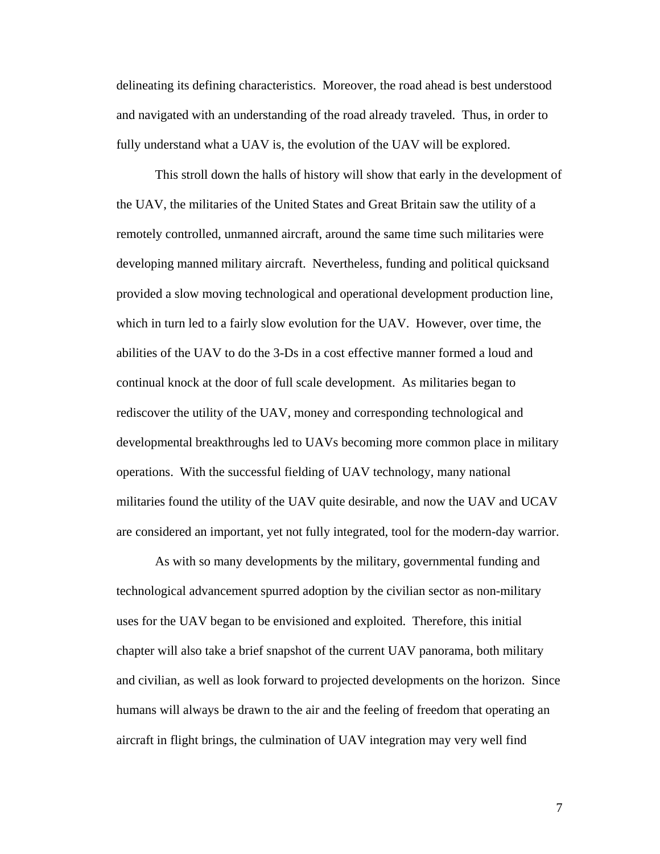delineating its defining characteristics. Moreover, the road ahead is best understood and navigated with an understanding of the road already traveled. Thus, in order to fully understand what a UAV is, the evolution of the UAV will be explored.

 This stroll down the halls of history will show that early in the development of the UAV, the militaries of the United States and Great Britain saw the utility of a remotely controlled, unmanned aircraft, around the same time such militaries were developing manned military aircraft. Nevertheless, funding and political quicksand provided a slow moving technological and operational development production line, which in turn led to a fairly slow evolution for the UAV. However, over time, the abilities of the UAV to do the 3-Ds in a cost effective manner formed a loud and continual knock at the door of full scale development. As militaries began to rediscover the utility of the UAV, money and corresponding technological and developmental breakthroughs led to UAVs becoming more common place in military operations. With the successful fielding of UAV technology, many national militaries found the utility of the UAV quite desirable, and now the UAV and UCAV are considered an important, yet not fully integrated, tool for the modern-day warrior.

 As with so many developments by the military, governmental funding and technological advancement spurred adoption by the civilian sector as non-military uses for the UAV began to be envisioned and exploited. Therefore, this initial chapter will also take a brief snapshot of the current UAV panorama, both military and civilian, as well as look forward to projected developments on the horizon. Since humans will always be drawn to the air and the feeling of freedom that operating an aircraft in flight brings, the culmination of UAV integration may very well find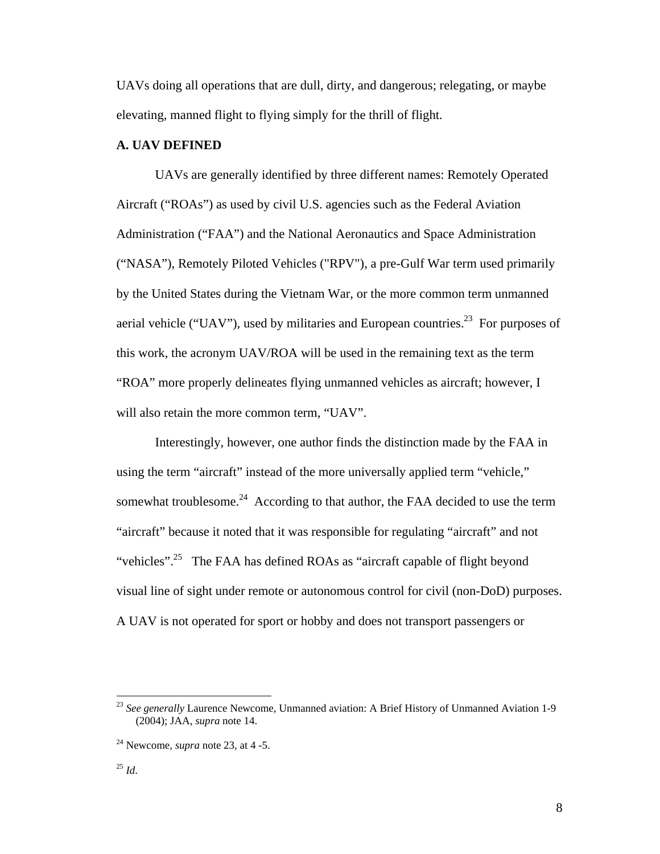UAVs doing all operations that are dull, dirty, and dangerous; relegating, or maybe elevating, manned flight to flying simply for the thrill of flight.

#### **A. UAV DEFINED**

 UAVs are generally identified by three different names: Remotely Operated Aircraft ("ROAs") as used by civil U.S. agencies such as the Federal Aviation Administration ("FAA") and the National Aeronautics and Space Administration ("NASA"), Remotely Piloted Vehicles ("RPV"), a pre-Gulf War term used primarily by the United States during the Vietnam War, or the more common term unmanned aerial vehicle ("UAV"), used by militaries and European countries.<sup>23</sup> For purposes of this work, the acronym UAV/ROA will be used in the remaining text as the term "ROA" more properly delineates flying unmanned vehicles as aircraft; however, I will also retain the more common term, "UAV".

 Interestingly, however, one author finds the distinction made by the FAA in using the term "aircraft" instead of the more universally applied term "vehicle," somewhat troublesome.<sup>24</sup> According to that author, the FAA decided to use the term "aircraft" because it noted that it was responsible for regulating "aircraft" and not "vehicles".<sup>25</sup> The FAA has defined ROAs as "aircraft capable of flight beyond visual line of sight under remote or autonomous control for civil (non-DoD) purposes. A UAV is not operated for sport or hobby and does not transport passengers or

<sup>&</sup>lt;sup>23</sup> See generally Laurence Newcome, Unmanned aviation: A Brief History of Unmanned Aviation 1-9 (2004); JAA, *supra* note 14.

<sup>24</sup> Newcome, *supra* note 23, at 4 -5.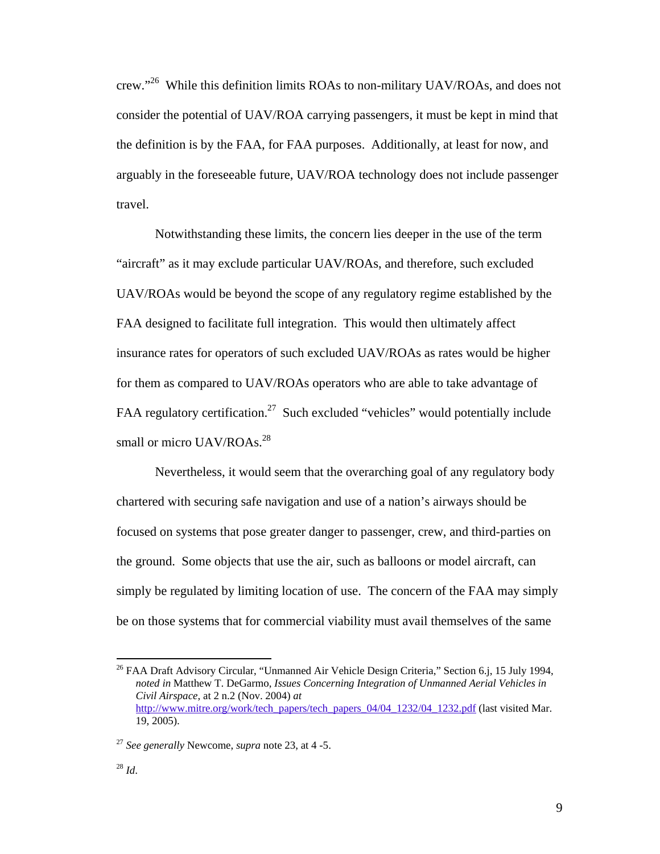crew."26 While this definition limits ROAs to non-military UAV/ROAs, and does not consider the potential of UAV/ROA carrying passengers, it must be kept in mind that the definition is by the FAA, for FAA purposes. Additionally, at least for now, and arguably in the foreseeable future, UAV/ROA technology does not include passenger travel.

 Notwithstanding these limits, the concern lies deeper in the use of the term "aircraft" as it may exclude particular UAV/ROAs, and therefore, such excluded UAV/ROAs would be beyond the scope of any regulatory regime established by the FAA designed to facilitate full integration. This would then ultimately affect insurance rates for operators of such excluded UAV/ROAs as rates would be higher for them as compared to UAV/ROAs operators who are able to take advantage of FAA regulatory certification.<sup>27</sup> Such excluded "vehicles" would potentially include small or micro UAV/ROAs.<sup>28</sup>

 Nevertheless, it would seem that the overarching goal of any regulatory body chartered with securing safe navigation and use of a nation's airways should be focused on systems that pose greater danger to passenger, crew, and third-parties on the ground. Some objects that use the air, such as balloons or model aircraft, can simply be regulated by limiting location of use. The concern of the FAA may simply be on those systems that for commercial viability must avail themselves of the same

<sup>&</sup>lt;sup>26</sup> FAA Draft Advisory Circular, "Unmanned Air Vehicle Design Criteria," Section 6.j, 15 July 1994, *noted in* Matthew T. DeGarmo, *Issues Concerning Integration of Unmanned Aerial Vehicles in Civil Airspace*, at 2 n.2 (Nov. 2004) *at* http://www.mitre.org/work/tech\_papers/tech\_papers\_04/04\_1232/04\_1232.pdf (last visited Mar. 19, 2005).

<sup>27</sup> *See generally* Newcome, *supra* note 23, at 4 -5.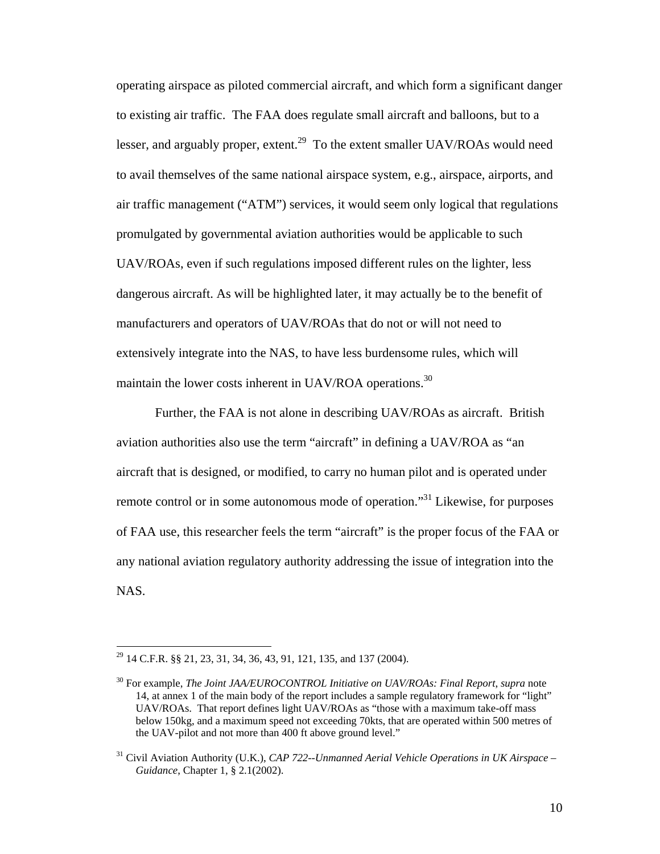operating airspace as piloted commercial aircraft, and which form a significant danger to existing air traffic. The FAA does regulate small aircraft and balloons, but to a lesser, and arguably proper, extent.<sup>29</sup> To the extent smaller UAV/ROAs would need to avail themselves of the same national airspace system, e.g., airspace, airports, and air traffic management ("ATM") services, it would seem only logical that regulations promulgated by governmental aviation authorities would be applicable to such UAV/ROAs, even if such regulations imposed different rules on the lighter, less dangerous aircraft. As will be highlighted later, it may actually be to the benefit of manufacturers and operators of UAV/ROAs that do not or will not need to extensively integrate into the NAS, to have less burdensome rules, which will maintain the lower costs inherent in UAV/ROA operations.<sup>30</sup>

 Further, the FAA is not alone in describing UAV/ROAs as aircraft. British aviation authorities also use the term "aircraft" in defining a UAV/ROA as "an aircraft that is designed, or modified, to carry no human pilot and is operated under remote control or in some autonomous mode of operation."31 Likewise, for purposes of FAA use, this researcher feels the term "aircraft" is the proper focus of the FAA or any national aviation regulatory authority addressing the issue of integration into the NAS.

<sup>&</sup>lt;sup>29</sup> 14 C.F.R. §§ 21, 23, 31, 34, 36, 43, 91, 121, 135, and 137 (2004).

<sup>30</sup> For example, *The Joint JAA/EUROCONTROL Initiative on UAV/ROAs: Final Report*, *supra* note 14, at annex 1 of the main body of the report includes a sample regulatory framework for "light" UAV/ROAs. That report defines light UAV/ROAs as "those with a maximum take-off mass below 150kg, and a maximum speed not exceeding 70kts, that are operated within 500 metres of the UAV-pilot and not more than 400 ft above ground level."

<sup>&</sup>lt;sup>31</sup> Civil Aviation Authority (U.K.), *CAP 722--Unmanned Aerial Vehicle Operations in UK Airspace – Guidance*, Chapter 1, § 2.1(2002).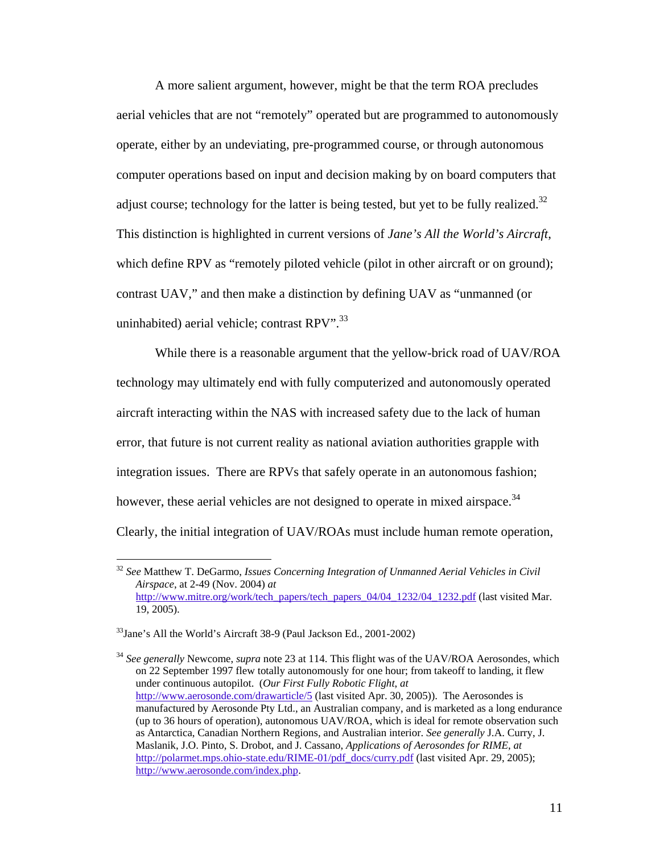A more salient argument, however, might be that the term ROA precludes aerial vehicles that are not "remotely" operated but are programmed to autonomously operate, either by an undeviating, pre-programmed course, or through autonomous computer operations based on input and decision making by on board computers that adjust course; technology for the latter is being tested, but yet to be fully realized.<sup>32</sup> This distinction is highlighted in current versions of *Jane's All the World's Aircraft*, which define RPV as "remotely piloted vehicle (pilot in other aircraft or on ground); contrast UAV," and then make a distinction by defining UAV as "unmanned (or uninhabited) aerial vehicle; contrast RPV".<sup>33</sup>

 While there is a reasonable argument that the yellow-brick road of UAV/ROA technology may ultimately end with fully computerized and autonomously operated aircraft interacting within the NAS with increased safety due to the lack of human error, that future is not current reality as national aviation authorities grapple with integration issues. There are RPVs that safely operate in an autonomous fashion; however, these aerial vehicles are not designed to operate in mixed airspace.<sup>34</sup> Clearly, the initial integration of UAV/ROAs must include human remote operation,

<sup>32</sup> *See* Matthew T. DeGarmo, *Issues Concerning Integration of Unmanned Aerial Vehicles in Civil Airspace*, at 2-49 (Nov. 2004) *at* http://www.mitre.org/work/tech\_papers/tech\_papers\_04/04\_1232/04\_1232.pdf (last visited Mar. 19, 2005).

 $33$ Jane's All the World's Aircraft 38-9 (Paul Jackson Ed., 2001-2002)

<sup>34</sup> *See generally* Newcome, *supra* note 23 at 114. This flight was of the UAV/ROA Aerosondes, which on 22 September 1997 flew totally autonomously for one hour; from takeoff to landing, it flew under continuous autopilot. (*Our First Fully Robotic Flight*, *at* http://www.aerosonde.com/drawarticle/5 (last visited Apr. 30, 2005)). The Aerosondes is manufactured by Aerosonde Pty Ltd., an Australian company, and is marketed as a long endurance (up to 36 hours of operation), autonomous UAV/ROA, which is ideal for remote observation such as Antarctica, Canadian Northern Regions, and Australian interior. *See generally* J.A. Curry, J. Maslanik, J.O. Pinto, S. Drobot, and J. Cassano, *Applications of Aerosondes for RIME*, *at* http://polarmet.mps.ohio-state.edu/RIME-01/pdf\_docs/curry.pdf (last visited Apr. 29, 2005); http://www.aerosonde.com/index.php.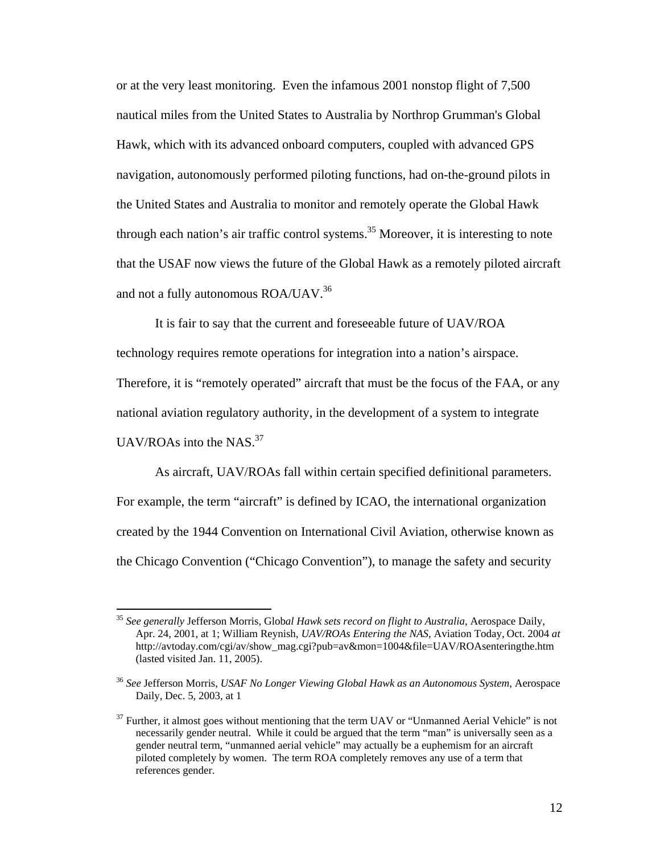or at the very least monitoring. Even the infamous 2001 nonstop flight of 7,500 nautical miles from the United States to Australia by Northrop Grumman's Global Hawk, which with its advanced onboard computers, coupled with advanced GPS navigation, autonomously performed piloting functions, had on-the-ground pilots in the United States and Australia to monitor and remotely operate the Global Hawk through each nation's air traffic control systems.<sup>35</sup> Moreover, it is interesting to note that the USAF now views the future of the Global Hawk as a remotely piloted aircraft and not a fully autonomous ROA/UAV.<sup>36</sup>

 It is fair to say that the current and foreseeable future of UAV/ROA technology requires remote operations for integration into a nation's airspace. Therefore, it is "remotely operated" aircraft that must be the focus of the FAA, or any national aviation regulatory authority, in the development of a system to integrate UAV/ROAs into the NAS. $37$ 

 As aircraft, UAV/ROAs fall within certain specified definitional parameters. For example, the term "aircraft" is defined by ICAO, the international organization created by the 1944 Convention on International Civil Aviation, otherwise known as the Chicago Convention ("Chicago Convention"), to manage the safety and security

<sup>35</sup> *See generally* Jefferson Morris, Glob*al Hawk sets record on flight to Australia*, Aerospace Daily, Apr. 24, 2001, at 1; William Reynish, *UAV/ROAs Entering the NAS*, Aviation Today, Oct. 2004 *at* http://avtoday.com/cgi/av/show\_mag.cgi?pub=av&mon=1004&file=UAV/ROAsenteringthe.htm (lasted visited Jan. 11, 2005).

<sup>36</sup> *See* Jefferson Morris, *USAF No Longer Viewing Global Hawk as an Autonomous System*, Aerospace Daily, Dec. 5, 2003, at 1

 $37$  Further, it almost goes without mentioning that the term UAV or "Unmanned Aerial Vehicle" is not necessarily gender neutral. While it could be argued that the term "man" is universally seen as a gender neutral term, "unmanned aerial vehicle" may actually be a euphemism for an aircraft piloted completely by women. The term ROA completely removes any use of a term that references gender.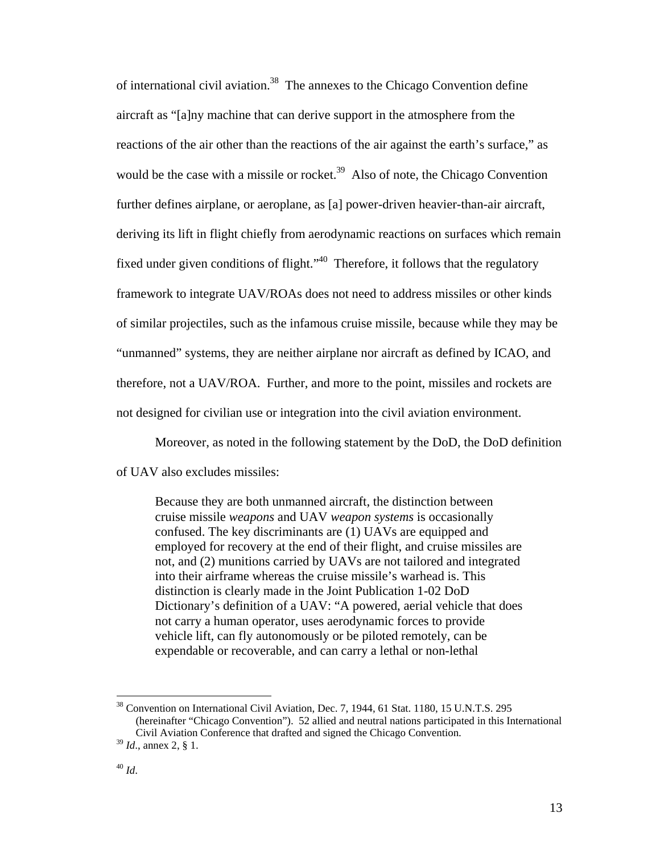of international civil aviation.38 The annexes to the Chicago Convention define aircraft as "[a]ny machine that can derive support in the atmosphere from the reactions of the air other than the reactions of the air against the earth's surface," as would be the case with a missile or rocket.<sup>39</sup> Also of note, the Chicago Convention further defines airplane, or aeroplane, as [a] power-driven heavier-than-air aircraft, deriving its lift in flight chiefly from aerodynamic reactions on surfaces which remain fixed under given conditions of flight." $40$  Therefore, it follows that the regulatory framework to integrate UAV/ROAs does not need to address missiles or other kinds of similar projectiles, such as the infamous cruise missile, because while they may be "unmanned" systems, they are neither airplane nor aircraft as defined by ICAO, and therefore, not a UAV/ROA. Further, and more to the point, missiles and rockets are not designed for civilian use or integration into the civil aviation environment.

Moreover, as noted in the following statement by the DoD, the DoD definition

of UAV also excludes missiles:

Because they are both unmanned aircraft, the distinction between cruise missile *weapons* and UAV *weapon systems* is occasionally confused. The key discriminants are (1) UAVs are equipped and employed for recovery at the end of their flight, and cruise missiles are not, and (2) munitions carried by UAVs are not tailored and integrated into their airframe whereas the cruise missile's warhead is. This distinction is clearly made in the Joint Publication 1-02 DoD Dictionary's definition of a UAV: "A powered, aerial vehicle that does not carry a human operator, uses aerodynamic forces to provide vehicle lift, can fly autonomously or be piloted remotely, can be expendable or recoverable, and can carry a lethal or non-lethal

<sup>&</sup>lt;sup>38</sup> Convention on International Civil Aviation, Dec. 7, 1944, 61 Stat. 1180, 15 U.N.T.S. 295 (hereinafter "Chicago Convention"). 52 allied and neutral nations participated in this International Civil Aviation Conference that drafted and signed the Chicago Convention.

<sup>39</sup> *Id*., annex 2, § 1.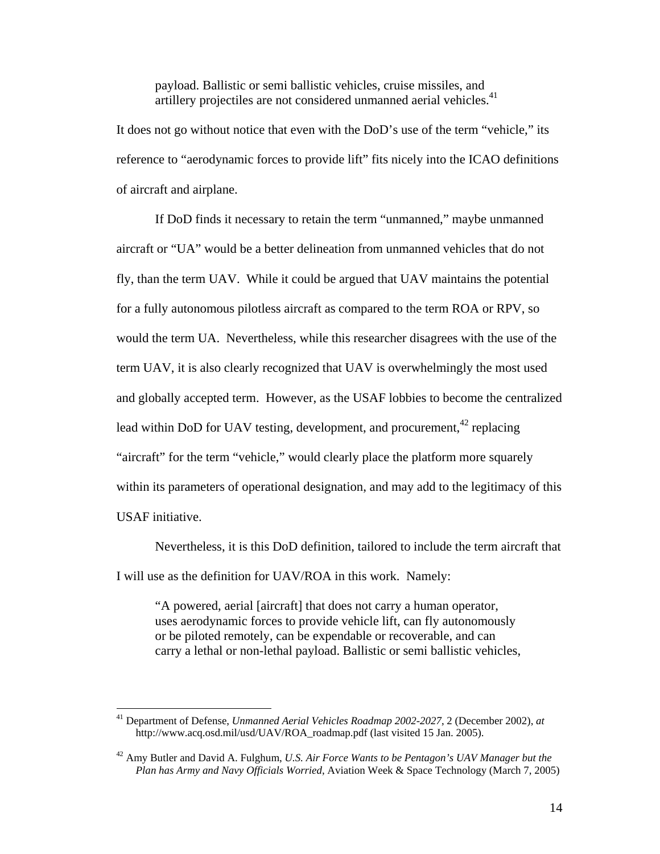payload. Ballistic or semi ballistic vehicles, cruise missiles, and artillery projectiles are not considered unmanned aerial vehicles.<sup>41</sup>

It does not go without notice that even with the DoD's use of the term "vehicle," its reference to "aerodynamic forces to provide lift" fits nicely into the ICAO definitions of aircraft and airplane.

 If DoD finds it necessary to retain the term "unmanned," maybe unmanned aircraft or "UA" would be a better delineation from unmanned vehicles that do not fly, than the term UAV. While it could be argued that UAV maintains the potential for a fully autonomous pilotless aircraft as compared to the term ROA or RPV, so would the term UA. Nevertheless, while this researcher disagrees with the use of the term UAV, it is also clearly recognized that UAV is overwhelmingly the most used and globally accepted term. However, as the USAF lobbies to become the centralized lead within DoD for UAV testing, development, and procurement,  $42$  replacing "aircraft" for the term "vehicle," would clearly place the platform more squarely within its parameters of operational designation, and may add to the legitimacy of this USAF initiative.

 Nevertheless, it is this DoD definition, tailored to include the term aircraft that I will use as the definition for UAV/ROA in this work. Namely:

"A powered, aerial [aircraft] that does not carry a human operator, uses aerodynamic forces to provide vehicle lift, can fly autonomously or be piloted remotely, can be expendable or recoverable, and can carry a lethal or non-lethal payload. Ballistic or semi ballistic vehicles,

<sup>41</sup> Department of Defense, *Unmanned Aerial Vehicles Roadmap 2002-2027*, 2 (December 2002), *at*  http://www.acq.osd.mil/usd/UAV/ROA\_roadmap.pdf (last visited 15 Jan. 2005).

<sup>42</sup> Amy Butler and David A. Fulghum, *U.S. Air Force Wants to be Pentagon's UAV Manager but the Plan has Army and Navy Officials Worried*, Aviation Week & Space Technology (March 7, 2005)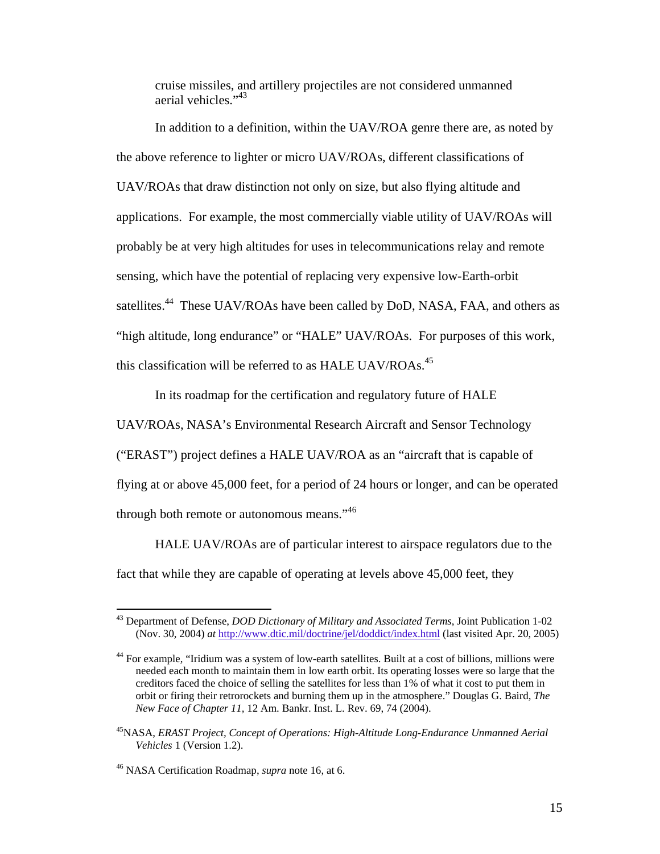cruise missiles, and artillery projectiles are not considered unmanned aerial vehicles."<sup>43</sup>

 In addition to a definition, within the UAV/ROA genre there are, as noted by the above reference to lighter or micro UAV/ROAs, different classifications of UAV/ROAs that draw distinction not only on size, but also flying altitude and applications. For example, the most commercially viable utility of UAV/ROAs will probably be at very high altitudes for uses in telecommunications relay and remote sensing, which have the potential of replacing very expensive low-Earth-orbit satellites.<sup>44</sup> These UAV/ROAs have been called by DoD, NASA, FAA, and others as "high altitude, long endurance" or "HALE" UAV/ROAs. For purposes of this work, this classification will be referred to as HALE UAV/ROAs.<sup>45</sup>

In its roadmap for the certification and regulatory future of HALE

UAV/ROAs, NASA's Environmental Research Aircraft and Sensor Technology ("ERAST") project defines a HALE UAV/ROA as an "aircraft that is capable of flying at or above 45,000 feet, for a period of 24 hours or longer, and can be operated through both remote or autonomous means."<sup>46</sup>

 HALE UAV/ROAs are of particular interest to airspace regulators due to the fact that while they are capable of operating at levels above 45,000 feet, they

<sup>43</sup> Department of Defense, *DOD Dictionary of Military and Associated Terms*, Joint Publication 1-02 (Nov. 30, 2004) *at* http://www.dtic.mil/doctrine/jel/doddict/index.html (last visited Apr. 20, 2005)

<sup>&</sup>lt;sup>44</sup> For example, "Iridium was a system of low-earth satellites. Built at a cost of billions, millions were needed each month to maintain them in low earth orbit. Its operating losses were so large that the creditors faced the choice of selling the satellites for less than 1% of what it cost to put them in orbit or firing their retrorockets and burning them up in the atmosphere." Douglas G. Baird, *The New Face of Chapter 11,* 12 Am. Bankr. Inst. L. Rev. 69, 74 (2004).

<sup>45</sup>NASA, *ERAST Project, Concept of Operations: High-Altitude Long-Endurance Unmanned Aerial Vehicles* 1 (Version 1.2).

<sup>46</sup> NASA Certification Roadmap, *supra* note 16, at 6.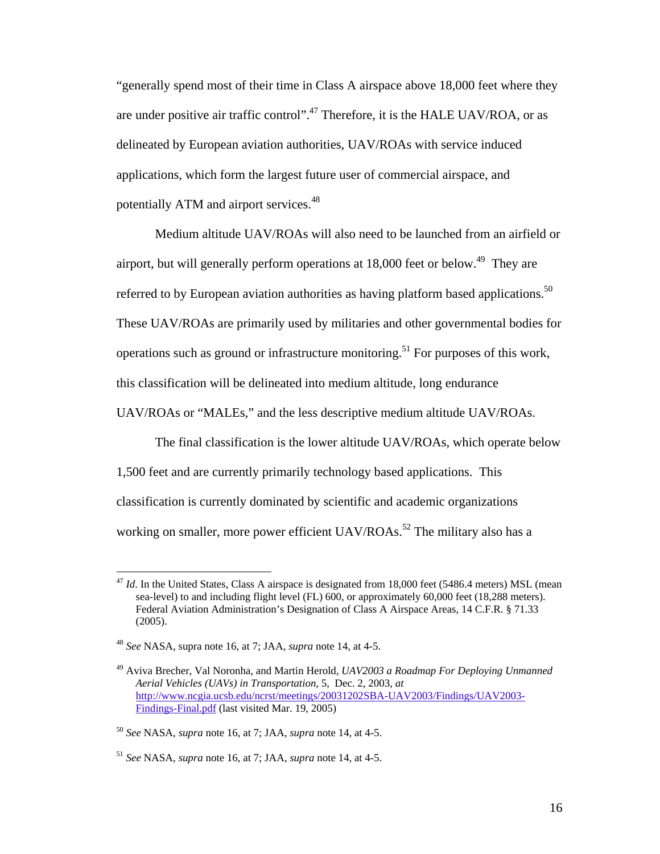"generally spend most of their time in Class A airspace above 18,000 feet where they are under positive air traffic control".<sup>47</sup> Therefore, it is the HALE UAV/ROA, or as delineated by European aviation authorities, UAV/ROAs with service induced applications, which form the largest future user of commercial airspace, and potentially ATM and airport services.<sup>48</sup>

 Medium altitude UAV/ROAs will also need to be launched from an airfield or airport, but will generally perform operations at  $18,000$  feet or below.<sup>49</sup> They are referred to by European aviation authorities as having platform based applications.<sup>50</sup> These UAV/ROAs are primarily used by militaries and other governmental bodies for operations such as ground or infrastructure monitoring.<sup>51</sup> For purposes of this work, this classification will be delineated into medium altitude, long endurance

UAV/ROAs or "MALEs," and the less descriptive medium altitude UAV/ROAs.

 The final classification is the lower altitude UAV/ROAs, which operate below 1,500 feet and are currently primarily technology based applications. This classification is currently dominated by scientific and academic organizations working on smaller, more power efficient  $UAV/ROAs.<sup>52</sup>$  The military also has a

<sup>&</sup>lt;sup>47</sup> *Id*. In the United States, Class A airspace is designated from 18,000 feet (5486.4 meters) MSL (mean sea-level) to and including flight level (FL) 600, or approximately 60,000 feet (18,288 meters). Federal Aviation Administration's Designation of Class A Airspace Areas, 14 C.F.R. § 71.33 (2005).

<sup>48</sup> *See* NASA, supra note 16, at 7; JAA, *supra* note 14, at 4-5.

<sup>49</sup> Aviva Brecher, Val Noronha, and Martin Herold, *UAV2003 a Roadmap For Deploying Unmanned Aerial Vehicles (UAVs) in Transportation*, 5, Dec. 2, 2003, *at* http://www.ncgia.ucsb.edu/ncrst/meetings/20031202SBA-UAV2003/Findings/UAV2003- Findings-Final.pdf (last visited Mar. 19, 2005)

<sup>50</sup> *See* NASA, *supra* note 16, at 7; JAA, *supra* note 14, at 4-5.

<sup>51</sup> *See* NASA, *supra* note 16, at 7; JAA, *supra* note 14, at 4-5.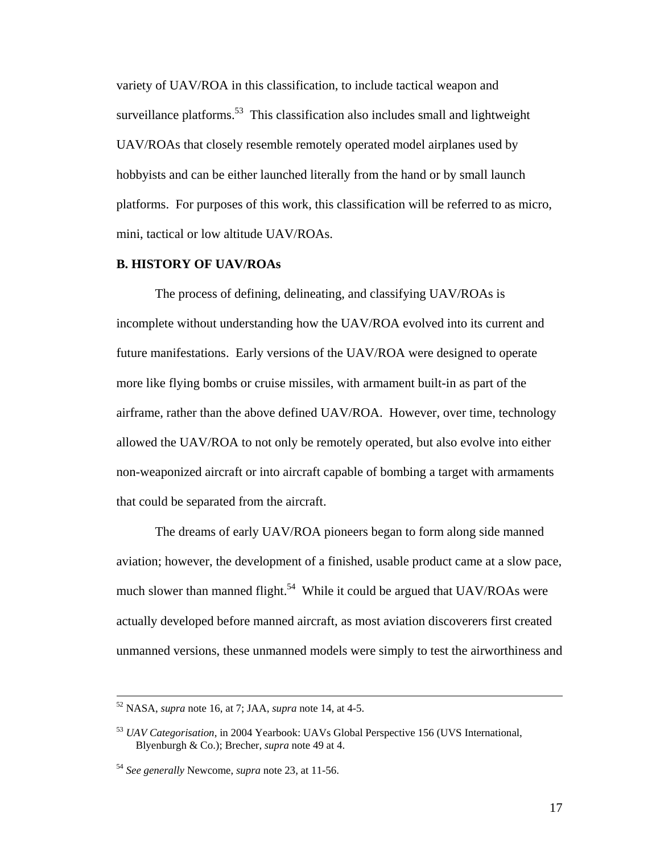variety of UAV/ROA in this classification, to include tactical weapon and surveillance platforms.<sup>53</sup> This classification also includes small and lightweight UAV/ROAs that closely resemble remotely operated model airplanes used by hobbyists and can be either launched literally from the hand or by small launch platforms. For purposes of this work, this classification will be referred to as micro, mini, tactical or low altitude UAV/ROAs.

#### **B. HISTORY OF UAV/ROAs**

 The process of defining, delineating, and classifying UAV/ROAs is incomplete without understanding how the UAV/ROA evolved into its current and future manifestations. Early versions of the UAV/ROA were designed to operate more like flying bombs or cruise missiles, with armament built-in as part of the airframe, rather than the above defined UAV/ROA. However, over time, technology allowed the UAV/ROA to not only be remotely operated, but also evolve into either non-weaponized aircraft or into aircraft capable of bombing a target with armaments that could be separated from the aircraft.

 The dreams of early UAV/ROA pioneers began to form along side manned aviation; however, the development of a finished, usable product came at a slow pace, much slower than manned flight.<sup>54</sup> While it could be argued that  $UAV/ROAs$  were actually developed before manned aircraft, as most aviation discoverers first created unmanned versions, these unmanned models were simply to test the airworthiness and

 <sup>52</sup> NASA, *supra* note 16, at 7; JAA, *supra* note 14, at 4-5.

<sup>53</sup> *UAV Categorisation*, in 2004 Yearbook: UAVs Global Perspective 156 (UVS International, Blyenburgh & Co.); Brecher, *supra* note 49 at 4.

<sup>54</sup> *See generally* Newcome, *supra* note 23, at 11-56.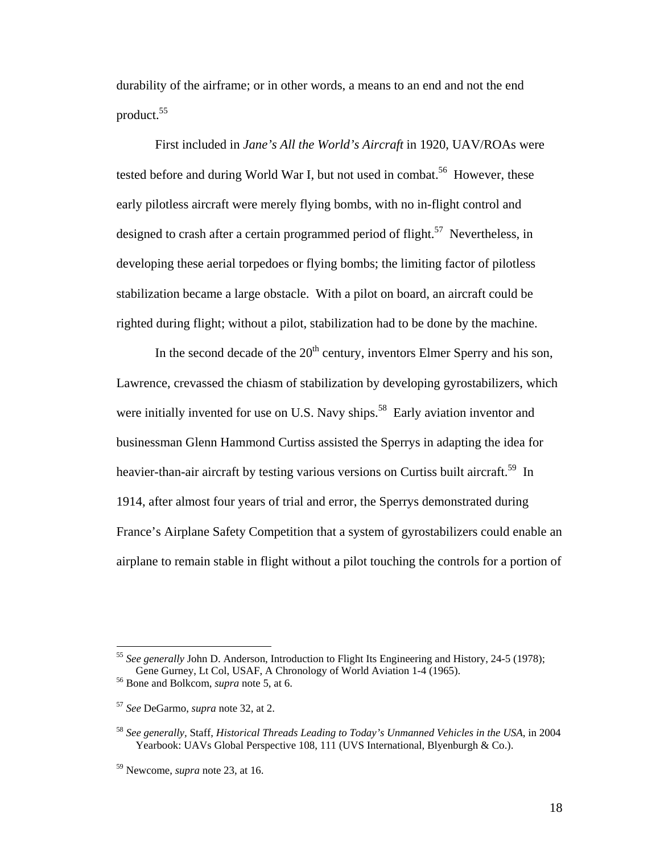durability of the airframe; or in other words, a means to an end and not the end product. $55$ 

 First included in *Jane's All the World's Aircraft* in 1920, UAV/ROAs were tested before and during World War I, but not used in combat.<sup>56</sup> However, these early pilotless aircraft were merely flying bombs, with no in-flight control and designed to crash after a certain programmed period of flight.<sup>57</sup> Nevertheless, in developing these aerial torpedoes or flying bombs; the limiting factor of pilotless stabilization became a large obstacle. With a pilot on board, an aircraft could be righted during flight; without a pilot, stabilization had to be done by the machine.

In the second decade of the  $20<sup>th</sup>$  century, inventors Elmer Sperry and his son, Lawrence, crevassed the chiasm of stabilization by developing gyrostabilizers, which were initially invented for use on U.S. Navy ships.<sup>58</sup> Early aviation inventor and businessman Glenn Hammond Curtiss assisted the Sperrys in adapting the idea for heavier-than-air aircraft by testing various versions on Curtiss built aircraft.<sup>59</sup> In 1914, after almost four years of trial and error, the Sperrys demonstrated during France's Airplane Safety Competition that a system of gyrostabilizers could enable an airplane to remain stable in flight without a pilot touching the controls for a portion of

<sup>55</sup> *See generally* John D. Anderson, Introduction to Flight Its Engineering and History, 24-5 (1978); Gene Gurney, Lt Col, USAF, A Chronology of World Aviation 1-4 (1965).<br><sup>56</sup> Bone and Bolkcom, *supra* note 5, at 6.

<sup>57</sup> *See* DeGarmo, *supra* note 32, at 2.

<sup>58</sup> *See generally,* Staff, *Historical Threads Leading to Today's Unmanned Vehicles in the USA*, in 2004 Yearbook: UAVs Global Perspective 108, 111 (UVS International, Blyenburgh & Co.).

<sup>59</sup> Newcome, *supra* note 23, at 16.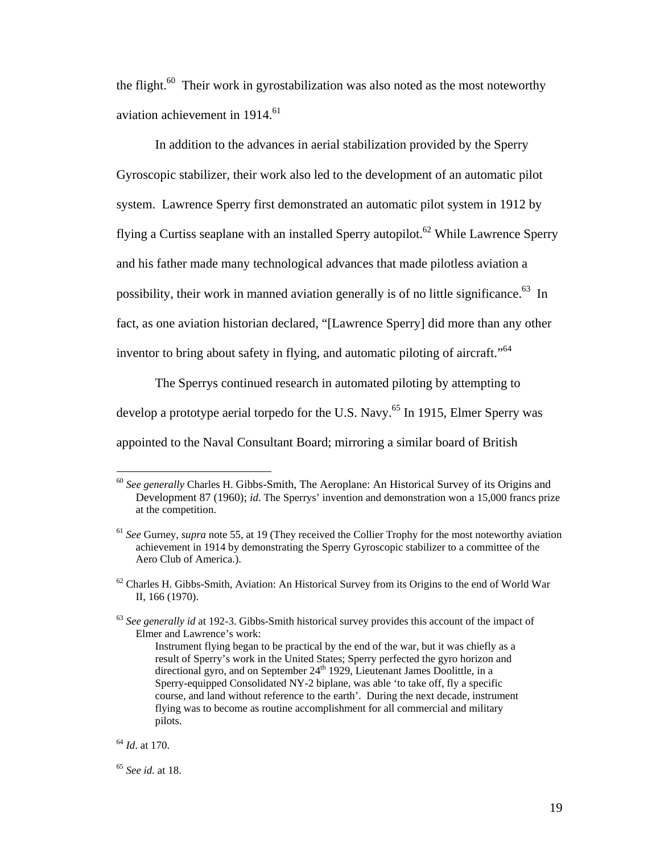the flight. $60$  Their work in gyrostabilization was also noted as the most noteworthy aviation achievement in 1914.<sup>61</sup>

 In addition to the advances in aerial stabilization provided by the Sperry Gyroscopic stabilizer, their work also led to the development of an automatic pilot system. Lawrence Sperry first demonstrated an automatic pilot system in 1912 by flying a Curtiss seaplane with an installed Sperry autopilot.<sup>62</sup> While Lawrence Sperry and his father made many technological advances that made pilotless aviation a possibility, their work in manned aviation generally is of no little significance.<sup>63</sup> In fact, as one aviation historian declared, "[Lawrence Sperry] did more than any other inventor to bring about safety in flying, and automatic piloting of aircraft."<sup>64</sup>

 The Sperrys continued research in automated piloting by attempting to develop a prototype aerial torpedo for the U.S. Navy.<sup>65</sup> In 1915, Elmer Sperry was appointed to the Naval Consultant Board; mirroring a similar board of British

<sup>60</sup> *See generally* Charles H. Gibbs-Smith, The Aeroplane: An Historical Survey of its Origins and Development 87 (1960); *id*. The Sperrys' invention and demonstration won a 15,000 francs prize at the competition.

<sup>&</sup>lt;sup>61</sup> See Gurney, *supra* note 55, at 19 (They received the Collier Trophy for the most noteworthy aviation achievement in 1914 by demonstrating the Sperry Gyroscopic stabilizer to a committee of the Aero Club of America.).

<sup>&</sup>lt;sup>62</sup> Charles H. Gibbs-Smith, Aviation: An Historical Survey from its Origins to the end of World War II, 166 (1970).

<sup>63</sup> *See generally id* at 192-3. Gibbs-Smith historical survey provides this account of the impact of Elmer and Lawrence's work:

Instrument flying began to be practical by the end of the war, but it was chiefly as a result of Sperry's work in the United States; Sperry perfected the gyro horizon and directional gyro, and on September 24<sup>th</sup> 1929, Lieutenant James Doolittle, in a Sperry-equipped Consolidated NY-2 biplane, was able 'to take off, fly a specific course, and land without reference to the earth'. During the next decade, instrument flying was to become as routine accomplishment for all commercial and military pilots.

<sup>64</sup> *Id*. at 170.

<sup>65</sup> *See id.* at 18.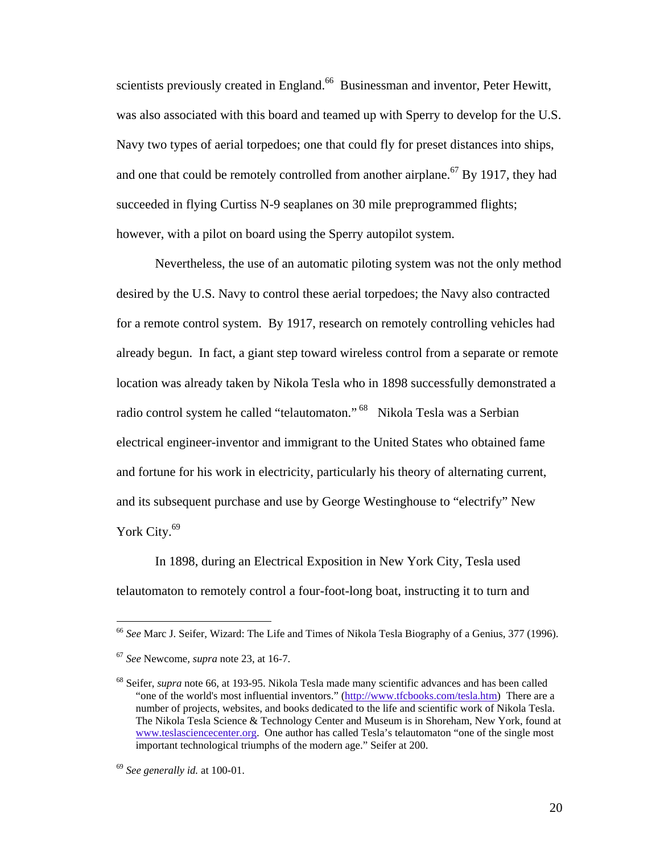scientists previously created in England.<sup>66</sup> Businessman and inventor, Peter Hewitt, was also associated with this board and teamed up with Sperry to develop for the U.S. Navy two types of aerial torpedoes; one that could fly for preset distances into ships, and one that could be remotely controlled from another airplane.<sup>67</sup> By 1917, they had succeeded in flying Curtiss N-9 seaplanes on 30 mile preprogrammed flights; however, with a pilot on board using the Sperry autopilot system.

 Nevertheless, the use of an automatic piloting system was not the only method desired by the U.S. Navy to control these aerial torpedoes; the Navy also contracted for a remote control system. By 1917, research on remotely controlling vehicles had already begun. In fact, a giant step toward wireless control from a separate or remote location was already taken by Nikola Tesla who in 1898 successfully demonstrated a radio control system he called "telautomaton." <sup>68</sup> Nikola Tesla was a Serbian electrical engineer-inventor and immigrant to the United States who obtained fame and fortune for his work in electricity, particularly his theory of alternating current, and its subsequent purchase and use by George Westinghouse to "electrify" New York City.<sup>69</sup>

 In 1898, during an Electrical Exposition in New York City, Tesla used telautomaton to remotely control a four-foot-long boat, instructing it to turn and

<sup>66</sup> *See* Marc J. Seifer, Wizard: The Life and Times of Nikola Tesla Biography of a Genius, 377 (1996).

<sup>67</sup> *See* Newcome*, supra* note 23, at 16-7.

<sup>68</sup> Seifer, *supra* note 66, at 193-95. Nikola Tesla made many scientific advances and has been called "one of the world's most influential inventors." (http://www.tfcbooks.com/tesla.htm) There are a number of projects, websites, and books dedicated to the life and scientific work of Nikola Tesla. The Nikola Tesla Science & Technology Center and Museum is in Shoreham, New York, found at www.teslasciencecenter.org. One author has called Tesla's telautomaton "one of the single most important technological triumphs of the modern age." Seifer at 200.

<sup>69</sup> *See generally id.* at 100-01.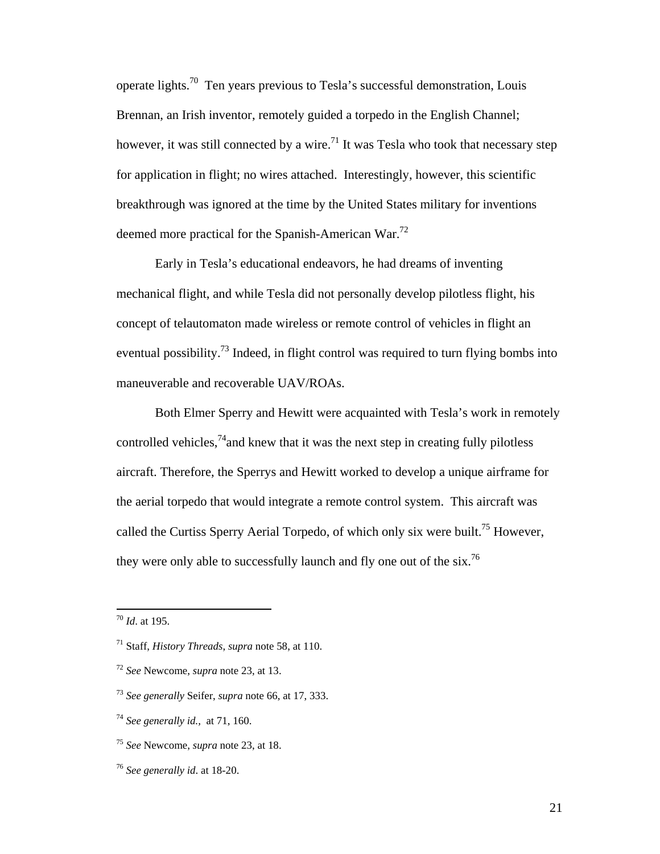operate lights.70 Ten years previous to Tesla's successful demonstration, Louis Brennan, an Irish inventor, remotely guided a torpedo in the English Channel; however, it was still connected by a wire.<sup>71</sup> It was Tesla who took that necessary step for application in flight; no wires attached. Interestingly, however, this scientific breakthrough was ignored at the time by the United States military for inventions deemed more practical for the Spanish-American War.<sup>72</sup>

 Early in Tesla's educational endeavors, he had dreams of inventing mechanical flight, and while Tesla did not personally develop pilotless flight, his concept of telautomaton made wireless or remote control of vehicles in flight an eventual possibility.<sup>73</sup> Indeed, in flight control was required to turn flying bombs into maneuverable and recoverable UAV/ROAs.

 Both Elmer Sperry and Hewitt were acquainted with Tesla's work in remotely controlled vehicles,<sup>74</sup> and knew that it was the next step in creating fully pilotless aircraft. Therefore, the Sperrys and Hewitt worked to develop a unique airframe for the aerial torpedo that would integrate a remote control system. This aircraft was called the Curtiss Sperry Aerial Torpedo, of which only six were built.<sup>75</sup> However, they were only able to successfully launch and fly one out of the six.<sup>76</sup>

- <sup>73</sup> *See generally* Seifer, *supra* note 66, at 17, 333.
- <sup>74</sup> *See generally id.,* at 71, 160.
- <sup>75</sup> *See* Newcome, *supra* note 23, at 18.
- <sup>76</sup> *See generally id*. at 18-20.

<sup>70</sup> *Id*. at 195.

<sup>71</sup> Staff, *History Threads*, *supra* note 58, at 110.

<sup>72</sup> *See* Newcome, *supra* note 23, at 13.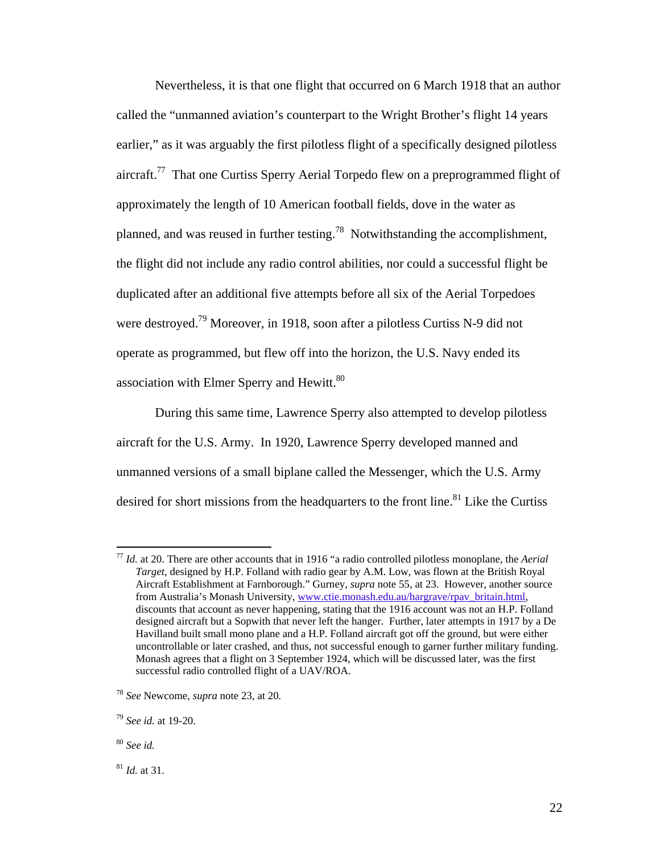Nevertheless, it is that one flight that occurred on 6 March 1918 that an author called the "unmanned aviation's counterpart to the Wright Brother's flight 14 years earlier," as it was arguably the first pilotless flight of a specifically designed pilotless aircraft.77 That one Curtiss Sperry Aerial Torpedo flew on a preprogrammed flight of approximately the length of 10 American football fields, dove in the water as planned, and was reused in further testing.78 Notwithstanding the accomplishment, the flight did not include any radio control abilities, nor could a successful flight be duplicated after an additional five attempts before all six of the Aerial Torpedoes were destroyed.<sup>79</sup> Moreover, in 1918, soon after a pilotless Curtiss N-9 did not operate as programmed, but flew off into the horizon, the U.S. Navy ended its association with Elmer Sperry and Hewitt.<sup>80</sup>

 During this same time, Lawrence Sperry also attempted to develop pilotless aircraft for the U.S. Army. In 1920, Lawrence Sperry developed manned and unmanned versions of a small biplane called the Messenger, which the U.S. Army desired for short missions from the headquarters to the front line.<sup>81</sup> Like the Curtiss

<sup>77</sup> *Id.* at 20. There are other accounts that in 1916 "a radio controlled pilotless monoplane, the *Aerial Target*, designed by H.P. Folland with radio gear by A.M. Low, was flown at the British Royal Aircraft Establishment at Farnborough." Gurney, *supra* note 55, at 23. However, another source from Australia's Monash University, www.ctie.monash.edu.au/hargrave/rpav\_britain.html, discounts that account as never happening, stating that the 1916 account was not an H.P. Folland designed aircraft but a Sopwith that never left the hanger. Further, later attempts in 1917 by a De Havilland built small mono plane and a H.P. Folland aircraft got off the ground, but were either uncontrollable or later crashed, and thus, not successful enough to garner further military funding. Monash agrees that a flight on 3 September 1924, which will be discussed later, was the first successful radio controlled flight of a UAV/ROA.

<sup>78</sup> *See* Newcome, *supra* note 23, at 20*.* 

<sup>79</sup> *See id.* at 19-20.

<sup>80</sup> *See id.*

<sup>81</sup> *Id.* at 31.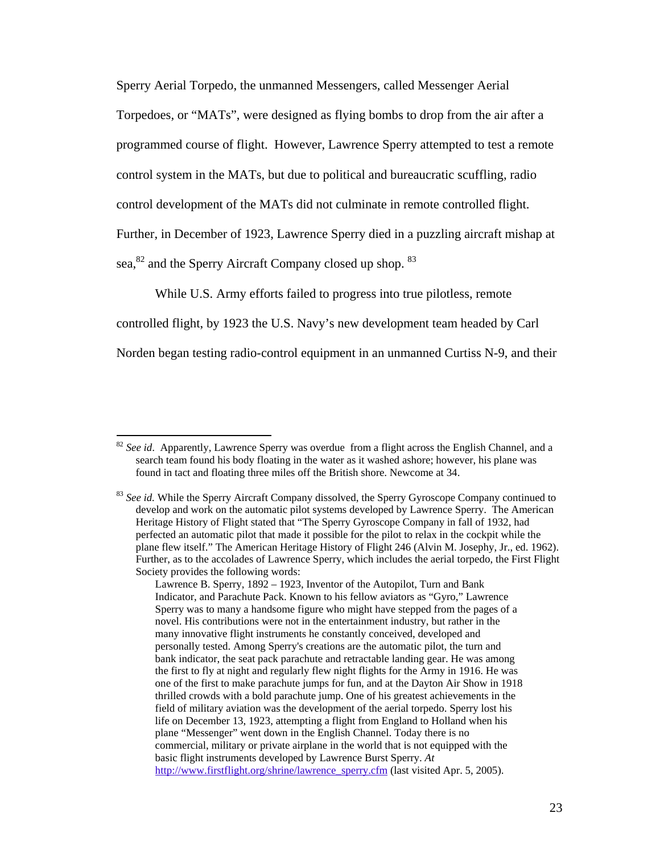Sperry Aerial Torpedo, the unmanned Messengers, called Messenger Aerial

Torpedoes, or "MATs", were designed as flying bombs to drop from the air after a programmed course of flight. However, Lawrence Sperry attempted to test a remote control system in the MATs, but due to political and bureaucratic scuffling, radio control development of the MATs did not culminate in remote controlled flight. Further, in December of 1923, Lawrence Sperry died in a puzzling aircraft mishap at sea, <sup>82</sup> and the Sperry Aircraft Company closed up shop. <sup>83</sup>

 While U.S. Army efforts failed to progress into true pilotless, remote controlled flight, by 1923 the U.S. Navy's new development team headed by Carl Norden began testing radio-control equipment in an unmanned Curtiss N-9, and their

<sup>&</sup>lt;sup>82</sup> See id. Apparently, Lawrence Sperry was overdue from a flight across the English Channel, and a search team found his body floating in the water as it washed ashore; however, his plane was found in tact and floating three miles off the British shore. Newcome at 34.

<sup>&</sup>lt;sup>83</sup> See id. While the Sperry Aircraft Company dissolved, the Sperry Gyroscope Company continued to develop and work on the automatic pilot systems developed by Lawrence Sperry. The American Heritage History of Flight stated that "The Sperry Gyroscope Company in fall of 1932, had perfected an automatic pilot that made it possible for the pilot to relax in the cockpit while the plane flew itself." The American Heritage History of Flight 246 (Alvin M. Josephy, Jr., ed. 1962). Further, as to the accolades of Lawrence Sperry, which includes the aerial torpedo, the First Flight Society provides the following words:

Lawrence B. Sperry, 1892 – 1923, Inventor of the Autopilot, Turn and Bank Indicator, and Parachute Pack. Known to his fellow aviators as "Gyro," Lawrence Sperry was to many a handsome figure who might have stepped from the pages of a novel. His contributions were not in the entertainment industry, but rather in the many innovative flight instruments he constantly conceived, developed and personally tested. Among Sperry's creations are the automatic pilot, the turn and bank indicator, the seat pack parachute and retractable landing gear. He was among the first to fly at night and regularly flew night flights for the Army in 1916. He was one of the first to make parachute jumps for fun, and at the Dayton Air Show in 1918 thrilled crowds with a bold parachute jump. One of his greatest achievements in the field of military aviation was the development of the aerial torpedo. Sperry lost his life on December 13, 1923, attempting a flight from England to Holland when his plane "Messenger" went down in the English Channel. Today there is no commercial, military or private airplane in the world that is not equipped with the basic flight instruments developed by Lawrence Burst Sperry. *At* http://www.firstflight.org/shrine/lawrence\_sperry.cfm (last visited Apr. 5, 2005).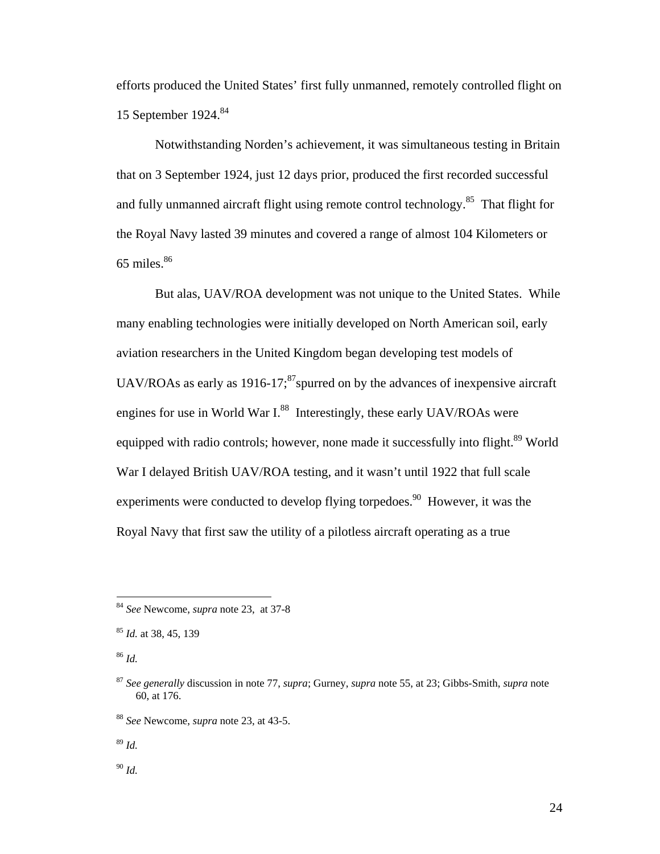efforts produced the United States' first fully unmanned, remotely controlled flight on 15 September 1924.<sup>84</sup>

 Notwithstanding Norden's achievement, it was simultaneous testing in Britain that on 3 September 1924, just 12 days prior, produced the first recorded successful and fully unmanned aircraft flight using remote control technology.<sup>85</sup> That flight for the Royal Navy lasted 39 minutes and covered a range of almost 104 Kilometers or  $65$  miles. $86$ 

 But alas, UAV/ROA development was not unique to the United States. While many enabling technologies were initially developed on North American soil, early aviation researchers in the United Kingdom began developing test models of UAV/ROAs as early as  $1916-17$ ;<sup>87</sup>spurred on by the advances of inexpensive aircraft engines for use in World War  $I^{88}$  Interestingly, these early UAV/ROAs were equipped with radio controls; however, none made it successfully into flight.<sup>89</sup> World War I delayed British UAV/ROA testing, and it wasn't until 1922 that full scale experiments were conducted to develop flying torpedoes.<sup>90</sup> However, it was the Royal Navy that first saw the utility of a pilotless aircraft operating as a true

<sup>84</sup> *See* Newcome, *supra* note 23, at 37-8

<sup>85</sup> *Id.* at 38, 45, 139

<sup>86</sup> *Id.*

<sup>87</sup> *See generally* discussion in note 77, *supra*; Gurney, *supra* note 55, at 23; Gibbs-Smith, *supra* note 60, at 176.

<sup>88</sup> *See* Newcome, *supra* note 23, at 43-5.

<sup>89</sup> *Id.* 

<sup>90</sup> *Id.*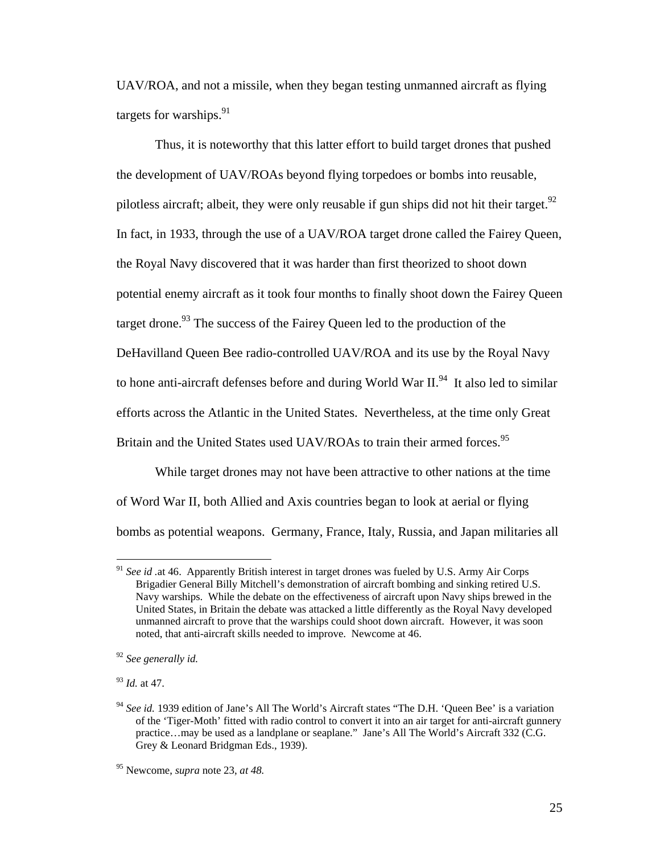UAV/ROA, and not a missile, when they began testing unmanned aircraft as flying targets for warships.  $91$ 

 Thus, it is noteworthy that this latter effort to build target drones that pushed the development of UAV/ROAs beyond flying torpedoes or bombs into reusable, pilotless aircraft; albeit, they were only reusable if gun ships did not hit their target.<sup>92</sup> In fact, in 1933, through the use of a UAV/ROA target drone called the Fairey Queen, the Royal Navy discovered that it was harder than first theorized to shoot down potential enemy aircraft as it took four months to finally shoot down the Fairey Queen target drone.<sup>93</sup> The success of the Fairey Queen led to the production of the DeHavilland Queen Bee radio-controlled UAV/ROA and its use by the Royal Navy to hone anti-aircraft defenses before and during World War  $II^{94}$ . It also led to similar efforts across the Atlantic in the United States. Nevertheless, at the time only Great Britain and the United States used UAV/ROAs to train their armed forces.<sup>95</sup>

 While target drones may not have been attractive to other nations at the time of Word War II, both Allied and Axis countries began to look at aerial or flying bombs as potential weapons. Germany, France, Italy, Russia, and Japan militaries all

<sup>91</sup> *See id .*at 46. Apparently British interest in target drones was fueled by U.S. Army Air Corps Brigadier General Billy Mitchell's demonstration of aircraft bombing and sinking retired U.S. Navy warships. While the debate on the effectiveness of aircraft upon Navy ships brewed in the United States, in Britain the debate was attacked a little differently as the Royal Navy developed unmanned aircraft to prove that the warships could shoot down aircraft. However, it was soon noted, that anti-aircraft skills needed to improve. Newcome at 46.

<sup>92</sup> *See generally id.* 

<sup>93</sup> *Id.* at 47.

<sup>&</sup>lt;sup>94</sup> See id. 1939 edition of Jane's All The World's Aircraft states "The D.H. 'Queen Bee' is a variation of the 'Tiger-Moth' fitted with radio control to convert it into an air target for anti-aircraft gunnery practice…may be used as a landplane or seaplane." Jane's All The World's Aircraft 332 (C.G. Grey & Leonard Bridgman Eds., 1939).

<sup>95</sup> Newcome, *supra* note 23, *at 48.*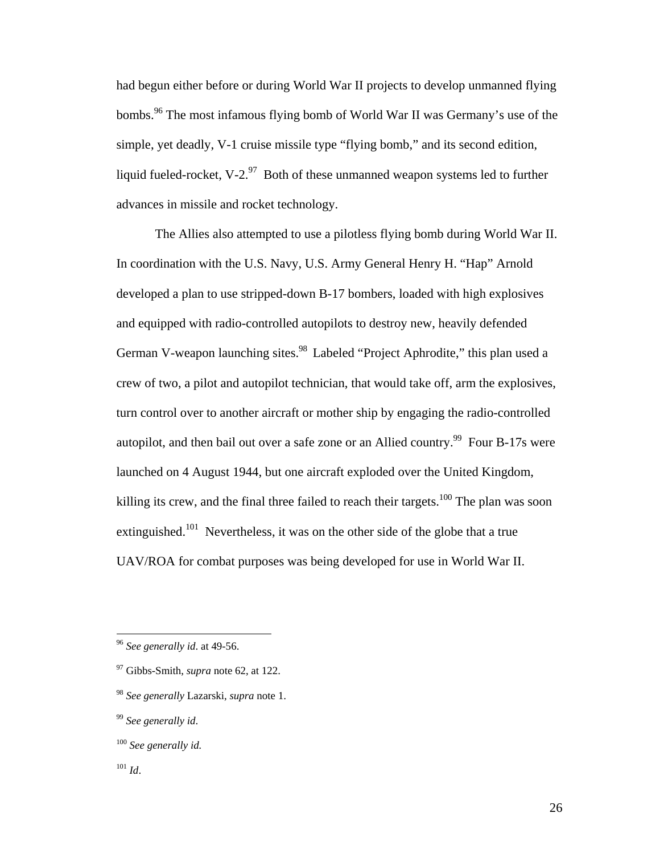had begun either before or during World War II projects to develop unmanned flying bombs.<sup>96</sup> The most infamous flying bomb of World War II was Germany's use of the simple, yet deadly, V-1 cruise missile type "flying bomb," and its second edition, liquid fueled-rocket, V-2. $97$  Both of these unmanned weapon systems led to further advances in missile and rocket technology.

 The Allies also attempted to use a pilotless flying bomb during World War II. In coordination with the U.S. Navy, U.S. Army General Henry H. "Hap" Arnold developed a plan to use stripped-down B-17 bombers, loaded with high explosives and equipped with radio-controlled autopilots to destroy new, heavily defended German V-weapon launching sites.<sup>98</sup> Labeled "Project Aphrodite," this plan used a crew of two, a pilot and autopilot technician, that would take off, arm the explosives, turn control over to another aircraft or mother ship by engaging the radio-controlled autopilot, and then bail out over a safe zone or an Allied country.<sup>99</sup> Four B-17s were launched on 4 August 1944, but one aircraft exploded over the United Kingdom, killing its crew, and the final three failed to reach their targets.<sup>100</sup> The plan was soon extinguished.<sup>101</sup> Nevertheless, it was on the other side of the globe that a true UAV/ROA for combat purposes was being developed for use in World War II.

<sup>96</sup> *See generally id*. at 49-56.

<sup>97</sup> Gibbs-Smith, *supra* note 62, at 122.

<sup>98</sup> *See generally* Lazarski, *supra* note 1.

<sup>99</sup> *See generally id*.

<sup>100</sup> *See generally id.*

<sup>101</sup> *Id*.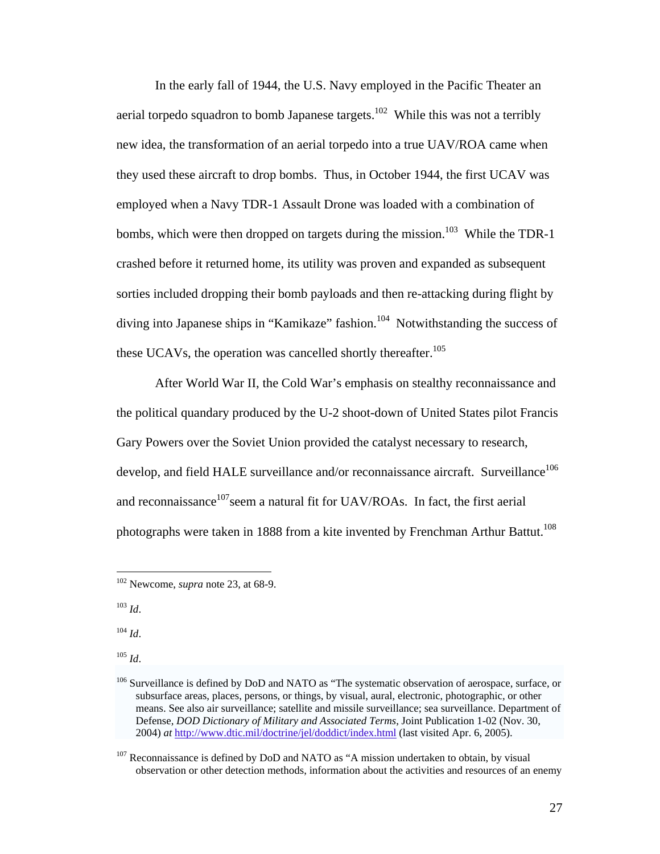In the early fall of 1944, the U.S. Navy employed in the Pacific Theater an aerial torpedo squadron to bomb Japanese targets.<sup>102</sup> While this was not a terribly new idea, the transformation of an aerial torpedo into a true UAV/ROA came when they used these aircraft to drop bombs. Thus, in October 1944, the first UCAV was employed when a Navy TDR-1 Assault Drone was loaded with a combination of bombs, which were then dropped on targets during the mission.<sup>103</sup> While the TDR-1 crashed before it returned home, its utility was proven and expanded as subsequent sorties included dropping their bomb payloads and then re-attacking during flight by diving into Japanese ships in "Kamikaze" fashion.<sup>104</sup> Notwithstanding the success of these UCAVs, the operation was cancelled shortly thereafter.<sup>105</sup>

 After World War II, the Cold War's emphasis on stealthy reconnaissance and the political quandary produced by the U-2 shoot-down of United States pilot Francis Gary Powers over the Soviet Union provided the catalyst necessary to research, develop, and field HALE surveillance and/or reconnaissance aircraft. Surveillance<sup>106</sup> and reconnaissance $107$ seem a natural fit for UAV/ROAs. In fact, the first aerial photographs were taken in 1888 from a kite invented by Frenchman Arthur Battut.<sup>108</sup>

<sup>103</sup> *Id*.

 $\overline{a}$ 

 $104$  *Id.* 

<sup>105</sup> *Id*.

<sup>102</sup> Newcome, *supra* note 23, at 68-9.

<sup>&</sup>lt;sup>106</sup> Surveillance is defined by DoD and NATO as "The systematic observation of aerospace, surface, or subsurface areas, places, persons, or things, by visual, aural, electronic, photographic, or other means. See also air surveillance; satellite and missile surveillance; sea surveillance. Department of Defense, *DOD Dictionary of Military and Associated Terms*, Joint Publication 1-02 (Nov. 30, 2004) *at* http://www.dtic.mil/doctrine/jel/doddict/index.html (last visited Apr. 6, 2005).

<sup>&</sup>lt;sup>107</sup> Reconnaissance is defined by DoD and NATO as "A mission undertaken to obtain, by visual observation or other detection methods, information about the activities and resources of an enemy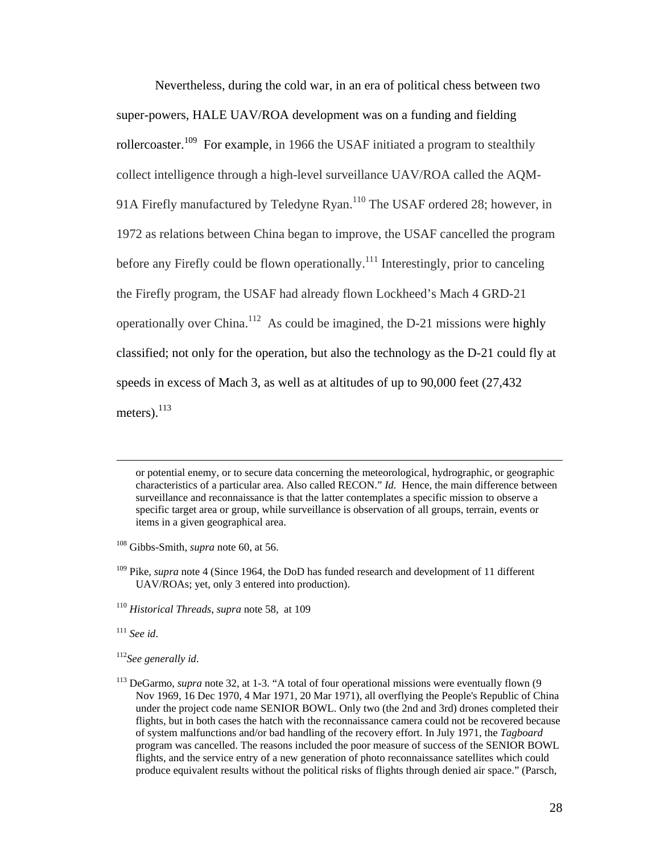Nevertheless, during the cold war, in an era of political chess between two super-powers, HALE UAV/ROA development was on a funding and fielding rollercoaster.<sup>109</sup> For example, in 1966 the USAF initiated a program to stealthily collect intelligence through a high-level surveillance UAV/ROA called the AQM-91A Firefly manufactured by Teledyne Ryan.<sup>110</sup> The USAF ordered 28; however, in 1972 as relations between China began to improve, the USAF cancelled the program before any Firefly could be flown operationally.<sup>111</sup> Interestingly, prior to canceling the Firefly program, the USAF had already flown Lockheed's Mach 4 GRD-21 operationally over China.112 As could be imagined, the D-21 missions were highly classified; not only for the operation, but also the technology as the D-21 could fly at speeds in excess of Mach 3, as well as at altitudes of up to 90,000 feet (27,432 meters). $^{113}$ 

 or potential enemy, or to secure data concerning the meteorological, hydrographic, or geographic characteristics of a particular area. Also called RECON." *Id.* Hence, the main difference between surveillance and reconnaissance is that the latter contemplates a specific mission to observe a specific target area or group, while surveillance is observation of all groups, terrain, events or items in a given geographical area.

<sup>110</sup> *Historical Threads*, *supra* note 58, at 109

<sup>111</sup> *See id*.

<sup>108</sup> Gibbs-Smith, *supra* note 60, at 56.

<sup>&</sup>lt;sup>109</sup> Pike, *supra* note 4 (Since 1964, the DoD has funded research and development of 11 different UAV/ROAs; yet, only 3 entered into production).

<sup>112</sup>*See generally id*.

<sup>&</sup>lt;sup>113</sup> DeGarmo, *supra* note 32, at 1-3. "A total of four operational missions were eventually flown (9 Nov 1969, 16 Dec 1970, 4 Mar 1971, 20 Mar 1971), all overflying the People's Republic of China under the project code name SENIOR BOWL. Only two (the 2nd and 3rd) drones completed their flights, but in both cases the hatch with the reconnaissance camera could not be recovered because of system malfunctions and/or bad handling of the recovery effort. In July 1971, the *Tagboard* program was cancelled. The reasons included the poor measure of success of the SENIOR BOWL flights, and the service entry of a new generation of photo reconnaissance satellites which could produce equivalent results without the political risks of flights through denied air space." (Parsch,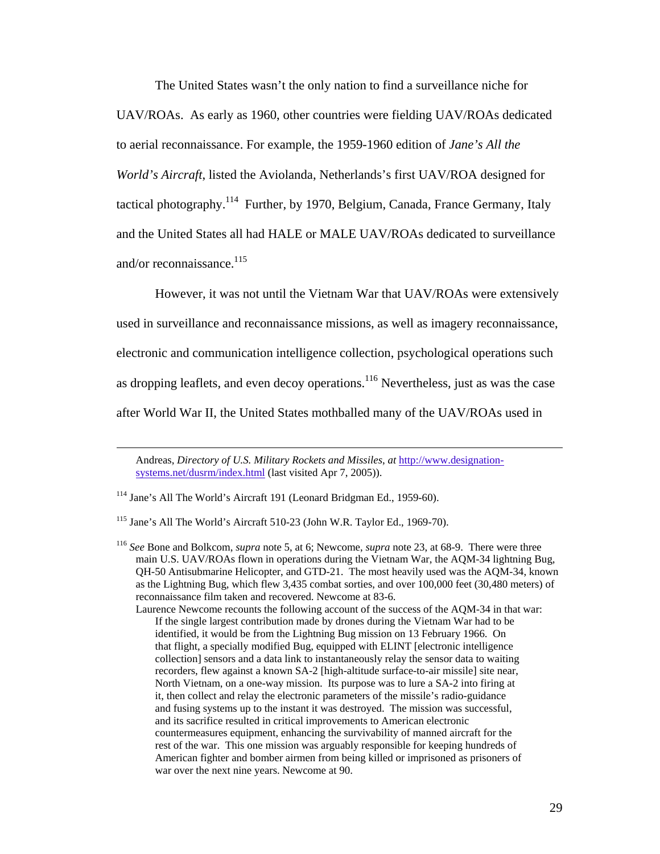The United States wasn't the only nation to find a surveillance niche for UAV/ROAs. As early as 1960, other countries were fielding UAV/ROAs dedicated to aerial reconnaissance. For example, the 1959-1960 edition of *Jane's All the World's Aircraft*, listed the Aviolanda, Netherlands's first UAV/ROA designed for tactical photography.<sup>114</sup> Further, by 1970, Belgium, Canada, France Germany, Italy and the United States all had HALE or MALE UAV/ROAs dedicated to surveillance and/or reconnaissance. $^{115}$ 

 However, it was not until the Vietnam War that UAV/ROAs were extensively used in surveillance and reconnaissance missions, as well as imagery reconnaissance, electronic and communication intelligence collection, psychological operations such as dropping leaflets, and even decoy operations.<sup>116</sup> Nevertheless, just as was the case after World War II, the United States mothballed many of the UAV/ROAs used in

Laurence Newcome recounts the following account of the success of the AQM-34 in that war: If the single largest contribution made by drones during the Vietnam War had to be identified, it would be from the Lightning Bug mission on 13 February 1966. On that flight, a specially modified Bug, equipped with ELINT [electronic intelligence collection] sensors and a data link to instantaneously relay the sensor data to waiting recorders, flew against a known SA-2 [high-altitude surface-to-air missile] site near, North Vietnam, on a one-way mission. Its purpose was to lure a SA-2 into firing at it, then collect and relay the electronic parameters of the missile's radio-guidance and fusing systems up to the instant it was destroyed. The mission was successful, and its sacrifice resulted in critical improvements to American electronic countermeasures equipment, enhancing the survivability of manned aircraft for the rest of the war. This one mission was arguably responsible for keeping hundreds of American fighter and bomber airmen from being killed or imprisoned as prisoners of war over the next nine years. Newcome at 90.

Andreas, *Directory of U.S. Military Rockets and Missiles*, *at* http://www.designationsystems.net/dusrm/index.html (last visited Apr 7, 2005)).

<sup>114</sup> Jane's All The World's Aircraft 191 (Leonard Bridgman Ed., 1959-60).

<sup>115</sup> Jane's All The World's Aircraft 510-23 (John W.R. Taylor Ed., 1969-70).

<sup>116</sup> *See* Bone and Bolkcom, *supra* note 5, at 6; Newcome, *supra* note 23, at 68-9. There were three main U.S. UAV/ROAs flown in operations during the Vietnam War, the AQM-34 lightning Bug, QH-50 Antisubmarine Helicopter, and GTD-21. The most heavily used was the AQM-34, known as the Lightning Bug, which flew 3,435 combat sorties, and over 100,000 feet (30,480 meters) of reconnaissance film taken and recovered. Newcome at 83-6.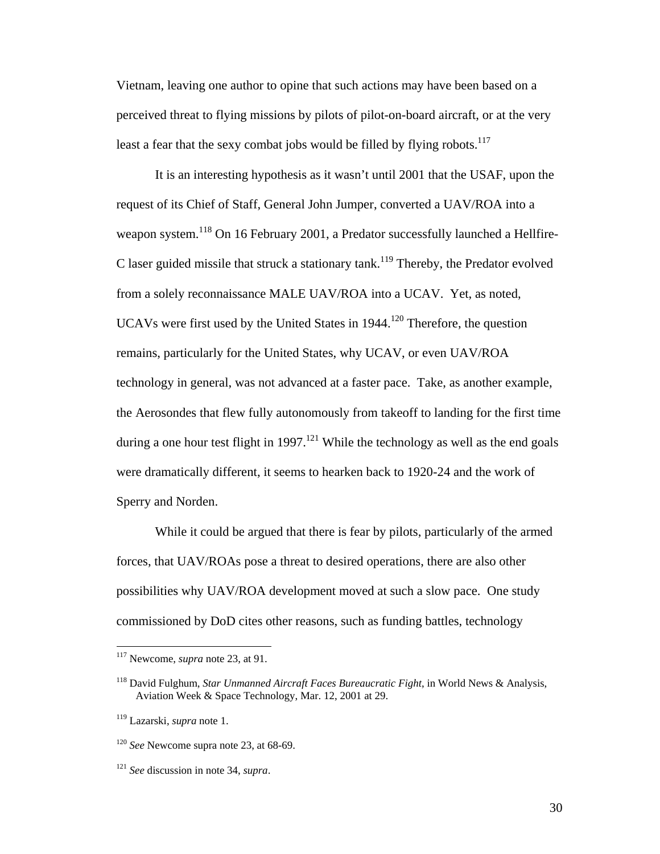Vietnam, leaving one author to opine that such actions may have been based on a perceived threat to flying missions by pilots of pilot-on-board aircraft, or at the very least a fear that the sexy combat jobs would be filled by flying robots.<sup>117</sup>

 It is an interesting hypothesis as it wasn't until 2001 that the USAF, upon the request of its Chief of Staff, General John Jumper, converted a UAV/ROA into a weapon system.<sup>118</sup> On 16 February 2001, a Predator successfully launched a Hellfire-C laser guided missile that struck a stationary tank.<sup>119</sup> Thereby, the Predator evolved from a solely reconnaissance MALE UAV/ROA into a UCAV. Yet, as noted, UCAVs were first used by the United States in  $1944$ <sup>120</sup> Therefore, the question remains, particularly for the United States, why UCAV, or even UAV/ROA technology in general, was not advanced at a faster pace. Take, as another example, the Aerosondes that flew fully autonomously from takeoff to landing for the first time during a one hour test flight in 1997.<sup>121</sup> While the technology as well as the end goals were dramatically different, it seems to hearken back to 1920-24 and the work of Sperry and Norden.

 While it could be argued that there is fear by pilots, particularly of the armed forces, that UAV/ROAs pose a threat to desired operations, there are also other possibilities why UAV/ROA development moved at such a slow pace. One study commissioned by DoD cites other reasons, such as funding battles, technology

<sup>117</sup> Newcome, *supra* note 23, at 91.

<sup>118</sup> David Fulghum, *Star Unmanned Aircraft Faces Bureaucratic Fight*, in World News & Analysis, Aviation Week & Space Technology, Mar. 12, 2001 at 29.

<sup>119</sup> Lazarski, *supra* note 1.

<sup>120</sup> *See* Newcome supra note 23, at 68-69.

<sup>121</sup> *See* discussion in note 34, *supra*.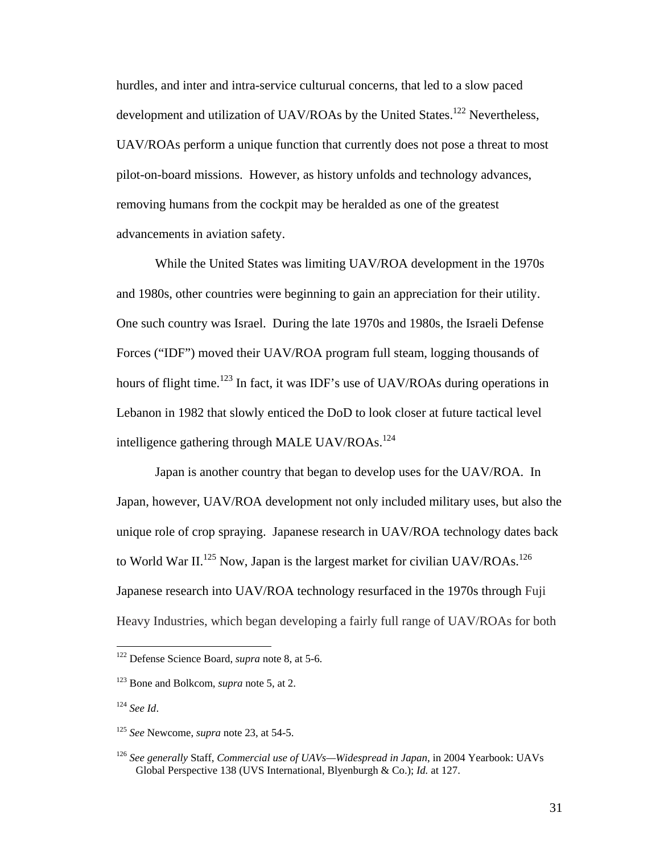hurdles, and inter and intra-service culturual concerns, that led to a slow paced development and utilization of UAV/ROAs by the United States.<sup>122</sup> Nevertheless, UAV/ROAs perform a unique function that currently does not pose a threat to most pilot-on-board missions. However, as history unfolds and technology advances, removing humans from the cockpit may be heralded as one of the greatest advancements in aviation safety.

 While the United States was limiting UAV/ROA development in the 1970s and 1980s, other countries were beginning to gain an appreciation for their utility. One such country was Israel. During the late 1970s and 1980s, the Israeli Defense Forces ("IDF") moved their UAV/ROA program full steam, logging thousands of hours of flight time.<sup>123</sup> In fact, it was IDF's use of UAV/ROAs during operations in Lebanon in 1982 that slowly enticed the DoD to look closer at future tactical level intelligence gathering through MALE UAV/ROAs.124

 Japan is another country that began to develop uses for the UAV/ROA. In Japan, however, UAV/ROA development not only included military uses, but also the unique role of crop spraying. Japanese research in UAV/ROA technology dates back to World War II.<sup>125</sup> Now, Japan is the largest market for civilian UAV/ROAs.<sup>126</sup> Japanese research into UAV/ROA technology resurfaced in the 1970s through Fuji Heavy Industries, which began developing a fairly full range of UAV/ROAs for both

1

<sup>122</sup> Defense Science Board, *supra* note 8, at 5-6.

<sup>123</sup> Bone and Bolkcom, *supra* note 5, at 2.

<sup>124</sup> *See Id*.

<sup>125</sup> *See* Newcome, *supra* note 23, at 54-5.

<sup>126</sup> *See generally* Staff, *Commercial use of UAVs—Widespread in Japan*, in 2004 Yearbook: UAVs Global Perspective 138 (UVS International, Blyenburgh & Co.); *Id.* at 127.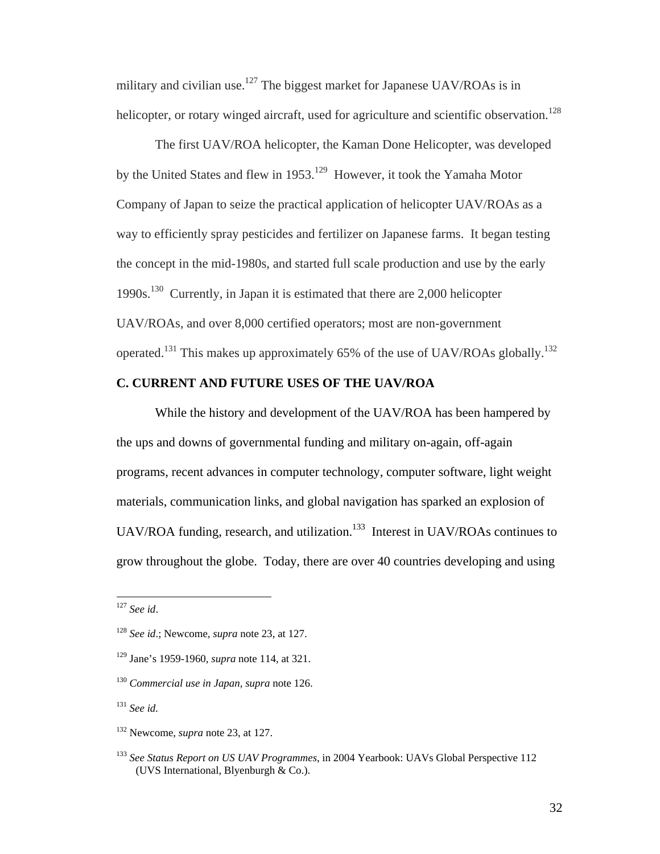military and civilian use.<sup>127</sup> The biggest market for Japanese UAV/ROAs is in helicopter, or rotary winged aircraft, used for agriculture and scientific observation.<sup>128</sup>

 The first UAV/ROA helicopter, the Kaman Done Helicopter, was developed by the United States and flew in 1953.<sup>129</sup> However, it took the Yamaha Motor Company of Japan to seize the practical application of helicopter UAV/ROAs as a way to efficiently spray pesticides and fertilizer on Japanese farms. It began testing the concept in the mid-1980s, and started full scale production and use by the early 1990s.130 Currently, in Japan it is estimated that there are 2,000 helicopter UAV/ROAs, and over 8,000 certified operators; most are non-government operated.131 This makes up approximately 65% of the use of UAV/ROAs globally.132

## **C. CURRENT AND FUTURE USES OF THE UAV/ROA**

 While the history and development of the UAV/ROA has been hampered by the ups and downs of governmental funding and military on-again, off-again programs, recent advances in computer technology, computer software, light weight materials, communication links, and global navigation has sparked an explosion of UAV/ROA funding, research, and utilization.<sup>133</sup> Interest in UAV/ROAs continues to grow throughout the globe. Today, there are over 40 countries developing and using

<sup>127</sup> *See id*.

<sup>128</sup> *See id*.; Newcome, *supra* note 23, at 127.

<sup>129</sup> Jane's 1959-1960, *supra* note 114, at 321.

<sup>130</sup> *Commercial use in Japan*, *supra* note 126.

<sup>131</sup> *See id.*

<sup>132</sup> Newcome, *supra* note 23, at 127.

<sup>133</sup> *See Status Report on US UAV Programmes*, in 2004 Yearbook: UAVs Global Perspective 112 (UVS International, Blyenburgh & Co.).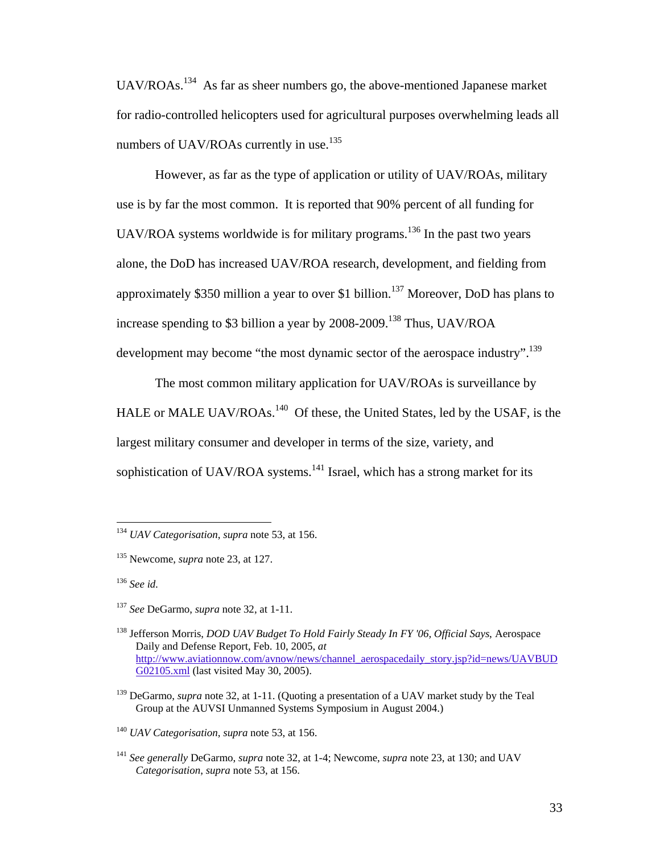UAV/ROAs.<sup>134</sup> As far as sheer numbers go, the above-mentioned Japanese market for radio-controlled helicopters used for agricultural purposes overwhelming leads all numbers of UAV/ROAs currently in use.<sup>135</sup>

 However, as far as the type of application or utility of UAV/ROAs, military use is by far the most common. It is reported that 90% percent of all funding for UAV/ROA systems worldwide is for military programs.<sup>136</sup> In the past two years alone, the DoD has increased UAV/ROA research, development, and fielding from approximately \$350 million a year to over \$1 billion.<sup>137</sup> Moreover, DoD has plans to increase spending to \$3 billion a year by 2008-2009.138 Thus, UAV/ROA development may become "the most dynamic sector of the aerospace industry".<sup>139</sup>

 The most common military application for UAV/ROAs is surveillance by HALE or MALE UAV/ROAs.<sup>140</sup> Of these, the United States, led by the USAF, is the largest military consumer and developer in terms of the size, variety, and sophistication of UAV/ROA systems.<sup>141</sup> Israel, which has a strong market for its

<sup>136</sup> *See id.*

1

<sup>134</sup> *UAV Categorisation*, *supra* note 53, at 156.

<sup>135</sup> Newcome, *supra* note 23, at 127.

<sup>137</sup> *See* DeGarmo, *supra* note 32, at 1-11.

<sup>138</sup> Jefferson Morris, *DOD UAV Budget To Hold Fairly Steady In FY '06, Official Says*, Aerospace Daily and Defense Report, Feb. 10, 2005, *at* http://www.aviationnow.com/avnow/news/channel\_aerospacedaily\_story.jsp?id=news/UAVBUD G02105.xml (last visited May 30, 2005).

<sup>139</sup> DeGarmo, *supra* note 32, at 1-11. (Quoting a presentation of a UAV market study by the Teal Group at the AUVSI Unmanned Systems Symposium in August 2004.)

<sup>140</sup> *UAV Categorisation*, *supra* note 53, at 156.

<sup>141</sup> *See generally* DeGarmo, *supra* note 32, at 1-4; Newcome, *supra* note 23, at 130; and UAV *Categorisation*, *supra* note 53, at 156.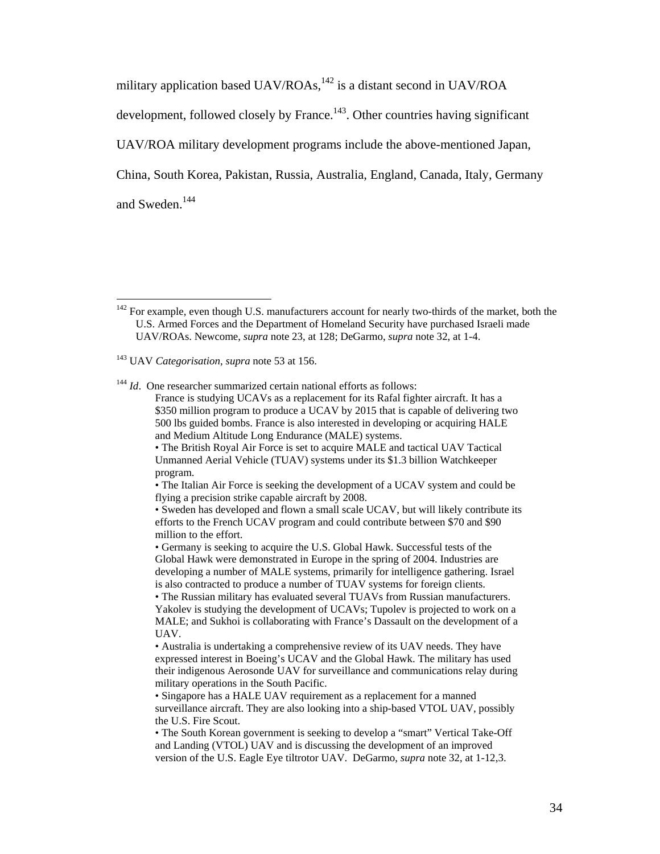military application based UAV/ROAs, $^{142}$  is a distant second in UAV/ROA

development, followed closely by France.<sup>143</sup>. Other countries having significant

UAV/ROA military development programs include the above-mentioned Japan,

China, South Korea, Pakistan, Russia, Australia, England, Canada, Italy, Germany

and Sweden.<sup>144</sup>

 $\overline{a}$ 

<sup>144</sup> *Id*. One researcher summarized certain national efforts as follows:

• The British Royal Air Force is set to acquire MALE and tactical UAV Tactical Unmanned Aerial Vehicle (TUAV) systems under its \$1.3 billion Watchkeeper program.

• The Italian Air Force is seeking the development of a UCAV system and could be flying a precision strike capable aircraft by 2008.

<sup>&</sup>lt;sup>142</sup> For example, even though U.S. manufacturers account for nearly two-thirds of the market, both the U.S. Armed Forces and the Department of Homeland Security have purchased Israeli made UAV/ROAs. Newcome, *supra* note 23, at 128; DeGarmo, *supra* note 32, at 1-4.

<sup>143</sup> UAV *Categorisation*, *supra* note 53 at 156.

France is studying UCAVs as a replacement for its Rafal fighter aircraft. It has a \$350 million program to produce a UCAV by 2015 that is capable of delivering two 500 lbs guided bombs. France is also interested in developing or acquiring HALE and Medium Altitude Long Endurance (MALE) systems.

<sup>•</sup> Sweden has developed and flown a small scale UCAV, but will likely contribute its efforts to the French UCAV program and could contribute between \$70 and \$90 million to the effort.

<sup>•</sup> Germany is seeking to acquire the U.S. Global Hawk. Successful tests of the Global Hawk were demonstrated in Europe in the spring of 2004. Industries are developing a number of MALE systems, primarily for intelligence gathering. Israel is also contracted to produce a number of TUAV systems for foreign clients.

<sup>•</sup> The Russian military has evaluated several TUAVs from Russian manufacturers. Yakolev is studying the development of UCAVs; Tupolev is projected to work on a MALE; and Sukhoi is collaborating with France's Dassault on the development of a UAV.

<sup>•</sup> Australia is undertaking a comprehensive review of its UAV needs. They have expressed interest in Boeing's UCAV and the Global Hawk. The military has used their indigenous Aerosonde UAV for surveillance and communications relay during military operations in the South Pacific.

<sup>•</sup> Singapore has a HALE UAV requirement as a replacement for a manned surveillance aircraft. They are also looking into a ship-based VTOL UAV, possibly the U.S. Fire Scout.

<sup>•</sup> The South Korean government is seeking to develop a "smart" Vertical Take-Off and Landing (VTOL) UAV and is discussing the development of an improved version of the U.S. Eagle Eye tiltrotor UAV. DeGarmo, *supra* note 32, at 1-12,3.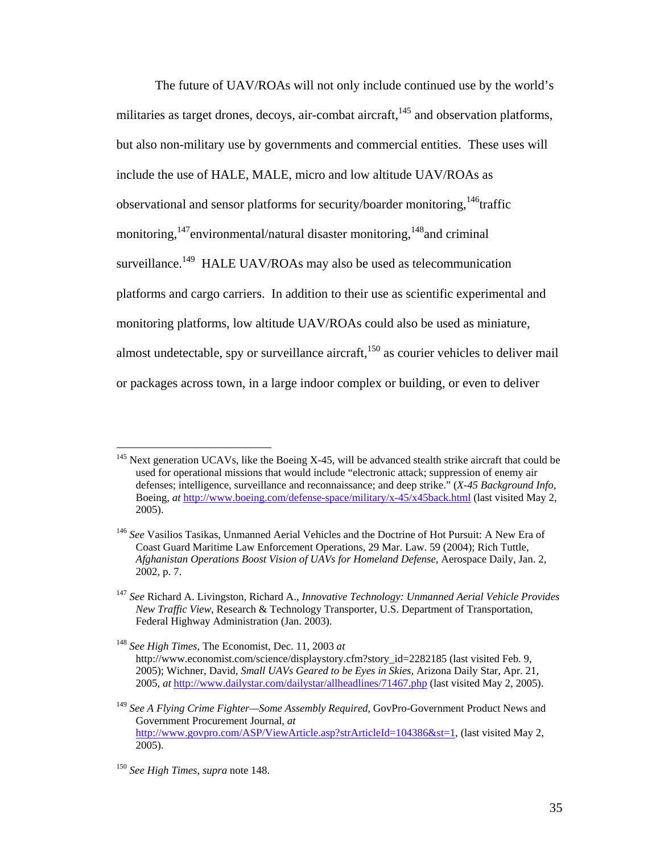The future of UAV/ROAs will not only include continued use by the world's militaries as target drones, decoys, air-combat aircraft, $145$  and observation platforms, but also non-military use by governments and commercial entities. These uses will include the use of HALE, MALE, micro and low altitude UAV/ROAs as observational and sensor platforms for security/boarder monitoring,  $146$ traffic monitoring,  $147$  environmental/natural disaster monitoring,  $148$  and criminal surveillance.<sup>149</sup> HALE UAV/ROAs may also be used as telecommunication platforms and cargo carriers. In addition to their use as scientific experimental and monitoring platforms, low altitude UAV/ROAs could also be used as miniature, almost undetectable, spy or surveillance aircraft, $150$  as courier vehicles to deliver mail or packages across town, in a large indoor complex or building, or even to deliver

 $145$  Next generation UCAVs, like the Boeing X-45, will be advanced stealth strike aircraft that could be used for operational missions that would include "electronic attack; suppression of enemy air defenses; intelligence, surveillance and reconnaissance; and deep strike." (*X-45 Background Info,* Boeing, *at* http://www.boeing.com/defense-space/military/x-45/x45back.html (last visited May 2, 2005).

<sup>146</sup> *See* Vasilios Tasikas, Unmanned Aerial Vehicles and the Doctrine of Hot Pursuit: A New Era of Coast Guard Maritime Law Enforcement Operations, 29 Mar. Law. 59 (2004); Rich Tuttle, *Afghanistan Operations Boost Vision of UAVs for Homeland Defense*, Aerospace Daily, Jan. 2, 2002, p. 7.

<sup>147</sup> *See* Richard A. Livingston, Richard A., *Innovative Technology: Unmanned Aerial Vehicle Provides New Traffic View*, Research & Technology Transporter, U.S. Department of Transportation, Federal Highway Administration (Jan. 2003).

<sup>148</sup> *See High Times*, The Economist, Dec. 11, 2003 *at*  http://www.economist.com/science/displaystory.cfm?story\_id=2282185 (last visited Feb. 9, 2005); Wichner, David, *Small UAVs Geared to be Eyes in Skies*, Arizona Daily Star, Apr. 21, 2005, *at* http://www.dailystar.com/dailystar/allheadlines/71467.php (last visited May 2, 2005).

<sup>149</sup> *See A Flying Crime Fighter—Some Assembly Required,* GovPro-Government Product News and Government Procurement Journal, *at* http://www.govpro.com/ASP/ViewArticle.asp?strArticleId=104386&st=1, (last visited May 2, 2005).

<sup>150</sup> *See High Times*, *supra* note 148.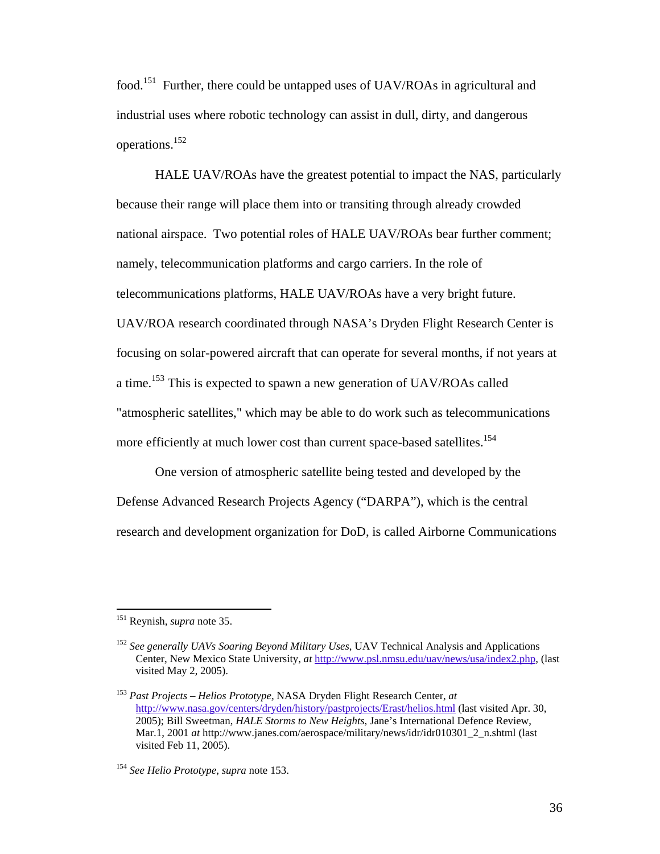food.151 Further, there could be untapped uses of UAV/ROAs in agricultural and industrial uses where robotic technology can assist in dull, dirty, and dangerous operations.152

 HALE UAV/ROAs have the greatest potential to impact the NAS, particularly because their range will place them into or transiting through already crowded national airspace. Two potential roles of HALE UAV/ROAs bear further comment; namely, telecommunication platforms and cargo carriers. In the role of telecommunications platforms, HALE UAV/ROAs have a very bright future. UAV/ROA research coordinated through NASA's Dryden Flight Research Center is focusing on solar-powered aircraft that can operate for several months, if not years at a time.153 This is expected to spawn a new generation of UAV/ROAs called "atmospheric satellites," which may be able to do work such as telecommunications more efficiently at much lower cost than current space-based satellites.<sup>154</sup>

 One version of atmospheric satellite being tested and developed by the Defense Advanced Research Projects Agency ("DARPA"), which is the central research and development organization for DoD, is called Airborne Communications

<sup>151</sup> Reynish, *supra* note 35.

<sup>152</sup> *See generally UAVs Soaring Beyond Military Uses*, UAV Technical Analysis and Applications Center, New Mexico State University, *at* http://www.psl.nmsu.edu/uav/news/usa/index2.php, (last visited May 2, 2005).

<sup>153</sup> *Past Projects – Helios Prototype,* NASA Dryden Flight Research Center, *at*  http://www.nasa.gov/centers/dryden/history/pastprojects/Erast/helios.html (last visited Apr. 30, 2005); Bill Sweetman, *HALE Storms to New Heights*, Jane's International Defence Review, Mar.1, 2001 *at* http://www.janes.com/aerospace/military/news/idr/idr010301\_2\_n.shtml (last visited Feb 11, 2005).

<sup>154</sup> *See Helio Prototype*, *supra* note 153.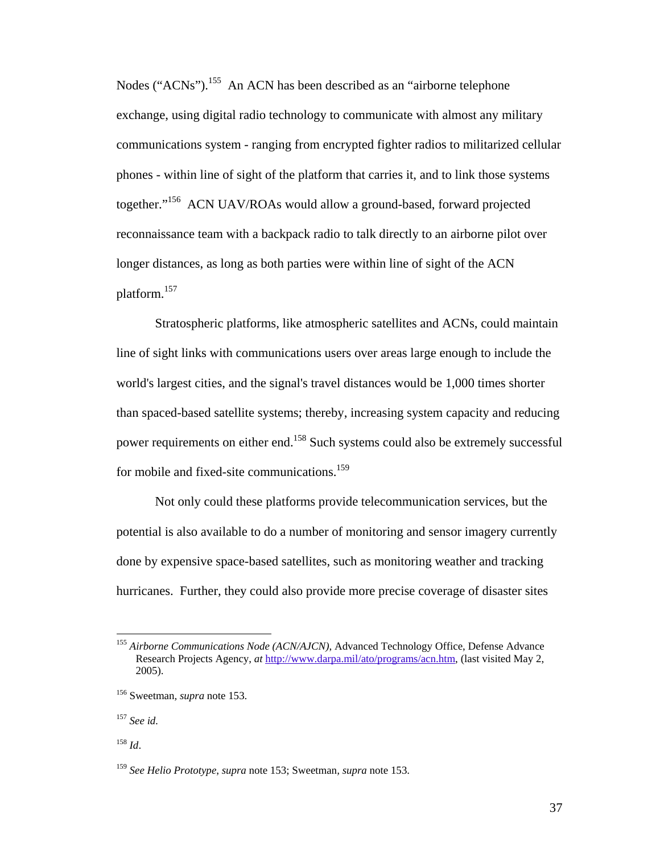Nodes ("ACNs").<sup>155</sup> An ACN has been described as an "airborne telephone" exchange, using digital radio technology to communicate with almost any military communications system - ranging from encrypted fighter radios to militarized cellular phones - within line of sight of the platform that carries it, and to link those systems together."156 ACN UAV/ROAs would allow a ground-based, forward projected reconnaissance team with a backpack radio to talk directly to an airborne pilot over longer distances, as long as both parties were within line of sight of the ACN platform.<sup>157</sup>

 Stratospheric platforms, like atmospheric satellites and ACNs, could maintain line of sight links with communications users over areas large enough to include the world's largest cities, and the signal's travel distances would be 1,000 times shorter than spaced-based satellite systems; thereby, increasing system capacity and reducing power requirements on either end.158 Such systems could also be extremely successful for mobile and fixed-site communications.<sup>159</sup>

 Not only could these platforms provide telecommunication services, but the potential is also available to do a number of monitoring and sensor imagery currently done by expensive space-based satellites, such as monitoring weather and tracking hurricanes. Further, they could also provide more precise coverage of disaster sites

<sup>155</sup> *Airborne Communications Node (ACN/AJCN)*, Advanced Technology Office, Defense Advance Research Projects Agency, *at* http://www.darpa.mil/ato/programs/acn.htm, (last visited May 2, 2005).

<sup>156</sup> Sweetman*, supra* note 153.

<sup>157</sup> *See id.* 

<sup>158</sup> *Id*.

<sup>159</sup> *See Helio Prototype*, *supra* note 153; Sweetman*, supra* note 153.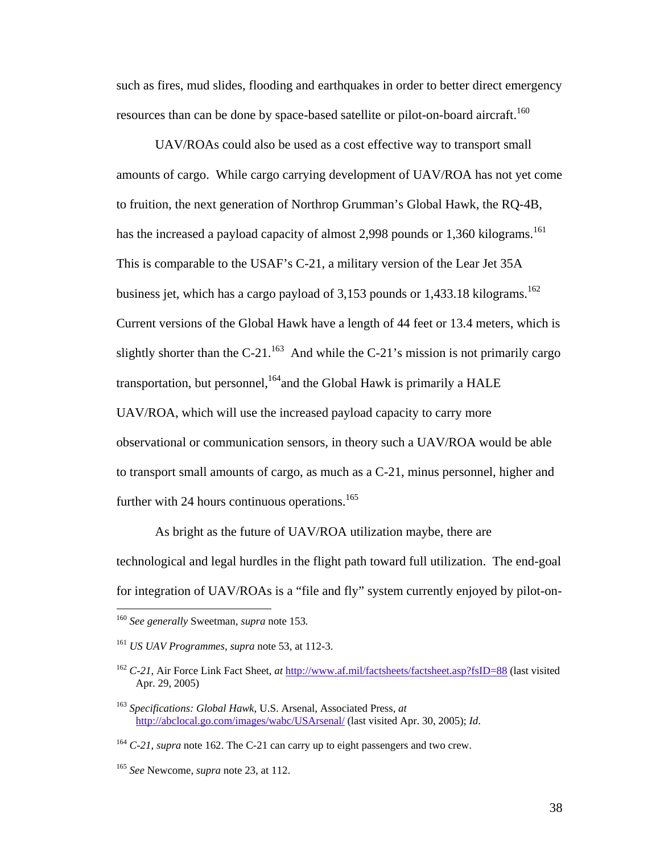such as fires, mud slides, flooding and earthquakes in order to better direct emergency resources than can be done by space-based satellite or pilot-on-board aircraft.<sup>160</sup>

 UAV/ROAs could also be used as a cost effective way to transport small amounts of cargo. While cargo carrying development of UAV/ROA has not yet come to fruition, the next generation of Northrop Grumman's Global Hawk, the RQ-4B, has the increased a payload capacity of almost 2,998 pounds or 1,360 kilograms.<sup>161</sup> This is comparable to the USAF's C-21, a military version of the Lear Jet 35A business jet, which has a cargo payload of  $3,153$  pounds or  $1,433.18$  kilograms.<sup>162</sup> Current versions of the Global Hawk have a length of 44 feet or 13.4 meters, which is slightly shorter than the C-21.<sup>163</sup> And while the C-21's mission is not primarily cargo transportation, but personnel, <sup>164</sup>and the Global Hawk is primarily a HALE UAV/ROA, which will use the increased payload capacity to carry more observational or communication sensors, in theory such a UAV/ROA would be able to transport small amounts of cargo, as much as a C-21, minus personnel, higher and further with 24 hours continuous operations.<sup>165</sup>

 As bright as the future of UAV/ROA utilization maybe, there are technological and legal hurdles in the flight path toward full utilization. The end-goal for integration of UAV/ROAs is a "file and fly" system currently enjoyed by pilot-on-

<u>.</u>

<sup>160</sup> *See generally* Sweetman, *supra* note 153*.* 

<sup>161</sup> *US UAV Programmes*, *supra* note 53, at 112-3.

<sup>162</sup> *C-21*, Air Force Link Fact Sheet, *at* http://www.af.mil/factsheets/factsheet.asp?fsID=88 (last visited Apr. 29, 2005)

<sup>163</sup> *Specifications: Global Hawk*, U.S. Arsenal, Associated Press, *at* http://abclocal.go.com/images/wabc/USArsenal/ (last visited Apr. 30, 2005); *Id*.

<sup>164</sup> *C-21*, *supra* note 162. The C-21 can carry up to eight passengers and two crew.

<sup>165</sup> *See* Newcome, *supra* note 23, at 112.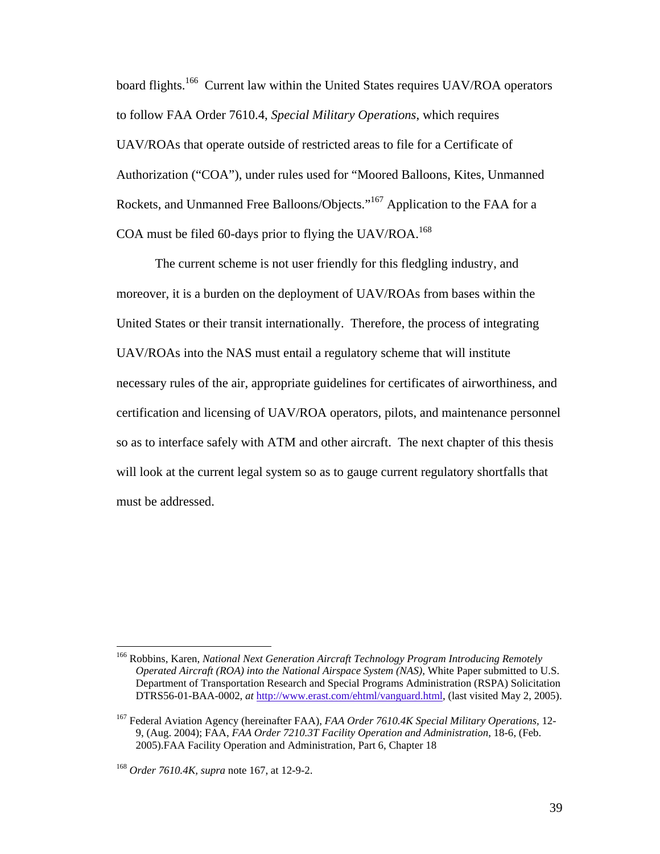board flights.<sup>166</sup> Current law within the United States requires UAV/ROA operators to follow FAA Order 7610.4, *Special Military Operations*, which requires UAV/ROAs that operate outside of restricted areas to file for a Certificate of Authorization ("COA"), under rules used for "Moored Balloons, Kites, Unmanned Rockets, and Unmanned Free Balloons/Objects."<sup>167</sup> Application to the FAA for a COA must be filed 60-days prior to flying the UAV/ROA.<sup>168</sup>

 The current scheme is not user friendly for this fledgling industry, and moreover, it is a burden on the deployment of UAV/ROAs from bases within the United States or their transit internationally. Therefore, the process of integrating UAV/ROAs into the NAS must entail a regulatory scheme that will institute necessary rules of the air, appropriate guidelines for certificates of airworthiness, and certification and licensing of UAV/ROA operators, pilots, and maintenance personnel so as to interface safely with ATM and other aircraft. The next chapter of this thesis will look at the current legal system so as to gauge current regulatory shortfalls that must be addressed.

<sup>166</sup> Robbins, Karen, *National Next Generation Aircraft Technology Program Introducing Remotely Operated Aircraft (ROA) into the National Airspace System (NAS)*, White Paper submitted to U.S. Department of Transportation Research and Special Programs Administration (RSPA) Solicitation DTRS56-01-BAA-0002, *at* http://www.erast.com/ehtml/vanguard.html, (last visited May 2, 2005).

<sup>167</sup> Federal Aviation Agency (hereinafter FAA), *FAA Order 7610.4K Special Military Operations,* 12- 9, (Aug. 2004); FAA, *FAA Order 7210.3T Facility Operation and Administration*, 18-6, (Feb. 2005).FAA Facility Operation and Administration, Part 6, Chapter 18

<sup>168</sup> *Order 7610.4K, supra* note 167, at 12-9-2.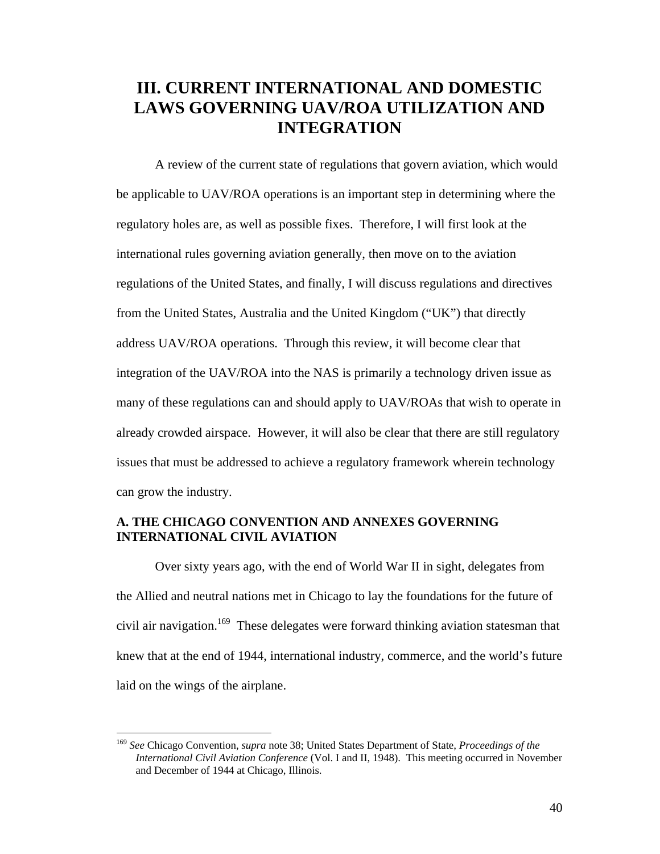# **III. CURRENT INTERNATIONAL AND DOMESTIC LAWS GOVERNING UAV/ROA UTILIZATION AND INTEGRATION**

 A review of the current state of regulations that govern aviation, which would be applicable to UAV/ROA operations is an important step in determining where the regulatory holes are, as well as possible fixes. Therefore, I will first look at the international rules governing aviation generally, then move on to the aviation regulations of the United States, and finally, I will discuss regulations and directives from the United States, Australia and the United Kingdom ("UK") that directly address UAV/ROA operations. Through this review, it will become clear that integration of the UAV/ROA into the NAS is primarily a technology driven issue as many of these regulations can and should apply to UAV/ROAs that wish to operate in already crowded airspace. However, it will also be clear that there are still regulatory issues that must be addressed to achieve a regulatory framework wherein technology can grow the industry.

## **A. THE CHICAGO CONVENTION AND ANNEXES GOVERNING INTERNATIONAL CIVIL AVIATION**

 Over sixty years ago, with the end of World War II in sight, delegates from the Allied and neutral nations met in Chicago to lay the foundations for the future of civil air navigation.<sup>169</sup> These delegates were forward thinking aviation statesman that knew that at the end of 1944, international industry, commerce, and the world's future laid on the wings of the airplane.

<sup>169</sup> *See* Chicago Convention, *supra* note 38; United States Department of State, *Proceedings of the International Civil Aviation Conference* (Vol. I and II, 1948). This meeting occurred in November and December of 1944 at Chicago, Illinois.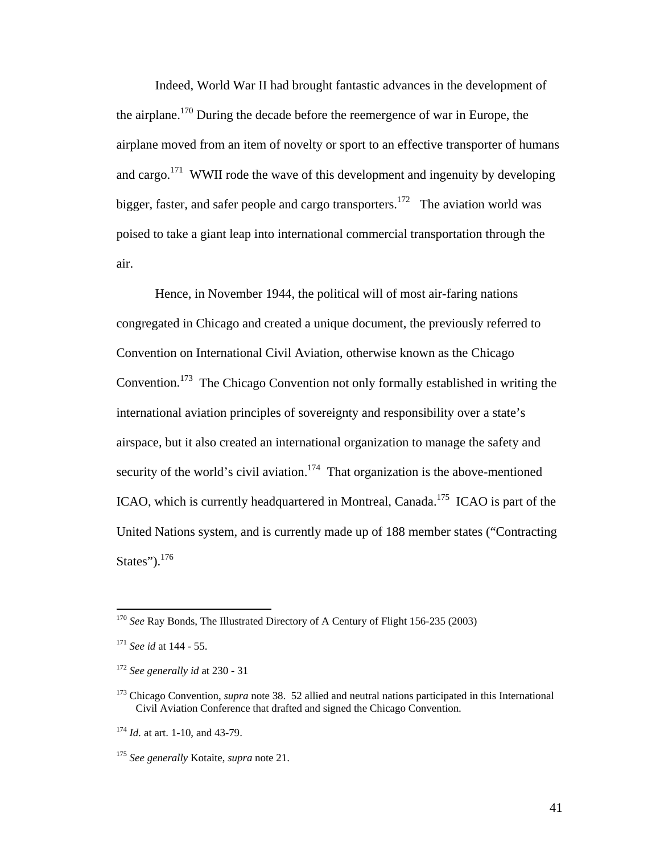Indeed, World War II had brought fantastic advances in the development of the airplane.<sup>170</sup> During the decade before the reemergence of war in Europe, the airplane moved from an item of novelty or sport to an effective transporter of humans and cargo.<sup>171</sup> WWII rode the wave of this development and ingenuity by developing bigger, faster, and safer people and cargo transporters.<sup>172</sup> The aviation world was poised to take a giant leap into international commercial transportation through the air.

 Hence, in November 1944, the political will of most air-faring nations congregated in Chicago and created a unique document, the previously referred to Convention on International Civil Aviation, otherwise known as the Chicago Convention.173 The Chicago Convention not only formally established in writing the international aviation principles of sovereignty and responsibility over a state's airspace, but it also created an international organization to manage the safety and security of the world's civil aviation.<sup>174</sup> That organization is the above-mentioned ICAO, which is currently headquartered in Montreal, Canada.<sup>175</sup> ICAO is part of the United Nations system, and is currently made up of 188 member states ("Contracting States"). $176$ 

1

<sup>170</sup> *See* Ray Bonds, The Illustrated Directory of A Century of Flight 156-235 (2003)

<sup>171</sup> *See id* at 144 - 55.

<sup>172</sup> *See generally id* at 230 - 31

<sup>173</sup> Chicago Convention, *supra* note 38. 52 allied and neutral nations participated in this International Civil Aviation Conference that drafted and signed the Chicago Convention.

<sup>174</sup> *Id.* at art. 1-10, and 43-79.

<sup>175</sup> *See generally* Kotaite, *supra* note 21.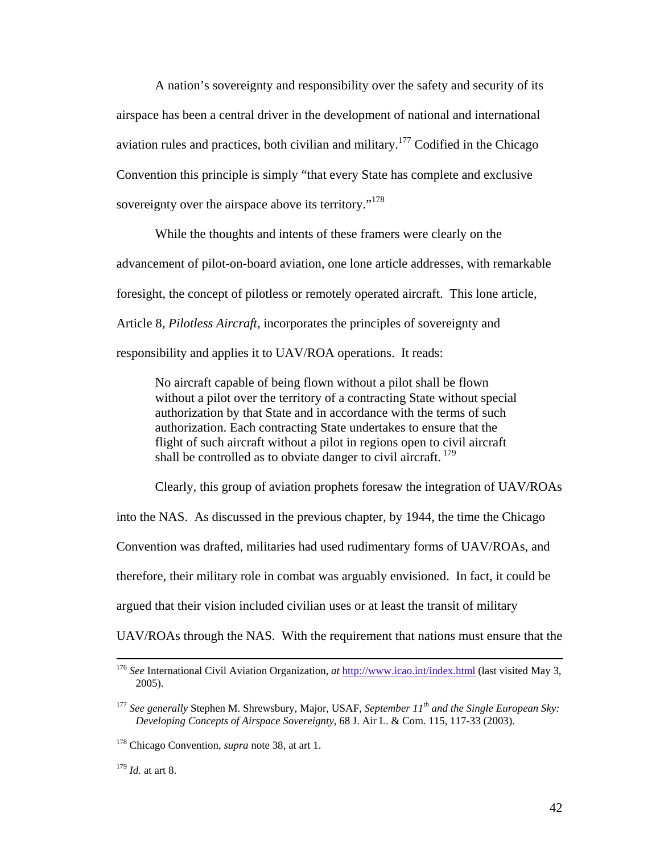A nation's sovereignty and responsibility over the safety and security of its airspace has been a central driver in the development of national and international aviation rules and practices, both civilian and military.<sup>177</sup> Codified in the Chicago Convention this principle is simply "that every State has complete and exclusive sovereignty over the airspace above its territory."<sup>178</sup>

 While the thoughts and intents of these framers were clearly on the advancement of pilot-on-board aviation, one lone article addresses, with remarkable foresight, the concept of pilotless or remotely operated aircraft. This lone article, Article 8, *Pilotless Aircraft*, incorporates the principles of sovereignty and responsibility and applies it to UAV/ROA operations. It reads:

No aircraft capable of being flown without a pilot shall be flown without a pilot over the territory of a contracting State without special authorization by that State and in accordance with the terms of such authorization. Each contracting State undertakes to ensure that the flight of such aircraft without a pilot in regions open to civil aircraft shall be controlled as to obviate danger to civil aircraft.  $179$ 

Clearly, this group of aviation prophets foresaw the integration of UAV/ROAs

into the NAS. As discussed in the previous chapter, by 1944, the time the Chicago

Convention was drafted, militaries had used rudimentary forms of UAV/ROAs, and

therefore, their military role in combat was arguably envisioned. In fact, it could be

argued that their vision included civilian uses or at least the transit of military

UAV/ROAs through the NAS. With the requirement that nations must ensure that the

 <sup>176</sup> *See* International Civil Aviation Organization, *at* http://www.icao.int/index.html (last visited May 3, 2005).

<sup>177</sup> *See generally* Stephen M. Shrewsbury, Major, USAF, *September 11th and the Single European Sky: Developing Concepts of Airspace Sovereignty*, 68 J. Air L. & Com. 115, 117-33 (2003).

<sup>178</sup> Chicago Convention, *supra* note 38, at art 1.

<sup>179</sup> *Id.* at art 8.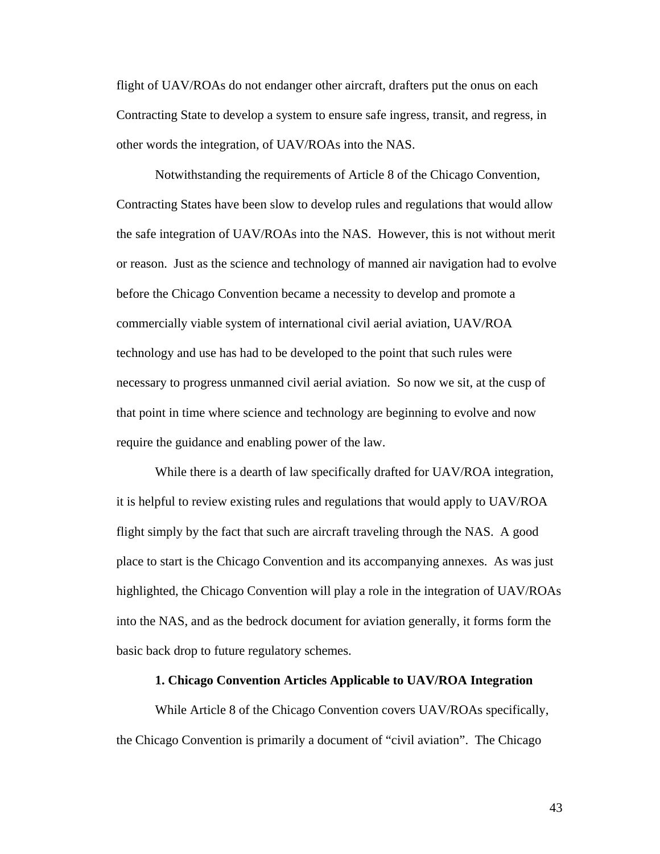flight of UAV/ROAs do not endanger other aircraft, drafters put the onus on each Contracting State to develop a system to ensure safe ingress, transit, and regress, in other words the integration, of UAV/ROAs into the NAS.

 Notwithstanding the requirements of Article 8 of the Chicago Convention, Contracting States have been slow to develop rules and regulations that would allow the safe integration of UAV/ROAs into the NAS. However, this is not without merit or reason. Just as the science and technology of manned air navigation had to evolve before the Chicago Convention became a necessity to develop and promote a commercially viable system of international civil aerial aviation, UAV/ROA technology and use has had to be developed to the point that such rules were necessary to progress unmanned civil aerial aviation. So now we sit, at the cusp of that point in time where science and technology are beginning to evolve and now require the guidance and enabling power of the law.

 While there is a dearth of law specifically drafted for UAV/ROA integration, it is helpful to review existing rules and regulations that would apply to UAV/ROA flight simply by the fact that such are aircraft traveling through the NAS. A good place to start is the Chicago Convention and its accompanying annexes. As was just highlighted, the Chicago Convention will play a role in the integration of UAV/ROAs into the NAS, and as the bedrock document for aviation generally, it forms form the basic back drop to future regulatory schemes.

#### **1. Chicago Convention Articles Applicable to UAV/ROA Integration**

 While Article 8 of the Chicago Convention covers UAV/ROAs specifically, the Chicago Convention is primarily a document of "civil aviation". The Chicago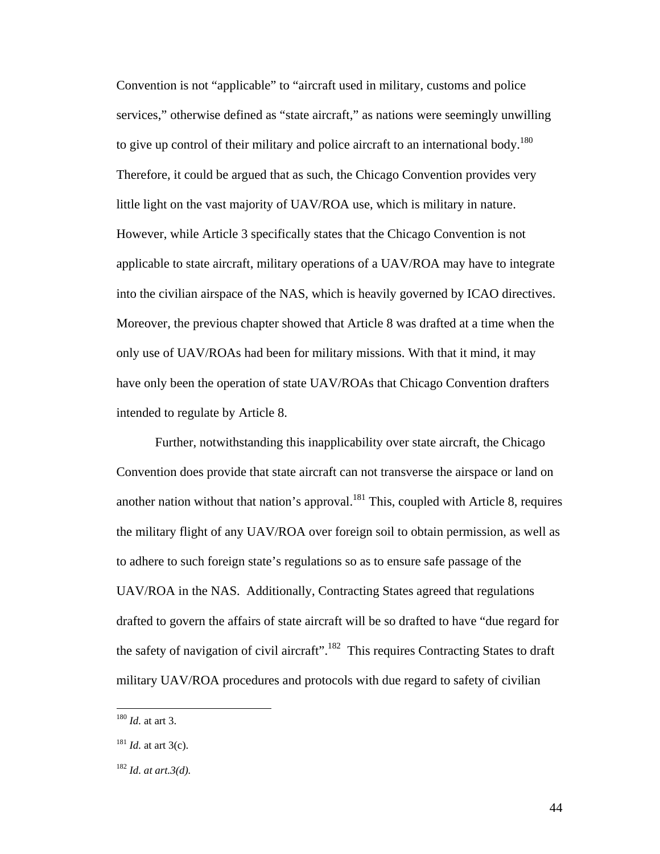Convention is not "applicable" to "aircraft used in military, customs and police services," otherwise defined as "state aircraft," as nations were seemingly unwilling to give up control of their military and police aircraft to an international body.<sup>180</sup> Therefore, it could be argued that as such, the Chicago Convention provides very little light on the vast majority of UAV/ROA use, which is military in nature. However, while Article 3 specifically states that the Chicago Convention is not applicable to state aircraft, military operations of a UAV/ROA may have to integrate into the civilian airspace of the NAS, which is heavily governed by ICAO directives. Moreover, the previous chapter showed that Article 8 was drafted at a time when the only use of UAV/ROAs had been for military missions. With that it mind, it may have only been the operation of state UAV/ROAs that Chicago Convention drafters intended to regulate by Article 8.

 Further, notwithstanding this inapplicability over state aircraft, the Chicago Convention does provide that state aircraft can not transverse the airspace or land on another nation without that nation's approval.<sup>181</sup> This, coupled with Article 8, requires the military flight of any UAV/ROA over foreign soil to obtain permission, as well as to adhere to such foreign state's regulations so as to ensure safe passage of the UAV/ROA in the NAS. Additionally, Contracting States agreed that regulations drafted to govern the affairs of state aircraft will be so drafted to have "due regard for the safety of navigation of civil aircraft".<sup>182</sup> This requires Contracting States to draft military UAV/ROA procedures and protocols with due regard to safety of civilian

<sup>180</sup> *Id.* at art 3.

 $181$  *Id.* at art 3(c).

<sup>182</sup> *Id. at art.3(d).*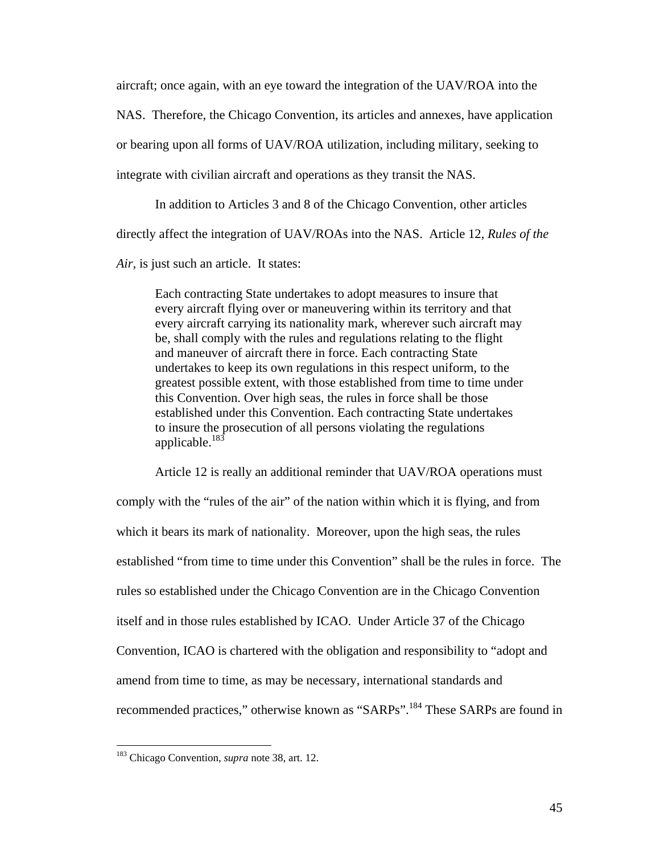aircraft; once again, with an eye toward the integration of the UAV/ROA into the

NAS. Therefore, the Chicago Convention, its articles and annexes, have application

or bearing upon all forms of UAV/ROA utilization, including military, seeking to

integrate with civilian aircraft and operations as they transit the NAS.

 In addition to Articles 3 and 8 of the Chicago Convention, other articles directly affect the integration of UAV/ROAs into the NAS. Article 12, *Rules of the* 

*Air,* is just such an article. It states:

Each contracting State undertakes to adopt measures to insure that every aircraft flying over or maneuvering within its territory and that every aircraft carrying its nationality mark, wherever such aircraft may be, shall comply with the rules and regulations relating to the flight and maneuver of aircraft there in force. Each contracting State undertakes to keep its own regulations in this respect uniform, to the greatest possible extent, with those established from time to time under this Convention. Over high seas, the rules in force shall be those established under this Convention. Each contracting State undertakes to insure the prosecution of all persons violating the regulations applicable.<sup>183</sup>

 Article 12 is really an additional reminder that UAV/ROA operations must comply with the "rules of the air" of the nation within which it is flying, and from which it bears its mark of nationality. Moreover, upon the high seas, the rules established "from time to time under this Convention" shall be the rules in force. The rules so established under the Chicago Convention are in the Chicago Convention itself and in those rules established by ICAO. Under Article 37 of the Chicago Convention, ICAO is chartered with the obligation and responsibility to "adopt and amend from time to time, as may be necessary, international standards and recommended practices," otherwise known as "SARPs".<sup>184</sup> These SARPs are found in

<sup>183</sup> Chicago Convention, *supra* note 38, art. 12.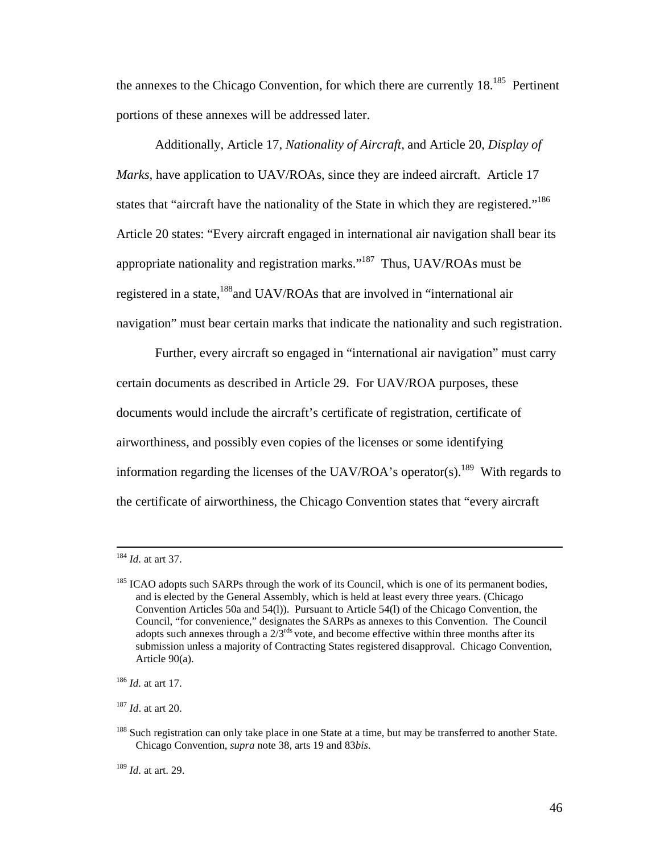the annexes to the Chicago Convention, for which there are currently 18.<sup>185</sup> Pertinent portions of these annexes will be addressed later.

 Additionally, Article 17, *Nationality of Aircraft,* and Article 20, *Display of Marks*, have application to UAV/ROAs, since they are indeed aircraft. Article 17 states that "aircraft have the nationality of the State in which they are registered."<sup>186</sup> Article 20 states: "Every aircraft engaged in international air navigation shall bear its appropriate nationality and registration marks."<sup>187</sup> Thus, UAV/ROAs must be registered in a state,<sup>188</sup>and UAV/ROAs that are involved in "international air navigation" must bear certain marks that indicate the nationality and such registration.

 Further, every aircraft so engaged in "international air navigation" must carry certain documents as described in Article 29. For UAV/ROA purposes, these documents would include the aircraft's certificate of registration, certificate of airworthiness, and possibly even copies of the licenses or some identifying information regarding the licenses of the UAV/ROA's operator(s).<sup>189</sup> With regards to the certificate of airworthiness, the Chicago Convention states that "every aircraft

<sup>187</sup> *Id*. at art 20.

 <sup>184</sup> *Id.* at art 37.

<sup>&</sup>lt;sup>185</sup> ICAO adopts such SARPs through the work of its Council, which is one of its permanent bodies, and is elected by the General Assembly, which is held at least every three years. (Chicago Convention Articles 50a and 54(l)). Pursuant to Article 54(l) of the Chicago Convention, the Council, "for convenience," designates the SARPs as annexes to this Convention. The Council adopts such annexes through a  $2/\overline{3}^{rds}$  vote, and become effective within three months after its submission unless a majority of Contracting States registered disapproval. Chicago Convention, Article 90(a).

<sup>186</sup> *Id.* at art 17.

<sup>&</sup>lt;sup>188</sup> Such registration can only take place in one State at a time, but may be transferred to another State. Chicago Convention, *supra* note 38, arts 19 and 83*bis*.

<sup>189</sup> *Id.* at art. 29.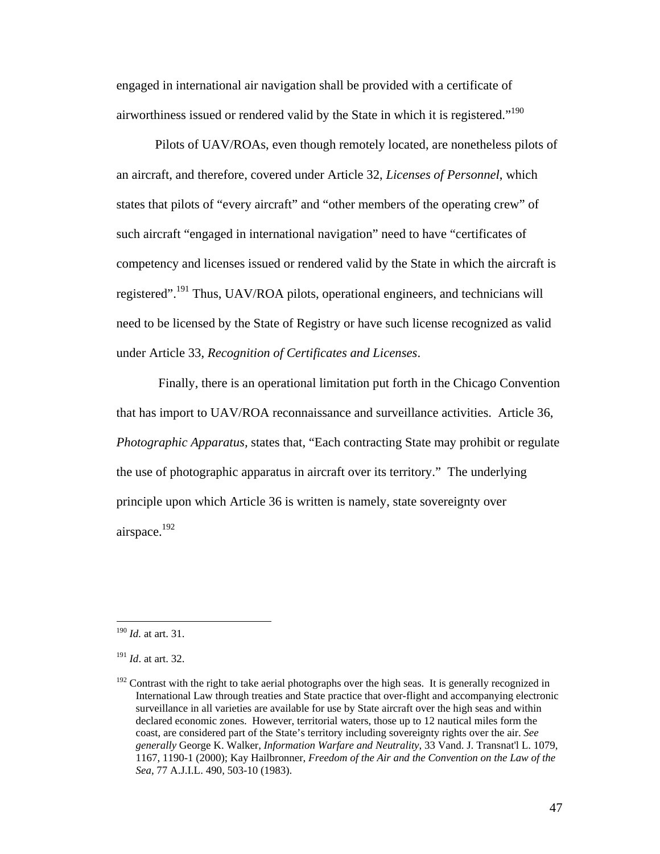engaged in international air navigation shall be provided with a certificate of airworthiness issued or rendered valid by the State in which it is registered."190

 Pilots of UAV/ROAs, even though remotely located, are nonetheless pilots of an aircraft, and therefore, covered under Article 32, *Licenses of Personnel*, which states that pilots of "every aircraft" and "other members of the operating crew" of such aircraft "engaged in international navigation" need to have "certificates of competency and licenses issued or rendered valid by the State in which the aircraft is registered".191 Thus, UAV/ROA pilots, operational engineers, and technicians will need to be licensed by the State of Registry or have such license recognized as valid under Article 33, *Recognition of Certificates and Licenses*.

 Finally, there is an operational limitation put forth in the Chicago Convention that has import to UAV/ROA reconnaissance and surveillance activities. Article 36, *Photographic Apparatus,* states that, "Each contracting State may prohibit or regulate the use of photographic apparatus in aircraft over its territory." The underlying principle upon which Article 36 is written is namely, state sovereignty over airspace.<sup>192</sup>

<sup>190</sup> *Id.* at art. 31.

<sup>191</sup> *Id*. at art. 32.

 $192$  Contrast with the right to take aerial photographs over the high seas. It is generally recognized in International Law through treaties and State practice that over-flight and accompanying electronic surveillance in all varieties are available for use by State aircraft over the high seas and within declared economic zones. However, territorial waters, those up to 12 nautical miles form the coast, are considered part of the State's territory including sovereignty rights over the air. *See generally* George K. Walker, *Information Warfare and Neutrality*, 33 Vand. J. Transnat'l L. 1079, 1167, 1190-1 (2000); Kay Hailbronner, *Freedom of the Air and the Convention on the Law of the Sea*, 77 A.J.I.L. 490, 503-10 (1983).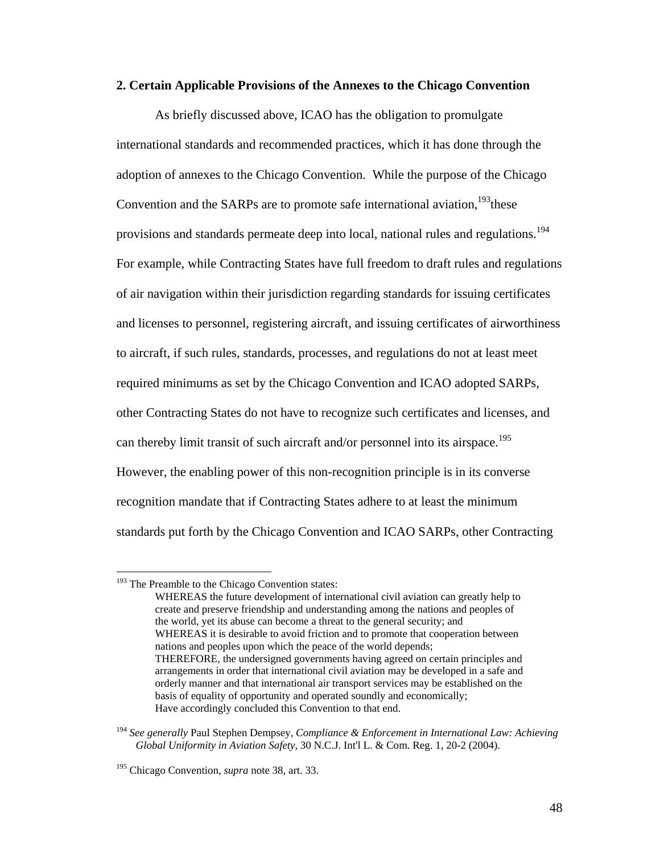#### **2. Certain Applicable Provisions of the Annexes to the Chicago Convention**

 As briefly discussed above, ICAO has the obligation to promulgate international standards and recommended practices, which it has done through the adoption of annexes to the Chicago Convention. While the purpose of the Chicago Convention and the SARPs are to promote safe international aviation,<sup>193</sup>these provisions and standards permeate deep into local, national rules and regulations.<sup>194</sup> For example, while Contracting States have full freedom to draft rules and regulations of air navigation within their jurisdiction regarding standards for issuing certificates and licenses to personnel, registering aircraft, and issuing certificates of airworthiness to aircraft, if such rules, standards, processes, and regulations do not at least meet required minimums as set by the Chicago Convention and ICAO adopted SARPs, other Contracting States do not have to recognize such certificates and licenses, and can thereby limit transit of such aircraft and/or personnel into its airspace.<sup>195</sup> However, the enabling power of this non-recognition principle is in its converse recognition mandate that if Contracting States adhere to at least the minimum standards put forth by the Chicago Convention and ICAO SARPs, other Contracting

<sup>&</sup>lt;sup>193</sup> The Preamble to the Chicago Convention states:

WHEREAS the future development of international civil aviation can greatly help to create and preserve friendship and understanding among the nations and peoples of the world, yet its abuse can become a threat to the general security; and WHEREAS it is desirable to avoid friction and to promote that cooperation between nations and peoples upon which the peace of the world depends; THEREFORE, the undersigned governments having agreed on certain principles and arrangements in order that international civil aviation may be developed in a safe and orderly manner and that international air transport services may be established on the basis of equality of opportunity and operated soundly and economically; Have accordingly concluded this Convention to that end.

<sup>194</sup> *See generally* Paul Stephen Dempsey, *Compliance & Enforcement in International Law: Achieving Global Uniformity in Aviation Safety*, 30 N.C.J. Int'l L. & Com. Reg. 1, 20-2 (2004).

<sup>195</sup> Chicago Convention, *supra* note 38, art. 33.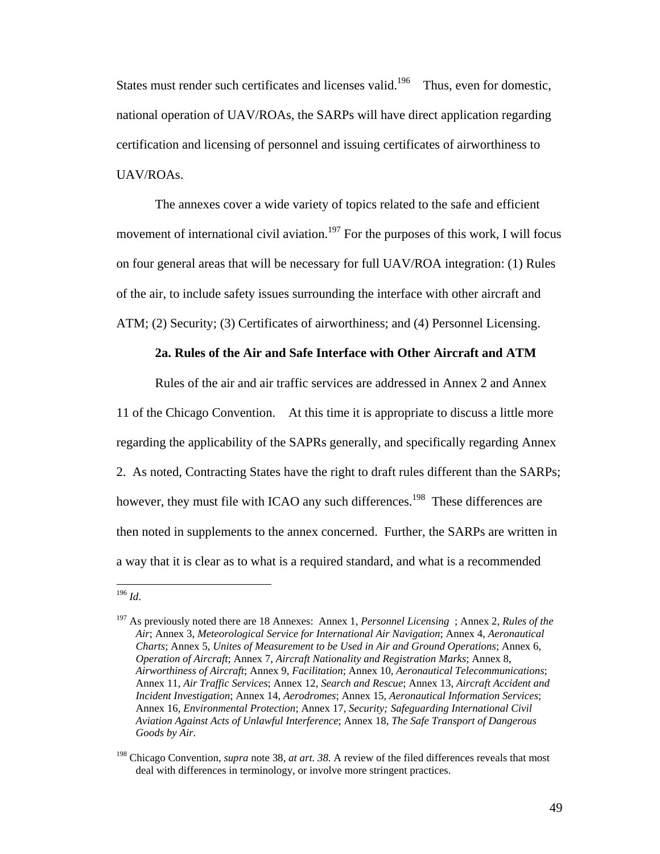States must render such certificates and licenses valid.<sup>196</sup> Thus, even for domestic, national operation of UAV/ROAs, the SARPs will have direct application regarding certification and licensing of personnel and issuing certificates of airworthiness to UAV/ROAs.

 The annexes cover a wide variety of topics related to the safe and efficient movement of international civil aviation.<sup>197</sup> For the purposes of this work, I will focus on four general areas that will be necessary for full UAV/ROA integration: (1) Rules of the air, to include safety issues surrounding the interface with other aircraft and ATM; (2) Security; (3) Certificates of airworthiness; and (4) Personnel Licensing.

### **2a. Rules of the Air and Safe Interface with Other Aircraft and ATM**

 Rules of the air and air traffic services are addressed in Annex 2 and Annex 11 of the Chicago Convention. At this time it is appropriate to discuss a little more regarding the applicability of the SAPRs generally, and specifically regarding Annex 2. As noted, Contracting States have the right to draft rules different than the SARPs; however, they must file with ICAO any such differences.<sup>198</sup> These differences are then noted in supplements to the annex concerned. Further, the SARPs are written in a way that it is clear as to what is a required standard, and what is a recommended

 $\overline{a}$ <sup>196</sup> *Id*.

<sup>197</sup> As previously noted there are 18 Annexes: Annex 1, *Personnel Licensing* ; Annex 2, *Rules of the Air*; Annex 3, *Meteorological Service for International Air Navigation*; Annex 4, *Aeronautical Charts*; Annex 5, *Unites of Measurement to be Used in Air and Ground Operations*; Annex 6, *Operation of Aircraft*; Annex 7, *Aircraft Nationality and Registration Marks*; Annex 8, *Airworthiness of Aircraft*; Annex 9, *Facilitation*; Annex 10, *Aeronautical Telecommunications*; Annex 11, *Air Traffic Services*; Annex 12, *Search and Rescue*; Annex 13, *Aircraft Accident and Incident Investigation*; Annex 14, *Aerodromes*; Annex 15, *Aeronautical Information Services*; Annex 16, *Environmental Protection*; Annex 17, *Security; Safeguarding International Civil Aviation Against Acts of Unlawful Interference*; Annex 18, *The Safe Transport of Dangerous Goods by Air*.

<sup>198</sup> Chicago Convention, *supra* note 38, *at art. 38.* A review of the filed differences reveals that most deal with differences in terminology, or involve more stringent practices.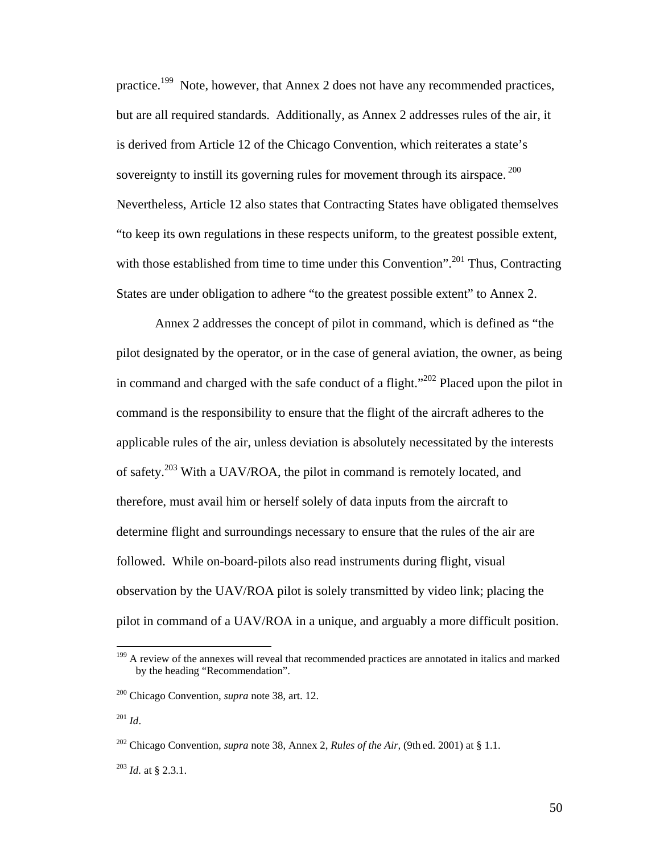practice.<sup>199</sup> Note, however, that Annex 2 does not have any recommended practices, but are all required standards. Additionally, as Annex 2 addresses rules of the air, it is derived from Article 12 of the Chicago Convention, which reiterates a state's sovereignty to instill its governing rules for movement through its airspace.<sup>200</sup> Nevertheless, Article 12 also states that Contracting States have obligated themselves "to keep its own regulations in these respects uniform, to the greatest possible extent, with those established from time to time under this Convention".<sup>201</sup> Thus, Contracting States are under obligation to adhere "to the greatest possible extent" to Annex 2.

 Annex 2 addresses the concept of pilot in command, which is defined as "the pilot designated by the operator, or in the case of general aviation, the owner, as being in command and charged with the safe conduct of a flight."<sup>202</sup> Placed upon the pilot in command is the responsibility to ensure that the flight of the aircraft adheres to the applicable rules of the air, unless deviation is absolutely necessitated by the interests of safety.203 With a UAV/ROA, the pilot in command is remotely located, and therefore, must avail him or herself solely of data inputs from the aircraft to determine flight and surroundings necessary to ensure that the rules of the air are followed. While on-board-pilots also read instruments during flight, visual observation by the UAV/ROA pilot is solely transmitted by video link; placing the pilot in command of a UAV/ROA in a unique, and arguably a more difficult position.

<sup>&</sup>lt;sup>199</sup> A review of the annexes will reveal that recommended practices are annotated in italics and marked by the heading "Recommendation".

<sup>200</sup> Chicago Convention, *supra* note 38, art. 12.

<sup>201</sup> *Id*.

<sup>202</sup> Chicago Convention, *supra* note 38, Annex 2, *Rules of the Air,* (9th ed. 2001) at § 1.1.

<sup>203</sup> *Id.* at § 2.3.1.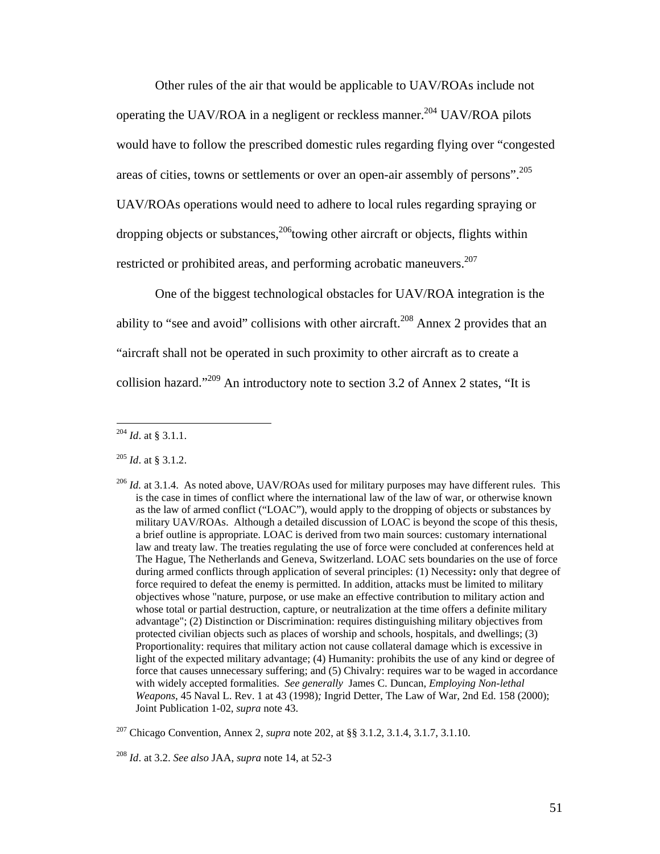Other rules of the air that would be applicable to UAV/ROAs include not operating the UAV/ROA in a negligent or reckless manner.<sup>204</sup> UAV/ROA pilots would have to follow the prescribed domestic rules regarding flying over "congested areas of cities, towns or settlements or over an open-air assembly of persons".<sup>205</sup> UAV/ROAs operations would need to adhere to local rules regarding spraying or dropping objects or substances,  $206$  towing other aircraft or objects, flights within restricted or prohibited areas, and performing acrobatic maneuvers.<sup>207</sup>

 One of the biggest technological obstacles for UAV/ROA integration is the ability to "see and avoid" collisions with other aircraft.<sup>208</sup> Annex 2 provides that an "aircraft shall not be operated in such proximity to other aircraft as to create a collision hazard."209 An introductory note to section 3.2 of Annex 2 states, "It is

<sup>204</sup> *Id*. at § 3.1.1.

<sup>205</sup> *Id*. at § 3.1.2.

<sup>&</sup>lt;sup>206</sup> *Id.* at 3.1.4. As noted above, UAV/ROAs used for military purposes may have different rules. This is the case in times of conflict where the international law of the law of war, or otherwise known as the law of armed conflict ("LOAC"), would apply to the dropping of objects or substances by military UAV/ROAs. Although a detailed discussion of LOAC is beyond the scope of this thesis, a brief outline is appropriate. LOAC is derived from two main sources: customary international law and treaty law. The treaties regulating the use of force were concluded at conferences held at The Hague, The Netherlands and Geneva, Switzerland. LOAC sets boundaries on the use of force during armed conflicts through application of several principles: (1) Necessity**:** only that degree of force required to defeat the enemy is permitted. In addition, attacks must be limited to military objectives whose "nature, purpose, or use make an effective contribution to military action and whose total or partial destruction, capture, or neutralization at the time offers a definite military advantage"; (2) Distinction or Discrimination: requires distinguishing military objectives from protected civilian objects such as places of worship and schools, hospitals, and dwellings; (3) Proportionality: requires that military action not cause collateral damage which is excessive in light of the expected military advantage; (4) Humanity: prohibits the use of any kind or degree of force that causes unnecessary suffering; and (5) Chivalry: requires war to be waged in accordance with widely accepted formalities. *See generally* James C. Duncan, *Employing Non-lethal Weapons*, 45 Naval L. Rev. 1 at 43 (1998)*;* Ingrid Detter, The Law of War, 2nd Ed. 158 (2000); Joint Publication 1-02, *supra* note 43.

<sup>207</sup> Chicago Convention, Annex 2, *supra* note 202, at §§ 3.1.2, 3.1.4, 3.1.7, 3.1.10.

<sup>208</sup> *Id*. at 3.2. *See also* JAA, *supra* note 14, at 52-3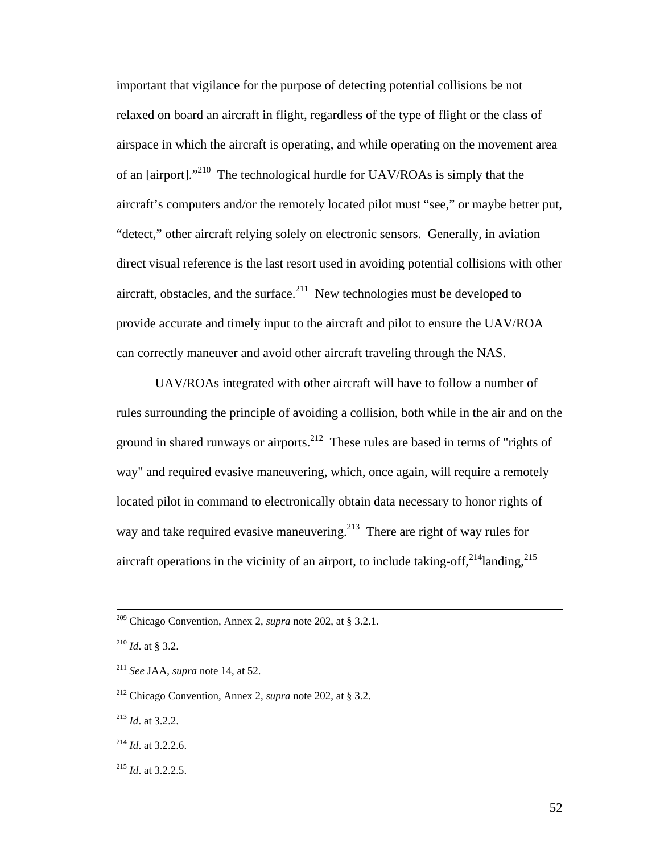important that vigilance for the purpose of detecting potential collisions be not relaxed on board an aircraft in flight, regardless of the type of flight or the class of airspace in which the aircraft is operating, and while operating on the movement area of an [airport]."210 The technological hurdle for UAV/ROAs is simply that the aircraft's computers and/or the remotely located pilot must "see," or maybe better put, "detect," other aircraft relying solely on electronic sensors. Generally, in aviation direct visual reference is the last resort used in avoiding potential collisions with other aircraft, obstacles, and the surface.<sup>211</sup> New technologies must be developed to provide accurate and timely input to the aircraft and pilot to ensure the UAV/ROA can correctly maneuver and avoid other aircraft traveling through the NAS.

 UAV/ROAs integrated with other aircraft will have to follow a number of rules surrounding the principle of avoiding a collision, both while in the air and on the ground in shared runways or airports.<sup>212</sup> These rules are based in terms of "rights of way" and required evasive maneuvering, which, once again, will require a remotely located pilot in command to electronically obtain data necessary to honor rights of way and take required evasive maneuvering.<sup>213</sup> There are right of way rules for aircraft operations in the vicinity of an airport, to include taking-off,  $^{214}$ landing,  $^{215}$ 

 <sup>209</sup> Chicago Convention, Annex 2, *supra* note 202, at § 3.2.1.

<sup>210</sup> *Id*. at § 3.2.

<sup>211</sup> *See* JAA, *supra* note 14, at 52.

<sup>212</sup> Chicago Convention, Annex 2, *supra* note 202, at § 3.2.

<sup>213</sup> *Id*. at 3.2.2.

<sup>214</sup> *Id*. at 3.2.2.6.

<sup>215</sup> *Id*. at 3.2.2.5.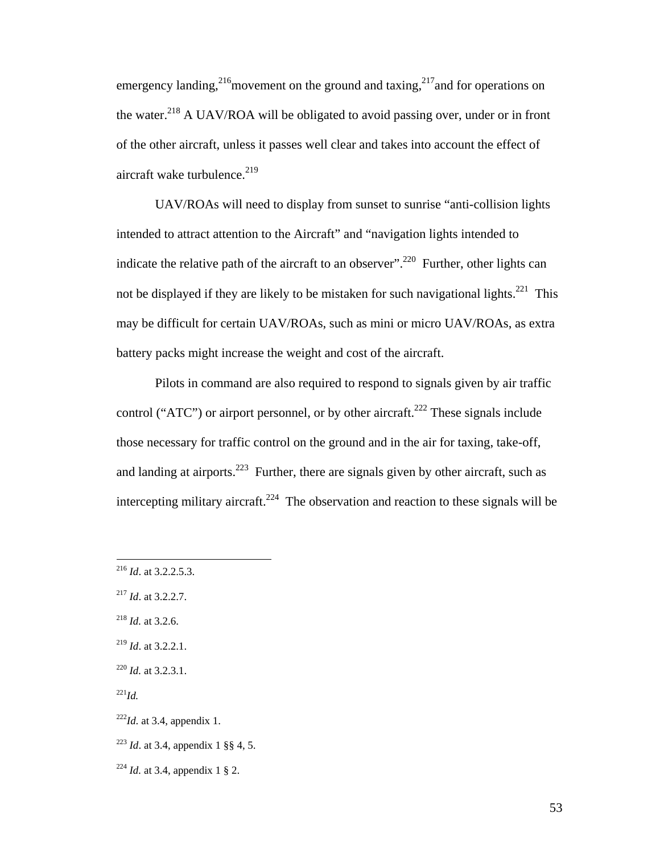emergency landing,<sup>216</sup>movement on the ground and taxing,<sup>217</sup> and for operations on the water.<sup>218</sup> A UAV/ROA will be obligated to avoid passing over, under or in front of the other aircraft, unless it passes well clear and takes into account the effect of aircraft wake turbulence.<sup>219</sup>

 UAV/ROAs will need to display from sunset to sunrise "anti-collision lights intended to attract attention to the Aircraft" and "navigation lights intended to indicate the relative path of the aircraft to an observer".<sup>220</sup> Further, other lights can not be displayed if they are likely to be mistaken for such navigational lights.<sup>221</sup> This may be difficult for certain UAV/ROAs, such as mini or micro UAV/ROAs, as extra battery packs might increase the weight and cost of the aircraft.

 Pilots in command are also required to respond to signals given by air traffic control ("ATC") or airport personnel, or by other aircraft.<sup>222</sup> These signals include those necessary for traffic control on the ground and in the air for taxing, take-off, and landing at airports.<sup>223</sup> Further, there are signals given by other aircraft, such as intercepting military aircraft.<sup>224</sup> The observation and reaction to these signals will be

1

<sup>216</sup> *Id*. at 3.2.2.5.3.

<sup>217</sup> *Id*. at 3.2.2.7.

<sup>218</sup> *Id.* at 3.2.6.

<sup>219</sup> *Id*. at 3.2.2.1.

<sup>220</sup> *Id.* at 3.2.3.1.

 $^{221}Id.$ 

 $222$ *Id.* at 3.4, appendix 1.

<sup>223</sup> *Id*. at 3.4, appendix 1 §§ 4, 5.

<sup>224</sup> *Id.* at 3.4, appendix 1 § 2.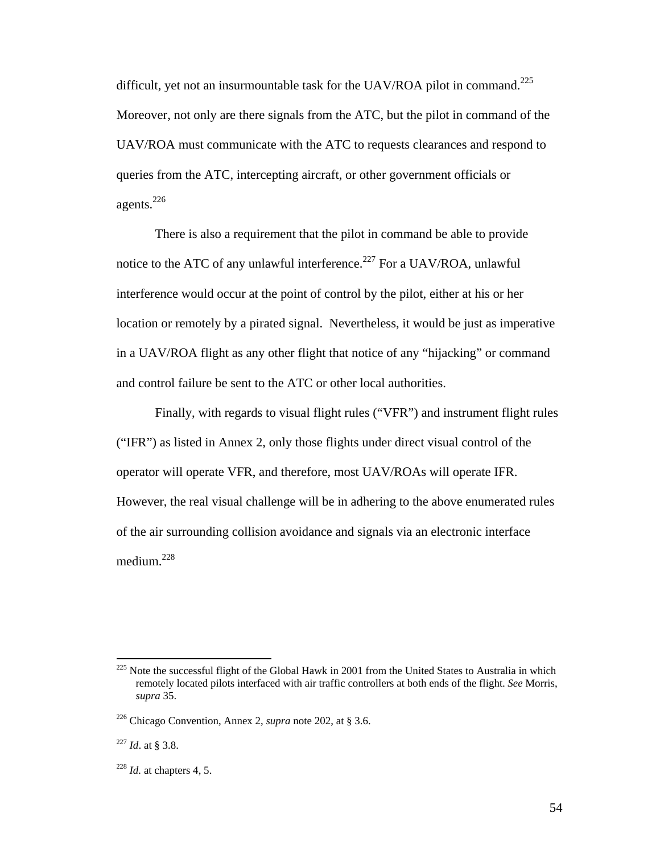difficult, yet not an insurmountable task for the UAV/ROA pilot in command.<sup>225</sup> Moreover, not only are there signals from the ATC, but the pilot in command of the UAV/ROA must communicate with the ATC to requests clearances and respond to queries from the ATC, intercepting aircraft, or other government officials or agents. $^{226}$ 

 There is also a requirement that the pilot in command be able to provide notice to the ATC of any unlawful interference.<sup>227</sup> For a UAV/ROA, unlawful interference would occur at the point of control by the pilot, either at his or her location or remotely by a pirated signal. Nevertheless, it would be just as imperative in a UAV/ROA flight as any other flight that notice of any "hijacking" or command and control failure be sent to the ATC or other local authorities.

 Finally, with regards to visual flight rules ("VFR") and instrument flight rules ("IFR") as listed in Annex 2, only those flights under direct visual control of the operator will operate VFR, and therefore, most UAV/ROAs will operate IFR. However, the real visual challenge will be in adhering to the above enumerated rules of the air surrounding collision avoidance and signals via an electronic interface medium.<sup>228</sup>

<sup>&</sup>lt;sup>225</sup> Note the successful flight of the Global Hawk in 2001 from the United States to Australia in which remotely located pilots interfaced with air traffic controllers at both ends of the flight. *See* Morris, *supra* 35.

<sup>226</sup> Chicago Convention, Annex 2, *supra* note 202, at § 3.6.

<sup>227</sup> *Id*. at § 3.8.

<sup>228</sup> *Id.* at chapters 4, 5.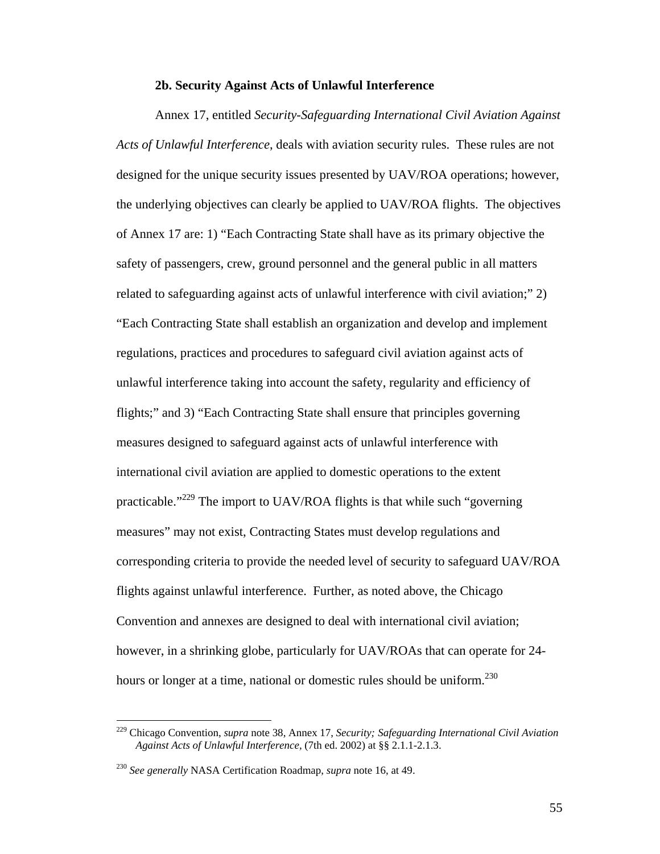#### **2b. Security Against Acts of Unlawful Interference**

 Annex 17, entitled *Security-Safeguarding International Civil Aviation Against Acts of Unlawful Interference*, deals with aviation security rules. These rules are not designed for the unique security issues presented by UAV/ROA operations; however, the underlying objectives can clearly be applied to UAV/ROA flights. The objectives of Annex 17 are: 1) "Each Contracting State shall have as its primary objective the safety of passengers, crew, ground personnel and the general public in all matters related to safeguarding against acts of unlawful interference with civil aviation;" 2) "Each Contracting State shall establish an organization and develop and implement regulations, practices and procedures to safeguard civil aviation against acts of unlawful interference taking into account the safety, regularity and efficiency of flights;" and 3) "Each Contracting State shall ensure that principles governing measures designed to safeguard against acts of unlawful interference with international civil aviation are applied to domestic operations to the extent practicable."229 The import to UAV/ROA flights is that while such "governing measures" may not exist, Contracting States must develop regulations and corresponding criteria to provide the needed level of security to safeguard UAV/ROA flights against unlawful interference. Further, as noted above, the Chicago Convention and annexes are designed to deal with international civil aviation; however, in a shrinking globe, particularly for UAV/ROAs that can operate for 24 hours or longer at a time, national or domestic rules should be uniform.<sup>230</sup>

<sup>229</sup> Chicago Convention, *supra* note 38, Annex 17, *Security; Safeguarding International Civil Aviation Against Acts of Unlawful Interference,* (7th ed. 2002) at §§ 2.1.1-2.1.3.

<sup>230</sup> *See generally* NASA Certification Roadmap, *supra* note 16, at 49.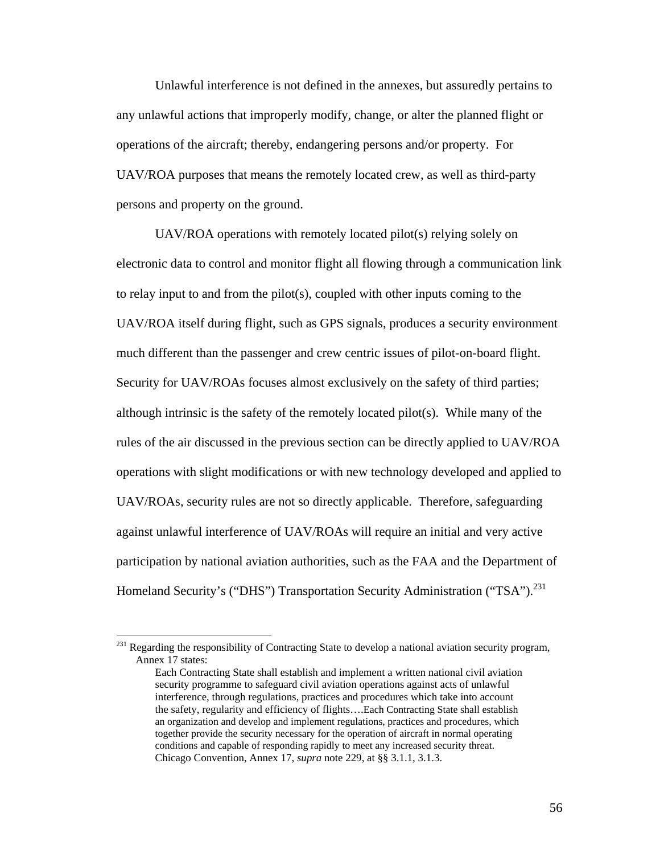Unlawful interference is not defined in the annexes, but assuredly pertains to any unlawful actions that improperly modify, change, or alter the planned flight or operations of the aircraft; thereby, endangering persons and/or property. For UAV/ROA purposes that means the remotely located crew, as well as third-party persons and property on the ground.

 UAV/ROA operations with remotely located pilot(s) relying solely on electronic data to control and monitor flight all flowing through a communication link to relay input to and from the pilot(s), coupled with other inputs coming to the UAV/ROA itself during flight, such as GPS signals, produces a security environment much different than the passenger and crew centric issues of pilot-on-board flight. Security for UAV/ROAs focuses almost exclusively on the safety of third parties; although intrinsic is the safety of the remotely located pilot(s). While many of the rules of the air discussed in the previous section can be directly applied to UAV/ROA operations with slight modifications or with new technology developed and applied to UAV/ROAs, security rules are not so directly applicable. Therefore, safeguarding against unlawful interference of UAV/ROAs will require an initial and very active participation by national aviation authorities, such as the FAA and the Department of Homeland Security's ("DHS") Transportation Security Administration ("TSA").<sup>231</sup>

1

 $^{231}$  Regarding the responsibility of Contracting State to develop a national aviation security program, Annex 17 states:

Each Contracting State shall establish and implement a written national civil aviation security programme to safeguard civil aviation operations against acts of unlawful interference, through regulations, practices and procedures which take into account the safety, regularity and efficiency of flights….Each Contracting State shall establish an organization and develop and implement regulations, practices and procedures, which together provide the security necessary for the operation of aircraft in normal operating conditions and capable of responding rapidly to meet any increased security threat. Chicago Convention, Annex 17, *supra* note 229, at §§ 3.1.1, 3.1.3.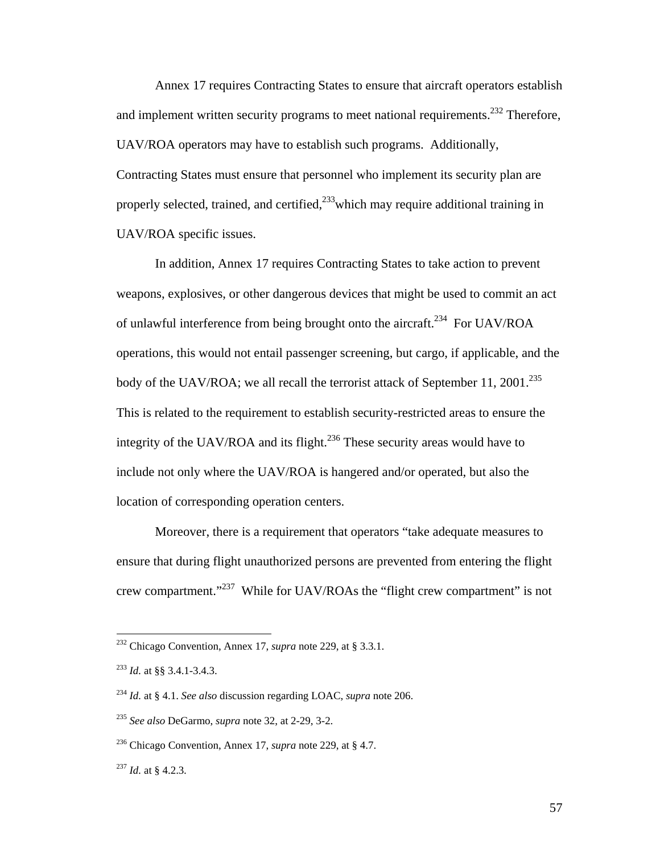Annex 17 requires Contracting States to ensure that aircraft operators establish and implement written security programs to meet national requirements.<sup>232</sup> Therefore, UAV/ROA operators may have to establish such programs. Additionally, Contracting States must ensure that personnel who implement its security plan are properly selected, trained, and certified,<sup>233</sup>which may require additional training in UAV/ROA specific issues.

 In addition, Annex 17 requires Contracting States to take action to prevent weapons, explosives, or other dangerous devices that might be used to commit an act of unlawful interference from being brought onto the aircraft.<sup>234</sup> For UAV/ROA operations, this would not entail passenger screening, but cargo, if applicable, and the body of the UAV/ROA; we all recall the terrorist attack of September 11, 2001.<sup>235</sup> This is related to the requirement to establish security-restricted areas to ensure the integrity of the UAV/ROA and its flight.<sup>236</sup> These security areas would have to include not only where the UAV/ROA is hangered and/or operated, but also the location of corresponding operation centers.

 Moreover, there is a requirement that operators "take adequate measures to ensure that during flight unauthorized persons are prevented from entering the flight crew compartment."237 While for UAV/ROAs the "flight crew compartment" is not

1

<sup>232</sup> Chicago Convention, Annex 17, *supra* note 229, at § 3.3.1.

<sup>233</sup> *Id.* at §§ 3.4.1-3.4.3.

<sup>234</sup> *Id.* at § 4.1. *See also* discussion regarding LOAC, *supra* note 206.

<sup>235</sup> *See also* DeGarmo, *supra* note 32, at 2-29, 3-2.

<sup>236</sup> Chicago Convention, Annex 17, *supra* note 229, at § 4.7.

<sup>237</sup> *Id.* at § 4.2.3*.*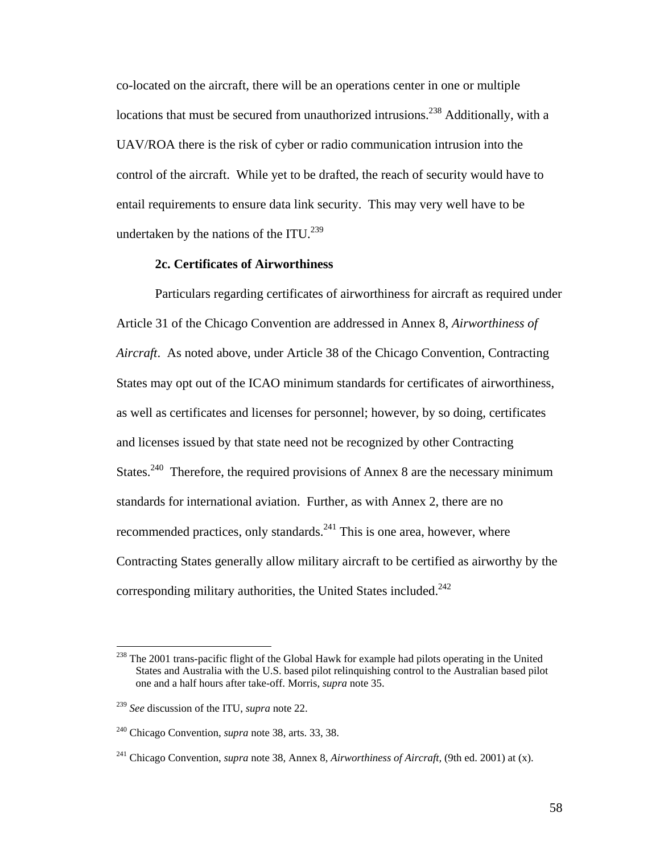co-located on the aircraft, there will be an operations center in one or multiple locations that must be secured from unauthorized intrusions.<sup>238</sup> Additionally, with a UAV/ROA there is the risk of cyber or radio communication intrusion into the control of the aircraft. While yet to be drafted, the reach of security would have to entail requirements to ensure data link security. This may very well have to be undertaken by the nations of the ITU.<sup>239</sup>

## **2c. Certificates of Airworthiness**

 Particulars regarding certificates of airworthiness for aircraft as required under Article 31 of the Chicago Convention are addressed in Annex 8, *Airworthiness of Aircraft*. As noted above, under Article 38 of the Chicago Convention, Contracting States may opt out of the ICAO minimum standards for certificates of airworthiness, as well as certificates and licenses for personnel; however, by so doing, certificates and licenses issued by that state need not be recognized by other Contracting States.<sup>240</sup> Therefore, the required provisions of Annex 8 are the necessary minimum standards for international aviation. Further, as with Annex 2, there are no recommended practices, only standards. $^{241}$  This is one area, however, where Contracting States generally allow military aircraft to be certified as airworthy by the corresponding military authorities, the United States included.<sup>242</sup>

<sup>&</sup>lt;sup>238</sup> The 2001 trans-pacific flight of the Global Hawk for example had pilots operating in the United States and Australia with the U.S. based pilot relinquishing control to the Australian based pilot one and a half hours after take-off. Morris, *supra* note 35.

<sup>239</sup> *See* discussion of the ITU, *supra* note 22.

<sup>240</sup> Chicago Convention, *supra* note 38, arts. 33, 38.

<sup>241</sup> Chicago Convention, *supra* note 38, Annex 8, *Airworthiness of Aircraft,* (9th ed. 2001) at (x).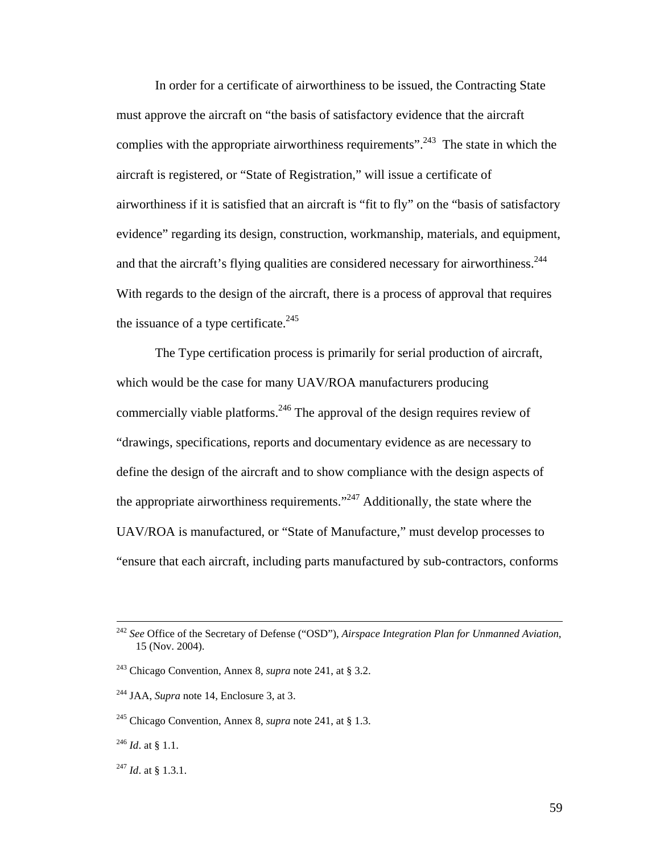In order for a certificate of airworthiness to be issued, the Contracting State must approve the aircraft on "the basis of satisfactory evidence that the aircraft complies with the appropriate airworthiness requirements".<sup>243</sup> The state in which the aircraft is registered, or "State of Registration," will issue a certificate of airworthiness if it is satisfied that an aircraft is "fit to fly" on the "basis of satisfactory evidence" regarding its design, construction, workmanship, materials, and equipment, and that the aircraft's flying qualities are considered necessary for airworthiness.<sup>244</sup> With regards to the design of the aircraft, there is a process of approval that requires the issuance of a type certificate.<sup>245</sup>

 The Type certification process is primarily for serial production of aircraft, which would be the case for many UAV/ROA manufacturers producing commercially viable platforms.<sup>246</sup> The approval of the design requires review of "drawings, specifications, reports and documentary evidence as are necessary to define the design of the aircraft and to show compliance with the design aspects of the appropriate airworthiness requirements. $1247$  Additionally, the state where the UAV/ROA is manufactured, or "State of Manufacture," must develop processes to "ensure that each aircraft, including parts manufactured by sub-contractors, conforms

 <sup>242</sup> *See* Office of the Secretary of Defense ("OSD"), *Airspace Integration Plan for Unmanned Aviation*, 15 (Nov. 2004).

<sup>243</sup> Chicago Convention, Annex 8, *supra* note 241, at § 3.2.

<sup>&</sup>lt;sup>244</sup> JAA, *Supra* note 14, Enclosure 3, at 3.

<sup>245</sup> Chicago Convention, Annex 8, *supra* note 241, at § 1.3.

 $^{246}$  *Id.* at § 1.1.

<sup>247</sup> *Id*. at § 1.3.1.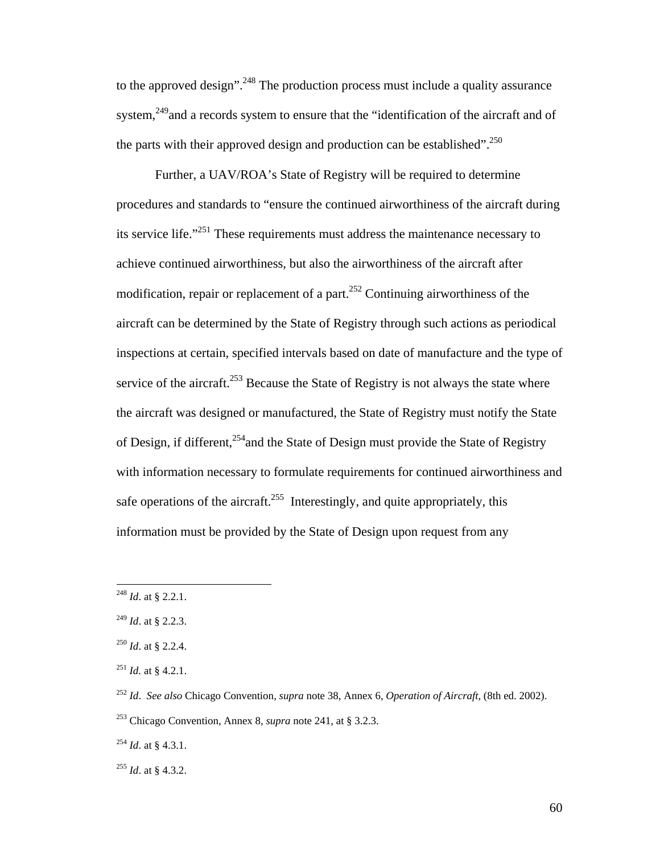to the approved design".<sup>248</sup> The production process must include a quality assurance system,<sup>249</sup> and a records system to ensure that the "identification of the aircraft and of the parts with their approved design and production can be established".<sup>250</sup>

 Further, a UAV/ROA's State of Registry will be required to determine procedures and standards to "ensure the continued airworthiness of the aircraft during its service life."251 These requirements must address the maintenance necessary to achieve continued airworthiness, but also the airworthiness of the aircraft after modification, repair or replacement of a part.<sup>252</sup> Continuing airworthiness of the aircraft can be determined by the State of Registry through such actions as periodical inspections at certain, specified intervals based on date of manufacture and the type of service of the aircraft.<sup>253</sup> Because the State of Registry is not always the state where the aircraft was designed or manufactured, the State of Registry must notify the State of Design, if different,<sup>254</sup> and the State of Design must provide the State of Registry with information necessary to formulate requirements for continued airworthiness and safe operations of the aircraft.<sup>255</sup> Interestingly, and quite appropriately, this information must be provided by the State of Design upon request from any

<sup>248</sup> *Id*. at § 2.2.1.

<sup>249</sup> *Id*. at § 2.2.3.

<sup>250</sup> *Id*. at § 2.2.4.

<sup>251</sup> *Id.* at § 4.2.1.

<sup>252</sup> *Id*. *See also* Chicago Convention, *supra* note 38, Annex 6, *Operation of Aircraft,* (8th ed. 2002).

<sup>253</sup> Chicago Convention, Annex 8, *supra* note 241, at § 3.2.3.

<sup>254</sup> *Id*. at § 4.3.1.

<sup>255</sup> *Id*. at § 4.3.2.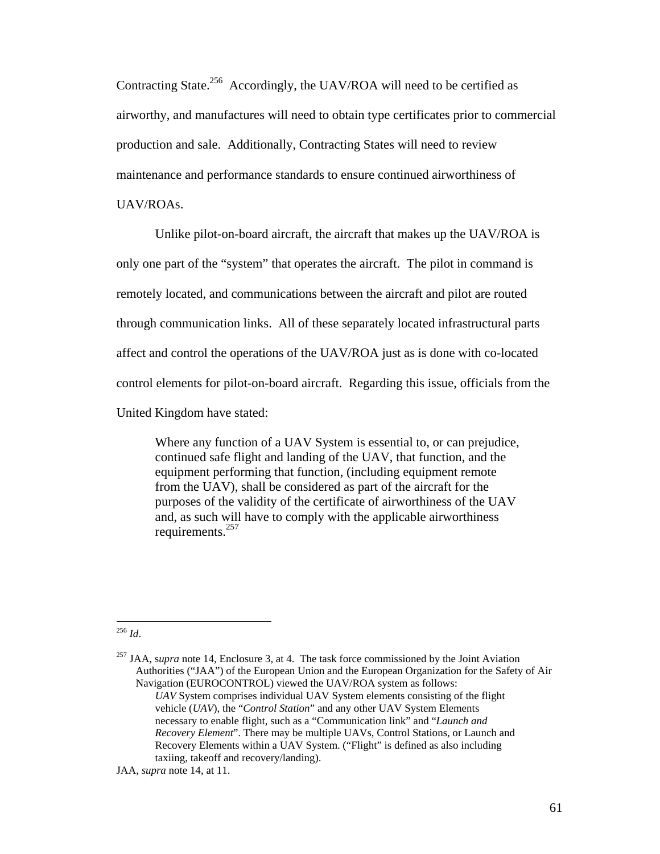Contracting State.<sup>256</sup> Accordingly, the UAV/ROA will need to be certified as airworthy, and manufactures will need to obtain type certificates prior to commercial production and sale. Additionally, Contracting States will need to review maintenance and performance standards to ensure continued airworthiness of UAV/ROAs.

 Unlike pilot-on-board aircraft, the aircraft that makes up the UAV/ROA is only one part of the "system" that operates the aircraft. The pilot in command is remotely located, and communications between the aircraft and pilot are routed through communication links. All of these separately located infrastructural parts affect and control the operations of the UAV/ROA just as is done with co-located control elements for pilot-on-board aircraft. Regarding this issue, officials from the United Kingdom have stated:

Where any function of a UAV System is essential to, or can prejudice, continued safe flight and landing of the UAV, that function, and the equipment performing that function, (including equipment remote from the UAV), shall be considered as part of the aircraft for the purposes of the validity of the certificate of airworthiness of the UAV and, as such will have to comply with the applicable airworthiness requirements.257

1 <sup>256</sup> *Id*.

257 JAA, s*upra* note 14, Enclosure 3, at 4. The task force commissioned by the Joint Aviation Authorities ("JAA") of the European Union and the European Organization for the Safety of Air Navigation (EUROCONTROL) viewed the UAV/ROA system as follows: *UAV* System comprises individual UAV System elements consisting of the flight vehicle (*UAV*), the "*Control Station*" and any other UAV System Elements necessary to enable flight, such as a "Communication link" and "*Launch and Recovery Element*". There may be multiple UAVs, Control Stations, or Launch and Recovery Elements within a UAV System. ("Flight" is defined as also including taxiing, takeoff and recovery/landing).

JAA, *supra* note 14, at 11.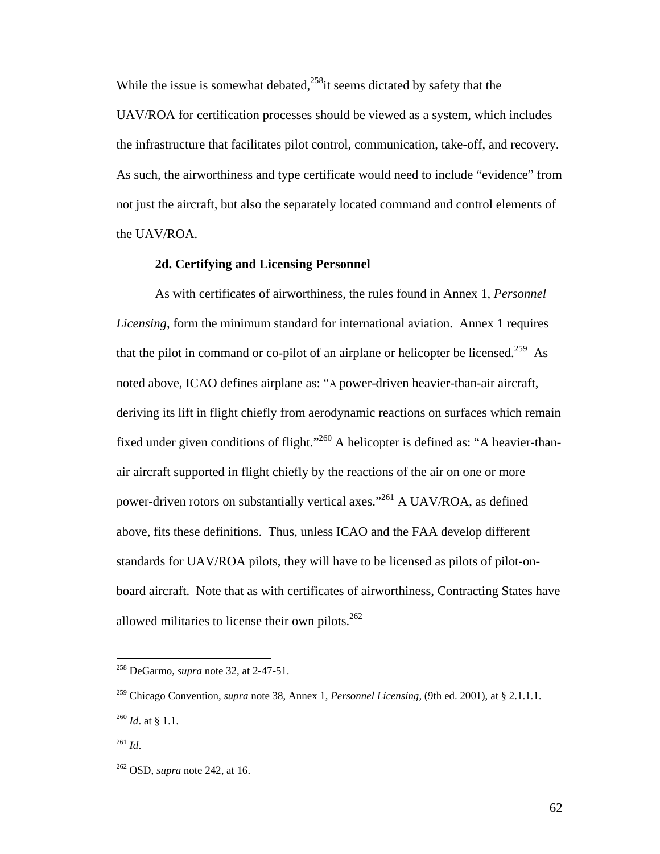While the issue is somewhat debated, $258$ <sup>it</sup> seems dictated by safety that the UAV/ROA for certification processes should be viewed as a system, which includes the infrastructure that facilitates pilot control, communication, take-off, and recovery. As such, the airworthiness and type certificate would need to include "evidence" from not just the aircraft, but also the separately located command and control elements of the UAV/ROA.

#### **2d. Certifying and Licensing Personnel**

 As with certificates of airworthiness, the rules found in Annex 1, *Personnel Licensing*, form the minimum standard for international aviation. Annex 1 requires that the pilot in command or co-pilot of an airplane or helicopter be licensed.<sup>259</sup> As noted above, ICAO defines airplane as: "A power-driven heavier-than-air aircraft, deriving its lift in flight chiefly from aerodynamic reactions on surfaces which remain fixed under given conditions of flight."<sup>260</sup> A helicopter is defined as: "A heavier-thanair aircraft supported in flight chiefly by the reactions of the air on one or more power-driven rotors on substantially vertical axes."<sup>261</sup> A UAV/ROA, as defined above, fits these definitions. Thus, unless ICAO and the FAA develop different standards for UAV/ROA pilots, they will have to be licensed as pilots of pilot-onboard aircraft. Note that as with certificates of airworthiness, Contracting States have allowed militaries to license their own pilots. $262$ 

1

<sup>258</sup> DeGarmo, *supra* note 32, at 2-47-51.

<sup>259</sup> Chicago Convention, *supra* note 38, Annex 1, *Personnel Licensing,* (9th ed. 2001), at § 2.1.1.1. <sup>260</sup> *Id*. at § 1.1.

 $^{261}$  *Id.* 

<sup>262</sup> OSD, *supra* note 242, at 16.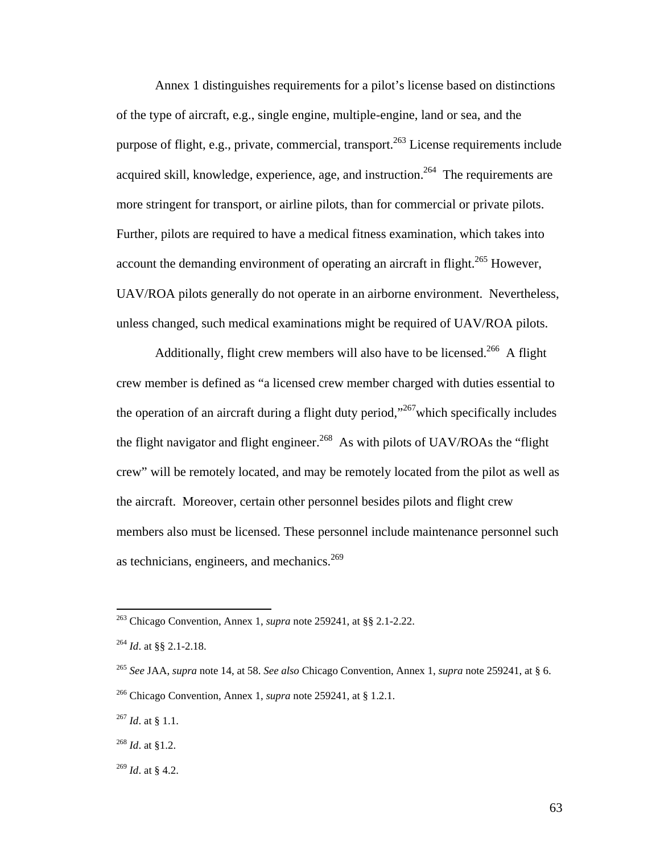Annex 1 distinguishes requirements for a pilot's license based on distinctions of the type of aircraft, e.g., single engine, multiple-engine, land or sea, and the purpose of flight, e.g., private, commercial, transport.<sup>263</sup> License requirements include acquired skill, knowledge, experience, age, and instruction.<sup>264</sup> The requirements are more stringent for transport, or airline pilots, than for commercial or private pilots. Further, pilots are required to have a medical fitness examination, which takes into account the demanding environment of operating an aircraft in flight.<sup>265</sup> However, UAV/ROA pilots generally do not operate in an airborne environment. Nevertheless, unless changed, such medical examinations might be required of UAV/ROA pilots.

Additionally, flight crew members will also have to be licensed.<sup>266</sup> A flight crew member is defined as "a licensed crew member charged with duties essential to the operation of an aircraft during a flight duty period,"<sup>267</sup>which specifically includes the flight navigator and flight engineer.<sup>268</sup> As with pilots of UAV/ROAs the "flight" crew" will be remotely located, and may be remotely located from the pilot as well as the aircraft. Moreover, certain other personnel besides pilots and flight crew members also must be licensed. These personnel include maintenance personnel such as technicians, engineers, and mechanics.<sup>269</sup>

<sup>263</sup> Chicago Convention, Annex 1, *supra* note 259241, at §§ 2.1-2.22.

<sup>264</sup> *Id*. at §§ 2.1-2.18.

<sup>265</sup> *See* JAA, *supra* note 14, at 58. *See also* Chicago Convention, Annex 1, *supra* note 259241, at § 6.

<sup>266</sup> Chicago Convention, Annex 1, *supra* note 259241, at § 1.2.1.

<sup>267</sup> *Id*. at § 1.1.

<sup>268</sup> *Id*. at §1.2.

<sup>269</sup> *Id*. at § 4.2.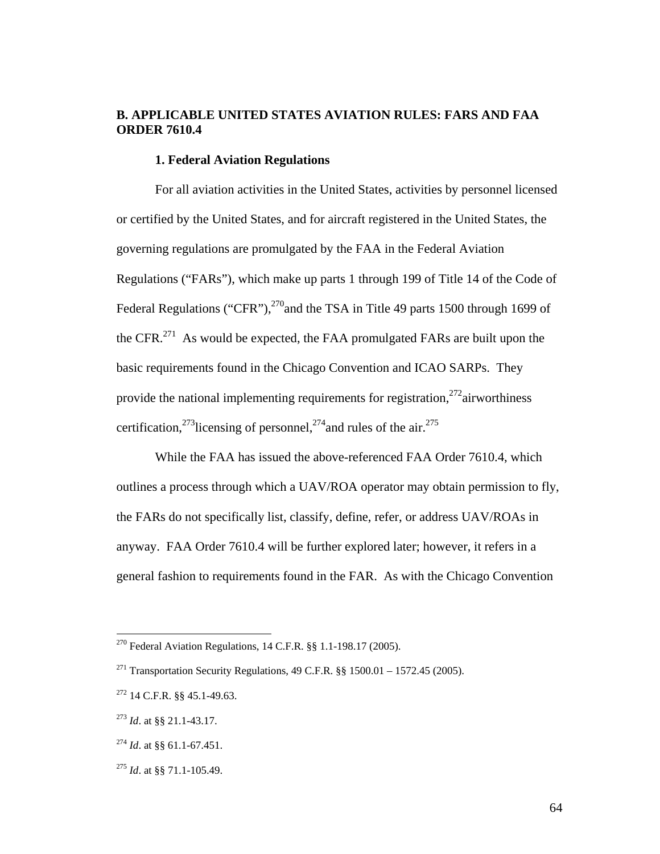## **B. APPLICABLE UNITED STATES AVIATION RULES: FARS AND FAA ORDER 7610.4**

## **1. Federal Aviation Regulations**

 For all aviation activities in the United States, activities by personnel licensed or certified by the United States, and for aircraft registered in the United States, the governing regulations are promulgated by the FAA in the Federal Aviation Regulations ("FARs"), which make up parts 1 through 199 of Title 14 of the Code of Federal Regulations ("CFR"), $^{270}$  and the TSA in Title 49 parts 1500 through 1699 of the CFR.<sup>271</sup> As would be expected, the FAA promulgated FARs are built upon the basic requirements found in the Chicago Convention and ICAO SARPs. They provide the national implementing requirements for registration,  $272$  airworthiness certification,<sup>273</sup>licensing of personnel,<sup>274</sup> and rules of the air.<sup>275</sup>

 While the FAA has issued the above-referenced FAA Order 7610.4, which outlines a process through which a UAV/ROA operator may obtain permission to fly, the FARs do not specifically list, classify, define, refer, or address UAV/ROAs in anyway. FAA Order 7610.4 will be further explored later; however, it refers in a general fashion to requirements found in the FAR. As with the Chicago Convention

<sup>&</sup>lt;sup>270</sup> Federal Aviation Regulations, 14 C.F.R.  $\S$ § 1.1-198.17 (2005).

<sup>&</sup>lt;sup>271</sup> Transportation Security Regulations, 49 C.F.R.  $\S$  1500.01 – 1572.45 (2005).

<sup>272 14</sup> C.F.R. §§ 45.1-49.63.

<sup>273</sup> *Id*. at §§ 21.1-43.17.

<sup>274</sup> *Id*. at §§ 61.1-67.451.

<sup>275</sup> *Id*. at §§ 71.1-105.49.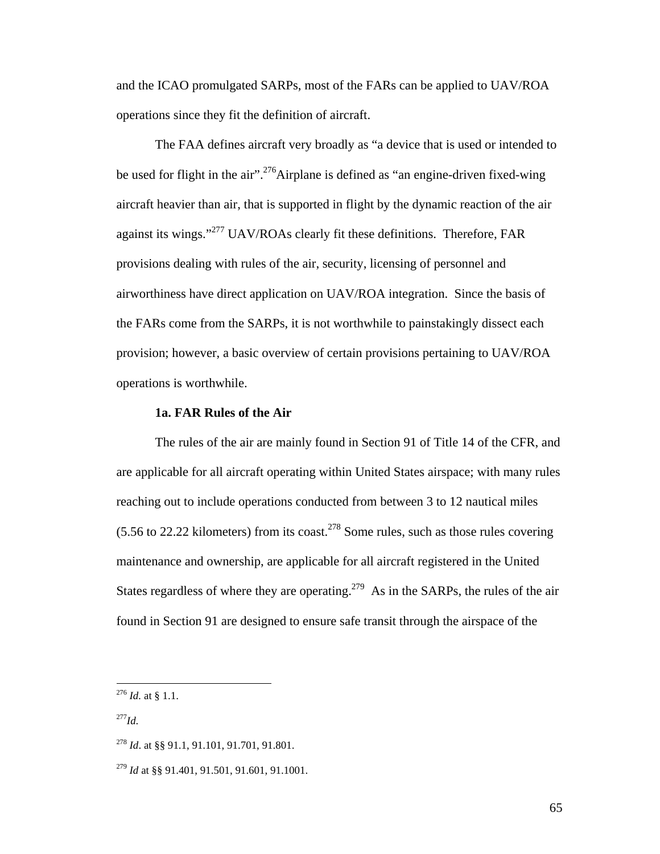and the ICAO promulgated SARPs, most of the FARs can be applied to UAV/ROA operations since they fit the definition of aircraft.

 The FAA defines aircraft very broadly as "a device that is used or intended to be used for flight in the air".<sup>276</sup>Airplane is defined as "an engine-driven fixed-wing aircraft heavier than air, that is supported in flight by the dynamic reaction of the air against its wings."277 UAV/ROAs clearly fit these definitions. Therefore, FAR provisions dealing with rules of the air, security, licensing of personnel and airworthiness have direct application on UAV/ROA integration. Since the basis of the FARs come from the SARPs, it is not worthwhile to painstakingly dissect each provision; however, a basic overview of certain provisions pertaining to UAV/ROA operations is worthwhile.

### **1a. FAR Rules of the Air**

 The rules of the air are mainly found in Section 91 of Title 14 of the CFR, and are applicable for all aircraft operating within United States airspace; with many rules reaching out to include operations conducted from between 3 to 12 nautical miles  $(5.56 \text{ to } 22.22 \text{ kilometers})$  from its coast.<sup>278</sup> Some rules, such as those rules covering maintenance and ownership, are applicable for all aircraft registered in the United States regardless of where they are operating.<sup>279</sup> As in the SARPs, the rules of the air found in Section 91 are designed to ensure safe transit through the airspace of the

 $^{277}$ *Id.* 

<sup>276</sup> *Id.* at § 1.1.

<sup>278</sup> *Id*. at §§ 91.1, 91.101, 91.701, 91.801.

<sup>279</sup> *Id* at §§ 91.401, 91.501, 91.601, 91.1001.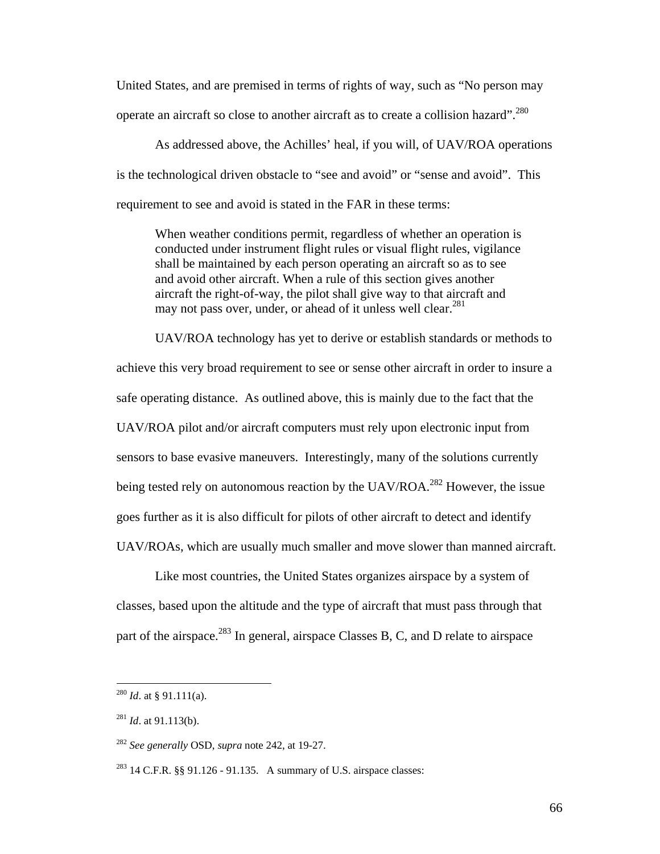United States, and are premised in terms of rights of way, such as "No person may operate an aircraft so close to another aircraft as to create a collision hazard".<sup>280</sup>

 As addressed above, the Achilles' heal, if you will, of UAV/ROA operations is the technological driven obstacle to "see and avoid" or "sense and avoid". This requirement to see and avoid is stated in the FAR in these terms:

When weather conditions permit, regardless of whether an operation is conducted under instrument flight rules or visual flight rules, vigilance shall be maintained by each person operating an aircraft so as to see and avoid other aircraft. When a rule of this section gives another aircraft the right-of-way, the pilot shall give way to that aircraft and may not pass over, under, or ahead of it unless well clear.<sup>281</sup>

 UAV/ROA technology has yet to derive or establish standards or methods to achieve this very broad requirement to see or sense other aircraft in order to insure a safe operating distance. As outlined above, this is mainly due to the fact that the UAV/ROA pilot and/or aircraft computers must rely upon electronic input from sensors to base evasive maneuvers. Interestingly, many of the solutions currently being tested rely on autonomous reaction by the  $UAV/ROA<sup>282</sup>$  However, the issue goes further as it is also difficult for pilots of other aircraft to detect and identify UAV/ROAs, which are usually much smaller and move slower than manned aircraft.

 Like most countries, the United States organizes airspace by a system of classes, based upon the altitude and the type of aircraft that must pass through that part of the airspace.<sup>283</sup> In general, airspace Classes B, C, and D relate to airspace

 $^{280}$  *Id.* at § 91.111(a).

 $^{281}$  *Id.* at 91.113(b).

<sup>282</sup> *See generally* OSD, *supra* note 242, at 19-27.

<sup>&</sup>lt;sup>283</sup> 14 C.F.R. §§ 91.126 - 91.135. A summary of U.S. airspace classes: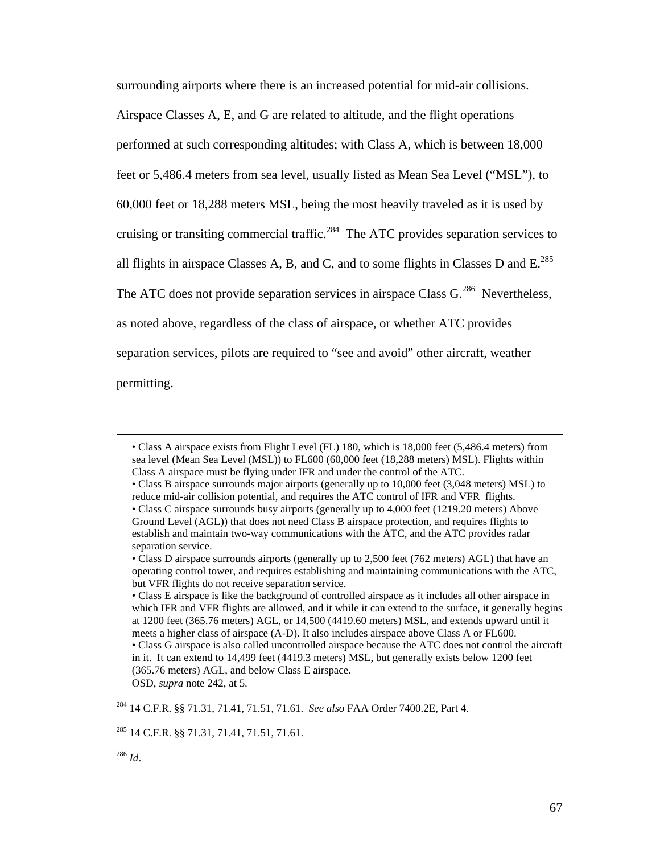surrounding airports where there is an increased potential for mid-air collisions. Airspace Classes A, E, and G are related to altitude, and the flight operations performed at such corresponding altitudes; with Class A, which is between 18,000 feet or 5,486.4 meters from sea level, usually listed as Mean Sea Level ("MSL"), to 60,000 feet or 18,288 meters MSL, being the most heavily traveled as it is used by cruising or transiting commercial traffic.<sup>284</sup> The ATC provides separation services to all flights in airspace Classes A, B, and C, and to some flights in Classes D and  $E^{285}$ The ATC does not provide separation services in airspace Class  $G<sup>286</sup>$  Nevertheless, as noted above, regardless of the class of airspace, or whether ATC provides separation services, pilots are required to "see and avoid" other aircraft, weather permitting.

 <sup>•</sup> Class A airspace exists from Flight Level (FL) 180, which is 18,000 feet (5,486.4 meters) from sea level (Mean Sea Level (MSL)) to FL600 (60,000 feet (18,288 meters) MSL). Flights within Class A airspace must be flying under IFR and under the control of the ATC.

<sup>•</sup> Class B airspace surrounds major airports (generally up to 10,000 feet (3,048 meters) MSL) to reduce mid-air collision potential, and requires the ATC control of IFR and VFR flights.

<sup>•</sup> Class C airspace surrounds busy airports (generally up to 4,000 feet (1219.20 meters) Above Ground Level (AGL)) that does not need Class B airspace protection, and requires flights to establish and maintain two-way communications with the ATC, and the ATC provides radar separation service.

<sup>•</sup> Class D airspace surrounds airports (generally up to 2,500 feet (762 meters) AGL) that have an operating control tower, and requires establishing and maintaining communications with the ATC, but VFR flights do not receive separation service.

<sup>•</sup> Class E airspace is like the background of controlled airspace as it includes all other airspace in which IFR and VFR flights are allowed, and it while it can extend to the surface, it generally begins at 1200 feet (365.76 meters) AGL, or 14,500 (4419.60 meters) MSL, and extends upward until it meets a higher class of airspace (A-D). It also includes airspace above Class A or FL600. • Class G airspace is also called uncontrolled airspace because the ATC does not control the aircraft in it. It can extend to 14,499 feet (4419.3 meters) MSL, but generally exists below 1200 feet (365.76 meters) AGL, and below Class E airspace.

ΟSD, *supra* note 242, at 5.

<sup>284 14</sup> C.F.R. §§ 71.31, 71.41, 71.51, 71.61. *See also* FAA Order 7400.2E, Part 4.

<sup>285 14</sup> C.F.R. §§ 71.31, 71.41, 71.51, 71.61.

<sup>286</sup> *Id*.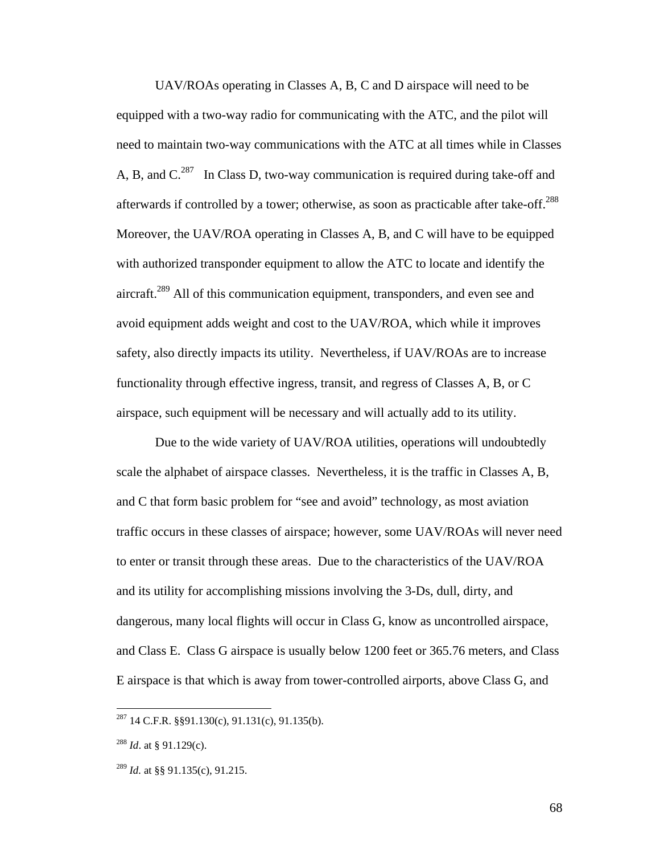UAV/ROAs operating in Classes A, B, C and D airspace will need to be equipped with a two-way radio for communicating with the ATC, and the pilot will need to maintain two-way communications with the ATC at all times while in Classes A, B, and  $C^{287}$  In Class D, two-way communication is required during take-off and afterwards if controlled by a tower; otherwise, as soon as practicable after take-off.<sup>288</sup> Moreover, the UAV/ROA operating in Classes A, B, and C will have to be equipped with authorized transponder equipment to allow the ATC to locate and identify the aircraft.<sup>289</sup> All of this communication equipment, transponders, and even see and avoid equipment adds weight and cost to the UAV/ROA, which while it improves safety, also directly impacts its utility. Nevertheless, if UAV/ROAs are to increase functionality through effective ingress, transit, and regress of Classes A, B, or C airspace, such equipment will be necessary and will actually add to its utility.

 Due to the wide variety of UAV/ROA utilities, operations will undoubtedly scale the alphabet of airspace classes. Nevertheless, it is the traffic in Classes A, B, and C that form basic problem for "see and avoid" technology, as most aviation traffic occurs in these classes of airspace; however, some UAV/ROAs will never need to enter or transit through these areas. Due to the characteristics of the UAV/ROA and its utility for accomplishing missions involving the 3-Ds, dull, dirty, and dangerous, many local flights will occur in Class G, know as uncontrolled airspace, and Class E. Class G airspace is usually below 1200 feet or 365.76 meters, and Class E airspace is that which is away from tower-controlled airports, above Class G, and

 $\overline{a}$ 

68

 $^{287}$  14 C.F.R. §§91.130(c), 91.131(c), 91.135(b).

<sup>288</sup> *Id*. at § 91.129(c).

<sup>289</sup> *Id.* at §§ 91.135(c), 91.215.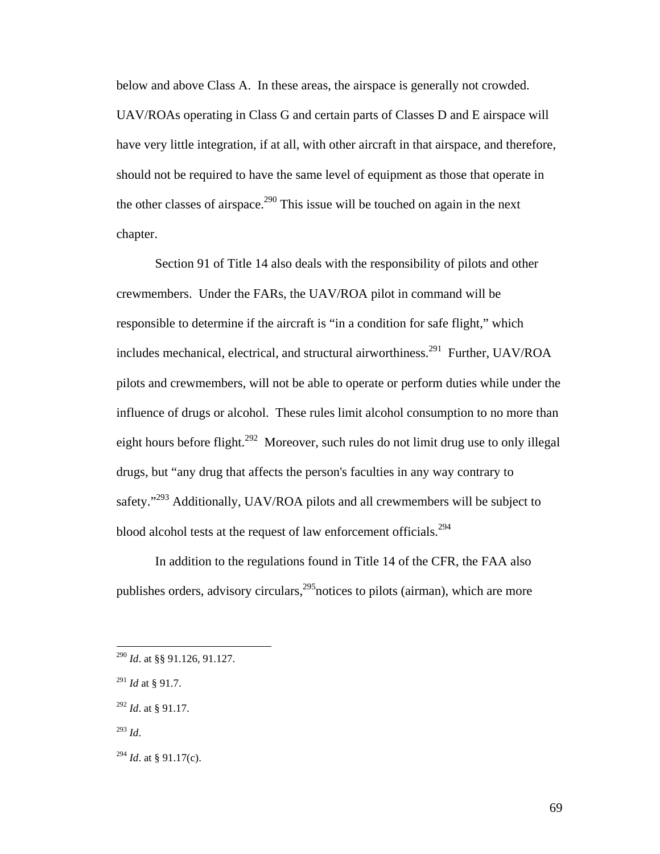below and above Class A. In these areas, the airspace is generally not crowded. UAV/ROAs operating in Class G and certain parts of Classes D and E airspace will have very little integration, if at all, with other aircraft in that airspace, and therefore, should not be required to have the same level of equipment as those that operate in the other classes of airspace.<sup>290</sup> This issue will be touched on again in the next chapter.

 Section 91 of Title 14 also deals with the responsibility of pilots and other crewmembers. Under the FARs, the UAV/ROA pilot in command will be responsible to determine if the aircraft is "in a condition for safe flight," which includes mechanical, electrical, and structural airworthiness.<sup>291</sup> Further, UAV/ROA pilots and crewmembers, will not be able to operate or perform duties while under the influence of drugs or alcohol. These rules limit alcohol consumption to no more than eight hours before flight.<sup>292</sup> Moreover, such rules do not limit drug use to only illegal drugs, but "any drug that affects the person's faculties in any way contrary to safety."<sup>293</sup> Additionally, UAV/ROA pilots and all crewmembers will be subject to blood alcohol tests at the request of law enforcement officials.<sup>294</sup>

 In addition to the regulations found in Title 14 of the CFR, the FAA also publishes orders, advisory circulars,  $295$  notices to pilots (airman), which are more

1

<sup>290</sup> *Id*. at §§ 91.126, 91.127.

<sup>291</sup> *Id* at § 91.7.

<sup>292</sup> *Id*. at § 91.17.

<sup>293</sup> *Id*.

<sup>294</sup> *Id*. at § 91.17(c).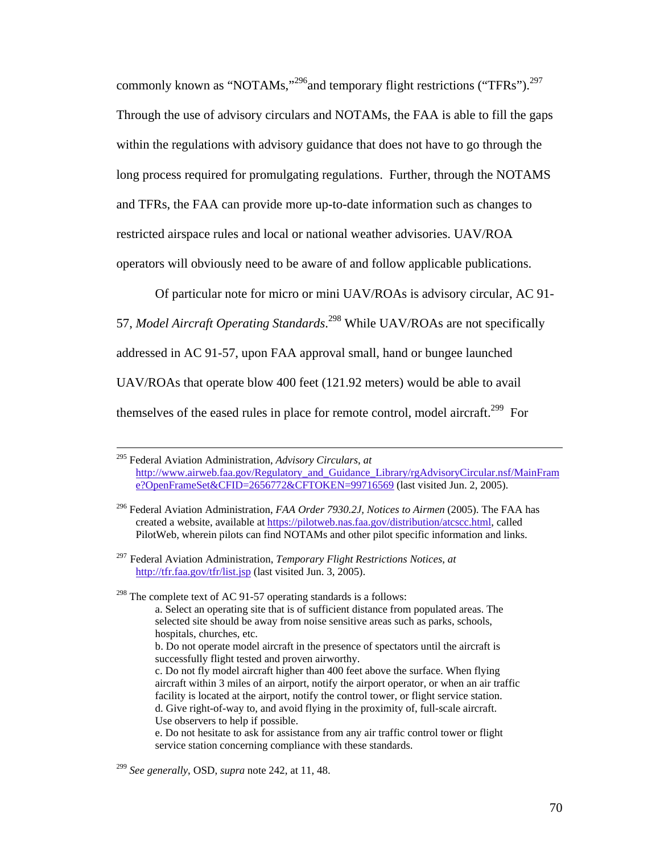commonly known as "NOTAMs,"<sup>296</sup>and temporary flight restrictions ("TFRs").<sup>297</sup> Through the use of advisory circulars and NOTAMs, the FAA is able to fill the gaps within the regulations with advisory guidance that does not have to go through the long process required for promulgating regulations. Further, through the NOTAMS and TFRs, the FAA can provide more up-to-date information such as changes to restricted airspace rules and local or national weather advisories. UAV/ROA operators will obviously need to be aware of and follow applicable publications.

Of particular note for micro or mini UAV/ROAs is advisory circular, AC 91-

57, *Model Aircraft Operating Standards*. 298 While UAV/ROAs are not specifically

addressed in AC 91-57, upon FAA approval small, hand or bungee launched

UAV/ROAs that operate blow 400 feet (121.92 meters) would be able to avail

themselves of the eased rules in place for remote control, model aircraft.<sup>299</sup> For

 <sup>295</sup> Federal Aviation Administration, *Advisory Circulars*, *at* http://www.airweb.faa.gov/Regulatory\_and\_Guidance\_Library/rgAdvisoryCircular.nsf/MainFram e?OpenFrameSet&CFID=2656772&CFTOKEN=99716569 (last visited Jun. 2, 2005).

<sup>296</sup> Federal Aviation Administration, *FAA Order 7930.2J, Notices to Airmen* (2005). The FAA has created a website, available at https://pilotweb.nas.faa.gov/distribution/atcscc.html, called PilotWeb, wherein pilots can find NOTAMs and other pilot specific information and links.

<sup>297</sup> Federal Aviation Administration, *Temporary Flight Restrictions Notices*, *at* http://tfr.faa.gov/tfr/list.jsp (last visited Jun. 3, 2005).

 $298$  The complete text of AC 91-57 operating standards is a follows:

a. Select an operating site that is of sufficient distance from populated areas. The selected site should be away from noise sensitive areas such as parks, schools, hospitals, churches, etc.

b. Do not operate model aircraft in the presence of spectators until the aircraft is successfully flight tested and proven airworthy.

c. Do not fly model aircraft higher than 400 feet above the surface. When flying aircraft within 3 miles of an airport, notify the airport operator, or when an air traffic facility is located at the airport, notify the control tower, or flight service station. d. Give right-of-way to, and avoid flying in the proximity of, full-scale aircraft. Use observers to help if possible.

e. Do not hesitate to ask for assistance from any air traffic control tower or flight service station concerning compliance with these standards.

<sup>299</sup> *See generally*, OSD, *supra* note 242, at 11, 48.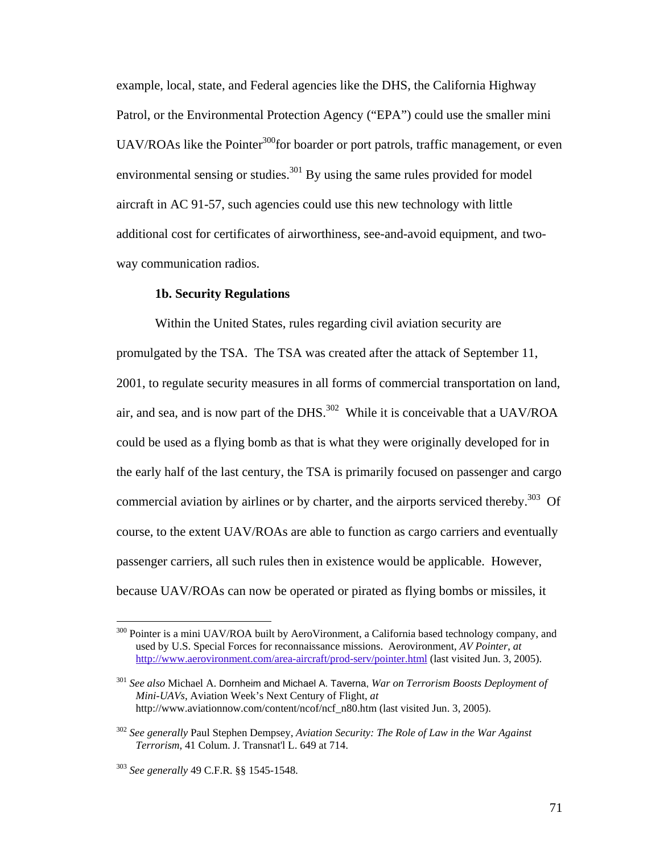example, local, state, and Federal agencies like the DHS, the California Highway Patrol, or the Environmental Protection Agency ("EPA") could use the smaller mini UAV/ROAs like the Pointer<sup>300</sup> for boarder or port patrols, traffic management, or even environmental sensing or studies.<sup>301</sup> By using the same rules provided for model aircraft in AC 91-57, such agencies could use this new technology with little additional cost for certificates of airworthiness, see-and-avoid equipment, and twoway communication radios.

#### **1b. Security Regulations**

 Within the United States, rules regarding civil aviation security are promulgated by the TSA. The TSA was created after the attack of September 11, 2001, to regulate security measures in all forms of commercial transportation on land, air, and sea, and is now part of the DHS. $^{302}$  While it is conceivable that a UAV/ROA could be used as a flying bomb as that is what they were originally developed for in the early half of the last century, the TSA is primarily focused on passenger and cargo commercial aviation by airlines or by charter, and the airports serviced thereby.<sup>303</sup> Of course, to the extent UAV/ROAs are able to function as cargo carriers and eventually passenger carriers, all such rules then in existence would be applicable. However, because UAV/ROAs can now be operated or pirated as flying bombs or missiles, it

1

<sup>&</sup>lt;sup>300</sup> Pointer is a mini UAV/ROA built by AeroVironment, a California based technology company, and used by U.S. Special Forces for reconnaissance missions. Aerovironment, *AV Pointer*, *at*  http://www.aerovironment.com/area-aircraft/prod-serv/pointer.html (last visited Jun. 3, 2005).

<sup>301</sup> *See also* Michael A. Dornheim and Michael A. Taverna, *War on Terrorism Boosts Deployment of Mini-UAVs*, Aviation Week's Next Century of Flight, *at* http://www.aviationnow.com/content/ncof/ncf\_n80.htm (last visited Jun. 3, 2005).

<sup>302</sup> *See generally* Paul Stephen Dempsey, *Aviation Security: The Role of Law in the War Against Terrorism*, 41 Colum. J. Transnat'l L. 649 at 714.

<sup>303</sup> *See generally* 49 C.F.R. §§ 1545-1548.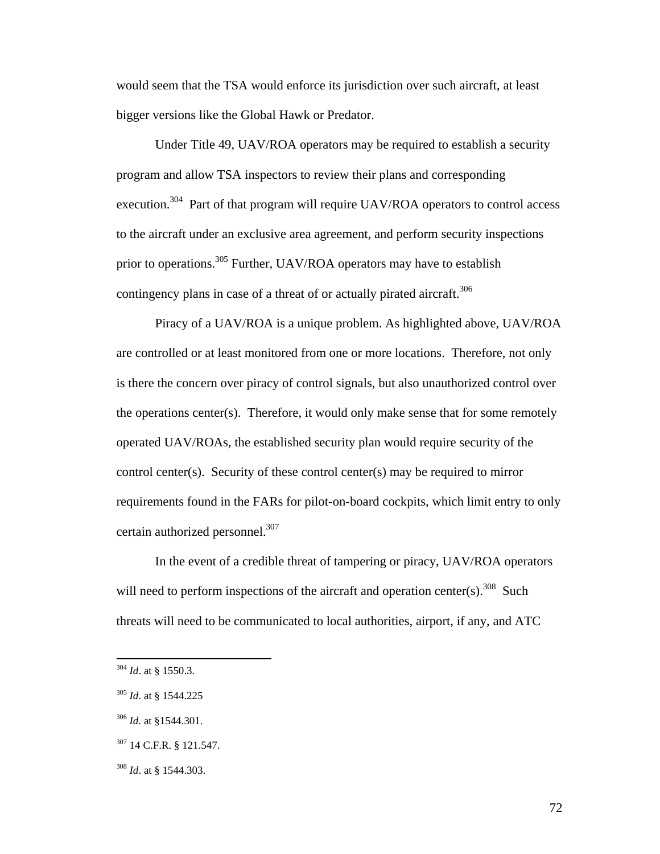would seem that the TSA would enforce its jurisdiction over such aircraft, at least bigger versions like the Global Hawk or Predator.

 Under Title 49, UAV/ROA operators may be required to establish a security program and allow TSA inspectors to review their plans and corresponding execution.<sup>304</sup> Part of that program will require UAV/ROA operators to control access to the aircraft under an exclusive area agreement, and perform security inspections prior to operations.<sup>305</sup> Further, UAV/ROA operators may have to establish contingency plans in case of a threat of or actually pirated aircraft.<sup>306</sup>

 Piracy of a UAV/ROA is a unique problem. As highlighted above, UAV/ROA are controlled or at least monitored from one or more locations. Therefore, not only is there the concern over piracy of control signals, but also unauthorized control over the operations center(s). Therefore, it would only make sense that for some remotely operated UAV/ROAs, the established security plan would require security of the control center(s). Security of these control center(s) may be required to mirror requirements found in the FARs for pilot-on-board cockpits, which limit entry to only certain authorized personnel.<sup>307</sup>

 In the event of a credible threat of tampering or piracy, UAV/ROA operators will need to perform inspections of the aircraft and operation center(s).<sup>308</sup> Such threats will need to be communicated to local authorities, airport, if any, and ATC

<sup>304</sup> *Id*. at § 1550.3.

<sup>305</sup> *Id*. at § 1544.225

<sup>306</sup> *Id.* at §1544.301.

<sup>307 14</sup> C.F.R. § 121.547.

<sup>308</sup> *Id*. at § 1544.303.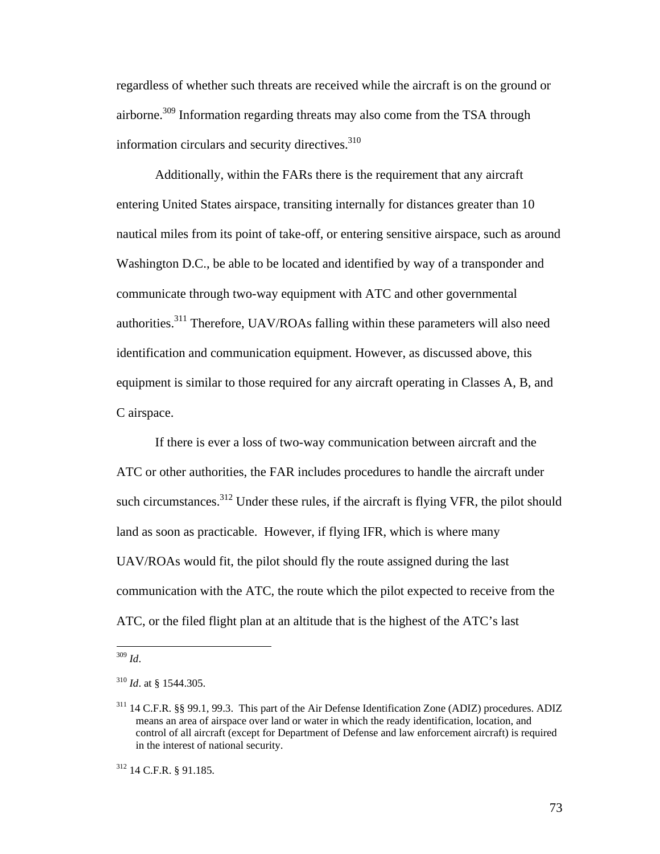regardless of whether such threats are received while the aircraft is on the ground or airborne.<sup>309</sup> Information regarding threats may also come from the TSA through information circulars and security directives.<sup>310</sup>

 Additionally, within the FARs there is the requirement that any aircraft entering United States airspace, transiting internally for distances greater than 10 nautical miles from its point of take-off, or entering sensitive airspace, such as around Washington D.C., be able to be located and identified by way of a transponder and communicate through two-way equipment with ATC and other governmental authorities.311 Therefore, UAV/ROAs falling within these parameters will also need identification and communication equipment. However, as discussed above, this equipment is similar to those required for any aircraft operating in Classes A, B, and C airspace.

 If there is ever a loss of two-way communication between aircraft and the ATC or other authorities, the FAR includes procedures to handle the aircraft under such circumstances. $312$  Under these rules, if the aircraft is flying VFR, the pilot should land as soon as practicable. However, if flying IFR, which is where many UAV/ROAs would fit, the pilot should fly the route assigned during the last communication with the ATC, the route which the pilot expected to receive from the ATC, or the filed flight plan at an altitude that is the highest of the ATC's last

 $\overline{a}$ <sup>309</sup> *Id*.

<sup>310</sup> *Id*. at § 1544.305.

<sup>311 14</sup> C.F.R. §§ 99.1, 99.3. This part of the Air Defense Identification Zone (ADIZ) procedures. ADIZ means an area of airspace over land or water in which the ready identification, location, and control of all aircraft (except for Department of Defense and law enforcement aircraft) is required in the interest of national security.

<sup>312 14</sup> C.F.R. § 91.185.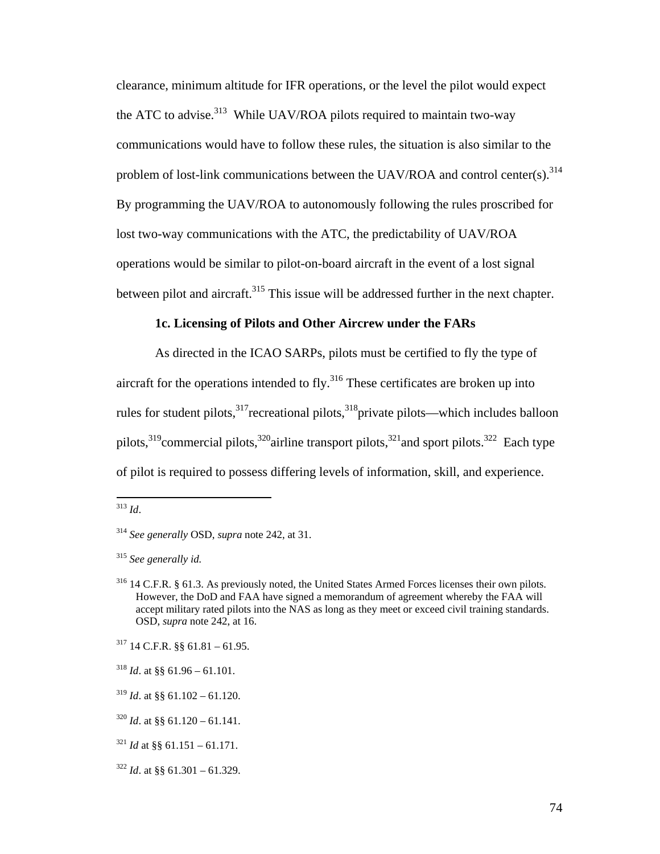clearance, minimum altitude for IFR operations, or the level the pilot would expect the ATC to advise.<sup>313</sup> While UAV/ROA pilots required to maintain two-way communications would have to follow these rules, the situation is also similar to the problem of lost-link communications between the UAV/ROA and control center(s).  $314$ By programming the UAV/ROA to autonomously following the rules proscribed for lost two-way communications with the ATC, the predictability of UAV/ROA operations would be similar to pilot-on-board aircraft in the event of a lost signal between pilot and aircraft.<sup>315</sup> This issue will be addressed further in the next chapter.

## **1c. Licensing of Pilots and Other Aircrew under the FARs**

 As directed in the ICAO SARPs, pilots must be certified to fly the type of aircraft for the operations intended to fly. $316$  These certificates are broken up into rules for student pilots, $317$  recreational pilots, $318$  private pilots—which includes balloon pilots,  $319$ commercial pilots,  $320$ airline transport pilots,  $321$  and sport pilots.  $322$  Each type of pilot is required to possess differing levels of information, skill, and experience.

<sup>313</sup> *Id*.

<sup>314</sup> *See generally* OSD, *supra* note 242, at 31.

<sup>315</sup> *See generally id.*

<sup>316 14</sup> C.F.R. § 61.3. As previously noted, the United States Armed Forces licenses their own pilots. However, the DoD and FAA have signed a memorandum of agreement whereby the FAA will accept military rated pilots into the NAS as long as they meet or exceed civil training standards. OSD, *supra* note 242, at 16.

 $317$  14 C.F.R. §§ 61.81 – 61.95.

 $318$  *Id.* at §§ 61.96 – 61.101.

 $319$  *Id.* at §§ 61.102 – 61.120.

 $320$  *Id.* at §§ 61.120 – 61.141.

 $321$  *Id* at §§ 61.151 – 61.171.

 $322$  *Id.* at §§ 61.301 – 61.329.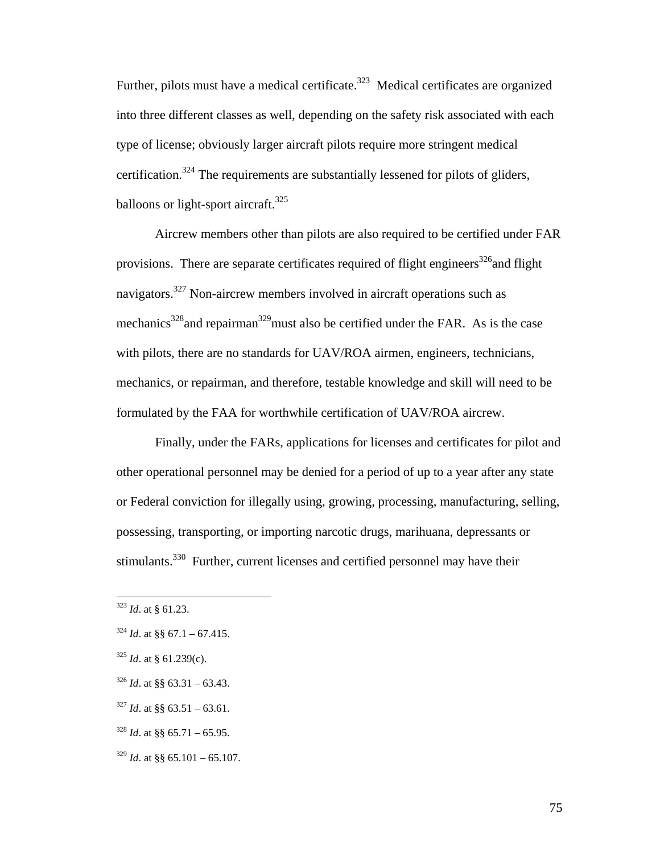Further, pilots must have a medical certificate.<sup>323</sup> Medical certificates are organized into three different classes as well, depending on the safety risk associated with each type of license; obviously larger aircraft pilots require more stringent medical certification.324 The requirements are substantially lessened for pilots of gliders, balloons or light-sport aircraft.<sup>325</sup>

 Aircrew members other than pilots are also required to be certified under FAR provisions. There are separate certificates required of flight engineers<sup>326</sup> and flight navigators.<sup>327</sup> Non-aircrew members involved in aircraft operations such as mechanics<sup>328</sup> and repairman<sup>329</sup> must also be certified under the FAR. As is the case with pilots, there are no standards for UAV/ROA airmen, engineers, technicians, mechanics, or repairman, and therefore, testable knowledge and skill will need to be formulated by the FAA for worthwhile certification of UAV/ROA aircrew.

 Finally, under the FARs, applications for licenses and certificates for pilot and other operational personnel may be denied for a period of up to a year after any state or Federal conviction for illegally using, growing, processing, manufacturing, selling, possessing, transporting, or importing narcotic drugs, marihuana, depressants or stimulants.<sup>330</sup> Further, current licenses and certified personnel may have their

- $327$  *Id.* at §§ 63.51 63.61.
- $328$  *Id.* at §§ 65.71 65.95.
- $329$  *Id.* at §§ 65.101 65.107.

<sup>323</sup> *Id*. at § 61.23.

 $324$  *Id.* at §§ 67.1 – 67.415.

<sup>325</sup> *Id*. at § 61.239(c).

 $326$  *Id.* at §§ 63.31 – 63.43.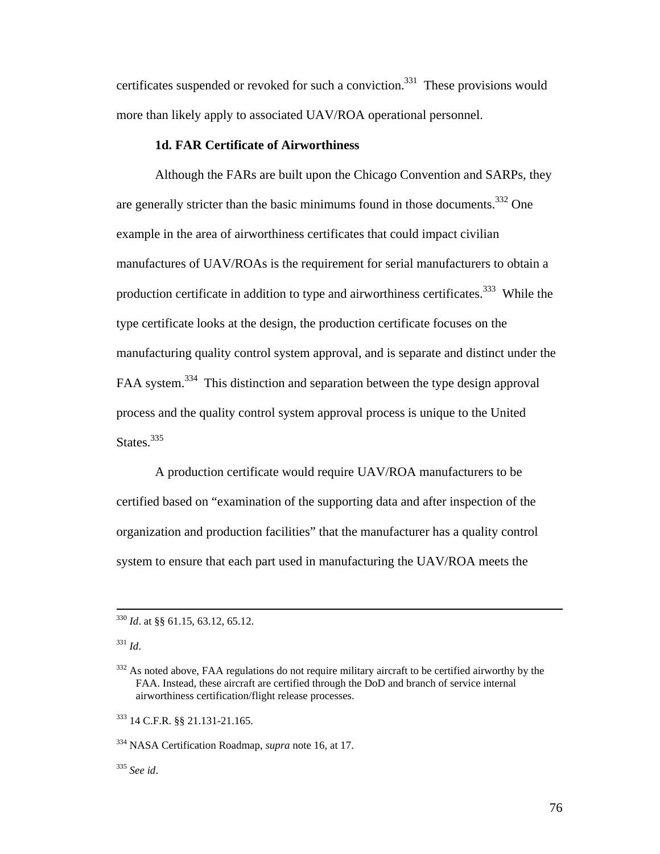certificates suspended or revoked for such a conviction.<sup>331</sup> These provisions would more than likely apply to associated UAV/ROA operational personnel.

## **1d. FAR Certificate of Airworthiness**

 Although the FARs are built upon the Chicago Convention and SARPs, they are generally stricter than the basic minimums found in those documents.<sup>332</sup> One example in the area of airworthiness certificates that could impact civilian manufactures of UAV/ROAs is the requirement for serial manufacturers to obtain a production certificate in addition to type and airworthiness certificates.<sup>333</sup> While the type certificate looks at the design, the production certificate focuses on the manufacturing quality control system approval, and is separate and distinct under the FAA system.<sup>334</sup> This distinction and separation between the type design approval process and the quality control system approval process is unique to the United States.<sup>335</sup>

 A production certificate would require UAV/ROA manufacturers to be certified based on "examination of the supporting data and after inspection of the organization and production facilities" that the manufacturer has a quality control system to ensure that each part used in manufacturing the UAV/ROA meets the

333 14 C.F.R. §§ 21.131-21.165.

334 NASA Certification Roadmap, *supra* note 16, at 17.

<sup>335</sup> *See id*.

 <sup>330</sup> *Id*. at §§ 61.15, 63.12, 65.12.

<sup>331</sup> *Id*.

<sup>&</sup>lt;sup>332</sup> As noted above, FAA regulations do not require military aircraft to be certified airworthy by the FAA. Instead, these aircraft are certified through the DoD and branch of service internal airworthiness certification/flight release processes.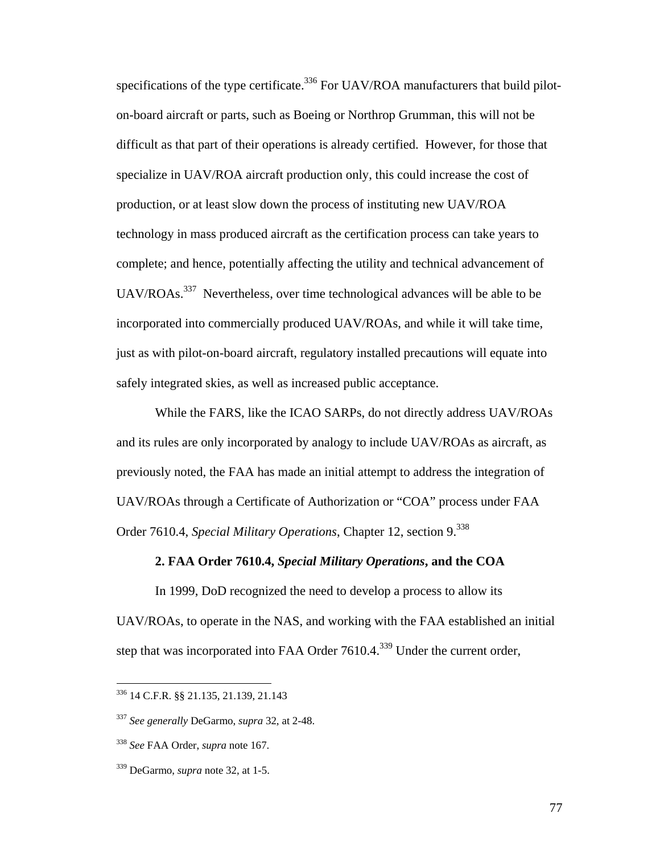specifications of the type certificate.<sup>336</sup> For UAV/ROA manufacturers that build piloton-board aircraft or parts, such as Boeing or Northrop Grumman, this will not be difficult as that part of their operations is already certified. However, for those that specialize in UAV/ROA aircraft production only, this could increase the cost of production, or at least slow down the process of instituting new UAV/ROA technology in mass produced aircraft as the certification process can take years to complete; and hence, potentially affecting the utility and technical advancement of UAV/ROAs.<sup>337</sup> Nevertheless, over time technological advances will be able to be incorporated into commercially produced UAV/ROAs, and while it will take time, just as with pilot-on-board aircraft, regulatory installed precautions will equate into safely integrated skies, as well as increased public acceptance.

 While the FARS, like the ICAO SARPs, do not directly address UAV/ROAs and its rules are only incorporated by analogy to include UAV/ROAs as aircraft, as previously noted, the FAA has made an initial attempt to address the integration of UAV/ROAs through a Certificate of Authorization or "COA" process under FAA Order 7610.4, *Special Military Operations*, Chapter 12, section 9.<sup>338</sup>

### **2. FAA Order 7610.4,** *Special Military Operations***, and the COA**

In 1999, DoD recognized the need to develop a process to allow its UAV/ROAs, to operate in the NAS, and working with the FAA established an initial step that was incorporated into FAA Order 7610.4.<sup>339</sup> Under the current order,

<sup>336 14</sup> C.F.R. §§ 21.135, 21.139, 21.143

<sup>337</sup> *See generally* DeGarmo, *supra* 32, at 2-48.

<sup>338</sup> *See* FAA Order, *supra* note 167.

<sup>339</sup> DeGarmo, *supra* note 32, at 1-5.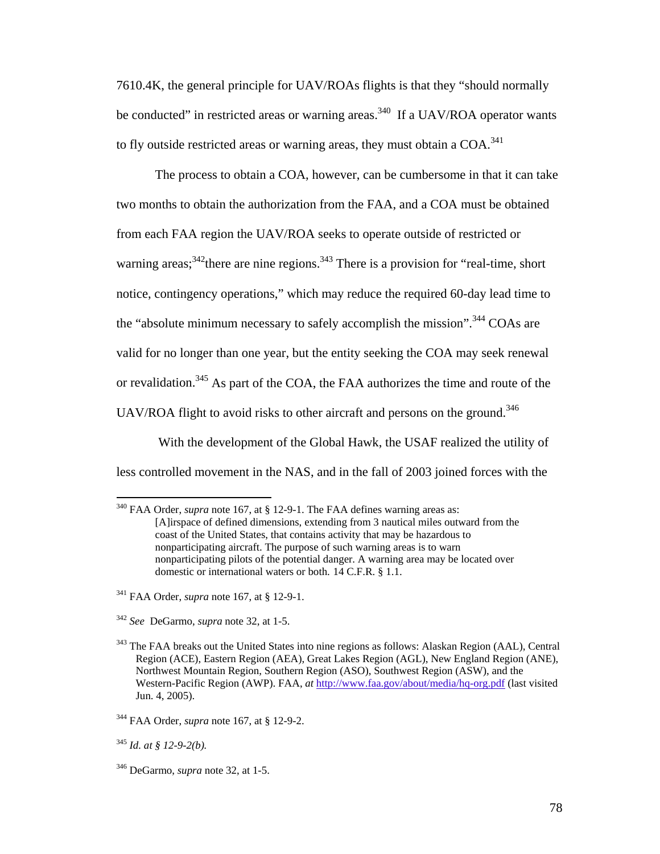7610.4K, the general principle for UAV/ROAs flights is that they "should normally be conducted" in restricted areas or warning areas.<sup>340</sup> If a UAV/ROA operator wants to fly outside restricted areas or warning areas, they must obtain a  $COA$ <sup>341</sup>

 The process to obtain a COA, however, can be cumbersome in that it can take two months to obtain the authorization from the FAA, and a COA must be obtained from each FAA region the UAV/ROA seeks to operate outside of restricted or warning areas;  $342$  there are nine regions.  $343$  There is a provision for "real-time, short" notice, contingency operations," which may reduce the required 60-day lead time to the "absolute minimum necessary to safely accomplish the mission".<sup>344</sup> COAs are valid for no longer than one year, but the entity seeking the COA may seek renewal or revalidation.<sup>345</sup> As part of the COA, the FAA authorizes the time and route of the UAV/ROA flight to avoid risks to other aircraft and persons on the ground.<sup>346</sup>

 With the development of the Global Hawk, the USAF realized the utility of less controlled movement in the NAS, and in the fall of 2003 joined forces with the

- 341 FAA Order, *supra* note 167, at § 12-9-1.
- <sup>342</sup> *See* DeGarmo, *supra* note 32, at 1-5.

<sup>&</sup>lt;sup>340</sup> FAA Order, *supra* note 167, at § 12-9-1. The FAA defines warning areas as: [A]irspace of defined dimensions, extending from 3 nautical miles outward from the coast of the United States, that contains activity that may be hazardous to nonparticipating aircraft. The purpose of such warning areas is to warn nonparticipating pilots of the potential danger. A warning area may be located over domestic or international waters or both. 14 C.F.R. § 1.1.

<sup>&</sup>lt;sup>343</sup> The FAA breaks out the United States into nine regions as follows: Alaskan Region (AAL), Central Region (ACE), Eastern Region (AEA), Great Lakes Region (AGL), New England Region (ANE), Northwest Mountain Region, Southern Region (ASO), Southwest Region (ASW), and the Western-Pacific Region (AWP). FAA, *at* http://www.faa.gov/about/media/hq-org.pdf (last visited Jun. 4, 2005).

<sup>344</sup> FAA Order, *supra* note 167, at § 12-9-2.

<sup>345</sup> *Id. at § 12-9-2(b).* 

<sup>346</sup> DeGarmo, *supra* note 32, at 1-5.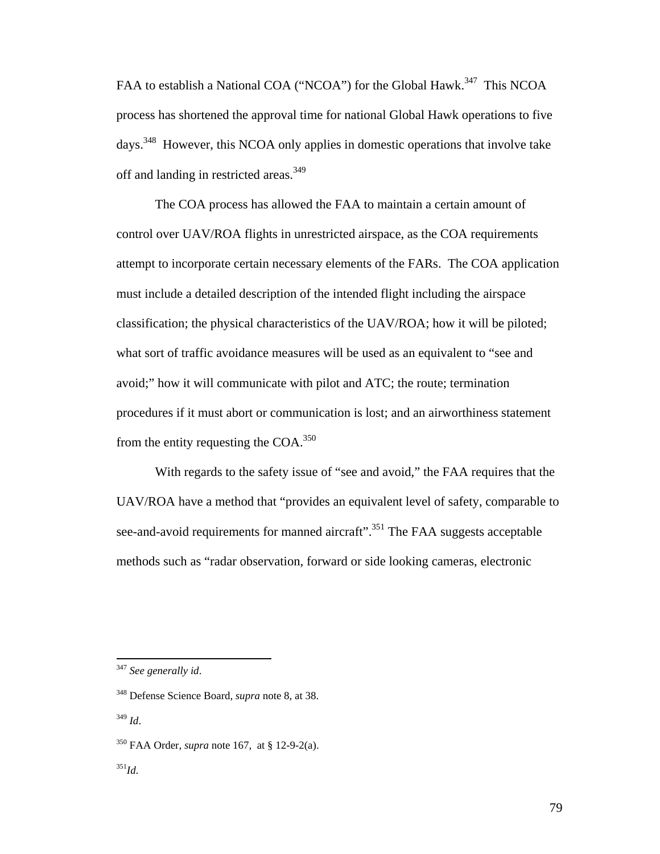FAA to establish a National COA ("NCOA") for the Global Hawk.<sup>347</sup> This NCOA process has shortened the approval time for national Global Hawk operations to five days.348 However, this NCOA only applies in domestic operations that involve take off and landing in restricted areas.<sup>349</sup>

 The COA process has allowed the FAA to maintain a certain amount of control over UAV/ROA flights in unrestricted airspace, as the COA requirements attempt to incorporate certain necessary elements of the FARs. The COA application must include a detailed description of the intended flight including the airspace classification; the physical characteristics of the UAV/ROA; how it will be piloted; what sort of traffic avoidance measures will be used as an equivalent to "see and avoid;" how it will communicate with pilot and ATC; the route; termination procedures if it must abort or communication is lost; and an airworthiness statement from the entity requesting the  $COA$ <sup>350</sup>

 With regards to the safety issue of "see and avoid," the FAA requires that the UAV/ROA have a method that "provides an equivalent level of safety, comparable to see-and-avoid requirements for manned aircraft".<sup>351</sup> The FAA suggests acceptable methods such as "radar observation, forward or side looking cameras, electronic

<sup>347</sup> *See generally id*.

<sup>348</sup> Defense Science Board, *supra* note 8, at 38.

<sup>349</sup> *Id*.

<sup>350</sup> FAA Order, *supra* note 167, at § 12-9-2(a).

<sup>351</sup>*Id*.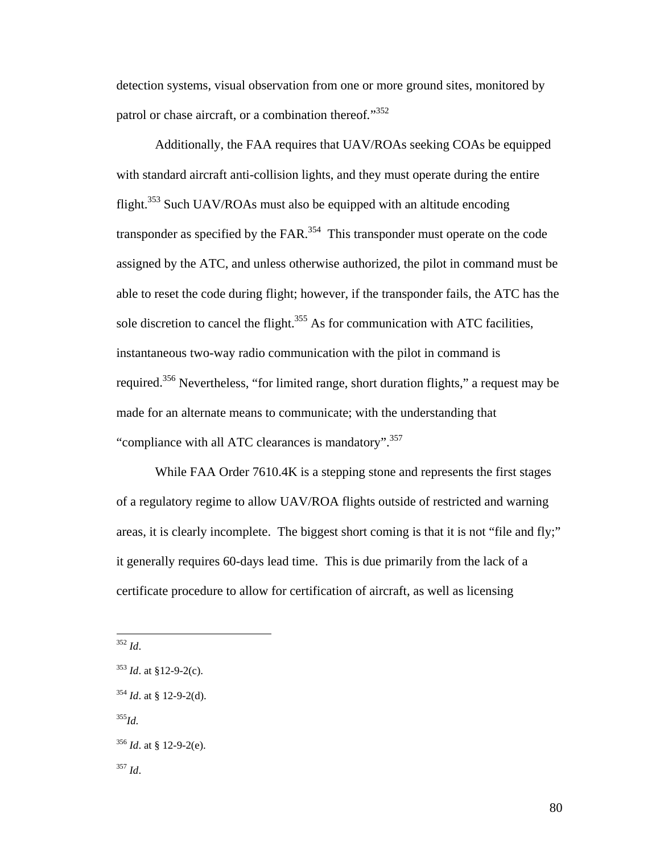detection systems, visual observation from one or more ground sites, monitored by patrol or chase aircraft, or a combination thereof."<sup>352</sup>

 Additionally, the FAA requires that UAV/ROAs seeking COAs be equipped with standard aircraft anti-collision lights, and they must operate during the entire flight.<sup>353</sup> Such UAV/ROAs must also be equipped with an altitude encoding transponder as specified by the  $FAR$ <sup>354</sup>. This transponder must operate on the code assigned by the ATC, and unless otherwise authorized, the pilot in command must be able to reset the code during flight; however, if the transponder fails, the ATC has the sole discretion to cancel the flight. $355$  As for communication with ATC facilities, instantaneous two-way radio communication with the pilot in command is required.356 Nevertheless, "for limited range, short duration flights," a request may be made for an alternate means to communicate; with the understanding that "compliance with all ATC clearances is mandatory".<sup>357</sup>

 While FAA Order 7610.4K is a stepping stone and represents the first stages of a regulatory regime to allow UAV/ROA flights outside of restricted and warning areas, it is clearly incomplete. The biggest short coming is that it is not "file and fly;" it generally requires 60-days lead time. This is due primarily from the lack of a certificate procedure to allow for certification of aircraft, as well as licensing

1

<sup>352</sup> *Id*.

<sup>353</sup> *Id*. at §12-9-2(c).

<sup>354</sup> *Id*. at § 12-9-2(d).

<sup>355</sup>*Id*.

<sup>356</sup> *Id*. at § 12-9-2(e).

<sup>357</sup> *Id*.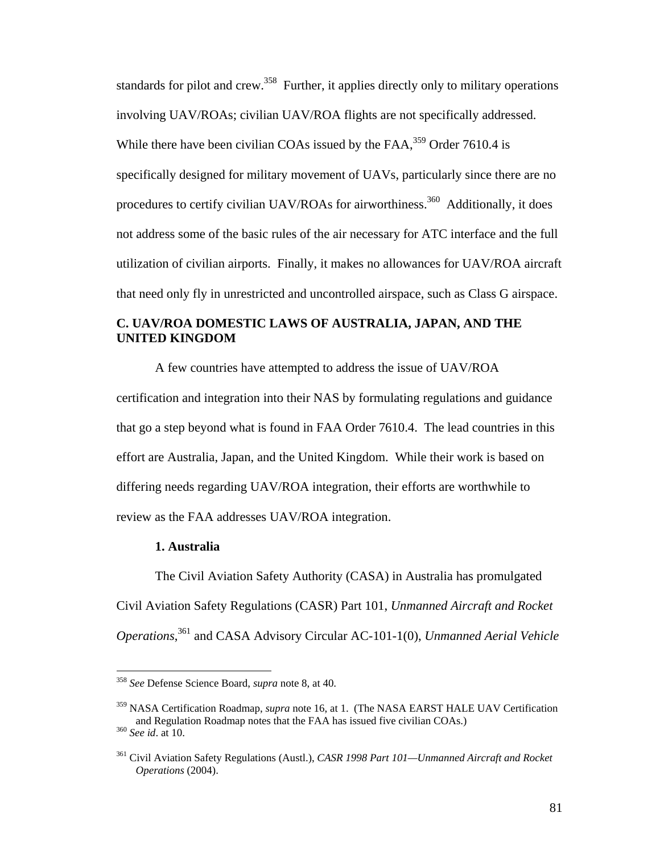standards for pilot and crew.<sup>358</sup> Further, it applies directly only to military operations involving UAV/ROAs; civilian UAV/ROA flights are not specifically addressed. While there have been civilian COAs issued by the  $FAA$ ,  $359$  Order 7610.4 is specifically designed for military movement of UAVs, particularly since there are no procedures to certify civilian UAV/ROAs for airworthiness.<sup>360</sup> Additionally, it does not address some of the basic rules of the air necessary for ATC interface and the full utilization of civilian airports. Finally, it makes no allowances for UAV/ROA aircraft that need only fly in unrestricted and uncontrolled airspace, such as Class G airspace.

## **C. UAV/ROA DOMESTIC LAWS OF AUSTRALIA, JAPAN, AND THE UNITED KINGDOM**

 A few countries have attempted to address the issue of UAV/ROA certification and integration into their NAS by formulating regulations and guidance that go a step beyond what is found in FAA Order 7610.4. The lead countries in this effort are Australia, Japan, and the United Kingdom. While their work is based on differing needs regarding UAV/ROA integration, their efforts are worthwhile to review as the FAA addresses UAV/ROA integration.

#### **1. Australia**

1

 The Civil Aviation Safety Authority (CASA) in Australia has promulgated Civil Aviation Safety Regulations (CASR) Part 101, *Unmanned Aircraft and Rocket Operations*, 361 and CASA Advisory Circular AC-101-1(0), *Unmanned Aerial Vehicle* 

<sup>358</sup> *See* Defense Science Board, *supra* note 8, at 40.

<sup>359</sup> NASA Certification Roadmap, *supra* note 16, at 1. (The NASA EARST HALE UAV Certification and Regulation Roadmap notes that the FAA has issued five civilian COAs.) 360 *See id*. at 10.

<sup>361</sup> Civil Aviation Safety Regulations (Austl.), *CASR 1998 Part 101—Unmanned Aircraft and Rocket Operations* (2004).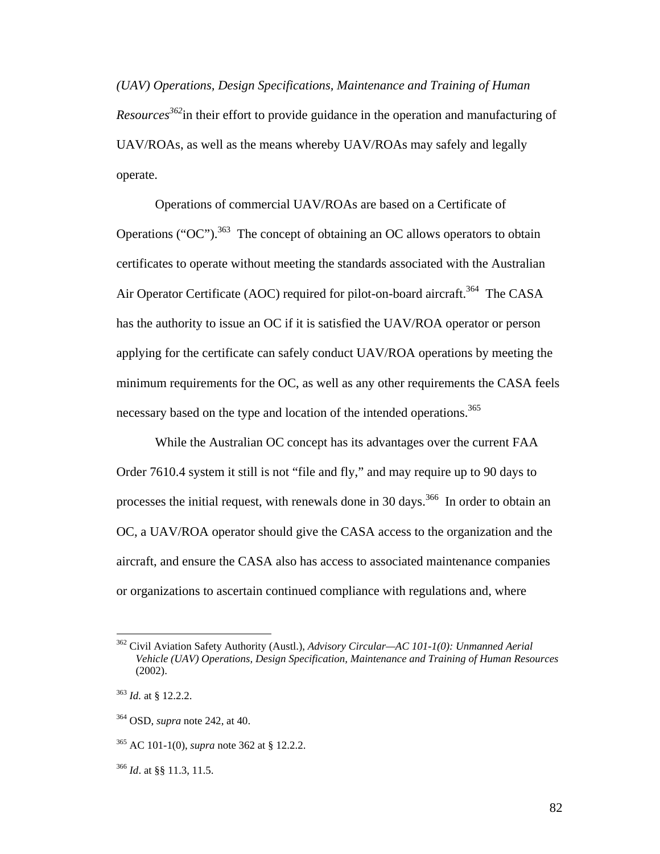*(UAV) Operations, Design Specifications, Maintenance and Training of Human Resources362*in their effort to provide guidance in the operation and manufacturing of UAV/ROAs, as well as the means whereby UAV/ROAs may safely and legally operate.

 Operations of commercial UAV/ROAs are based on a Certificate of Operations ("OC").<sup>363</sup> The concept of obtaining an OC allows operators to obtain certificates to operate without meeting the standards associated with the Australian Air Operator Certificate (AOC) required for pilot-on-board aircraft.<sup>364</sup> The CASA has the authority to issue an OC if it is satisfied the UAV/ROA operator or person applying for the certificate can safely conduct UAV/ROA operations by meeting the minimum requirements for the OC, as well as any other requirements the CASA feels necessary based on the type and location of the intended operations.<sup>365</sup>

 While the Australian OC concept has its advantages over the current FAA Order 7610.4 system it still is not "file and fly," and may require up to 90 days to processes the initial request, with renewals done in 30 days.<sup>366</sup> In order to obtain an OC, a UAV/ROA operator should give the CASA access to the organization and the aircraft, and ensure the CASA also has access to associated maintenance companies or organizations to ascertain continued compliance with regulations and, where

<sup>362</sup> Civil Aviation Safety Authority (Austl.), *Advisory Circular—AC 101-1(0): Unmanned Aerial Vehicle (UAV) Operations, Design Specification, Maintenance and Training of Human Resources* (2002).

<sup>363</sup> *Id.* at § 12.2.2.

<sup>364</sup> OSD, *supra* note 242, at 40.

<sup>365</sup> AC 101-1(0), *supra* note 362 at § 12.2.2.

<sup>366</sup> *Id*. at §§ 11.3, 11.5.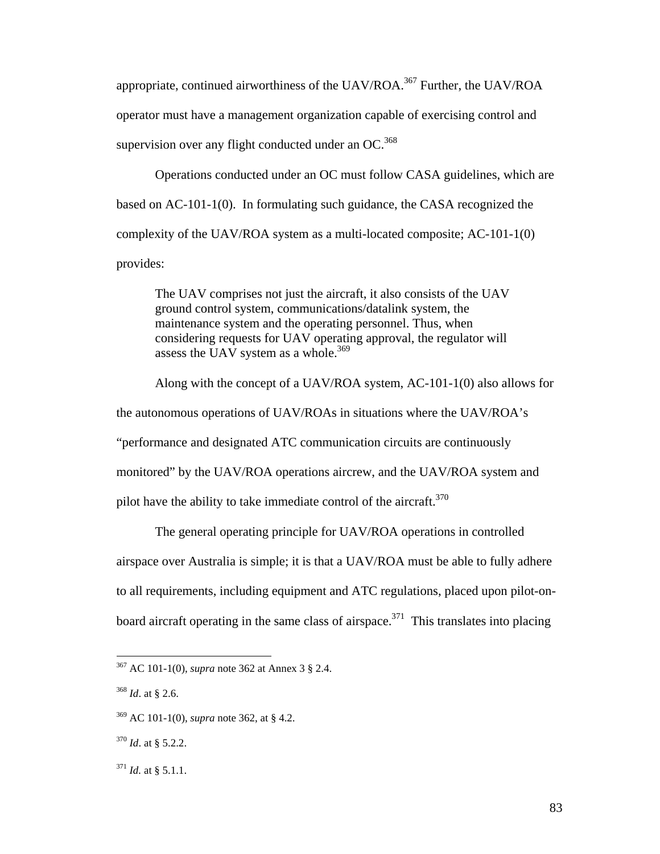appropriate, continued airworthiness of the UAV/ROA.<sup>367</sup> Further, the UAV/ROA operator must have a management organization capable of exercising control and supervision over any flight conducted under an  $OC^{368}$ 

 Operations conducted under an OC must follow CASA guidelines, which are based on AC-101-1(0). In formulating such guidance, the CASA recognized the complexity of the UAV/ROA system as a multi-located composite; AC-101-1(0) provides:

The UAV comprises not just the aircraft, it also consists of the UAV ground control system, communications/datalink system, the maintenance system and the operating personnel. Thus, when considering requests for UAV operating approval, the regulator will assess the UAV system as a whole.<sup>369</sup>

 Along with the concept of a UAV/ROA system, AC-101-1(0) also allows for the autonomous operations of UAV/ROAs in situations where the UAV/ROA's "performance and designated ATC communication circuits are continuously monitored" by the UAV/ROA operations aircrew, and the UAV/ROA system and pilot have the ability to take immediate control of the aircraft.<sup>370</sup>

 The general operating principle for UAV/ROA operations in controlled airspace over Australia is simple; it is that a UAV/ROA must be able to fully adhere to all requirements, including equipment and ATC regulations, placed upon pilot-onboard aircraft operating in the same class of airspace.<sup>371</sup> This translates into placing

<sup>367</sup> AC 101-1(0), *supra* note 362 at Annex 3 § 2.4.

<sup>368</sup> *Id*. at § 2.6.

<sup>369</sup> AC 101-1(0), *supra* note 362, at § 4.2.

<sup>370</sup> *Id*. at § 5.2.2.

 $^{371}$  *Id.* at § 5.1.1.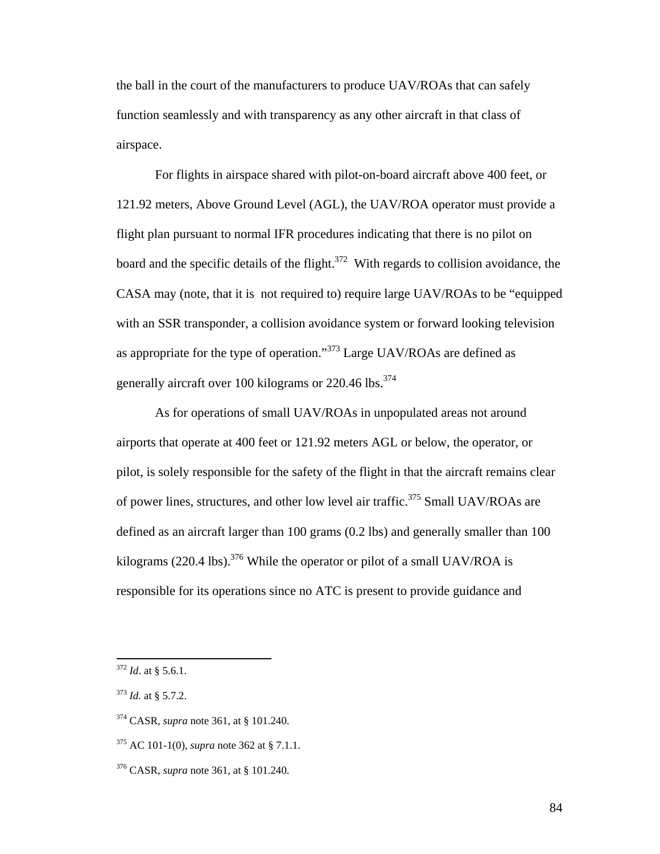the ball in the court of the manufacturers to produce UAV/ROAs that can safely function seamlessly and with transparency as any other aircraft in that class of airspace.

 For flights in airspace shared with pilot-on-board aircraft above 400 feet, or 121.92 meters, Above Ground Level (AGL), the UAV/ROA operator must provide a flight plan pursuant to normal IFR procedures indicating that there is no pilot on board and the specific details of the flight. $372$  With regards to collision avoidance, the CASA may (note, that it is not required to) require large UAV/ROAs to be "equipped with an SSR transponder, a collision avoidance system or forward looking television as appropriate for the type of operation."373 Large UAV/ROAs are defined as generally aircraft over 100 kilograms or 220.46 lbs.<sup>374</sup>

 As for operations of small UAV/ROAs in unpopulated areas not around airports that operate at 400 feet or 121.92 meters AGL or below, the operator, or pilot, is solely responsible for the safety of the flight in that the aircraft remains clear of power lines, structures, and other low level air traffic.<sup>375</sup> Small UAV/ROAs are defined as an aircraft larger than 100 grams (0.2 lbs) and generally smaller than 100 kilograms (220.4 lbs).<sup>376</sup> While the operator or pilot of a small UAV/ROA is responsible for its operations since no ATC is present to provide guidance and

<sup>372</sup> *Id*. at § 5.6.1.

<sup>373</sup> *Id.* at § 5.7.2.

<sup>374</sup> CASR, *supra* note 361, at § 101.240.

<sup>375</sup> AC 101-1(0), *supra* note 362 at § 7.1.1.

<sup>376</sup> CASR, *supra* note 361, at § 101.240.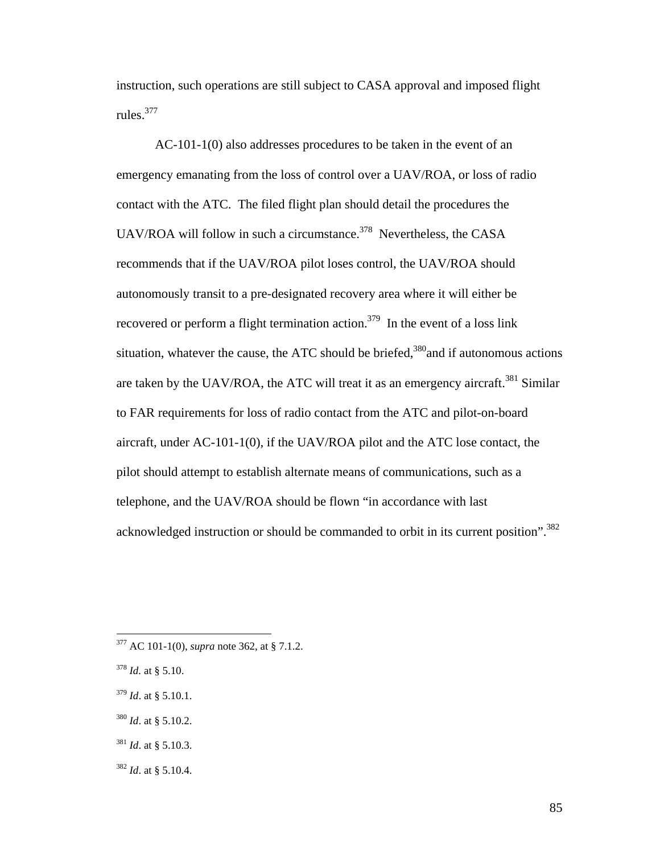instruction, such operations are still subject to CASA approval and imposed flight rules.377

 AC-101-1(0) also addresses procedures to be taken in the event of an emergency emanating from the loss of control over a UAV/ROA, or loss of radio contact with the ATC. The filed flight plan should detail the procedures the UAV/ROA will follow in such a circumstance.<sup>378</sup> Nevertheless, the CASA recommends that if the UAV/ROA pilot loses control, the UAV/ROA should autonomously transit to a pre-designated recovery area where it will either be recovered or perform a flight termination action.<sup>379</sup> In the event of a loss link situation, whatever the cause, the ATC should be briefed,  $380$  and if autonomous actions are taken by the UAV/ROA, the ATC will treat it as an emergency aircraft.<sup>381</sup> Similar to FAR requirements for loss of radio contact from the ATC and pilot-on-board aircraft, under AC-101-1(0), if the UAV/ROA pilot and the ATC lose contact, the pilot should attempt to establish alternate means of communications, such as a telephone, and the UAV/ROA should be flown "in accordance with last acknowledged instruction or should be commanded to orbit in its current position".<sup>382</sup>

1

 $380$  *Id.* at § 5.10.2.

<sup>382</sup> *Id*. at § 5.10.4.

<sup>377</sup> AC 101-1(0), *supra* note 362, at § 7.1.2.

<sup>378</sup> *Id.* at § 5.10.

<sup>379</sup> *Id*. at § 5.10.1.

<sup>381</sup> *Id*. at § 5.10.3.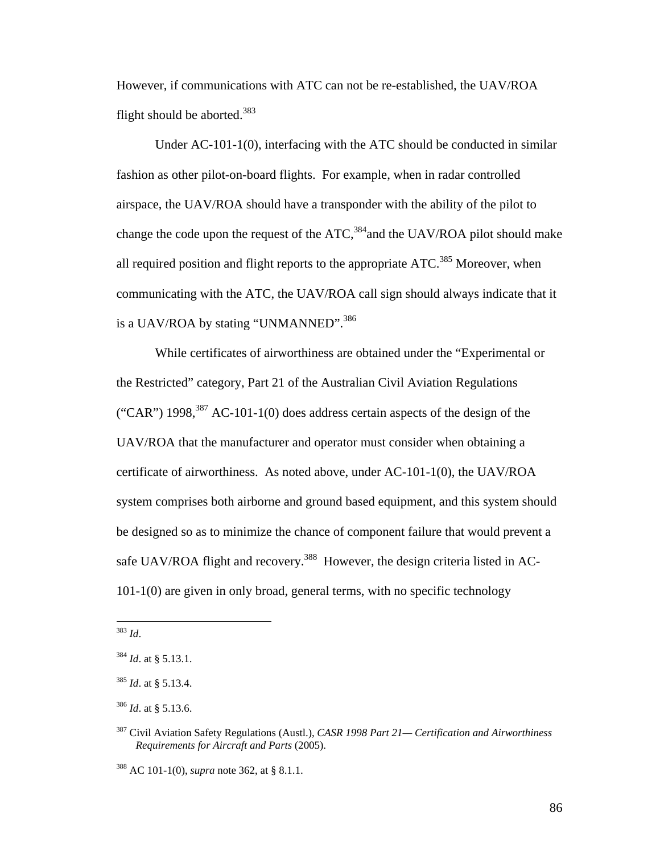However, if communications with ATC can not be re-established, the UAV/ROA flight should be aborted.<sup>383</sup>

 Under AC-101-1(0), interfacing with the ATC should be conducted in similar fashion as other pilot-on-board flights. For example, when in radar controlled airspace, the UAV/ROA should have a transponder with the ability of the pilot to change the code upon the request of the  $ATC$ ,<sup>384</sup>and the UAV/ROA pilot should make all required position and flight reports to the appropriate  $ATC$ <sup>385</sup> Moreover, when communicating with the ATC, the UAV/ROA call sign should always indicate that it is a UAV/ROA by stating "UNMANNED".<sup>386</sup>

 While certificates of airworthiness are obtained under the "Experimental or the Restricted" category, Part 21 of the Australian Civil Aviation Regulations ("CAR") 1998,  $387$  AC-101-1(0) does address certain aspects of the design of the UAV/ROA that the manufacturer and operator must consider when obtaining a certificate of airworthiness. As noted above, under AC-101-1(0), the UAV/ROA system comprises both airborne and ground based equipment, and this system should be designed so as to minimize the chance of component failure that would prevent a safe UAV/ROA flight and recovery.<sup>388</sup> However, the design criteria listed in AC-101-1(0) are given in only broad, general terms, with no specific technology

<sup>383</sup> *Id*.

<sup>384</sup> *Id*. at § 5.13.1.

<sup>385</sup> *Id*. at § 5.13.4.

<sup>386</sup> *Id*. at § 5.13.6.

<sup>387</sup> Civil Aviation Safety Regulations (Austl.), *CASR 1998 Part 21— Certification and Airworthiness Requirements for Aircraft and Parts* (2005).

<sup>388</sup> AC 101-1(0), *supra* note 362, at § 8.1.1.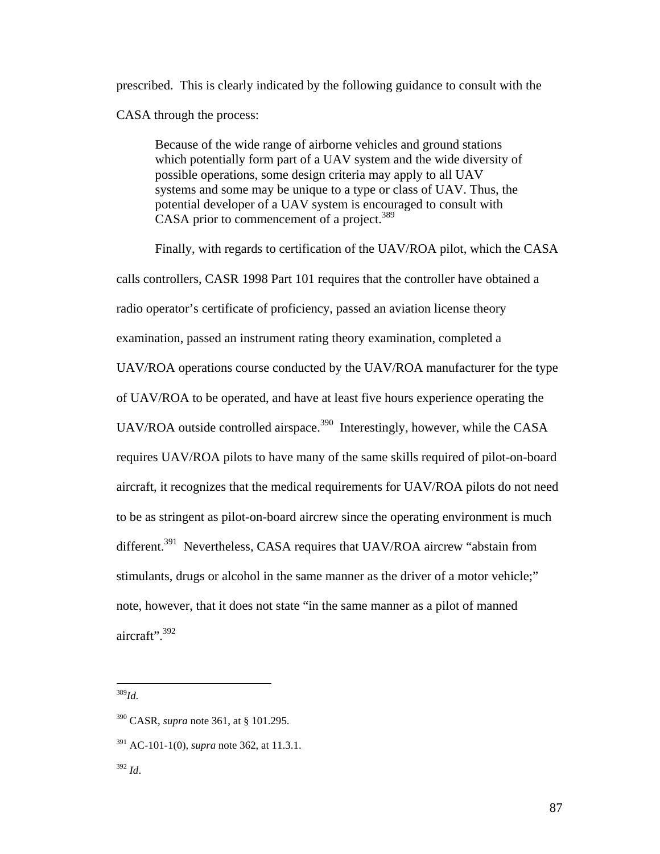prescribed. This is clearly indicated by the following guidance to consult with the CASA through the process:

Because of the wide range of airborne vehicles and ground stations which potentially form part of a UAV system and the wide diversity of possible operations, some design criteria may apply to all UAV systems and some may be unique to a type or class of UAV. Thus, the potential developer of a UAV system is encouraged to consult with CASA prior to commencement of a project.<sup>389</sup>

 Finally, with regards to certification of the UAV/ROA pilot, which the CASA calls controllers, CASR 1998 Part 101 requires that the controller have obtained a radio operator's certificate of proficiency, passed an aviation license theory examination, passed an instrument rating theory examination, completed a UAV/ROA operations course conducted by the UAV/ROA manufacturer for the type of UAV/ROA to be operated, and have at least five hours experience operating the UAV/ROA outside controlled airspace.<sup>390</sup> Interestingly, however, while the CASA requires UAV/ROA pilots to have many of the same skills required of pilot-on-board aircraft, it recognizes that the medical requirements for UAV/ROA pilots do not need to be as stringent as pilot-on-board aircrew since the operating environment is much different.<sup>391</sup> Nevertheless, CASA requires that UAV/ROA aircrew "abstain from stimulants, drugs or alcohol in the same manner as the driver of a motor vehicle;" note, however, that it does not state "in the same manner as a pilot of manned aircraft".  $392$ 

<sup>389</sup>*Id*.

<sup>390</sup> CASR, *supra* note 361, at § 101.295.

<sup>391</sup> AC-101-1(0), *supra* note 362, at 11.3.1.

<sup>392</sup> *Id*.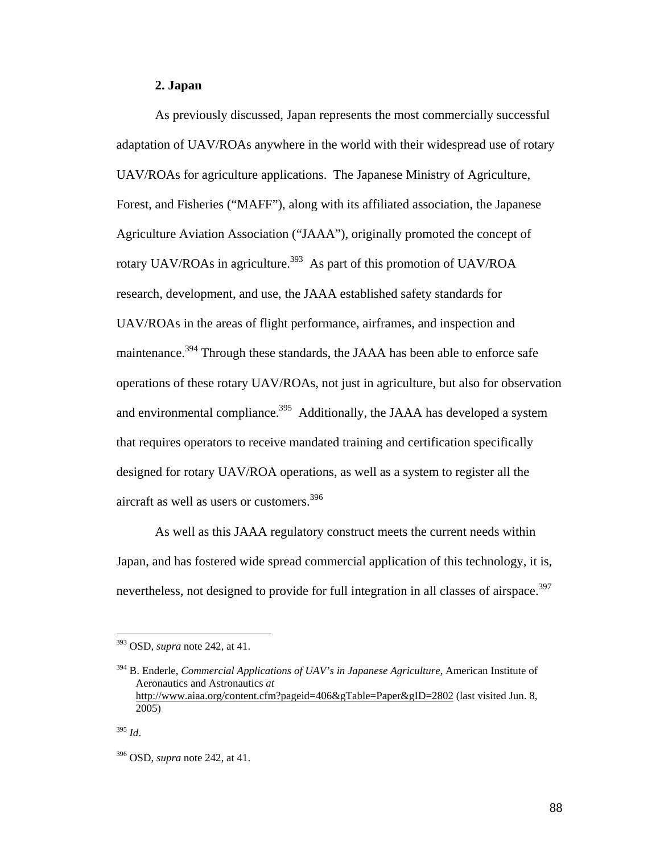#### **2. Japan**

 As previously discussed, Japan represents the most commercially successful adaptation of UAV/ROAs anywhere in the world with their widespread use of rotary UAV/ROAs for agriculture applications. The Japanese Ministry of Agriculture, Forest, and Fisheries ("MAFF"), along with its affiliated association, the Japanese Agriculture Aviation Association ("JAAA"), originally promoted the concept of rotary UAV/ROAs in agriculture.<sup>393</sup> As part of this promotion of UAV/ROA research, development, and use, the JAAA established safety standards for UAV/ROAs in the areas of flight performance, airframes, and inspection and maintenance.<sup>394</sup> Through these standards, the JAAA has been able to enforce safe operations of these rotary UAV/ROAs, not just in agriculture, but also for observation and environmental compliance.<sup>395</sup> Additionally, the JAAA has developed a system that requires operators to receive mandated training and certification specifically designed for rotary UAV/ROA operations, as well as a system to register all the aircraft as well as users or customers.<sup>396</sup>

 As well as this JAAA regulatory construct meets the current needs within Japan, and has fostered wide spread commercial application of this technology, it is, nevertheless, not designed to provide for full integration in all classes of airspace.<sup>397</sup>

<sup>393</sup> OSD, *supra* note 242, at 41.

<sup>394</sup> B. Enderle, *Commercial Applications of UAV's in Japanese Agriculture*, American Institute of Aeronautics and Astronautics *at* http://www.aiaa.org/content.cfm?pageid=406&gTable=Paper&gID=2802 (last visited Jun. 8, 2005).

<sup>395</sup> *Id*.

<sup>396</sup> OSD, *supra* note 242, at 41.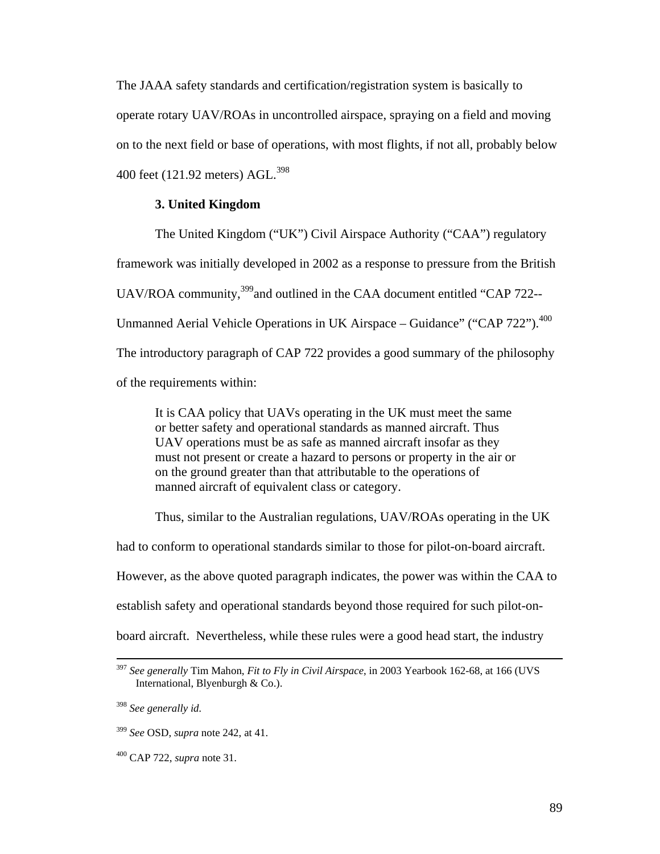The JAAA safety standards and certification/registration system is basically to operate rotary UAV/ROAs in uncontrolled airspace, spraying on a field and moving on to the next field or base of operations, with most flights, if not all, probably below 400 feet (121.92 meters) AGL.<sup>398</sup>

#### **3. United Kingdom**

 The United Kingdom ("UK") Civil Airspace Authority ("CAA") regulatory framework was initially developed in 2002 as a response to pressure from the British UAV/ROA community,<sup>399</sup> and outlined in the CAA document entitled "CAP 722--Unmanned Aerial Vehicle Operations in UK Airspace – Guidance" ("CAP 722").<sup>400</sup> The introductory paragraph of CAP 722 provides a good summary of the philosophy of the requirements within:

It is CAA policy that UAVs operating in the UK must meet the same or better safety and operational standards as manned aircraft. Thus UAV operations must be as safe as manned aircraft insofar as they must not present or create a hazard to persons or property in the air or on the ground greater than that attributable to the operations of manned aircraft of equivalent class or category.

Thus, similar to the Australian regulations, UAV/ROAs operating in the UK

had to conform to operational standards similar to those for pilot-on-board aircraft.

However, as the above quoted paragraph indicates, the power was within the CAA to

establish safety and operational standards beyond those required for such pilot-on-

board aircraft. Nevertheless, while these rules were a good head start, the industry

<sup>398</sup> *See generally id.*

<sup>399</sup> *See* OSD, *supra* note 242, at 41.

400 CAP 722, *supra* note 31.

 <sup>397</sup> *See generally* Tim Mahon, *Fit to Fly in Civil Airspace*, in 2003 Yearbook 162-68, at 166 (UVS International, Blyenburgh & Co.).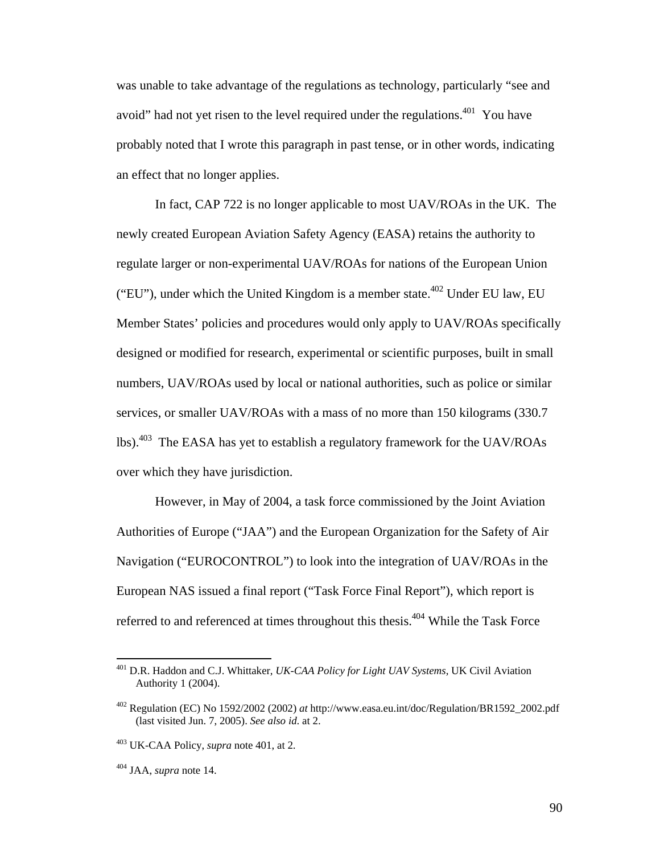was unable to take advantage of the regulations as technology, particularly "see and avoid" had not yet risen to the level required under the regulations.<sup>401</sup> You have probably noted that I wrote this paragraph in past tense, or in other words, indicating an effect that no longer applies.

 In fact, CAP 722 is no longer applicable to most UAV/ROAs in the UK. The newly created European Aviation Safety Agency (EASA) retains the authority to regulate larger or non-experimental UAV/ROAs for nations of the European Union ("EU"), under which the United Kingdom is a member state.<sup>402</sup> Under EU law, EU Member States' policies and procedures would only apply to UAV/ROAs specifically designed or modified for research, experimental or scientific purposes, built in small numbers, UAV/ROAs used by local or national authorities, such as police or similar services, or smaller UAV/ROAs with a mass of no more than 150 kilograms (330.7 lbs).403 The EASA has yet to establish a regulatory framework for the UAV/ROAs over which they have jurisdiction.

 However, in May of 2004, a task force commissioned by the Joint Aviation Authorities of Europe ("JAA") and the European Organization for the Safety of Air Navigation ("EUROCONTROL") to look into the integration of UAV/ROAs in the European NAS issued a final report ("Task Force Final Report"), which report is referred to and referenced at times throughout this thesis.<sup>404</sup> While the Task Force

<sup>401</sup> D.R. Haddon and C.J. Whittaker, *UK-CAA Policy for Light UAV Systems*, UK Civil Aviation Authority 1 (2004).

<sup>402</sup> Regulation (EC) No 1592/2002 (2002) *at* http://www.easa.eu.int/doc/Regulation/BR1592\_2002.pdf (last visited Jun. 7, 2005). *See also id*. at 2.

<sup>403</sup> UK-CAA Policy, *supra* note 401, at 2.

<sup>404</sup> JAA, *supra* note 14.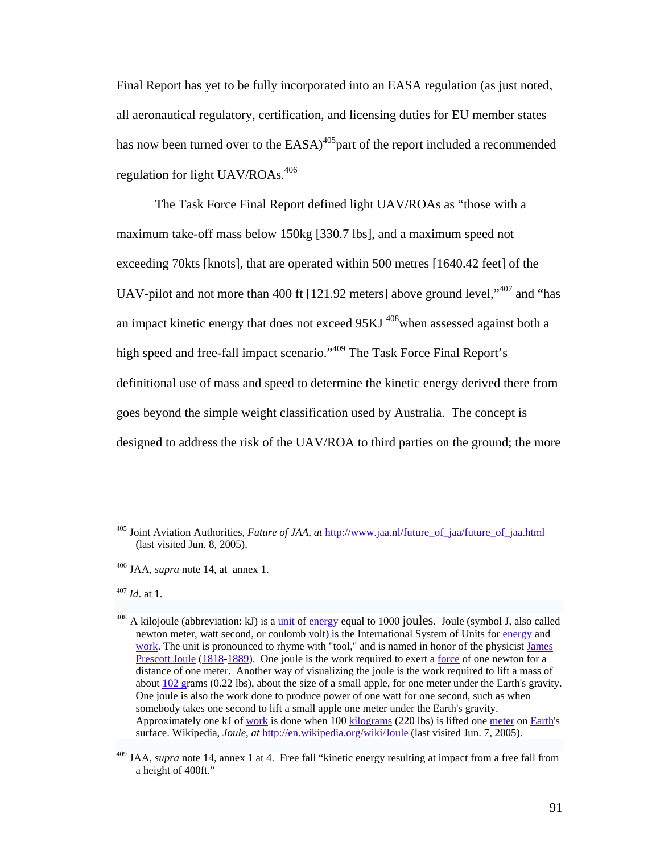Final Report has yet to be fully incorporated into an EASA regulation (as just noted, all aeronautical regulatory, certification, and licensing duties for EU member states has now been turned over to the  $EASA$ <sup>405</sup> part of the report included a recommended regulation for light UAV/ROAs. $406$ 

 The Task Force Final Report defined light UAV/ROAs as "those with a maximum take-off mass below 150kg [330.7 lbs], and a maximum speed not exceeding 70kts [knots], that are operated within 500 metres [1640.42 feet] of the UAV-pilot and not more than 400 ft [121.92 meters] above ground level,<sup> $1,407$ </sup> and "has an impact kinetic energy that does not exceed 95KJ <sup>408</sup>when assessed against both a high speed and free-fall impact scenario."<sup>409</sup> The Task Force Final Report's definitional use of mass and speed to determine the kinetic energy derived there from goes beyond the simple weight classification used by Australia. The concept is designed to address the risk of the UAV/ROA to third parties on the ground; the more

<sup>407</sup> *Id*. at 1.

<sup>405</sup> Joint Aviation Authorities, *Future of JAA*, *at* http://www.jaa.nl/future\_of\_jaa/future\_of\_jaa.html (last visited Jun. 8, 2005).

<sup>406</sup> JAA, *supra* note 14, at annex 1.

 $408$  A kilojoule (abbreviation: kJ) is a unit of energy equal to 1000 joules. Joule (symbol J, also called newton meter, watt second, or coulomb volt) is the International System of Units for energy and work. The unit is pronounced to rhyme with "tool," and is named in honor of the physicist James Prescott Joule (1818-1889). One joule is the work required to exert a <u>force</u> of one newton for a distance of one meter. Another way of visualizing the joule is the work required to lift a mass of about 102 grams (0.22 lbs), about the size of a small apple, for one meter under the Earth's gravity. One joule is also the work done to produce power of one watt for one second, such as when somebody takes one second to lift a small apple one meter under the Earth's gravity. Approximately one kJ of work is done when 100 kilograms (220 lbs) is lifted one meter on Earth's surface. Wikipedia, *Joule*, *at* http://en.wikipedia.org/wiki/Joule (last visited Jun. 7, 2005).

<sup>409</sup> JAA, *supra* note 14, annex 1 at 4. Free fall "kinetic energy resulting at impact from a free fall from a height of 400ft."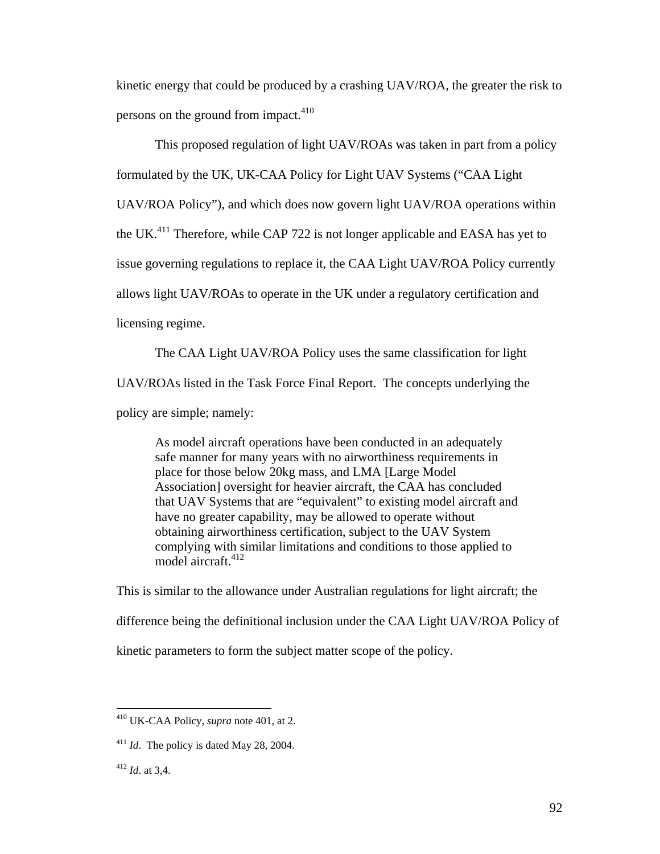kinetic energy that could be produced by a crashing UAV/ROA, the greater the risk to persons on the ground from impact.<sup>410</sup>

 This proposed regulation of light UAV/ROAs was taken in part from a policy formulated by the UK, UK-CAA Policy for Light UAV Systems ("CAA Light UAV/ROA Policy"), and which does now govern light UAV/ROA operations within the UK.<sup>411</sup> Therefore, while CAP 722 is not longer applicable and EASA has yet to issue governing regulations to replace it, the CAA Light UAV/ROA Policy currently allows light UAV/ROAs to operate in the UK under a regulatory certification and licensing regime.

 The CAA Light UAV/ROA Policy uses the same classification for light UAV/ROAs listed in the Task Force Final Report. The concepts underlying the policy are simple; namely:

As model aircraft operations have been conducted in an adequately safe manner for many years with no airworthiness requirements in place for those below 20kg mass, and LMA [Large Model Association] oversight for heavier aircraft, the CAA has concluded that UAV Systems that are "equivalent" to existing model aircraft and have no greater capability, may be allowed to operate without obtaining airworthiness certification, subject to the UAV System complying with similar limitations and conditions to those applied to model aircraft.<sup>412</sup>

This is similar to the allowance under Australian regulations for light aircraft; the difference being the definitional inclusion under the CAA Light UAV/ROA Policy of kinetic parameters to form the subject matter scope of the policy.

<sup>410</sup> UK-CAA Policy, *supra* note 401, at 2.

<sup>&</sup>lt;sup>411</sup> *Id.* The policy is dated May 28, 2004.

<sup>412</sup> *Id*. at 3,4.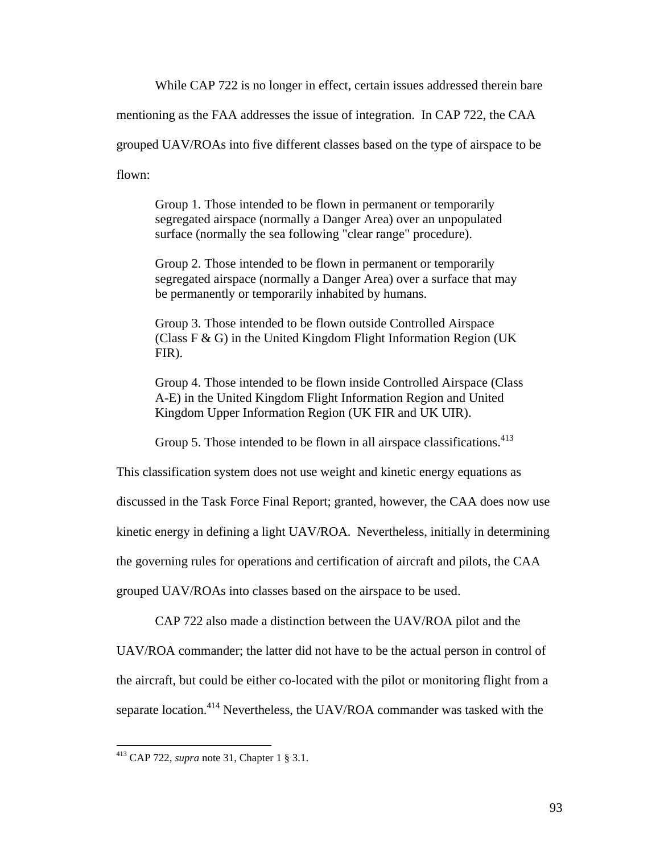While CAP 722 is no longer in effect, certain issues addressed therein bare

mentioning as the FAA addresses the issue of integration. In CAP 722, the CAA

grouped UAV/ROAs into five different classes based on the type of airspace to be

flown:

Group 1. Those intended to be flown in permanent or temporarily segregated airspace (normally a Danger Area) over an unpopulated surface (normally the sea following "clear range" procedure).

Group 2. Those intended to be flown in permanent or temporarily segregated airspace (normally a Danger Area) over a surface that may be permanently or temporarily inhabited by humans.

Group 3. Those intended to be flown outside Controlled Airspace (Class F & G) in the United Kingdom Flight Information Region (UK FIR).

Group 4. Those intended to be flown inside Controlled Airspace (Class A-E) in the United Kingdom Flight Information Region and United Kingdom Upper Information Region (UK FIR and UK UIR).

Group 5. Those intended to be flown in all airspace classifications.<sup>413</sup>

This classification system does not use weight and kinetic energy equations as

discussed in the Task Force Final Report; granted, however, the CAA does now use

kinetic energy in defining a light UAV/ROA. Nevertheless, initially in determining

the governing rules for operations and certification of aircraft and pilots, the CAA

grouped UAV/ROAs into classes based on the airspace to be used.

CAP 722 also made a distinction between the UAV/ROA pilot and the

UAV/ROA commander; the latter did not have to be the actual person in control of the aircraft, but could be either co-located with the pilot or monitoring flight from a separate location.<sup>414</sup> Nevertheless, the UAV/ROA commander was tasked with the

<sup>413</sup> CAP 722, *supra* note 31, Chapter 1 § 3.1.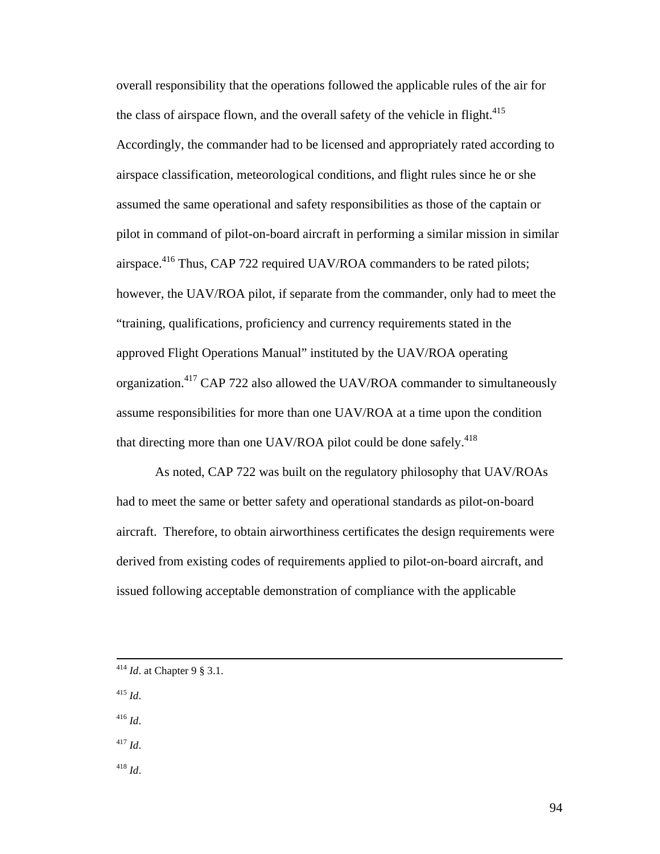overall responsibility that the operations followed the applicable rules of the air for the class of airspace flown, and the overall safety of the vehicle in flight.<sup>415</sup> Accordingly, the commander had to be licensed and appropriately rated according to airspace classification, meteorological conditions, and flight rules since he or she assumed the same operational and safety responsibilities as those of the captain or pilot in command of pilot-on-board aircraft in performing a similar mission in similar airspace.<sup>416</sup> Thus, CAP 722 required UAV/ROA commanders to be rated pilots; however, the UAV/ROA pilot, if separate from the commander, only had to meet the "training, qualifications, proficiency and currency requirements stated in the approved Flight Operations Manual" instituted by the UAV/ROA operating organization.417 CAP 722 also allowed the UAV/ROA commander to simultaneously assume responsibilities for more than one UAV/ROA at a time upon the condition that directing more than one UAV/ROA pilot could be done safely.<sup>418</sup>

 As noted, CAP 722 was built on the regulatory philosophy that UAV/ROAs had to meet the same or better safety and operational standards as pilot-on-board aircraft. Therefore, to obtain airworthiness certificates the design requirements were derived from existing codes of requirements applied to pilot-on-board aircraft, and issued following acceptable demonstration of compliance with the applicable

- <sup>415</sup> *Id*.
- <sup>416</sup> *Id*.
- <sup>417</sup> *Id*.
- <sup>418</sup> *Id*.

 <sup>414</sup> *Id*. at Chapter 9 § 3.1.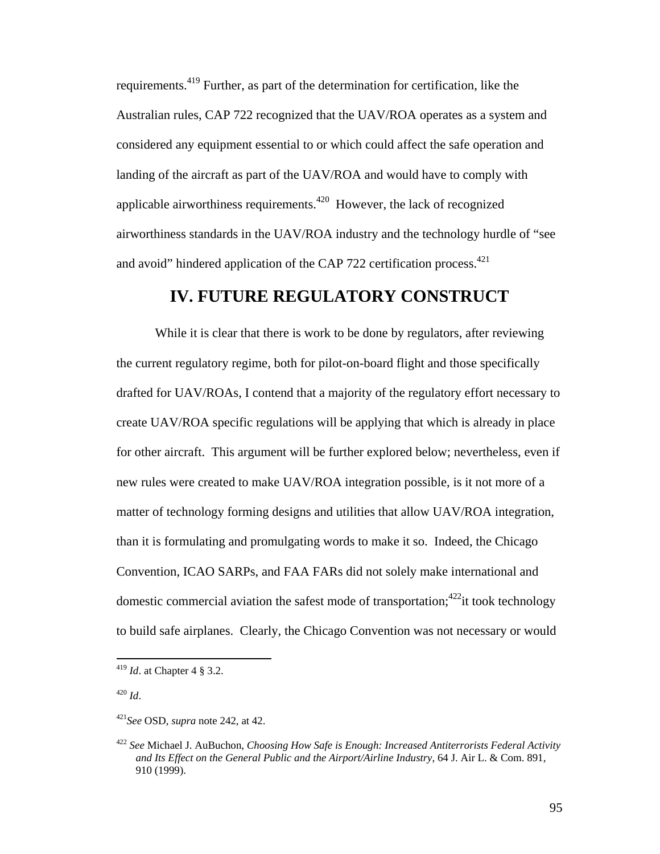requirements.419 Further, as part of the determination for certification, like the Australian rules, CAP 722 recognized that the UAV/ROA operates as a system and considered any equipment essential to or which could affect the safe operation and landing of the aircraft as part of the UAV/ROA and would have to comply with applicable airworthiness requirements.<sup>420</sup> However, the lack of recognized airworthiness standards in the UAV/ROA industry and the technology hurdle of "see and avoid" hindered application of the CAP 722 certification process. $421$ 

# **IV. FUTURE REGULATORY CONSTRUCT**

While it is clear that there is work to be done by regulators, after reviewing the current regulatory regime, both for pilot-on-board flight and those specifically drafted for UAV/ROAs, I contend that a majority of the regulatory effort necessary to create UAV/ROA specific regulations will be applying that which is already in place for other aircraft. This argument will be further explored below; nevertheless, even if new rules were created to make UAV/ROA integration possible, is it not more of a matter of technology forming designs and utilities that allow UAV/ROA integration, than it is formulating and promulgating words to make it so. Indeed, the Chicago Convention, ICAO SARPs, and FAA FARs did not solely make international and domestic commercial aviation the safest mode of transportation;<sup>422</sup>it took technology to build safe airplanes. Clearly, the Chicago Convention was not necessary or would

<sup>419</sup> *Id*. at Chapter 4 § 3.2.

<sup>420</sup> *Id*.

<sup>421</sup>*See* OSD, *supra* note 242, at 42.

<sup>422</sup> *See* Michael J. AuBuchon, *Choosing How Safe is Enough: Increased Antiterrorists Federal Activity and Its Effect on the General Public and the Airport/Airline Industry*, 64 J. Air L. & Com. 891, 910 (1999).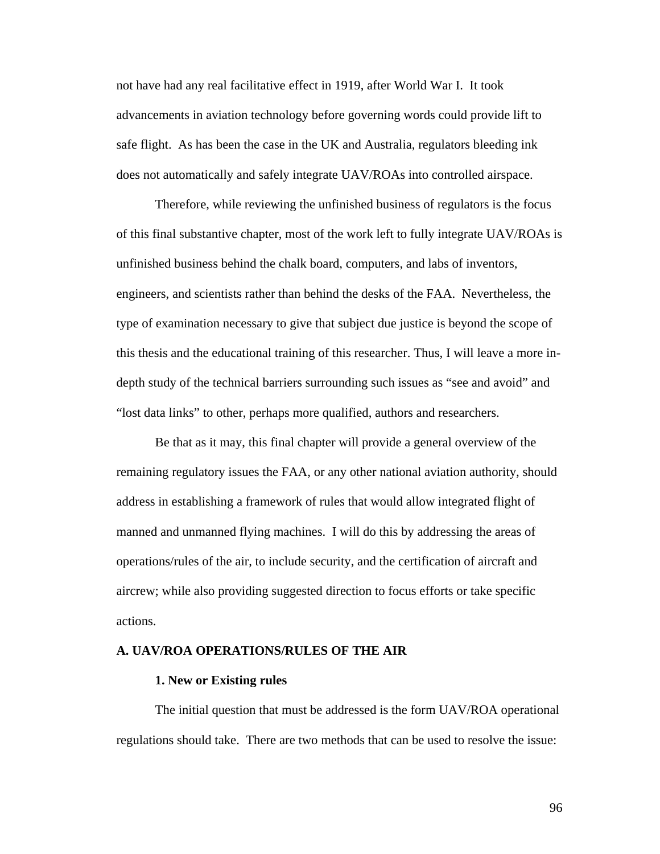not have had any real facilitative effect in 1919, after World War I. It took advancements in aviation technology before governing words could provide lift to safe flight. As has been the case in the UK and Australia, regulators bleeding ink does not automatically and safely integrate UAV/ROAs into controlled airspace.

 Therefore, while reviewing the unfinished business of regulators is the focus of this final substantive chapter, most of the work left to fully integrate UAV/ROAs is unfinished business behind the chalk board, computers, and labs of inventors, engineers, and scientists rather than behind the desks of the FAA. Nevertheless, the type of examination necessary to give that subject due justice is beyond the scope of this thesis and the educational training of this researcher. Thus, I will leave a more indepth study of the technical barriers surrounding such issues as "see and avoid" and "lost data links" to other, perhaps more qualified, authors and researchers.

 Be that as it may, this final chapter will provide a general overview of the remaining regulatory issues the FAA, or any other national aviation authority, should address in establishing a framework of rules that would allow integrated flight of manned and unmanned flying machines. I will do this by addressing the areas of operations/rules of the air, to include security, and the certification of aircraft and aircrew; while also providing suggested direction to focus efforts or take specific actions.

#### **A. UAV/ROA OPERATIONS/RULES OF THE AIR**

#### **1. New or Existing rules**

 The initial question that must be addressed is the form UAV/ROA operational regulations should take. There are two methods that can be used to resolve the issue:

96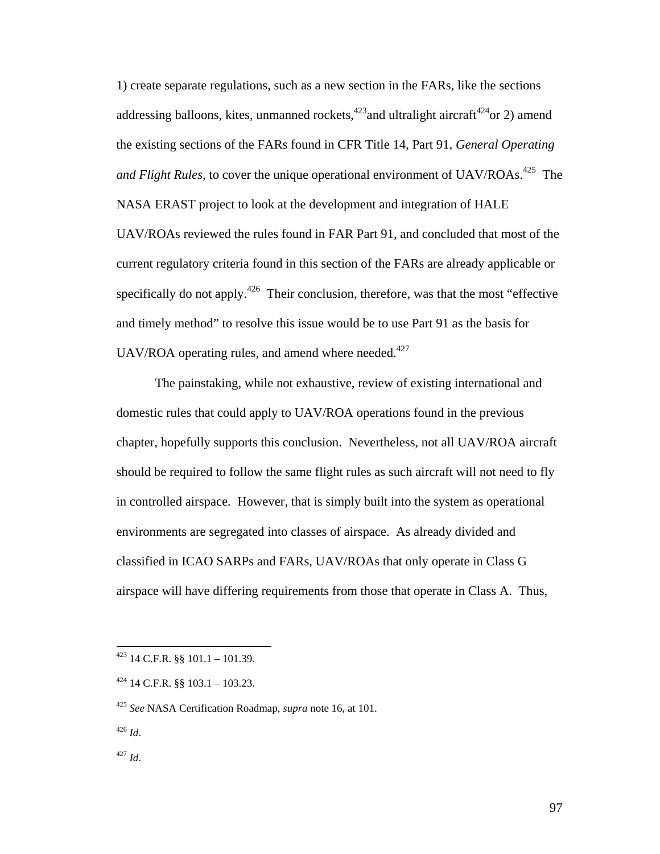1) create separate regulations, such as a new section in the FARs, like the sections addressing balloons, kites, unmanned rockets,<sup>423</sup> and ultralight aircraft<sup>424</sup>or 2) amend the existing sections of the FARs found in CFR Title 14, Part 91, *General Operating and Flight Rules,* to cover the unique operational environment of UAV/ROAs.<sup>425</sup> The NASA ERAST project to look at the development and integration of HALE UAV/ROAs reviewed the rules found in FAR Part 91, and concluded that most of the current regulatory criteria found in this section of the FARs are already applicable or specifically do not apply.<sup>426</sup> Their conclusion, therefore, was that the most "effective and timely method" to resolve this issue would be to use Part 91 as the basis for UAV/ROA operating rules, and amend where needed. $427$ 

 The painstaking, while not exhaustive, review of existing international and domestic rules that could apply to UAV/ROA operations found in the previous chapter, hopefully supports this conclusion. Nevertheless, not all UAV/ROA aircraft should be required to follow the same flight rules as such aircraft will not need to fly in controlled airspace. However, that is simply built into the system as operational environments are segregated into classes of airspace. As already divided and classified in ICAO SARPs and FARs, UAV/ROAs that only operate in Class G airspace will have differing requirements from those that operate in Class A. Thus,

<sup>426</sup> *Id*.

 $\overline{a}$ 

<sup>427</sup> *Id*.

 $423$  14 C.F.R. §§ 101.1 – 101.39.

 $424$  14 C.F.R. §§ 103.1 – 103.23.

<sup>425</sup> *See* NASA Certification Roadmap, *supra* note 16, at 101.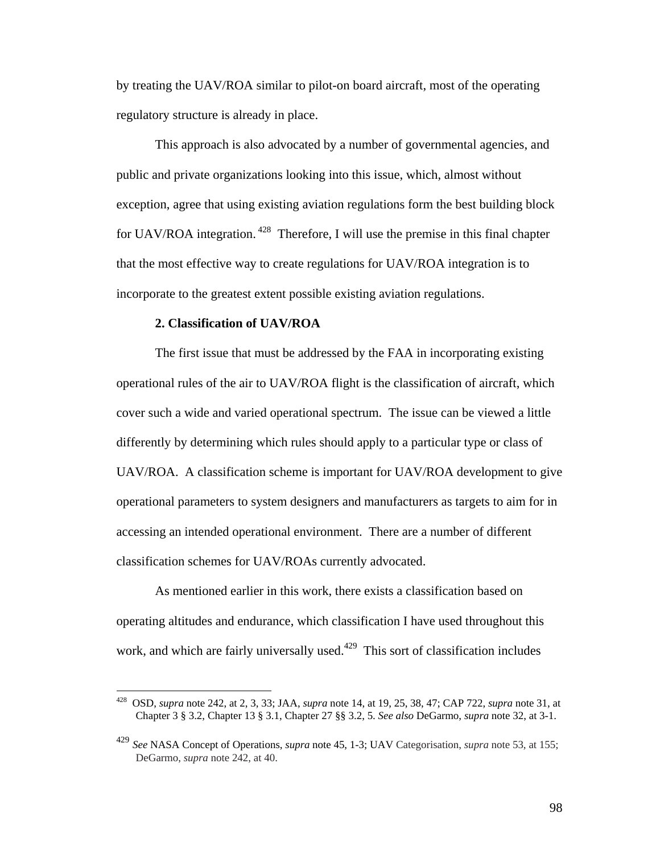by treating the UAV/ROA similar to pilot-on board aircraft, most of the operating regulatory structure is already in place.

 This approach is also advocated by a number of governmental agencies, and public and private organizations looking into this issue, which, almost without exception, agree that using existing aviation regulations form the best building block for UAV/ROA integration. 428 Therefore, I will use the premise in this final chapter that the most effective way to create regulations for UAV/ROA integration is to incorporate to the greatest extent possible existing aviation regulations.

#### **2. Classification of UAV/ROA**

1

 The first issue that must be addressed by the FAA in incorporating existing operational rules of the air to UAV/ROA flight is the classification of aircraft, which cover such a wide and varied operational spectrum. The issue can be viewed a little differently by determining which rules should apply to a particular type or class of UAV/ROA. A classification scheme is important for UAV/ROA development to give operational parameters to system designers and manufacturers as targets to aim for in accessing an intended operational environment. There are a number of different classification schemes for UAV/ROAs currently advocated.

 As mentioned earlier in this work, there exists a classification based on operating altitudes and endurance, which classification I have used throughout this work, and which are fairly universally used.<sup>429</sup> This sort of classification includes

<sup>428</sup> OSD, *supra* note 242, at 2, 3, 33; JAA, *supra* note 14, at 19, 25, 38, 47; CAP 722, *supra* note 31, at Chapter 3 § 3.2, Chapter 13 § 3.1, Chapter 27 §§ 3.2, 5. *See also* DeGarmo, *supra* note 32, at 3-1.

<sup>429</sup> *See* NASA Concept of Operations, *supra* note 45, 1-3; UAV Categorisation, *supra* note 53, at 155; DeGarmo, *supra* note 242, at 40.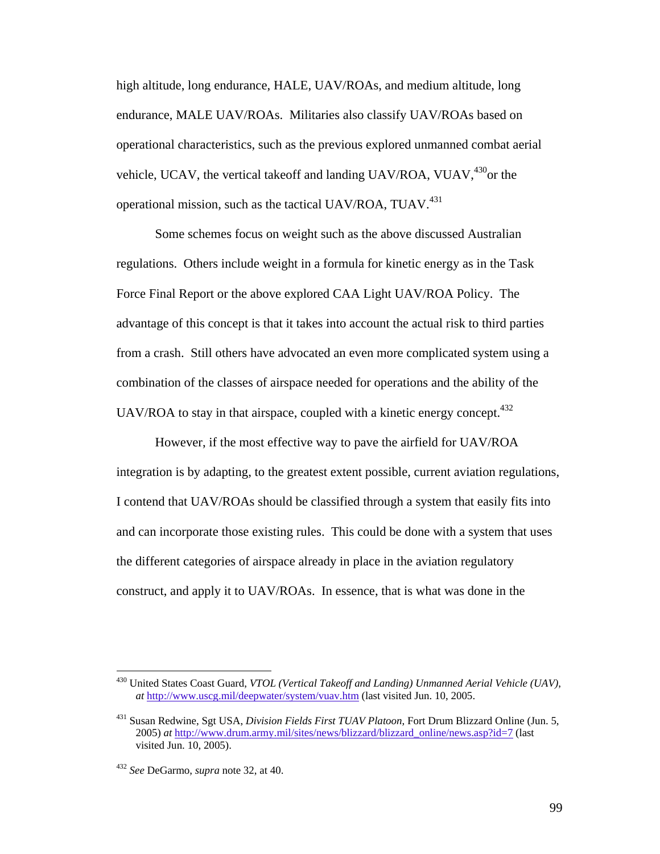high altitude, long endurance, HALE, UAV/ROAs, and medium altitude, long endurance, MALE UAV/ROAs. Militaries also classify UAV/ROAs based on operational characteristics, such as the previous explored unmanned combat aerial vehicle, UCAV, the vertical takeoff and landing UAV/ROA, VUAV, <sup>430</sup> or the operational mission, such as the tactical UAV/ROA,  $TUAV^{431}$ 

 Some schemes focus on weight such as the above discussed Australian regulations. Others include weight in a formula for kinetic energy as in the Task Force Final Report or the above explored CAA Light UAV/ROA Policy. The advantage of this concept is that it takes into account the actual risk to third parties from a crash. Still others have advocated an even more complicated system using a combination of the classes of airspace needed for operations and the ability of the UAV/ROA to stay in that airspace, coupled with a kinetic energy concept.<sup>432</sup>

 However, if the most effective way to pave the airfield for UAV/ROA integration is by adapting, to the greatest extent possible, current aviation regulations, I contend that UAV/ROAs should be classified through a system that easily fits into and can incorporate those existing rules. This could be done with a system that uses the different categories of airspace already in place in the aviation regulatory construct, and apply it to UAV/ROAs. In essence, that is what was done in the

<sup>430</sup> United States Coast Guard, *VTOL (Vertical Takeoff and Landing) Unmanned Aerial Vehicle (UAV)*, *at* http://www.uscg.mil/deepwater/system/vuav.htm (last visited Jun. 10, 2005.

<sup>431</sup> Susan Redwine, Sgt USA, *Division Fields First TUAV Platoon*, Fort Drum Blizzard Online (Jun. 5, 2005) *at* http://www.drum.army.mil/sites/news/blizzard/blizzard\_online/news.asp?id=7 (last visited Jun. 10, 2005).

<sup>432</sup> *See* DeGarmo, *supra* note 32, at 40.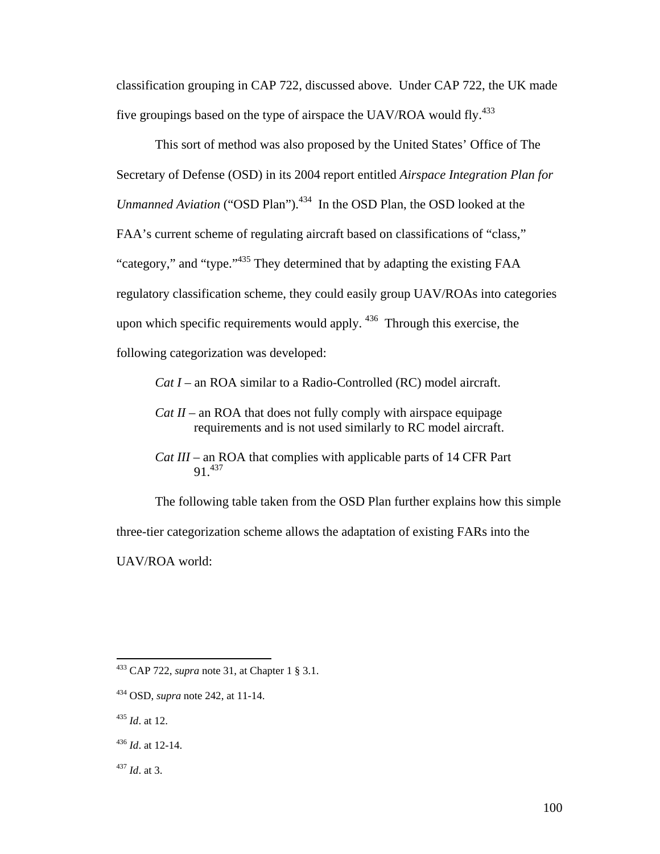classification grouping in CAP 722, discussed above. Under CAP 722, the UK made five groupings based on the type of airspace the UAV/ROA would fly.<sup>433</sup>

 This sort of method was also proposed by the United States' Office of The Secretary of Defense (OSD) in its 2004 report entitled *Airspace Integration Plan for Unmanned Aviation* ("OSD Plan").<sup>434</sup> In the OSD Plan, the OSD looked at the FAA's current scheme of regulating aircraft based on classifications of "class," "category," and "type."<sup>435</sup> They determined that by adapting the existing FAA regulatory classification scheme, they could easily group UAV/ROAs into categories upon which specific requirements would apply. <sup>436</sup> Through this exercise, the following categorization was developed:

*Cat I –* an ROA similar to a Radio-Controlled (RC) model aircraft.

*Cat II –* an ROA that does not fully comply with airspace equipage requirements and is not used similarly to RC model aircraft.

*Cat III –* an ROA that complies with applicable parts of 14 CFR Part 91<sup>437</sup>

 The following table taken from the OSD Plan further explains how this simple three-tier categorization scheme allows the adaptation of existing FARs into the UAV/ROA world:

<sup>433</sup> CAP 722, *supra* note 31, at Chapter 1 § 3.1.

<sup>434</sup> OSD, *supra* note 242, at 11-14.

<sup>435</sup> *Id*. at 12.

<sup>436</sup> *Id*. at 12-14.

<sup>437</sup> *Id*. at 3.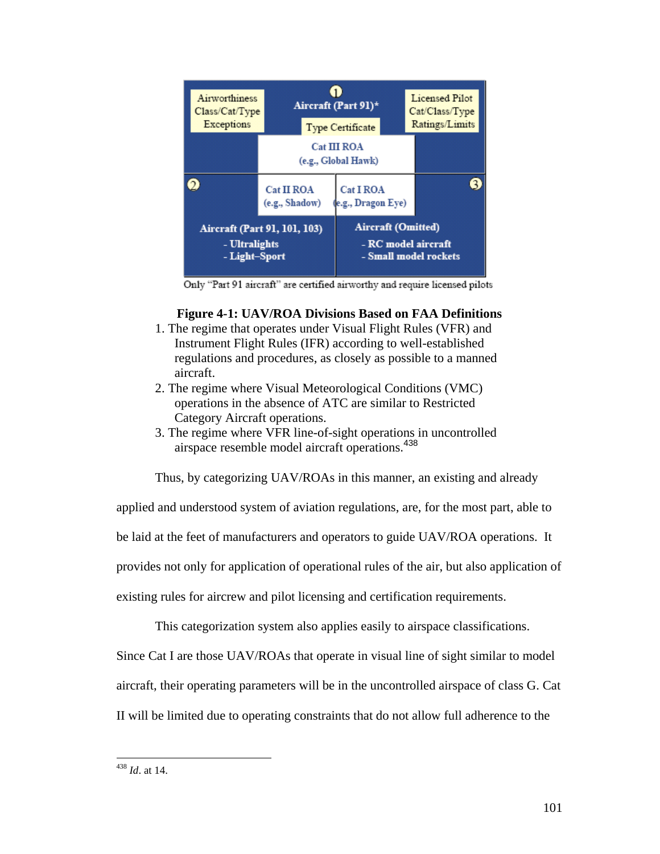

Only "Part 91 aircraft" are certified airworthy and require licensed pilots

### **Figure 4-1: UAV/ROA Divisions Based on FAA Definitions**

- 1. The regime that operates under Visual Flight Rules (VFR) and Instrument Flight Rules (IFR) according to well-established regulations and procedures, as closely as possible to a manned aircraft.
- 2. The regime where Visual Meteorological Conditions (VMC) operations in the absence of ATC are similar to Restricted Category Aircraft operations.
- 3. The regime where VFR line-of-sight operations in uncontrolled airspace resemble model aircraft operations. 438

Thus, by categorizing UAV/ROAs in this manner, an existing and already

applied and understood system of aviation regulations, are, for the most part, able to

be laid at the feet of manufacturers and operators to guide UAV/ROA operations. It

provides not only for application of operational rules of the air, but also application of

existing rules for aircrew and pilot licensing and certification requirements.

This categorization system also applies easily to airspace classifications.

Since Cat I are those UAV/ROAs that operate in visual line of sight similar to model

aircraft, their operating parameters will be in the uncontrolled airspace of class G. Cat

II will be limited due to operating constraints that do not allow full adherence to the

<sup>438</sup> *Id*. at 14.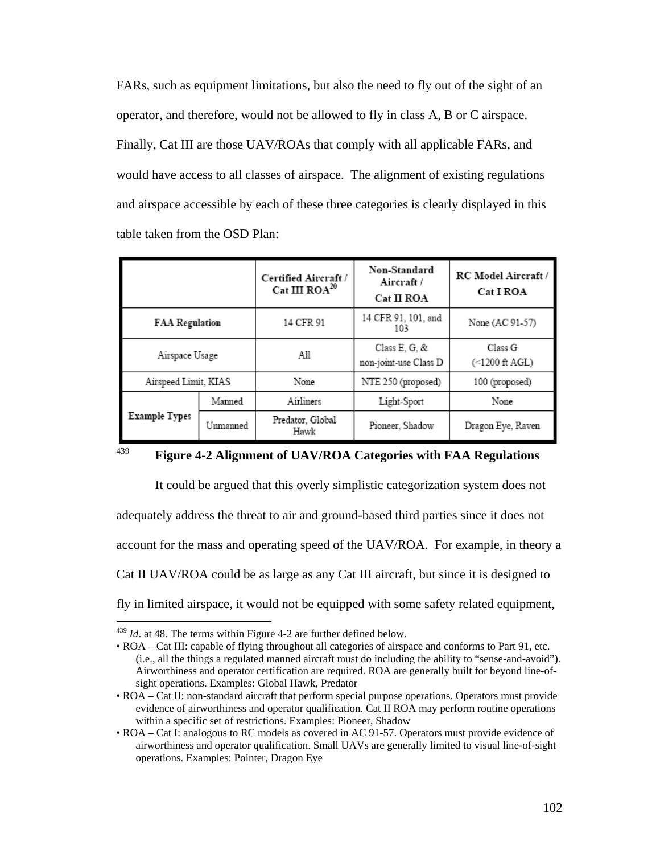FARs, such as equipment limitations, but also the need to fly out of the sight of an operator, and therefore, would not be allowed to fly in class A, B or C airspace. Finally, Cat III are those UAV/ROAs that comply with all applicable FARs, and would have access to all classes of airspace. The alignment of existing regulations and airspace accessible by each of these three categories is clearly displayed in this table taken from the OSD Plan:

|                       |          | Certified Aircraft /<br>Cat III $ROA^{20}$  | Non-Standard<br>Aircraft /<br>Cat II ROA | RC Model Aircraft /<br>Cat I ROA |
|-----------------------|----------|---------------------------------------------|------------------------------------------|----------------------------------|
| <b>FAA Regulation</b> |          | 14 CFR 91                                   | 14 CFR 91, 101, and<br>103               | None (AC 91-57)                  |
| Airspace Usage        |          | All                                         | Class E, G, &<br>non-joint-use Class D   | Class G<br>(<1200 ft AGL)        |
| Airspeed Limit, KIAS  |          | None                                        | NTE 250 (proposed)                       | 100 (proposed)                   |
| <b>Example Types</b>  | Manned   | Airliners<br>Light-Sport                    |                                          | None                             |
|                       | Unmanned | Predator, Global<br>Pioneer, Shadow<br>Hawk |                                          | Dragon Eye, Raven                |



 $\overline{a}$ 

# <sup>439</sup> **Figure 4-2 Alignment of UAV/ROA Categories with FAA Regulations**

 It could be argued that this overly simplistic categorization system does not adequately address the threat to air and ground-based third parties since it does not account for the mass and operating speed of the UAV/ROA. For example, in theory a Cat II UAV/ROA could be as large as any Cat III aircraft, but since it is designed to fly in limited airspace, it would not be equipped with some safety related equipment,

<sup>439</sup> *Id*. at 48. The terms within Figure 4-2 are further defined below.

<sup>•</sup> ROA – Cat III: capable of flying throughout all categories of airspace and conforms to Part 91, etc. (i.e., all the things a regulated manned aircraft must do including the ability to "sense-and-avoid"). Airworthiness and operator certification are required. ROA are generally built for beyond line-ofsight operations. Examples: Global Hawk, Predator

<sup>•</sup> ROA – Cat II: non-standard aircraft that perform special purpose operations. Operators must provide evidence of airworthiness and operator qualification. Cat II ROA may perform routine operations within a specific set of restrictions. Examples: Pioneer, Shadow

<sup>•</sup> ROA – Cat I: analogous to RC models as covered in AC 91-57. Operators must provide evidence of airworthiness and operator qualification. Small UAVs are generally limited to visual line-of-sight operations. Examples: Pointer, Dragon Eye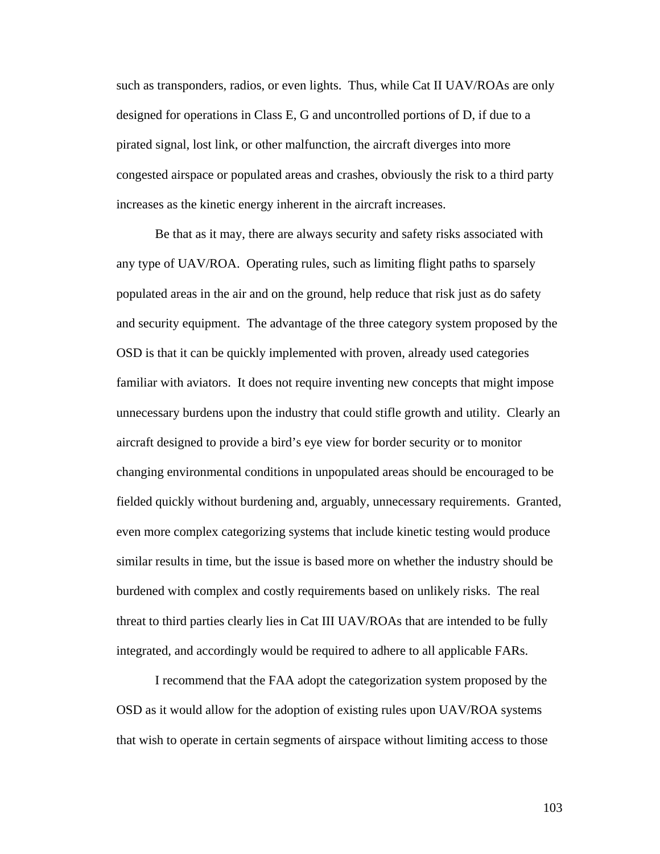such as transponders, radios, or even lights. Thus, while Cat II UAV/ROAs are only designed for operations in Class E, G and uncontrolled portions of D, if due to a pirated signal, lost link, or other malfunction, the aircraft diverges into more congested airspace or populated areas and crashes, obviously the risk to a third party increases as the kinetic energy inherent in the aircraft increases.

 Be that as it may, there are always security and safety risks associated with any type of UAV/ROA. Operating rules, such as limiting flight paths to sparsely populated areas in the air and on the ground, help reduce that risk just as do safety and security equipment. The advantage of the three category system proposed by the OSD is that it can be quickly implemented with proven, already used categories familiar with aviators. It does not require inventing new concepts that might impose unnecessary burdens upon the industry that could stifle growth and utility. Clearly an aircraft designed to provide a bird's eye view for border security or to monitor changing environmental conditions in unpopulated areas should be encouraged to be fielded quickly without burdening and, arguably, unnecessary requirements. Granted, even more complex categorizing systems that include kinetic testing would produce similar results in time, but the issue is based more on whether the industry should be burdened with complex and costly requirements based on unlikely risks. The real threat to third parties clearly lies in Cat III UAV/ROAs that are intended to be fully integrated, and accordingly would be required to adhere to all applicable FARs.

 I recommend that the FAA adopt the categorization system proposed by the OSD as it would allow for the adoption of existing rules upon UAV/ROA systems that wish to operate in certain segments of airspace without limiting access to those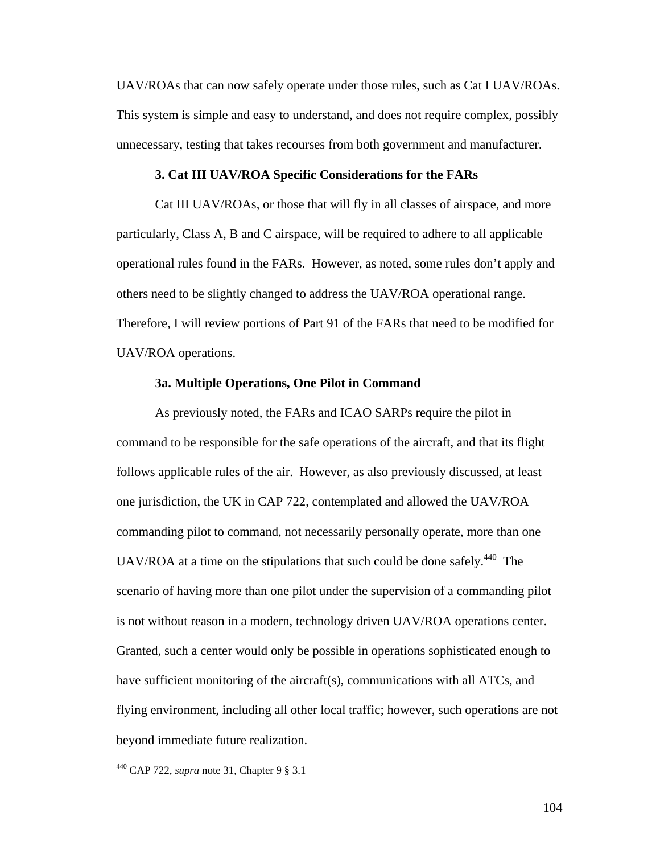UAV/ROAs that can now safely operate under those rules, such as Cat I UAV/ROAs. This system is simple and easy to understand, and does not require complex, possibly unnecessary, testing that takes recourses from both government and manufacturer.

#### **3. Cat III UAV/ROA Specific Considerations for the FARs**

 Cat III UAV/ROAs, or those that will fly in all classes of airspace, and more particularly, Class A, B and C airspace, will be required to adhere to all applicable operational rules found in the FARs. However, as noted, some rules don't apply and others need to be slightly changed to address the UAV/ROA operational range. Therefore, I will review portions of Part 91 of the FARs that need to be modified for UAV/ROA operations.

#### **3a. Multiple Operations, One Pilot in Command**

 As previously noted, the FARs and ICAO SARPs require the pilot in command to be responsible for the safe operations of the aircraft, and that its flight follows applicable rules of the air. However, as also previously discussed, at least one jurisdiction, the UK in CAP 722, contemplated and allowed the UAV/ROA commanding pilot to command, not necessarily personally operate, more than one UAV/ROA at a time on the stipulations that such could be done safely.<sup>440</sup> The scenario of having more than one pilot under the supervision of a commanding pilot is not without reason in a modern, technology driven UAV/ROA operations center. Granted, such a center would only be possible in operations sophisticated enough to have sufficient monitoring of the aircraft(s), communications with all ATCs, and flying environment, including all other local traffic; however, such operations are not beyond immediate future realization.

 $\overline{a}$ 

<sup>440</sup> CAP 722, *supra* note 31, Chapter 9 § 3.1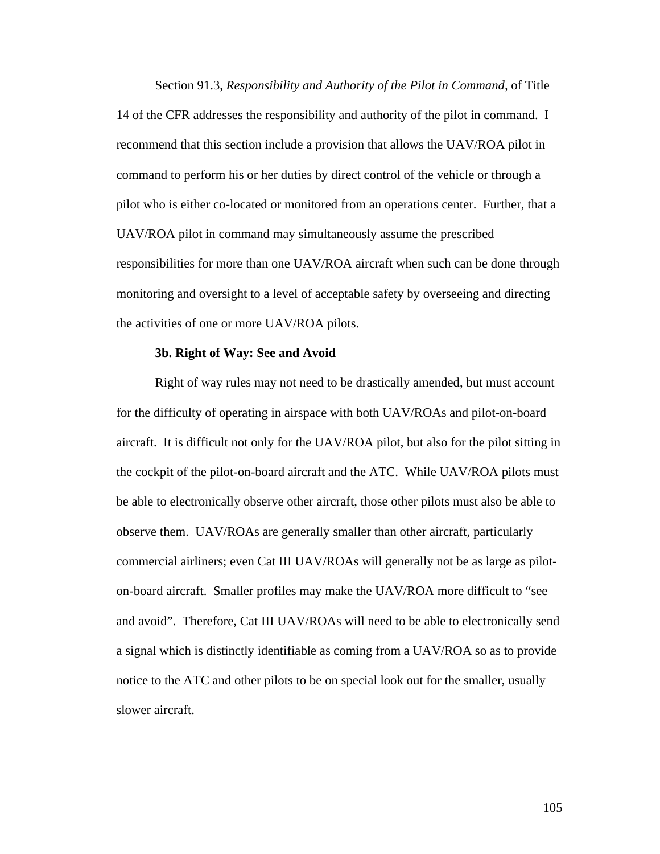Section 91.3, *Responsibility and Authority of the Pilot in Command,* of Title 14 of the CFR addresses the responsibility and authority of the pilot in command. I recommend that this section include a provision that allows the UAV/ROA pilot in command to perform his or her duties by direct control of the vehicle or through a pilot who is either co-located or monitored from an operations center. Further, that a UAV/ROA pilot in command may simultaneously assume the prescribed responsibilities for more than one UAV/ROA aircraft when such can be done through monitoring and oversight to a level of acceptable safety by overseeing and directing the activities of one or more UAV/ROA pilots.

#### **3b. Right of Way: See and Avoid**

 Right of way rules may not need to be drastically amended, but must account for the difficulty of operating in airspace with both UAV/ROAs and pilot-on-board aircraft. It is difficult not only for the UAV/ROA pilot, but also for the pilot sitting in the cockpit of the pilot-on-board aircraft and the ATC. While UAV/ROA pilots must be able to electronically observe other aircraft, those other pilots must also be able to observe them. UAV/ROAs are generally smaller than other aircraft, particularly commercial airliners; even Cat III UAV/ROAs will generally not be as large as piloton-board aircraft. Smaller profiles may make the UAV/ROA more difficult to "see and avoid". Therefore, Cat III UAV/ROAs will need to be able to electronically send a signal which is distinctly identifiable as coming from a UAV/ROA so as to provide notice to the ATC and other pilots to be on special look out for the smaller, usually slower aircraft.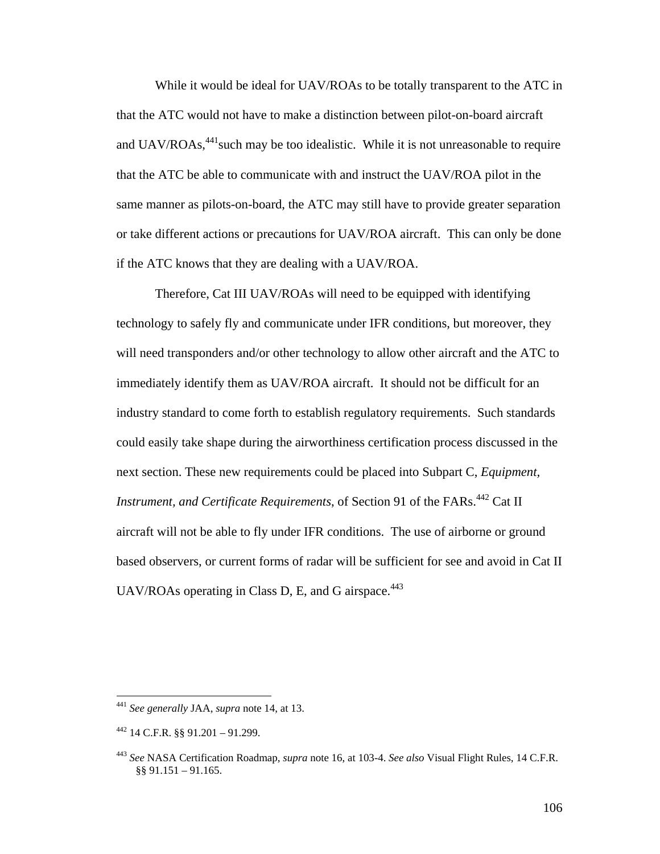While it would be ideal for UAV/ROAs to be totally transparent to the ATC in that the ATC would not have to make a distinction between pilot-on-board aircraft and  $UAV/ROAs<sub>441</sub> such may be too idealistic. While it is not unreasonable to require$ that the ATC be able to communicate with and instruct the UAV/ROA pilot in the same manner as pilots-on-board, the ATC may still have to provide greater separation or take different actions or precautions for UAV/ROA aircraft. This can only be done if the ATC knows that they are dealing with a UAV/ROA.

 Therefore, Cat III UAV/ROAs will need to be equipped with identifying technology to safely fly and communicate under IFR conditions, but moreover, they will need transponders and/or other technology to allow other aircraft and the ATC to immediately identify them as UAV/ROA aircraft. It should not be difficult for an industry standard to come forth to establish regulatory requirements. Such standards could easily take shape during the airworthiness certification process discussed in the next section. These new requirements could be placed into Subpart C, *Equipment, Instrument, and Certificate Requirements, of Section 91 of the FARs.*<sup>442</sup> Cat II aircraft will not be able to fly under IFR conditions. The use of airborne or ground based observers, or current forms of radar will be sufficient for see and avoid in Cat II UAV/ROAs operating in Class D, E, and G airspace. $443$ 

<sup>441</sup> *See generally* JAA, *supra* note 14, at 13.

 $442$  14 C.F.R. §§ 91.201 – 91.299.

<sup>443</sup> *See* NASA Certification Roadmap, *supra* note 16, at 103-4. *See also* Visual Flight Rules, 14 C.F.R. §§ 91.151 – 91.165.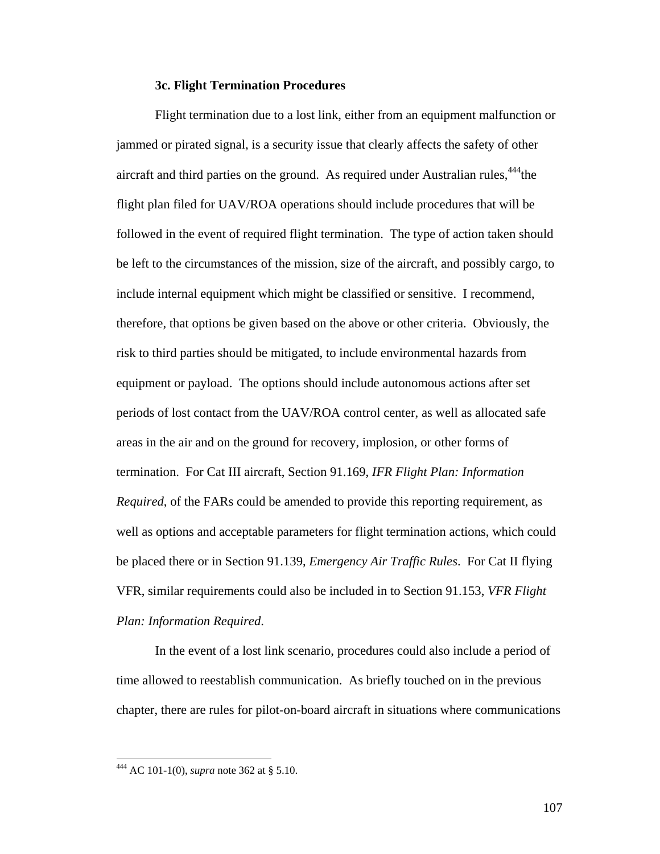#### **3c. Flight Termination Procedures**

 Flight termination due to a lost link, either from an equipment malfunction or jammed or pirated signal, is a security issue that clearly affects the safety of other aircraft and third parties on the ground. As required under Australian rules,  $444$ the flight plan filed for UAV/ROA operations should include procedures that will be followed in the event of required flight termination. The type of action taken should be left to the circumstances of the mission, size of the aircraft, and possibly cargo, to include internal equipment which might be classified or sensitive. I recommend, therefore, that options be given based on the above or other criteria. Obviously, the risk to third parties should be mitigated, to include environmental hazards from equipment or payload. The options should include autonomous actions after set periods of lost contact from the UAV/ROA control center, as well as allocated safe areas in the air and on the ground for recovery, implosion, or other forms of termination. For Cat III aircraft, Section 91.169, *IFR Flight Plan: Information Required*, of the FARs could be amended to provide this reporting requirement, as well as options and acceptable parameters for flight termination actions, which could be placed there or in Section 91.139, *Emergency Air Traffic Rules*. For Cat II flying VFR, similar requirements could also be included in to Section 91.153, *VFR Flight Plan: Information Required*.

 In the event of a lost link scenario, procedures could also include a period of time allowed to reestablish communication. As briefly touched on in the previous chapter, there are rules for pilot-on-board aircraft in situations where communications

<u>.</u>

<sup>444</sup> AC 101-1(0), *supra* note 362 at § 5.10.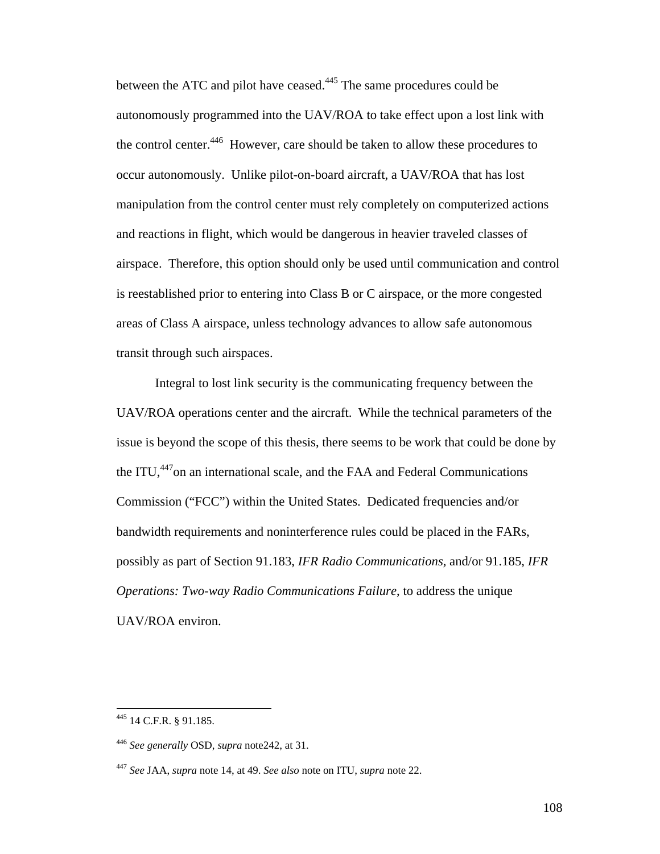between the ATC and pilot have ceased.<sup>445</sup> The same procedures could be autonomously programmed into the UAV/ROA to take effect upon a lost link with the control center.<sup>446</sup> However, care should be taken to allow these procedures to occur autonomously. Unlike pilot-on-board aircraft, a UAV/ROA that has lost manipulation from the control center must rely completely on computerized actions and reactions in flight, which would be dangerous in heavier traveled classes of airspace. Therefore, this option should only be used until communication and control is reestablished prior to entering into Class B or C airspace, or the more congested areas of Class A airspace, unless technology advances to allow safe autonomous transit through such airspaces.

 Integral to lost link security is the communicating frequency between the UAV/ROA operations center and the aircraft. While the technical parameters of the issue is beyond the scope of this thesis, there seems to be work that could be done by the ITU,<sup>447</sup>on an international scale, and the FAA and Federal Communications Commission ("FCC") within the United States. Dedicated frequencies and/or bandwidth requirements and noninterference rules could be placed in the FARs, possibly as part of Section 91.183, *IFR Radio Communications,* and/or 91.185, *IFR Operations: Two-way Radio Communications Failure*, to address the unique UAV/ROA environ.

<sup>445 14</sup> C.F.R. § 91.185.

<sup>446</sup> *See generally* OSD, *supra* note242, at 31.

<sup>447</sup> *See* JAA, *supra* note 14, at 49. *See also* note on ITU, *supra* note 22.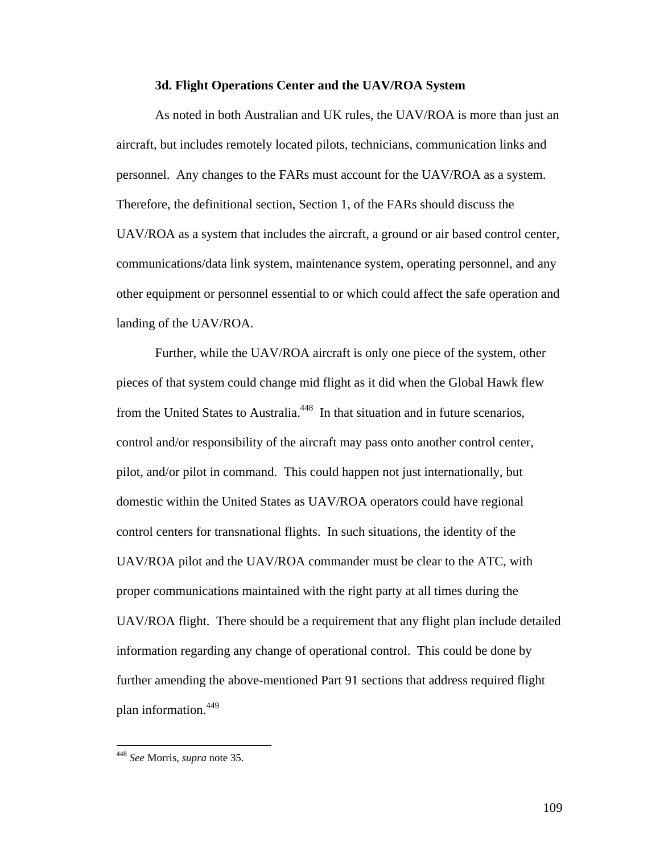#### **3d. Flight Operations Center and the UAV/ROA System**

 As noted in both Australian and UK rules, the UAV/ROA is more than just an aircraft, but includes remotely located pilots, technicians, communication links and personnel. Any changes to the FARs must account for the UAV/ROA as a system. Therefore, the definitional section, Section 1, of the FARs should discuss the UAV/ROA as a system that includes the aircraft, a ground or air based control center, communications/data link system, maintenance system, operating personnel, and any other equipment or personnel essential to or which could affect the safe operation and landing of the UAV/ROA.

 Further, while the UAV/ROA aircraft is only one piece of the system, other pieces of that system could change mid flight as it did when the Global Hawk flew from the United States to Australia.<sup>448</sup> In that situation and in future scenarios, control and/or responsibility of the aircraft may pass onto another control center, pilot, and/or pilot in command. This could happen not just internationally, but domestic within the United States as UAV/ROA operators could have regional control centers for transnational flights. In such situations, the identity of the UAV/ROA pilot and the UAV/ROA commander must be clear to the ATC, with proper communications maintained with the right party at all times during the UAV/ROA flight. There should be a requirement that any flight plan include detailed information regarding any change of operational control. This could be done by further amending the above-mentioned Part 91 sections that address required flight plan information.449

1

<sup>448</sup> *See* Morris, *supra* note 35.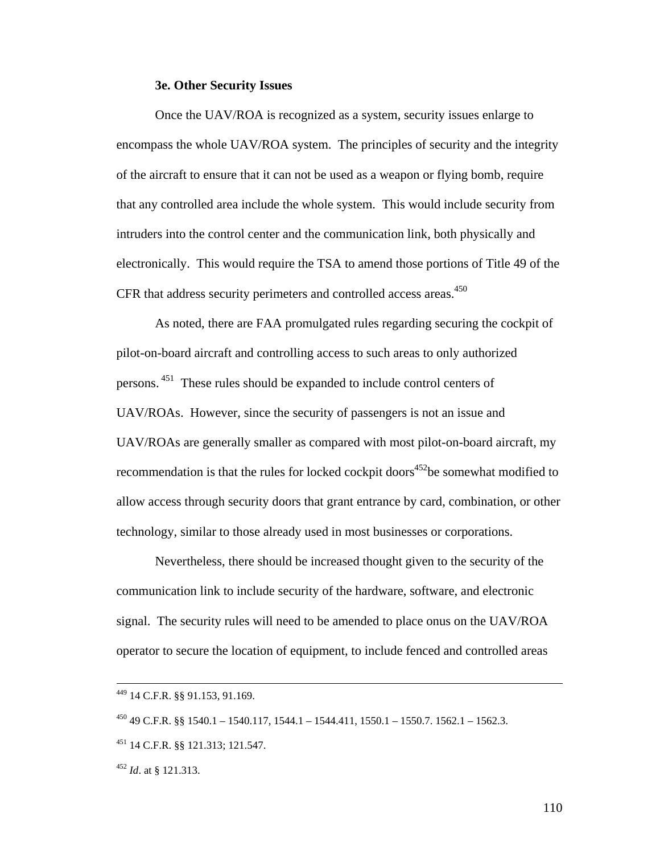#### **3e. Other Security Issues**

 Once the UAV/ROA is recognized as a system, security issues enlarge to encompass the whole UAV/ROA system. The principles of security and the integrity of the aircraft to ensure that it can not be used as a weapon or flying bomb, require that any controlled area include the whole system. This would include security from intruders into the control center and the communication link, both physically and electronically. This would require the TSA to amend those portions of Title 49 of the CFR that address security perimeters and controlled access areas.<sup>450</sup>

 As noted, there are FAA promulgated rules regarding securing the cockpit of pilot-on-board aircraft and controlling access to such areas to only authorized persons. 451 These rules should be expanded to include control centers of UAV/ROAs. However, since the security of passengers is not an issue and UAV/ROAs are generally smaller as compared with most pilot-on-board aircraft, my recommendation is that the rules for locked cockpit doors<sup>452</sup>be somewhat modified to allow access through security doors that grant entrance by card, combination, or other technology, similar to those already used in most businesses or corporations.

 Nevertheless, there should be increased thought given to the security of the communication link to include security of the hardware, software, and electronic signal. The security rules will need to be amended to place onus on the UAV/ROA operator to secure the location of equipment, to include fenced and controlled areas

 <sup>449 14</sup> C.F.R. §§ 91.153, 91.169.

 $^{450}$  49 C.F.R. §§ 1540.1 – 1540.117, 1544.1 – 1544.411, 1550.1 – 1550.7. 1562.1 – 1562.3.

<sup>451 14</sup> C.F.R. §§ 121.313; 121.547.

<sup>452</sup> *Id*. at § 121.313.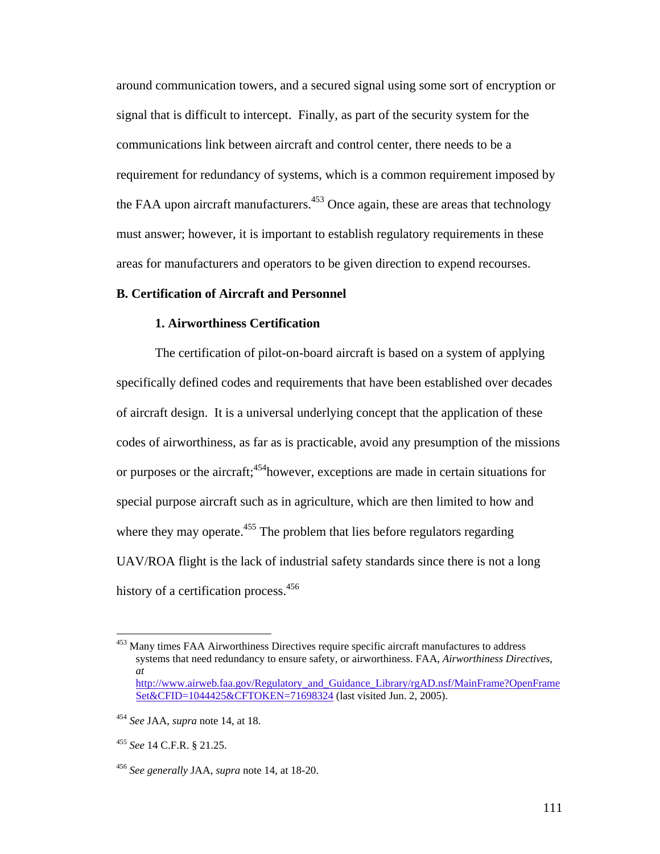around communication towers, and a secured signal using some sort of encryption or signal that is difficult to intercept. Finally, as part of the security system for the communications link between aircraft and control center, there needs to be a requirement for redundancy of systems, which is a common requirement imposed by the FAA upon aircraft manufacturers.<sup>453</sup> Once again, these are areas that technology must answer; however, it is important to establish regulatory requirements in these areas for manufacturers and operators to be given direction to expend recourses.

#### **B. Certification of Aircraft and Personnel**

#### **1. Airworthiness Certification**

 The certification of pilot-on-board aircraft is based on a system of applying specifically defined codes and requirements that have been established over decades of aircraft design. It is a universal underlying concept that the application of these codes of airworthiness, as far as is practicable, avoid any presumption of the missions or purposes or the aircraft;<sup>454</sup>however, exceptions are made in certain situations for special purpose aircraft such as in agriculture, which are then limited to how and where they may operate.<sup>455</sup> The problem that lies before regulators regarding UAV/ROA flight is the lack of industrial safety standards since there is not a long history of a certification process.<sup>456</sup>

<sup>&</sup>lt;sup>453</sup> Many times FAA Airworthiness Directives require specific aircraft manufactures to address systems that need redundancy to ensure safety, or airworthiness. FAA, *Airworthiness Directives*, *at* http://www.airweb.faa.gov/Regulatory\_and\_Guidance\_Library/rgAD.nsf/MainFrame?OpenFrame Set&CFID=1044425&CFTOKEN=71698324 (last visited Jun. 2, 2005).

<sup>454</sup> *See* JAA, *supra* note 14, at 18.

<sup>455</sup> *See* 14 C.F.R. § 21.25.

<sup>456</sup> *See generally* JAA, *supra* note 14, at 18-20.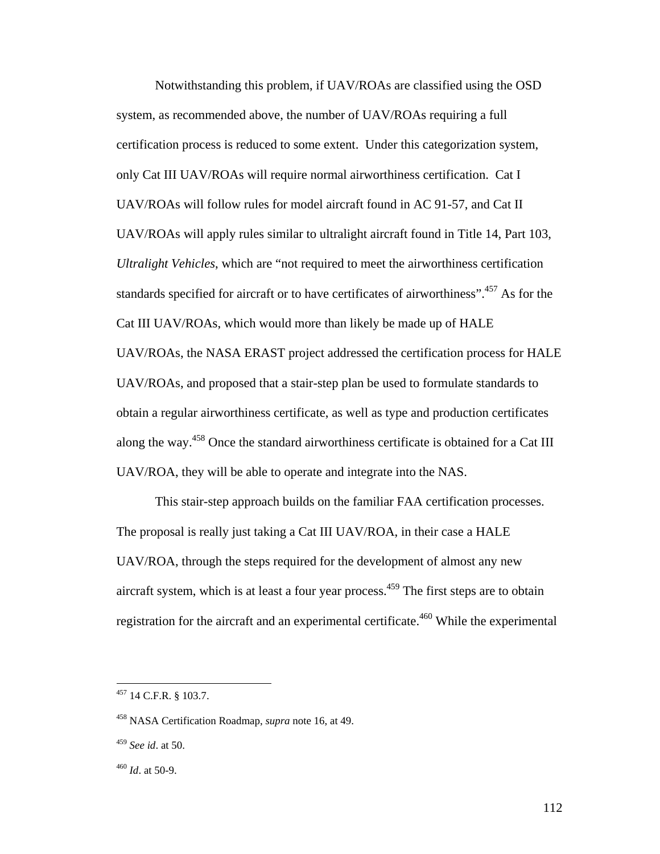Notwithstanding this problem, if UAV/ROAs are classified using the OSD system, as recommended above, the number of UAV/ROAs requiring a full certification process is reduced to some extent. Under this categorization system, only Cat III UAV/ROAs will require normal airworthiness certification. Cat I UAV/ROAs will follow rules for model aircraft found in AC 91-57, and Cat II UAV/ROAs will apply rules similar to ultralight aircraft found in Title 14, Part 103, *Ultralight Vehicles*, which are "not required to meet the airworthiness certification standards specified for aircraft or to have certificates of airworthiness".<sup>457</sup> As for the Cat III UAV/ROAs, which would more than likely be made up of HALE UAV/ROAs, the NASA ERAST project addressed the certification process for HALE UAV/ROAs, and proposed that a stair-step plan be used to formulate standards to obtain a regular airworthiness certificate, as well as type and production certificates along the way.458 Once the standard airworthiness certificate is obtained for a Cat III UAV/ROA, they will be able to operate and integrate into the NAS.

 This stair-step approach builds on the familiar FAA certification processes. The proposal is really just taking a Cat III UAV/ROA, in their case a HALE UAV/ROA, through the steps required for the development of almost any new aircraft system, which is at least a four year process. $459$  The first steps are to obtain registration for the aircraft and an experimental certificate.<sup>460</sup> While the experimental

 $457$  14 C.F.R. § 103.7.

<sup>458</sup> NASA Certification Roadmap, *supra* note 16, at 49.

<sup>459</sup> *See id*. at 50.

<sup>460</sup> *Id*. at 50-9.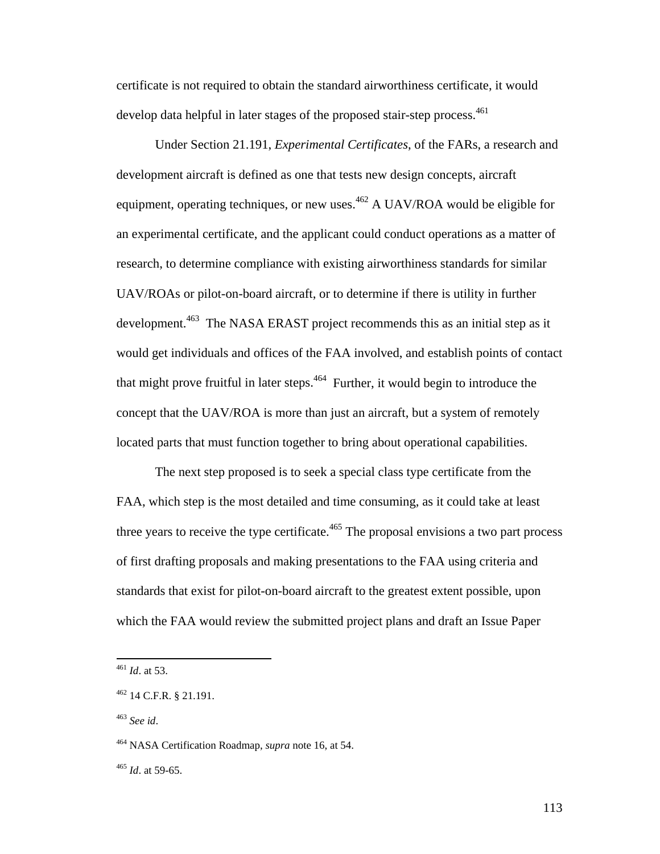certificate is not required to obtain the standard airworthiness certificate, it would develop data helpful in later stages of the proposed stair-step process.<sup>461</sup>

 Under Section 21.191, *Experimental Certificates*, of the FARs, a research and development aircraft is defined as one that tests new design concepts, aircraft equipment, operating techniques, or new uses.<sup>462</sup> A UAV/ROA would be eligible for an experimental certificate, and the applicant could conduct operations as a matter of research, to determine compliance with existing airworthiness standards for similar UAV/ROAs or pilot-on-board aircraft, or to determine if there is utility in further development.<sup>463</sup> The NASA ERAST project recommends this as an initial step as it would get individuals and offices of the FAA involved, and establish points of contact that might prove fruitful in later steps. $464$  Further, it would begin to introduce the concept that the UAV/ROA is more than just an aircraft, but a system of remotely located parts that must function together to bring about operational capabilities.

 The next step proposed is to seek a special class type certificate from the FAA, which step is the most detailed and time consuming, as it could take at least three years to receive the type certificate. $465$  The proposal envisions a two part process of first drafting proposals and making presentations to the FAA using criteria and standards that exist for pilot-on-board aircraft to the greatest extent possible, upon which the FAA would review the submitted project plans and draft an Issue Paper

<sup>461</sup> *Id*. at 53.

<sup>462 14</sup> C.F.R. § 21.191.

<sup>463</sup> *See id*.

<sup>464</sup> NASA Certification Roadmap, *supra* note 16, at 54.

<sup>465</sup> *Id*. at 59-65.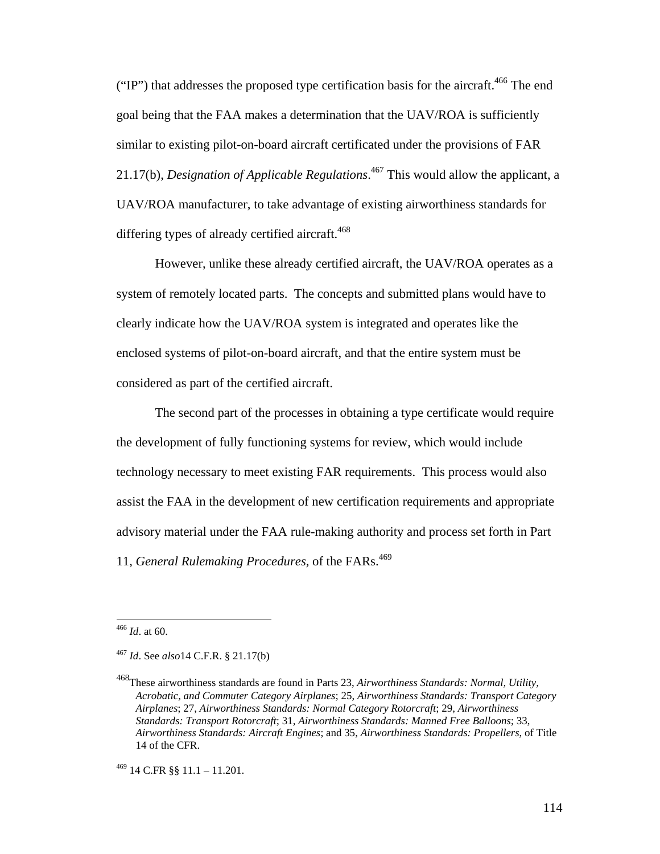("IP") that addresses the proposed type certification basis for the aircraft.<sup>466</sup> The end goal being that the FAA makes a determination that the UAV/ROA is sufficiently similar to existing pilot-on-board aircraft certificated under the provisions of FAR 21.17(b), *Designation of Applicable Regulations*. 467 This would allow the applicant, a UAV/ROA manufacturer, to take advantage of existing airworthiness standards for differing types of already certified aircraft.<sup>468</sup>

 However, unlike these already certified aircraft, the UAV/ROA operates as a system of remotely located parts. The concepts and submitted plans would have to clearly indicate how the UAV/ROA system is integrated and operates like the enclosed systems of pilot-on-board aircraft, and that the entire system must be considered as part of the certified aircraft.

 The second part of the processes in obtaining a type certificate would require the development of fully functioning systems for review, which would include technology necessary to meet existing FAR requirements. This process would also assist the FAA in the development of new certification requirements and appropriate advisory material under the FAA rule-making authority and process set forth in Part 11, *General Rulemaking Procedures*, of the FARs.<sup>469</sup>

<sup>466</sup> *Id*. at 60.

<sup>467</sup> *Id*. See *also*14 C.F.R. § 21.17(b)

<sup>468</sup>These airworthiness standards are found in Parts 23, *Airworthiness Standards: Normal, Utility, Acrobatic, and Commuter Category Airplanes*; 25, *Airworthiness Standards: Transport Category Airplanes*; 27, *Airworthiness Standards: Normal Category Rotorcraft*; 29, *Airworthiness Standards: Transport Rotorcraft*; 31, *Airworthiness Standards: Manned Free Balloons*; 33, *Airworthiness Standards: Aircraft Engines*; and 35, *Airworthiness Standards: Propellers*, of Title 14 of the CFR.

 $^{469}$  14 C.FR §§ 11.1 – 11.201.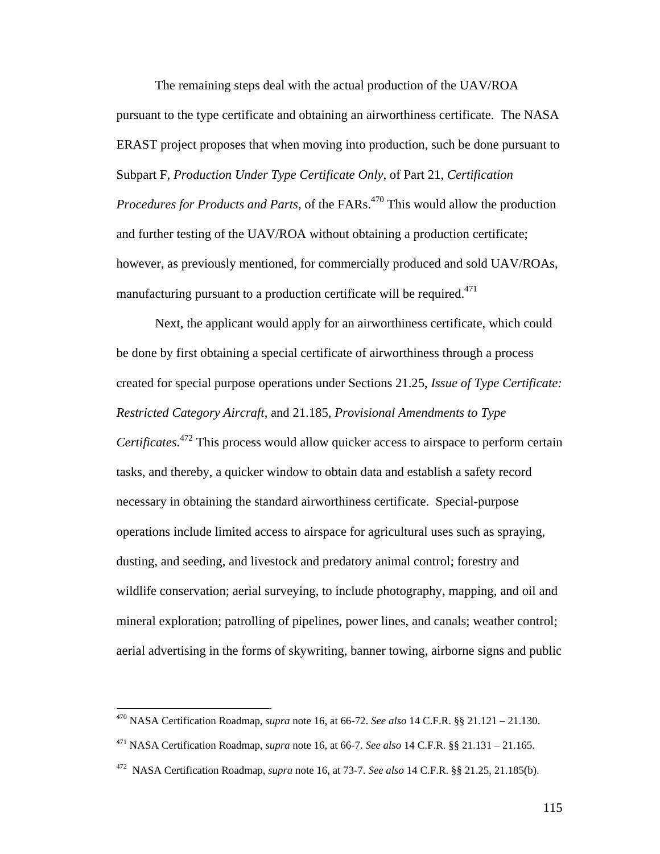The remaining steps deal with the actual production of the UAV/ROA pursuant to the type certificate and obtaining an airworthiness certificate. The NASA ERAST project proposes that when moving into production, such be done pursuant to Subpart F, *Production Under Type Certificate Only*, of Part 21, *Certification Procedures for Products and Parts*, of the FARs.<sup>470</sup> This would allow the production and further testing of the UAV/ROA without obtaining a production certificate; however, as previously mentioned, for commercially produced and sold UAV/ROAs, manufacturing pursuant to a production certificate will be required.<sup>471</sup>

 Next, the applicant would apply for an airworthiness certificate, which could be done by first obtaining a special certificate of airworthiness through a process created for special purpose operations under Sections 21.25, *Issue of Type Certificate: Restricted Category Aircraft,* and 21.185, *Provisional Amendments to Type Certificates*. 472 This process would allow quicker access to airspace to perform certain tasks, and thereby, a quicker window to obtain data and establish a safety record necessary in obtaining the standard airworthiness certificate. Special-purpose operations include limited access to airspace for agricultural uses such as spraying, dusting, and seeding, and livestock and predatory animal control; forestry and wildlife conservation; aerial surveying, to include photography, mapping, and oil and mineral exploration; patrolling of pipelines, power lines, and canals; weather control; aerial advertising in the forms of skywriting, banner towing, airborne signs and public

<sup>470</sup> NASA Certification Roadmap, *supra* note 16, at 66-72. *See also* 14 C.F.R. §§ 21.121 – 21.130.

<sup>471</sup> NASA Certification Roadmap, *supra* note 16, at 66-7. *See also* 14 C.F.R. §§ 21.131 – 21.165.

<sup>472</sup> NASA Certification Roadmap, *supra* note 16, at 73-7. *See also* 14 C.F.R. §§ 21.25, 21.185(b).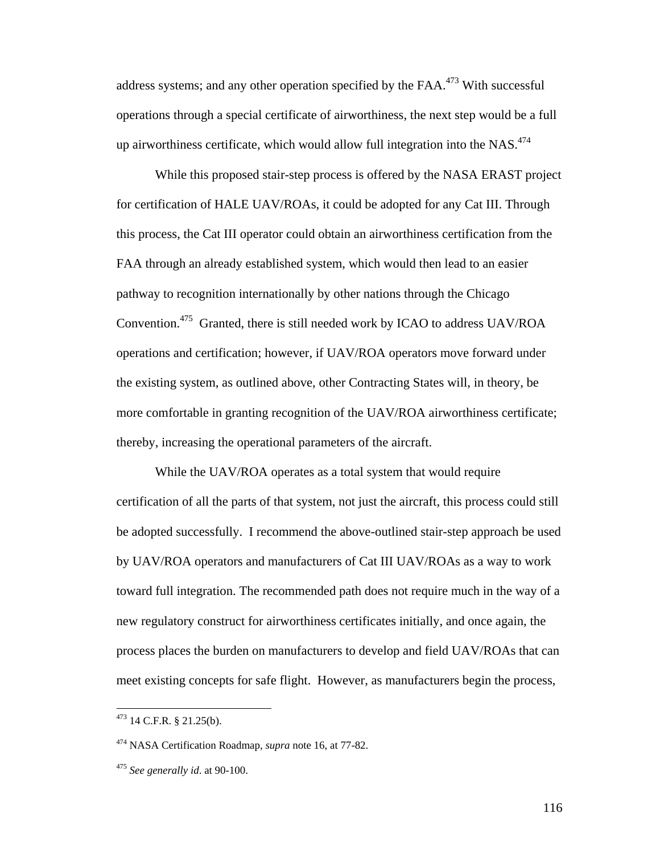address systems; and any other operation specified by the FAA.<sup>473</sup> With successful operations through a special certificate of airworthiness, the next step would be a full up airworthiness certificate, which would allow full integration into the NAS.<sup>474</sup>

 While this proposed stair-step process is offered by the NASA ERAST project for certification of HALE UAV/ROAs, it could be adopted for any Cat III. Through this process, the Cat III operator could obtain an airworthiness certification from the FAA through an already established system, which would then lead to an easier pathway to recognition internationally by other nations through the Chicago Convention.475 Granted, there is still needed work by ICAO to address UAV/ROA operations and certification; however, if UAV/ROA operators move forward under the existing system, as outlined above, other Contracting States will, in theory, be more comfortable in granting recognition of the UAV/ROA airworthiness certificate; thereby, increasing the operational parameters of the aircraft.

 While the UAV/ROA operates as a total system that would require certification of all the parts of that system, not just the aircraft, this process could still be adopted successfully. I recommend the above-outlined stair-step approach be used by UAV/ROA operators and manufacturers of Cat III UAV/ROAs as a way to work toward full integration. The recommended path does not require much in the way of a new regulatory construct for airworthiness certificates initially, and once again, the process places the burden on manufacturers to develop and field UAV/ROAs that can meet existing concepts for safe flight. However, as manufacturers begin the process,

1

 $473$  14 C.F.R. § 21.25(b).

<sup>474</sup> NASA Certification Roadmap, *supra* note 16, at 77-82.

<sup>475</sup> *See generally id*. at 90-100.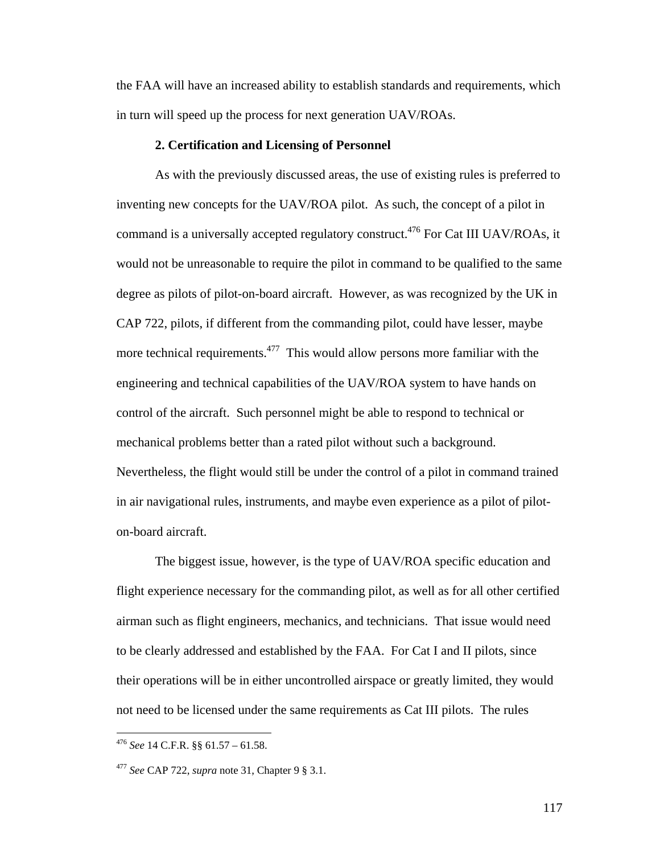the FAA will have an increased ability to establish standards and requirements, which in turn will speed up the process for next generation UAV/ROAs.

#### **2. Certification and Licensing of Personnel**

 As with the previously discussed areas, the use of existing rules is preferred to inventing new concepts for the UAV/ROA pilot. As such, the concept of a pilot in command is a universally accepted regulatory construct.<sup>476</sup> For Cat III UAV/ROAs, it would not be unreasonable to require the pilot in command to be qualified to the same degree as pilots of pilot-on-board aircraft. However, as was recognized by the UK in CAP 722, pilots, if different from the commanding pilot, could have lesser, maybe more technical requirements.<sup>477</sup> This would allow persons more familiar with the engineering and technical capabilities of the UAV/ROA system to have hands on control of the aircraft. Such personnel might be able to respond to technical or mechanical problems better than a rated pilot without such a background. Nevertheless, the flight would still be under the control of a pilot in command trained in air navigational rules, instruments, and maybe even experience as a pilot of piloton-board aircraft.

 The biggest issue, however, is the type of UAV/ROA specific education and flight experience necessary for the commanding pilot, as well as for all other certified airman such as flight engineers, mechanics, and technicians. That issue would need to be clearly addressed and established by the FAA. For Cat I and II pilots, since their operations will be in either uncontrolled airspace or greatly limited, they would not need to be licensed under the same requirements as Cat III pilots. The rules

<sup>476</sup> *See* 14 C.F.R. §§ 61.57 – 61.58.

<sup>477</sup> *See* CAP 722, *supra* note 31, Chapter 9 § 3.1.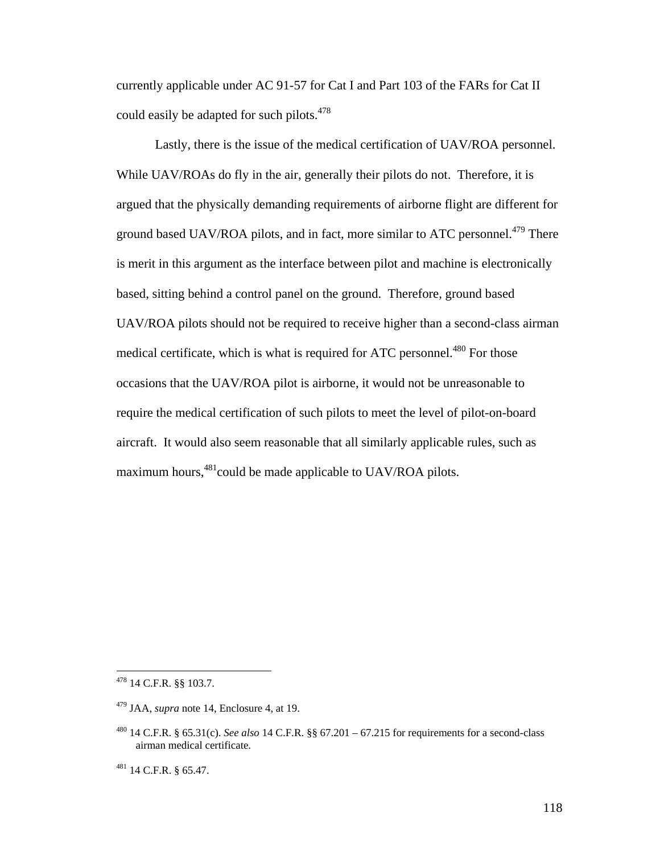currently applicable under AC 91-57 for Cat I and Part 103 of the FARs for Cat II could easily be adapted for such pilots.<sup>478</sup>

 Lastly, there is the issue of the medical certification of UAV/ROA personnel. While UAV/ROAs do fly in the air, generally their pilots do not. Therefore, it is argued that the physically demanding requirements of airborne flight are different for ground based UAV/ROA pilots, and in fact, more similar to ATC personnel.<sup>479</sup> There is merit in this argument as the interface between pilot and machine is electronically based, sitting behind a control panel on the ground. Therefore, ground based UAV/ROA pilots should not be required to receive higher than a second-class airman medical certificate, which is what is required for ATC personnel.<sup>480</sup> For those occasions that the UAV/ROA pilot is airborne, it would not be unreasonable to require the medical certification of such pilots to meet the level of pilot-on-board aircraft. It would also seem reasonable that all similarly applicable rules, such as maximum hours, <sup>481</sup>could be made applicable to UAV/ROA pilots.

 $478$  14 C.F.R. §§ 103.7.

<sup>479</sup> JAA, *supra* note 14, Enclosure 4, at 19.

<sup>480 14</sup> C.F.R. § 65.31(c). *See also* 14 C.F.R. §§ 67.201 – 67.215 for requirements for a second-class airman medical certificate.

<sup>481 14</sup> C.F.R. § 65.47.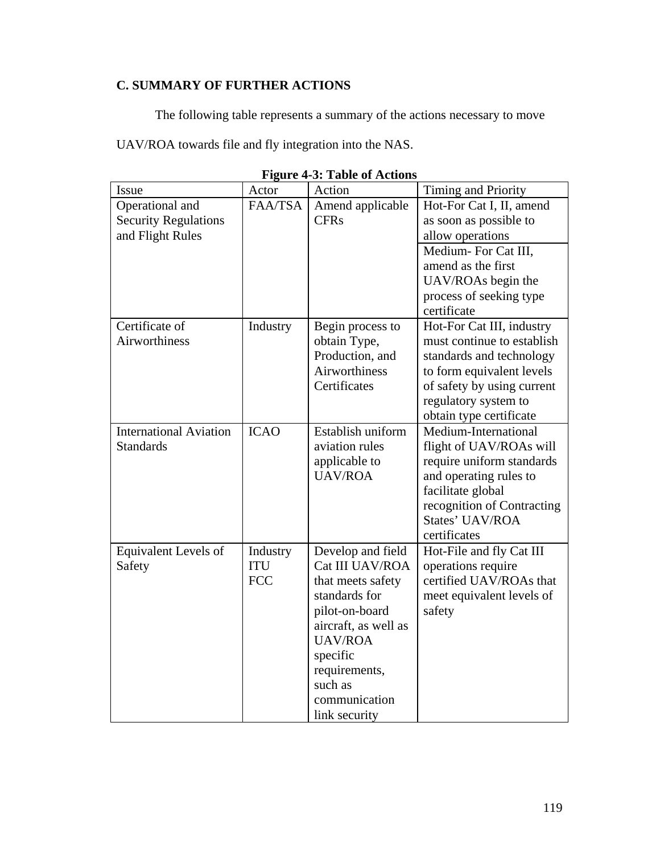## **C. SUMMARY OF FURTHER ACTIONS**

The following table represents a summary of the actions necessary to move

UAV/ROA towards file and fly integration into the NAS.

| Issue                                                              | Actor                                | Action                                                                                                                                                                                                           | Timing and Priority                                                                                                                                                                               |
|--------------------------------------------------------------------|--------------------------------------|------------------------------------------------------------------------------------------------------------------------------------------------------------------------------------------------------------------|---------------------------------------------------------------------------------------------------------------------------------------------------------------------------------------------------|
| Operational and<br><b>Security Regulations</b><br>and Flight Rules | FAA/TSA                              | Amend applicable<br><b>CFRs</b>                                                                                                                                                                                  | Hot-For Cat I, II, amend<br>as soon as possible to<br>allow operations<br>Medium-For Cat III,<br>amend as the first<br>UAV/ROAs begin the<br>process of seeking type<br>certificate               |
| Certificate of<br><b>Airworthiness</b>                             | Industry                             | Begin process to<br>obtain Type,<br>Production, and<br>Airworthiness<br>Certificates                                                                                                                             | Hot-For Cat III, industry<br>must continue to establish<br>standards and technology<br>to form equivalent levels<br>of safety by using current<br>regulatory system to<br>obtain type certificate |
| <b>International Aviation</b><br><b>Standards</b>                  | <b>ICAO</b>                          | Establish uniform<br>aviation rules<br>applicable to<br><b>UAV/ROA</b>                                                                                                                                           | Medium-International<br>flight of UAV/ROAs will<br>require uniform standards<br>and operating rules to<br>facilitate global<br>recognition of Contracting<br>States' UAV/ROA<br>certificates      |
| Equivalent Levels of<br>Safety                                     | Industry<br><b>ITU</b><br><b>FCC</b> | Develop and field<br>Cat III UAV/ROA<br>that meets safety<br>standards for<br>pilot-on-board<br>aircraft, as well as<br><b>UAV/ROA</b><br>specific<br>requirements,<br>such as<br>communication<br>link security | Hot-File and fly Cat III<br>operations require<br>certified UAV/ROAs that<br>meet equivalent levels of<br>safety                                                                                  |

**Figure 4-3: Table of Actions**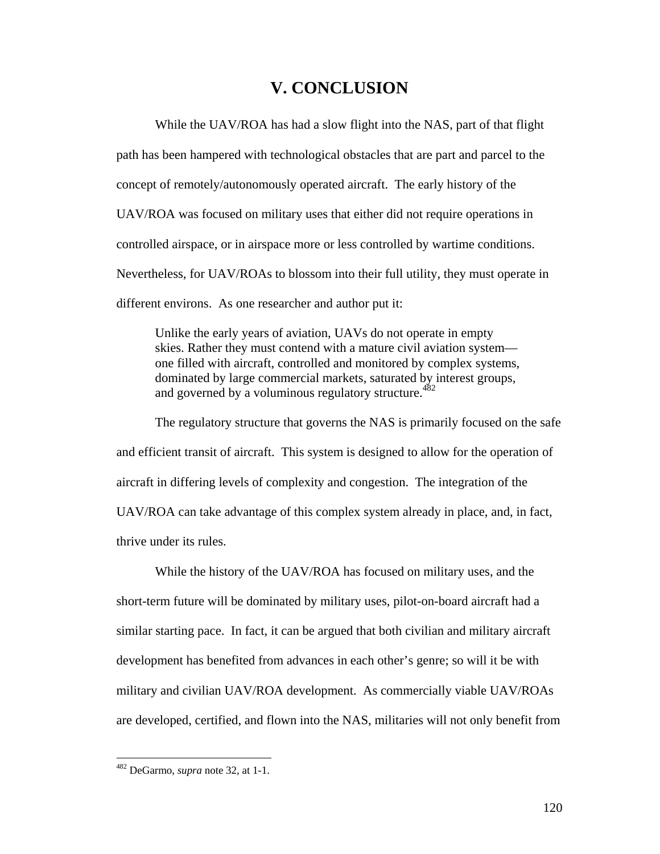# **V. CONCLUSION**

 While the UAV/ROA has had a slow flight into the NAS, part of that flight path has been hampered with technological obstacles that are part and parcel to the concept of remotely/autonomously operated aircraft. The early history of the UAV/ROA was focused on military uses that either did not require operations in controlled airspace, or in airspace more or less controlled by wartime conditions. Nevertheless, for UAV/ROAs to blossom into their full utility, they must operate in different environs. As one researcher and author put it:

Unlike the early years of aviation, UAVs do not operate in empty skies. Rather they must contend with a mature civil aviation system one filled with aircraft, controlled and monitored by complex systems, dominated by large commercial markets, saturated by interest groups, and governed by a voluminous regulatory structure. $482$ 

 The regulatory structure that governs the NAS is primarily focused on the safe and efficient transit of aircraft. This system is designed to allow for the operation of aircraft in differing levels of complexity and congestion. The integration of the UAV/ROA can take advantage of this complex system already in place, and, in fact, thrive under its rules.

 While the history of the UAV/ROA has focused on military uses, and the short-term future will be dominated by military uses, pilot-on-board aircraft had a similar starting pace. In fact, it can be argued that both civilian and military aircraft development has benefited from advances in each other's genre; so will it be with military and civilian UAV/ROA development. As commercially viable UAV/ROAs are developed, certified, and flown into the NAS, militaries will not only benefit from

<u>.</u>

<sup>482</sup> DeGarmo, *supra* note 32, at 1-1.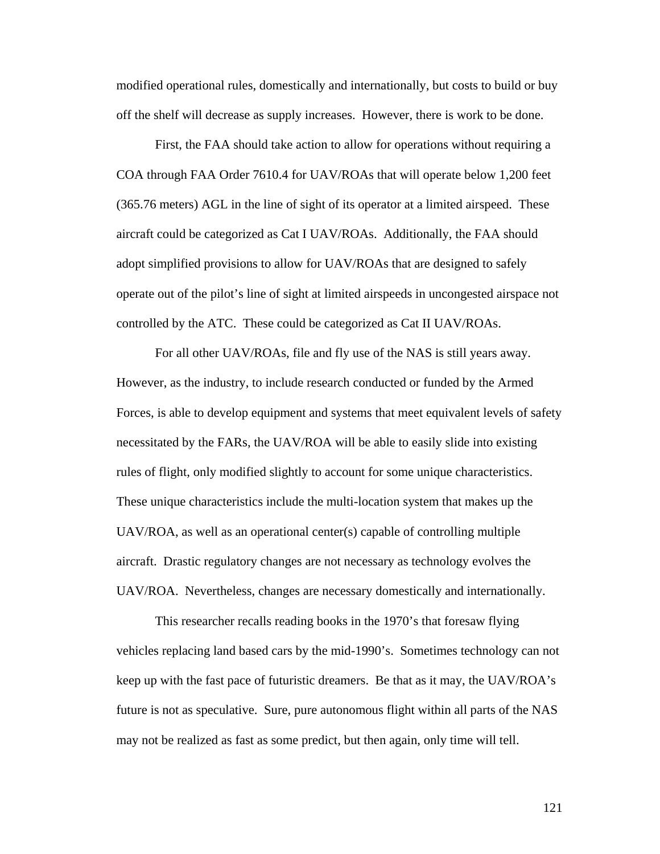modified operational rules, domestically and internationally, but costs to build or buy off the shelf will decrease as supply increases. However, there is work to be done.

 First, the FAA should take action to allow for operations without requiring a COA through FAA Order 7610.4 for UAV/ROAs that will operate below 1,200 feet (365.76 meters) AGL in the line of sight of its operator at a limited airspeed. These aircraft could be categorized as Cat I UAV/ROAs. Additionally, the FAA should adopt simplified provisions to allow for UAV/ROAs that are designed to safely operate out of the pilot's line of sight at limited airspeeds in uncongested airspace not controlled by the ATC. These could be categorized as Cat II UAV/ROAs.

 For all other UAV/ROAs, file and fly use of the NAS is still years away. However, as the industry, to include research conducted or funded by the Armed Forces, is able to develop equipment and systems that meet equivalent levels of safety necessitated by the FARs, the UAV/ROA will be able to easily slide into existing rules of flight, only modified slightly to account for some unique characteristics. These unique characteristics include the multi-location system that makes up the UAV/ROA, as well as an operational center(s) capable of controlling multiple aircraft. Drastic regulatory changes are not necessary as technology evolves the UAV/ROA. Nevertheless, changes are necessary domestically and internationally.

 This researcher recalls reading books in the 1970's that foresaw flying vehicles replacing land based cars by the mid-1990's. Sometimes technology can not keep up with the fast pace of futuristic dreamers. Be that as it may, the UAV/ROA's future is not as speculative. Sure, pure autonomous flight within all parts of the NAS may not be realized as fast as some predict, but then again, only time will tell.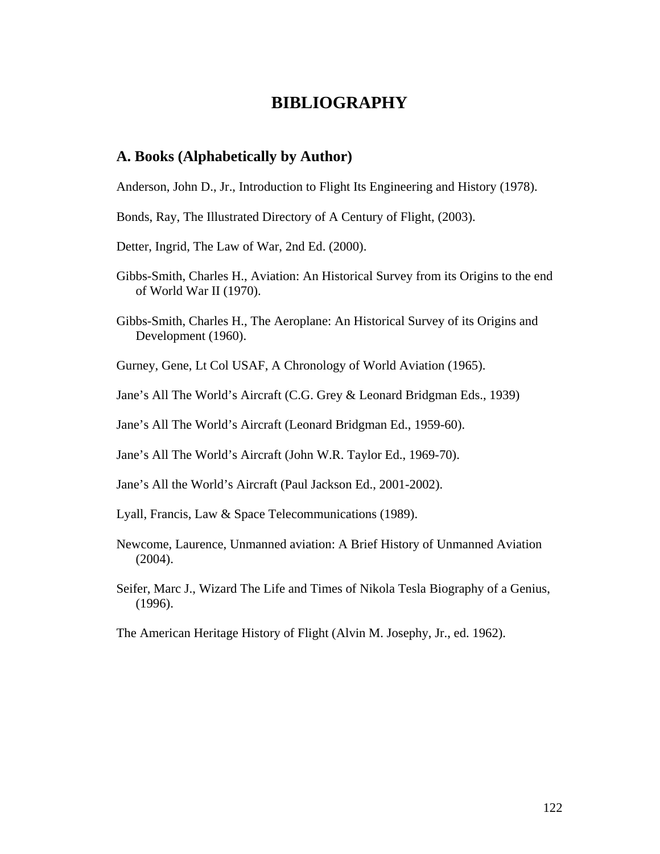# **BIBLIOGRAPHY**

### **A. Books (Alphabetically by Author)**

Anderson, John D., Jr., Introduction to Flight Its Engineering and History (1978).

- Bonds, Ray, The Illustrated Directory of A Century of Flight, (2003).
- Detter, Ingrid, The Law of War, 2nd Ed. (2000).
- Gibbs-Smith, Charles H., Aviation: An Historical Survey from its Origins to the end of World War II (1970).
- Gibbs-Smith, Charles H., The Aeroplane: An Historical Survey of its Origins and Development (1960).
- Gurney, Gene, Lt Col USAF, A Chronology of World Aviation (1965).
- Jane's All The World's Aircraft (C.G. Grey & Leonard Bridgman Eds., 1939)
- Jane's All The World's Aircraft (Leonard Bridgman Ed., 1959-60).
- Jane's All The World's Aircraft (John W.R. Taylor Ed., 1969-70).
- Jane's All the World's Aircraft (Paul Jackson Ed., 2001-2002).
- Lyall, Francis, Law & Space Telecommunications (1989).
- Newcome, Laurence, Unmanned aviation: A Brief History of Unmanned Aviation (2004).
- Seifer, Marc J., Wizard The Life and Times of Nikola Tesla Biography of a Genius, (1996).
- The American Heritage History of Flight (Alvin M. Josephy, Jr., ed. 1962).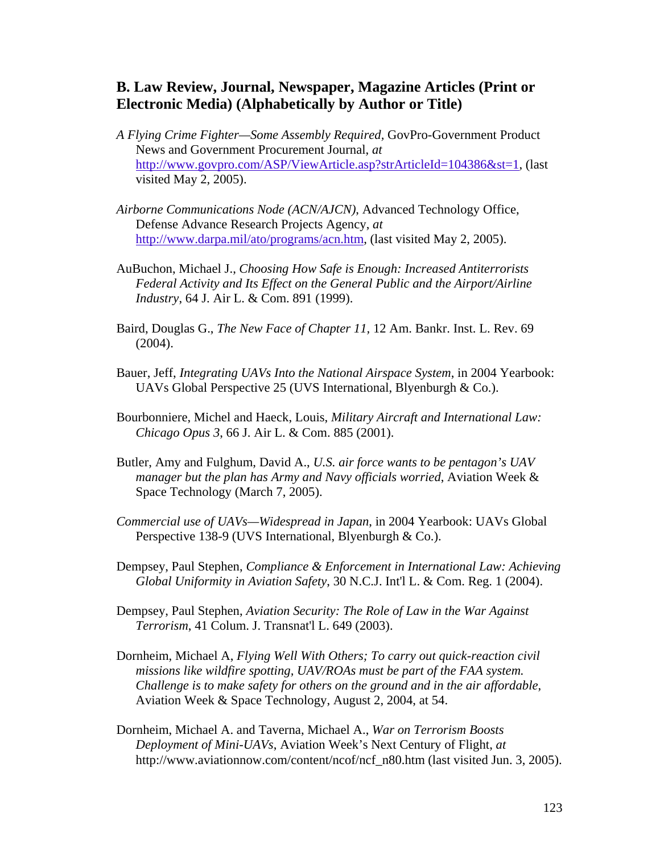### **B. Law Review, Journal, Newspaper, Magazine Articles (Print or Electronic Media) (Alphabetically by Author or Title)**

- *A Flying Crime Fighter—Some Assembly Required,* GovPro-Government Product News and Government Procurement Journal, *at* http://www.govpro.com/ASP/ViewArticle.asp?strArticleId=104386&st=1, (last visited May 2, 2005).
- *Airborne Communications Node (ACN/AJCN)*, Advanced Technology Office, Defense Advance Research Projects Agency, *at*  http://www.darpa.mil/ato/programs/acn.htm, (last visited May 2, 2005).
- AuBuchon, Michael J., *Choosing How Safe is Enough: Increased Antiterrorists Federal Activity and Its Effect on the General Public and the Airport/Airline Industry*, 64 J. Air L. & Com. 891 (1999).
- Baird, Douglas G., *The New Face of Chapter 11,* 12 Am. Bankr. Inst. L. Rev. 69 (2004).
- Bauer, Jeff, *Integrating UAVs Into the National Airspace System*, in 2004 Yearbook: UAVs Global Perspective 25 (UVS International, Blyenburgh & Co.).
- Bourbonniere, Michel and Haeck, Louis, *Military Aircraft and International Law: Chicago Opus 3*, 66 J. Air L. & Com. 885 (2001).
- Butler, Amy and Fulghum, David A., *U.S. air force wants to be pentagon's UAV manager but the plan has Army and Navy officials worried*, Aviation Week & Space Technology (March 7, 2005).
- *Commercial use of UAVs—Widespread in Japan*, in 2004 Yearbook: UAVs Global Perspective 138-9 (UVS International, Blyenburgh & Co.).
- Dempsey, Paul Stephen, *Compliance & Enforcement in International Law: Achieving Global Uniformity in Aviation Safety*, 30 N.C.J. Int'l L. & Com. Reg. 1 (2004).
- Dempsey, Paul Stephen, *Aviation Security: The Role of Law in the War Against Terrorism*, 41 Colum. J. Transnat'l L. 649 (2003).
- Dornheim, Michael A, *Flying Well With Others; To carry out quick-reaction civil missions like wildfire spotting, UAV/ROAs must be part of the FAA system. Challenge is to make safety for others on the ground and in the air affordable*, Aviation Week & Space Technology, August 2, 2004, at 54.
- Dornheim, Michael A. and Taverna, Michael A., *War on Terrorism Boosts Deployment of Mini-UAVs*, Aviation Week's Next Century of Flight, *at* http://www.aviationnow.com/content/ncof/ncf\_n80.htm (last visited Jun. 3, 2005).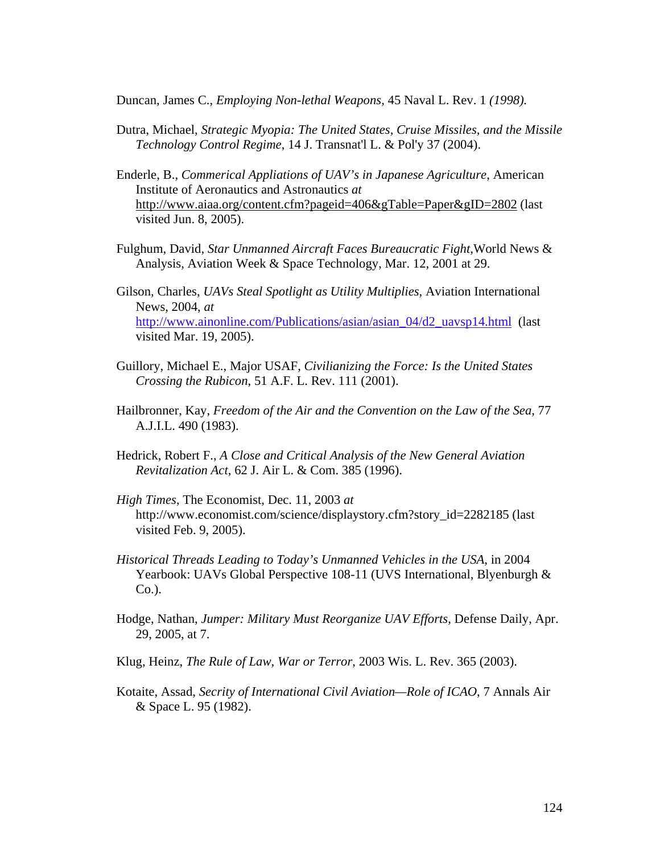Duncan, James C., *Employing Non-lethal Weapons,* 45 Naval L. Rev. 1 *(1998).*

- Dutra, Michael, *Strategic Myopia: The United States, Cruise Missiles, and the Missile Technology Control Regime*, 14 J. Transnat'l L. & Pol'y 37 (2004).
- Enderle, B., *Commerical Appliations of UAV's in Japanese Agriculture*, American Institute of Aeronautics and Astronautics *at* http://www.aiaa.org/content.cfm?pageid=406&gTable=Paper&gID=2802 (last visited Jun. 8, 2005).
- Fulghum, David, *Star Unmanned Aircraft Faces Bureaucratic Fight*,World News & Analysis, Aviation Week & Space Technology, Mar. 12, 2001 at 29.
- Gilson, Charles, *UAVs Steal Spotlight as Utility Multiplies*, Aviation International News, 2004, *at*  http://www.ainonline.com/Publications/asian/asian\_04/d2\_uavsp14.html (last visited Mar. 19, 2005).
- Guillory, Michael E., Major USAF, *Civilianizing the Force: Is the United States Crossing the Rubicon*, 51 A.F. L. Rev. 111 (2001).
- Hailbronner, Kay, *Freedom of the Air and the Convention on the Law of the Sea*, 77 A.J.I.L. 490 (1983).
- Hedrick, Robert F., *A Close and Critical Analysis of the New General Aviation Revitalization Act*, 62 J. Air L. & Com. 385 (1996).
- *High Times*, The Economist, Dec. 11, 2003 *at*  http://www.economist.com/science/displaystory.cfm?story\_id=2282185 (last visited Feb. 9, 2005).
- *Historical Threads Leading to Today's Unmanned Vehicles in the USA*, in 2004 Yearbook: UAVs Global Perspective 108-11 (UVS International, Blyenburgh & Co.).
- Hodge, Nathan, *Jumper: Military Must Reorganize UAV Efforts*, Defense Daily, Apr. 29, 2005, at 7.
- Klug, Heinz, *The Rule of Law, War or Terror*, 2003 Wis. L. Rev. 365 (2003).
- Kotaite, Assad, *Secrity of International Civil Aviation—Role of ICAO*, 7 Annals Air & Space L. 95 (1982).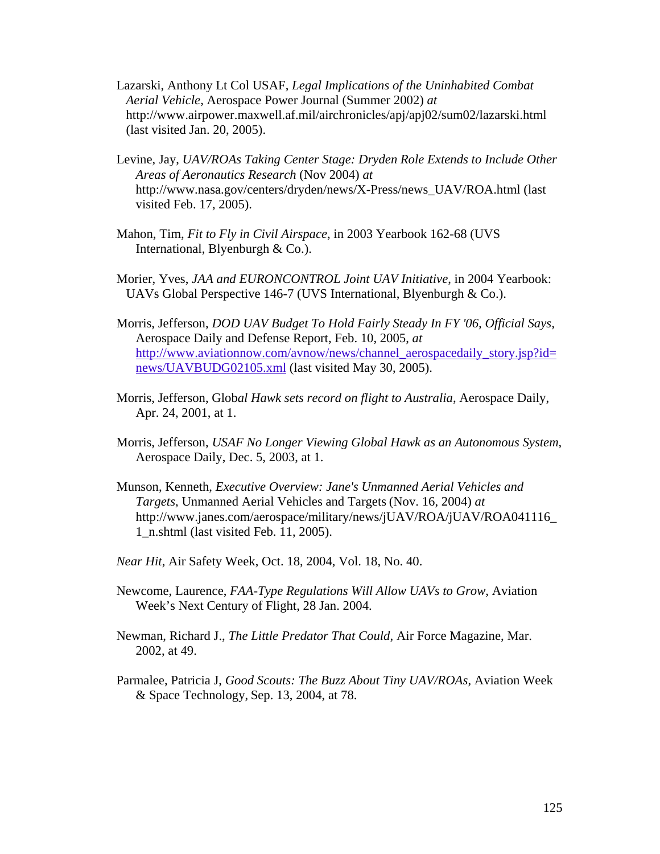- Lazarski, Anthony Lt Col USAF, *Legal Implications of the Uninhabited Combat Aerial Vehicle*, Aerospace Power Journal (Summer 2002) *at* http://www.airpower.maxwell.af.mil/airchronicles/apj/apj02/sum02/lazarski.html (last visited Jan. 20, 2005).
- Levine, Jay, *UAV/ROAs Taking Center Stage: Dryden Role Extends to Include Other Areas of Aeronautics Research* (Nov 2004) *at*  http://www.nasa.gov/centers/dryden/news/X-Press/news\_UAV/ROA.html (last visited Feb. 17, 2005).
- Mahon, Tim, *Fit to Fly in Civil Airspace*, in 2003 Yearbook 162-68 (UVS International, Blyenburgh & Co.).
- Morier, Yves, *JAA and EURONCONTROL Joint UAV Initiative*, in 2004 Yearbook: UAVs Global Perspective 146-7 (UVS International, Blyenburgh & Co.).
- Morris, Jefferson, *DOD UAV Budget To Hold Fairly Steady In FY '06, Official Says,* Aerospace Daily and Defense Report, Feb. 10, 2005, *at* http://www.aviationnow.com/avnow/news/channel\_aerospacedaily\_story.jsp?id= news/UAVBUDG02105.xml (last visited May 30, 2005).
- Morris, Jefferson, Glob*al Hawk sets record on flight to Australia*, Aerospace Daily, Apr. 24, 2001, at 1.
- Morris, Jefferson, *USAF No Longer Viewing Global Hawk as an Autonomous System*, Aerospace Daily, Dec. 5, 2003, at 1.
- Munson, Kenneth, *Executive Overview: Jane's Unmanned Aerial Vehicles and Targets*, Unmanned Aerial Vehicles and Targets (Nov. 16, 2004) *at* http://www.janes.com/aerospace/military/news/jUAV/ROA/jUAV/ROA041116\_ 1\_n.shtml (last visited Feb. 11, 2005).
- *Near Hit*, Air Safety Week, Oct. 18, 2004, Vol. 18, No. 40.
- Newcome, Laurence, *FAA-Type Regulations Will Allow UAVs to Grow*, Aviation Week's Next Century of Flight, 28 Jan. 2004.
- Newman, Richard J., *The Little Predator That Could*, Air Force Magazine, Mar. 2002, at 49.
- Parmalee, Patricia J, *Good Scouts: The Buzz About Tiny UAV/ROAs*, Aviation Week & Space Technology, Sep. 13, 2004, at 78.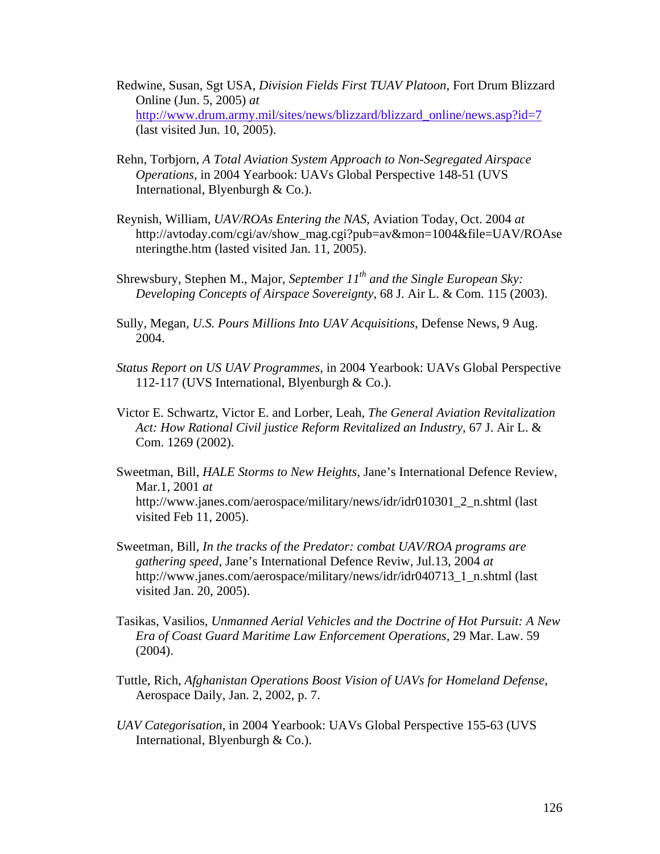- Redwine, Susan, Sgt USA, *Division Fields First TUAV Platoon*, Fort Drum Blizzard Online (Jun. 5, 2005) *at* http://www.drum.army.mil/sites/news/blizzard/blizzard\_online/news.asp?id=7 (last visited Jun. 10, 2005).
- Rehn, Torbjorn, *A Total Aviation System Approach to Non-Segregated Airspace Operations*, in 2004 Yearbook: UAVs Global Perspective 148-51 (UVS International, Blyenburgh & Co.).
- Reynish, William, *UAV/ROAs Entering the NAS*, Aviation Today, Oct. 2004 *at* http://avtoday.com/cgi/av/show\_mag.cgi?pub=av&mon=1004&file=UAV/ROAse nteringthe.htm (lasted visited Jan. 11, 2005).
- Shrewsbury, Stephen M., Major, *September 11<sup>th</sup> and the Single European Sky*: *Developing Concepts of Airspace Sovereignty*, 68 J. Air L. & Com. 115 (2003).
- Sully, Megan, *U.S. Pours Millions Into UAV Acquisitions*, Defense News, 9 Aug. 2004.
- *Status Report on US UAV Programmes*, in 2004 Yearbook: UAVs Global Perspective 112-117 (UVS International, Blyenburgh & Co.).
- Victor E. Schwartz, Victor E. and Lorber, Leah, *The General Aviation Revitalization Act: How Rational Civil justice Reform Revitalized an Industry*, 67 J. Air L. & Com. 1269 (2002).
- Sweetman, Bill, *HALE Storms to New Heights*, Jane's International Defence Review, Mar.1, 2001 *at* http://www.janes.com/aerospace/military/news/idr/idr010301\_2\_n.shtml (last visited Feb 11, 2005).
- Sweetman, Bill, *In the tracks of the Predator: combat UAV/ROA programs are gathering speed*, Jane's International Defence Reviw, Jul.13, 2004 *at*  http://www.janes.com/aerospace/military/news/idr/idr040713\_1\_n.shtml (last visited Jan. 20, 2005).
- Tasikas, Vasilios, *Unmanned Aerial Vehicles and the Doctrine of Hot Pursuit: A New Era of Coast Guard Maritime Law Enforcement Operations,* 29 Mar. Law. 59 (2004).
- Tuttle, Rich, *Afghanistan Operations Boost Vision of UAVs for Homeland Defense*, Aerospace Daily, Jan. 2, 2002, p. 7.
- *UAV Categorisation*, in 2004 Yearbook: UAVs Global Perspective 155-63 (UVS International, Blyenburgh & Co.).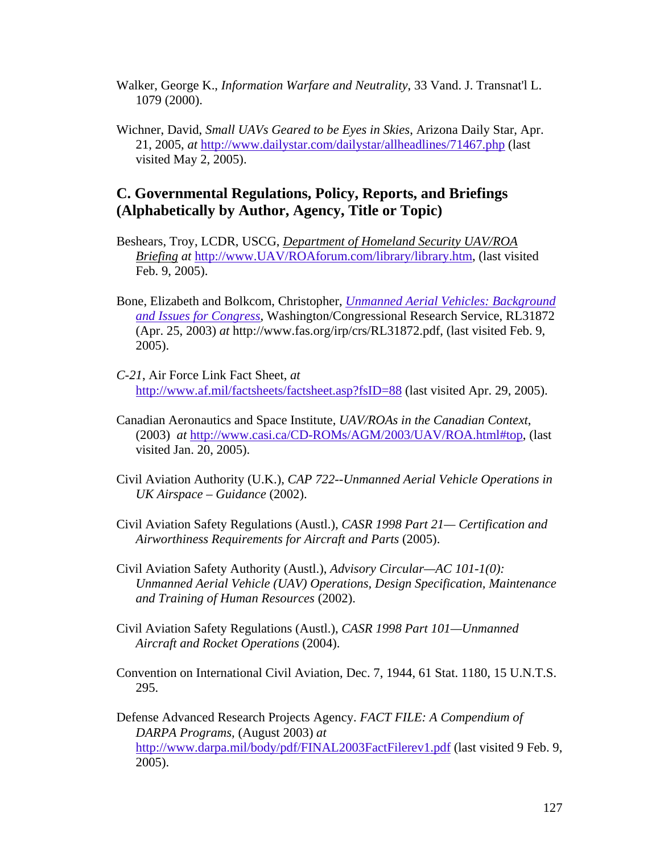- Walker, George K., *Information Warfare and Neutrality*, 33 Vand. J. Transnat'l L. 1079 (2000).
- Wichner, David, *Small UAVs Geared to be Eyes in Skies*, Arizona Daily Star, Apr. 21, 2005, *at* http://www.dailystar.com/dailystar/allheadlines/71467.php (last visited May 2, 2005).

### **C. Governmental Regulations, Policy, Reports, and Briefings (Alphabetically by Author, Agency, Title or Topic)**

- Beshears, Troy, LCDR, USCG, *Department of Homeland Security UAV/ROA Briefing at* http://www.UAV/ROAforum.com/library/library.htm, (last visited Feb. 9, 2005).
- Bone, Elizabeth and Bolkcom, Christopher, *Unmanned Aerial Vehicles: Background and Issues for Congress*, Washington/Congressional Research Service, RL31872 (Apr. 25, 2003) *at* http://www.fas.org/irp/crs/RL31872.pdf, (last visited Feb. 9, 2005).
- *C-21*, Air Force Link Fact Sheet, *at* http://www.af.mil/factsheets/factsheet.asp?fsID=88 (last visited Apr. 29, 2005).
- Canadian Aeronautics and Space Institute, *UAV/ROAs in the Canadian Context*, (2003) *at* http://www.casi.ca/CD-ROMs/AGM/2003/UAV/ROA.html#top, (last visited Jan. 20, 2005).
- Civil Aviation Authority (U.K.), *CAP 722--Unmanned Aerial Vehicle Operations in UK Airspace – Guidance* (2002).
- Civil Aviation Safety Regulations (Austl.), *CASR 1998 Part 21— Certification and Airworthiness Requirements for Aircraft and Parts* (2005).
- Civil Aviation Safety Authority (Austl.), *Advisory Circular—AC 101-1(0): Unmanned Aerial Vehicle (UAV) Operations, Design Specification, Maintenance and Training of Human Resources* (2002).
- Civil Aviation Safety Regulations (Austl.), *CASR 1998 Part 101—Unmanned Aircraft and Rocket Operations* (2004).
- Convention on International Civil Aviation, Dec. 7, 1944, 61 Stat. 1180, 15 U.N.T.S. 295.

Defense Advanced Research Projects Agency. *FACT FILE: A Compendium of DARPA Programs,* (August 2003) *at*  http://www.darpa.mil/body/pdf/FINAL2003FactFilerev1.pdf (last visited 9 Feb. 9, 2005).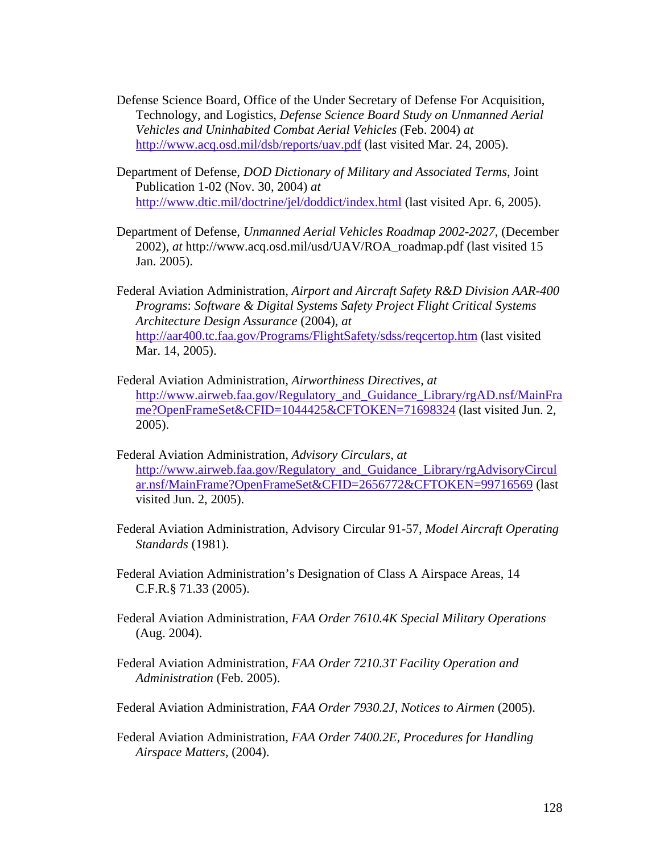- Defense Science Board, Office of the Under Secretary of Defense For Acquisition, Technology, and Logistics, *Defense Science Board Study on Unmanned Aerial Vehicles and Uninhabited Combat Aerial Vehicles* (Feb. 2004) *at*  http://www.acq.osd.mil/dsb/reports/uav.pdf (last visited Mar. 24, 2005).
- Department of Defense, *DOD Dictionary of Military and Associated Terms*, Joint Publication 1-02 (Nov. 30, 2004) *at*  http://www.dtic.mil/doctrine/jel/doddict/index.html (last visited Apr. 6, 2005).
- Department of Defense, *Unmanned Aerial Vehicles Roadmap 2002-2027*, (December 2002), *at* http://www.acq.osd.mil/usd/UAV/ROA\_roadmap.pdf (last visited 15 Jan. 2005).

Federal Aviation Administration, *Airport and Aircraft Safety R&D Division AAR-400 Programs*: *Software & Digital Systems Safety Project Flight Critical Systems Architecture Design Assurance* (2004), *at* http://aar400.tc.faa.gov/Programs/FlightSafety/sdss/reqcertop.htm (last visited Mar. 14, 2005).

- Federal Aviation Administration, *Airworthiness Directives*, *at* http://www.airweb.faa.gov/Regulatory and Guidance Library/rgAD.nsf/MainFra me?OpenFrameSet&CFID=1044425&CFTOKEN=71698324 (last visited Jun. 2, 2005).
- Federal Aviation Administration, *Advisory Circulars*, *at* http://www.airweb.faa.gov/Regulatory\_and\_Guidance\_Library/rgAdvisoryCircul ar.nsf/MainFrame?OpenFrameSet&CFID=2656772&CFTOKEN=99716569 (last visited Jun. 2, 2005).
- Federal Aviation Administration, Advisory Circular 91-57, *Model Aircraft Operating Standards* (1981).
- Federal Aviation Administration's Designation of Class A Airspace Areas, 14 C.F.R.§ 71.33 (2005).
- Federal Aviation Administration, *FAA Order 7610.4K Special Military Operations* (Aug. 2004).
- Federal Aviation Administration, *FAA Order 7210.3T Facility Operation and Administration* (Feb. 2005).
- Federal Aviation Administration, *FAA Order 7930.2J, Notices to Airmen* (2005).
- Federal Aviation Administration, *FAA Order 7400.2E, Procedures for Handling Airspace Matters*, (2004).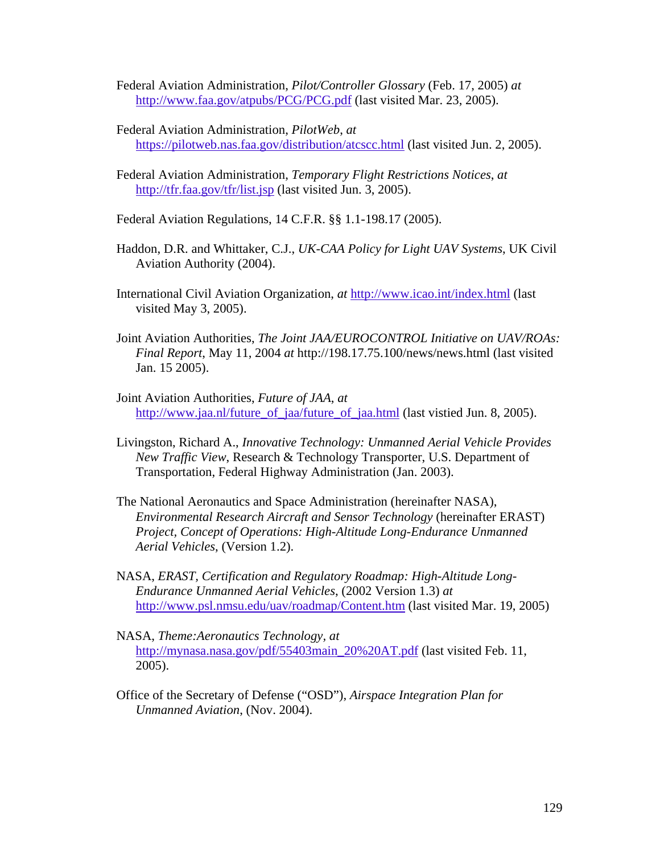Federal Aviation Administration, *Pilot/Controller Glossary* (Feb. 17, 2005) *at*  http://www.faa.gov/atpubs/PCG/PCG.pdf (last visited Mar. 23, 2005).

- Federal Aviation Administration, *PilotWeb*, *at* https://pilotweb.nas.faa.gov/distribution/atcscc.html (last visited Jun. 2, 2005).
- Federal Aviation Administration, *Temporary Flight Restrictions Notices*, *at* http://tfr.faa.gov/tfr/list.jsp (last visited Jun. 3, 2005).
- Federal Aviation Regulations, 14 C.F.R. §§ 1.1-198.17 (2005).
- Haddon, D.R. and Whittaker, C.J., *UK-CAA Policy for Light UAV Systems*, UK Civil Aviation Authority (2004).
- International Civil Aviation Organization, *at* http://www.icao.int/index.html (last visited May 3, 2005).
- Joint Aviation Authorities, *The Joint JAA/EUROCONTROL Initiative on UAV/ROAs: Final Report*, May 11, 2004 *at* http://198.17.75.100/news/news.html (last visited Jan. 15 2005).
- Joint Aviation Authorities, *Future of JAA*, *at* http://www.jaa.nl/future\_of\_jaa/future\_of\_jaa.html (last vistied Jun. 8, 2005).
- Livingston, Richard A., *Innovative Technology: Unmanned Aerial Vehicle Provides New Traffic View*, Research & Technology Transporter, U.S. Department of Transportation, Federal Highway Administration (Jan. 2003).
- The National Aeronautics and Space Administration (hereinafter NASA), *Environmental Research Aircraft and Sensor Technology* (hereinafter ERAST) *Project, Concept of Operations: High-Altitude Long-Endurance Unmanned Aerial Vehicles*, (Version 1.2).
- NASA, *ERAST, Certification and Regulatory Roadmap: High-Altitude Long-Endurance Unmanned Aerial Vehicles*, (2002 Version 1.3) *at* http://www.psl.nmsu.edu/uav/roadmap/Content.htm (last visited Mar. 19, 2005)
- NASA, *Theme:Aeronautics Technology, at*  http://mynasa.nasa.gov/pdf/55403main\_20%20AT.pdf (last visited Feb. 11, 2005).
- Office of the Secretary of Defense ("OSD"), *Airspace Integration Plan for Unmanned Aviation*, (Nov. 2004).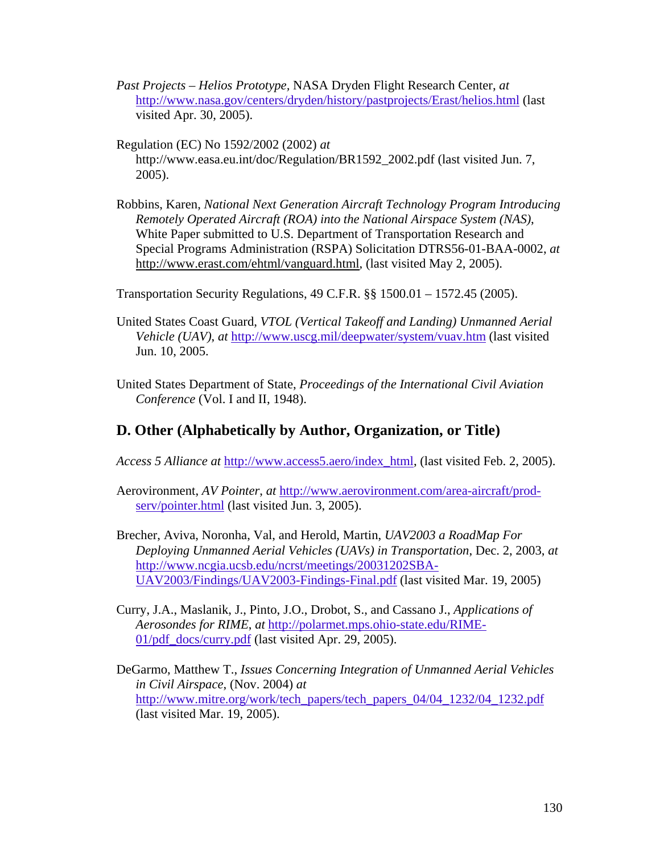- *Past Projects Helios Prototype,* NASA Dryden Flight Research Center, *at*  http://www.nasa.gov/centers/dryden/history/pastprojects/Erast/helios.html (last visited Apr. 30, 2005).
- Regulation (EC) No 1592/2002 (2002) *at* http://www.easa.eu.int/doc/Regulation/BR1592\_2002.pdf (last visited Jun. 7, 2005).
- Robbins, Karen, *National Next Generation Aircraft Technology Program Introducing Remotely Operated Aircraft (ROA) into the National Airspace System (NAS)*, White Paper submitted to U.S. Department of Transportation Research and Special Programs Administration (RSPA) Solicitation DTRS56-01-BAA-0002, *at* http://www.erast.com/ehtml/vanguard.html, (last visited May 2, 2005).

Transportation Security Regulations, 49 C.F.R. §§ 1500.01 – 1572.45 (2005).

- United States Coast Guard, *VTOL (Vertical Takeoff and Landing) Unmanned Aerial Vehicle (UAV)*, *at* http://www.uscg.mil/deepwater/system/vuav.htm (last visited Jun. 10, 2005.
- United States Department of State, *Proceedings of the International Civil Aviation Conference* (Vol. I and II, 1948).

## **D. Other (Alphabetically by Author, Organization, or Title)**

*Access 5 Alliance at* http://www.access5.aero/index\_html, (last visited Feb. 2, 2005).

- Aerovironment, *AV Pointer*, *at* http://www.aerovironment.com/area-aircraft/prodserv/pointer.html (last visited Jun. 3, 2005).
- Brecher, Aviva, Noronha, Val, and Herold, Martin, *UAV2003 a RoadMap For Deploying Unmanned Aerial Vehicles (UAVs) in Transportation*, Dec. 2, 2003, *at* http://www.ncgia.ucsb.edu/ncrst/meetings/20031202SBA-UAV2003/Findings/UAV2003-Findings-Final.pdf (last visited Mar. 19, 2005)
- Curry, J.A., Maslanik, J., Pinto, J.O., Drobot, S., and Cassano J., *Applications of Aerosondes for RIME*, *at* http://polarmet.mps.ohio-state.edu/RIME-01/pdf\_docs/curry.pdf (last visited Apr. 29, 2005).
- DeGarmo, Matthew T., *Issues Concerning Integration of Unmanned Aerial Vehicles in Civil Airspace*, (Nov. 2004) *at* http://www.mitre.org/work/tech\_papers/tech\_papers\_04/04\_1232/04\_1232.pdf (last visited Mar. 19, 2005).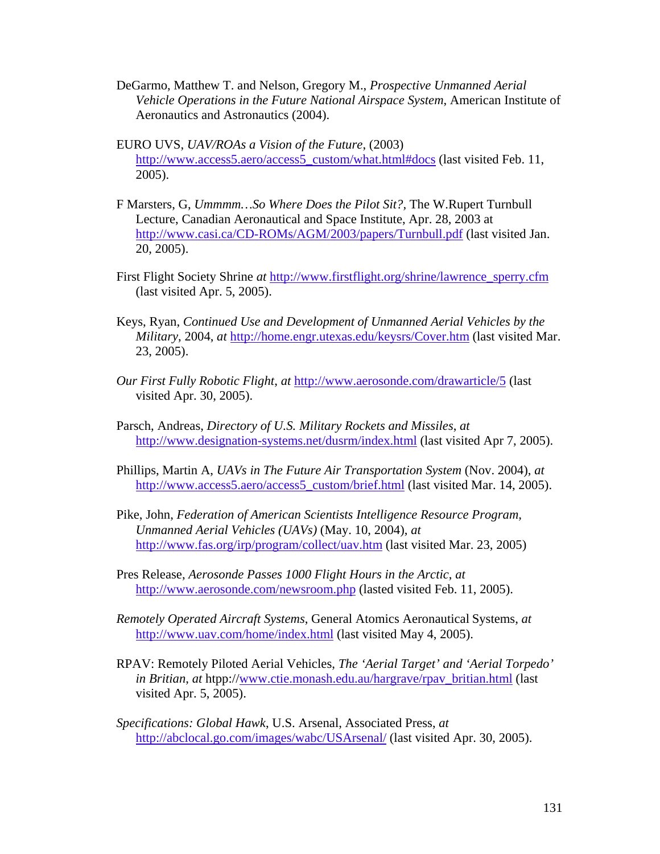- DeGarmo, Matthew T. and Nelson, Gregory M., *Prospective Unmanned Aerial Vehicle Operations in the Future National Airspace System*, American Institute of Aeronautics and Astronautics (2004).
- EURO UVS, *UAV/ROAs a Vision of the Future*, (2003) http://www.access5.aero/access5\_custom/what.html#docs (last visited Feb. 11, 2005).
- F Marsters, G, *Ummmm…So Where Does the Pilot Sit?,* The W.Rupert Turnbull Lecture, Canadian Aeronautical and Space Institute, Apr. 28, 2003 at http://www.casi.ca/CD-ROMs/AGM/2003/papers/Turnbull.pdf (last visited Jan. 20, 2005).
- First Flight Society Shrine *at* http://www.firstflight.org/shrine/lawrence\_sperry.cfm (last visited Apr. 5, 2005).
- Keys, Ryan, *Continued Use and Development of Unmanned Aerial Vehicles by the Military*, 2004, *at* http://home.engr.utexas.edu/keysrs/Cover.htm (last visited Mar. 23, 2005).
- *Our First Fully Robotic Flight*, *at* http://www.aerosonde.com/drawarticle/5 (last visited Apr. 30, 2005).
- Parsch, Andreas, *Directory of U.S. Military Rockets and Missiles*, *at*  http://www.designation-systems.net/dusrm/index.html (last visited Apr 7, 2005).
- Phillips, Martin A, *UAVs in The Future Air Transportation System* (Nov. 2004), *at*  http://www.access5.aero/access5\_custom/brief.html (last visited Mar. 14, 2005).
- Pike, John, *Federation of American Scientists Intelligence Resource Program, Unmanned Aerial Vehicles (UAVs)* (May. 10, 2004), *at*  http://www.fas.org/irp/program/collect/uav.htm (last visited Mar. 23, 2005)
- Pres Release, *Aerosonde Passes 1000 Flight Hours in the Arctic*, *at*  http://www.aerosonde.com/newsroom.php (lasted visited Feb. 11, 2005).
- *Remotely Operated Aircraft Systems*, General Atomics Aeronautical Systems, *at* http://www.uav.com/home/index.html (last visited May 4, 2005).
- RPAV: Remotely Piloted Aerial Vehicles, *The 'Aerial Target' and 'Aerial Torpedo' in Britian*, *at* htpp://www.ctie.monash.edu.au/hargrave/rpav\_britian.html (last visited Apr. 5, 2005).
- *Specifications: Global Hawk*, U.S. Arsenal, Associated Press, *at* http://abclocal.go.com/images/wabc/USArsenal/ (last visited Apr. 30, 2005).